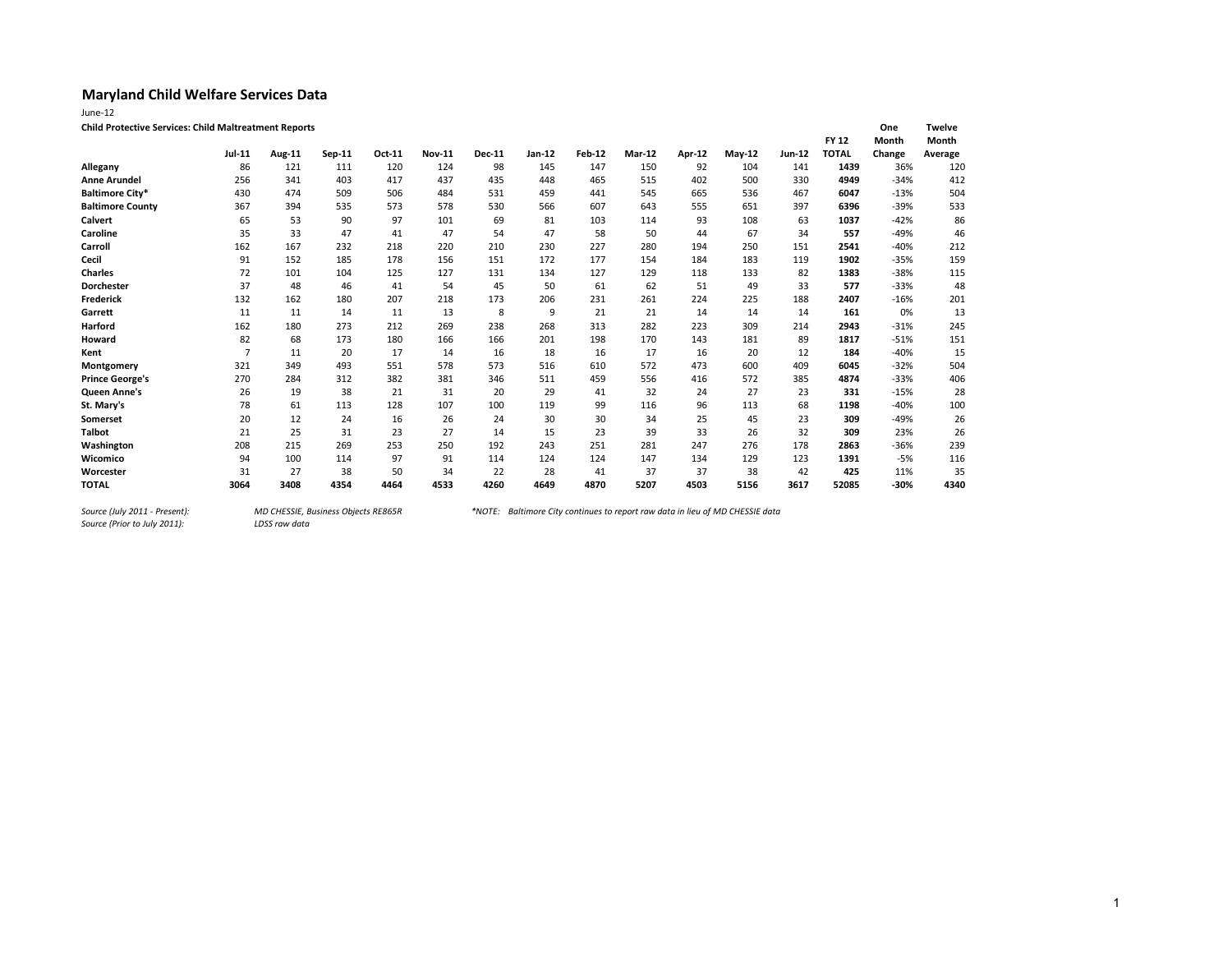| June-12                                                      |                |        |        |        |               |               |          |        |        |        |          |               |              |              |               |
|--------------------------------------------------------------|----------------|--------|--------|--------|---------------|---------------|----------|--------|--------|--------|----------|---------------|--------------|--------------|---------------|
| <b>Child Protective Services: Child Maltreatment Reports</b> |                |        |        |        |               |               |          |        |        |        |          |               |              | One          | <b>Twelve</b> |
|                                                              |                |        |        |        |               |               |          |        |        |        |          |               | <b>FY 12</b> | <b>Month</b> | Month         |
|                                                              | Jul-11         | Aug-11 | Sep-11 | Oct-11 | <b>Nov-11</b> | <b>Dec-11</b> | $Jan-12$ | Feb-12 | Mar-12 | Apr-12 | $May-12$ | <b>Jun-12</b> | <b>TOTAL</b> | Change       | Average       |
| Allegany                                                     | 86             | 121    | 111    | 120    | 124           | 98            | 145      | 147    | 150    | 92     | 104      | 141           | 1439         | 36%          | 120           |
| <b>Anne Arundel</b>                                          | 256            | 341    | 403    | 417    | 437           | 435           | 448      | 465    | 515    | 402    | 500      | 330           | 4949         | $-34%$       | 412           |
| <b>Baltimore City*</b>                                       | 430            | 474    | 509    | 506    | 484           | 531           | 459      | 441    | 545    | 665    | 536      | 467           | 6047         | $-13%$       | 504           |
| <b>Baltimore County</b>                                      | 367            | 394    | 535    | 573    | 578           | 530           | 566      | 607    | 643    | 555    | 651      | 397           | 6396         | $-39%$       | 533           |
| <b>Calvert</b>                                               | 65             | 53     | 90     | 97     | 101           | 69            | 81       | 103    | 114    | 93     | 108      | 63            | 1037         | $-42%$       | 86            |
| Caroline                                                     | 35             | 33     | 47     | 41     | 47            | 54            | 47       | 58     | 50     | 44     | 67       | 34            | 557          | $-49%$       | 46            |
| Carroll                                                      | 162            | 167    | 232    | 218    | 220           | 210           | 230      | 227    | 280    | 194    | 250      | 151           | 2541         | $-40%$       | 212           |
| Cecil                                                        | 91             | 152    | 185    | 178    | 156           | 151           | 172      | 177    | 154    | 184    | 183      | 119           | 1902         | $-35%$       | 159           |
| <b>Charles</b>                                               | 72             | 101    | 104    | 125    | 127           | 131           | 134      | 127    | 129    | 118    | 133      | 82            | 1383         | $-38%$       | 115           |
| <b>Dorchester</b>                                            | 37             | 48     | 46     | 41     | 54            | 45            | 50       | 61     | 62     | 51     | 49       | 33            | 577          | $-33%$       | 48            |
| Frederick                                                    | 132            | 162    | 180    | 207    | 218           | 173           | 206      | 231    | 261    | 224    | 225      | 188           | 2407         | $-16%$       | 201           |
| Garrett                                                      | 11             | 11     | 14     | 11     | 13            | 8             | 9        | 21     | 21     | 14     | 14       | 14            | 161          | 0%           | 13            |
| Harford                                                      | 162            | 180    | 273    | 212    | 269           | 238           | 268      | 313    | 282    | 223    | 309      | 214           | 2943         | $-31%$       | 245           |
| Howard                                                       | 82             | 68     | 173    | 180    | 166           | 166           | 201      | 198    | 170    | 143    | 181      | 89            | 1817         | $-51%$       | 151           |
| Kent                                                         | $\overline{7}$ | 11     | 20     | 17     | 14            | 16            | 18       | 16     | 17     | 16     | 20       | 12            | 184          | $-40%$       | 15            |
| Montgomery                                                   | 321            | 349    | 493    | 551    | 578           | 573           | 516      | 610    | 572    | 473    | 600      | 409           | 6045         | $-32%$       | 504           |
| <b>Prince George's</b>                                       | 270            | 284    | 312    | 382    | 381           | 346           | 511      | 459    | 556    | 416    | 572      | 385           | 4874         | $-33%$       | 406           |
| Queen Anne's                                                 | 26             | 19     | 38     | 21     | 31            | 20            | 29       | 41     | 32     | 24     | 27       | 23            | 331          | $-15%$       | 28            |
| St. Mary's                                                   | 78             | 61     | 113    | 128    | 107           | 100           | 119      | 99     | 116    | 96     | 113      | 68            | 1198         | $-40%$       | 100           |
| Somerset                                                     | 20             | 12     | 24     | 16     | 26            | 24            | 30       | 30     | 34     | 25     | 45       | 23            | 309          | $-49%$       | 26            |
| <b>Talbot</b>                                                | 21             | 25     | 31     | 23     | 27            | 14            | 15       | 23     | 39     | 33     | 26       | 32            | 309          | 23%          | 26            |
| Washington                                                   | 208            | 215    | 269    | 253    | 250           | 192           | 243      | 251    | 281    | 247    | 276      | 178           | 2863         | $-36%$       | 239           |
| Wicomico                                                     | 94             | 100    | 114    | 97     | 91            | 114           | 124      | 124    | 147    | 134    | 129      | 123           | 1391         | $-5%$        | 116           |
| Worcester                                                    | 31             | 27     | 38     | 50     | 34            | 22            | 28       | 41     | 37     | 37     | 38       | 42            | 425          | 11%          | 35            |
| <b>TOTAL</b>                                                 | 3064           | 3408   | 4354   | 4464   | 4533          | 4260          | 4649     | 4870   | 5207   | 4503   | 5156     | 3617          | 52085        | $-30%$       | 4340          |

*Source (Prior to July 2011):*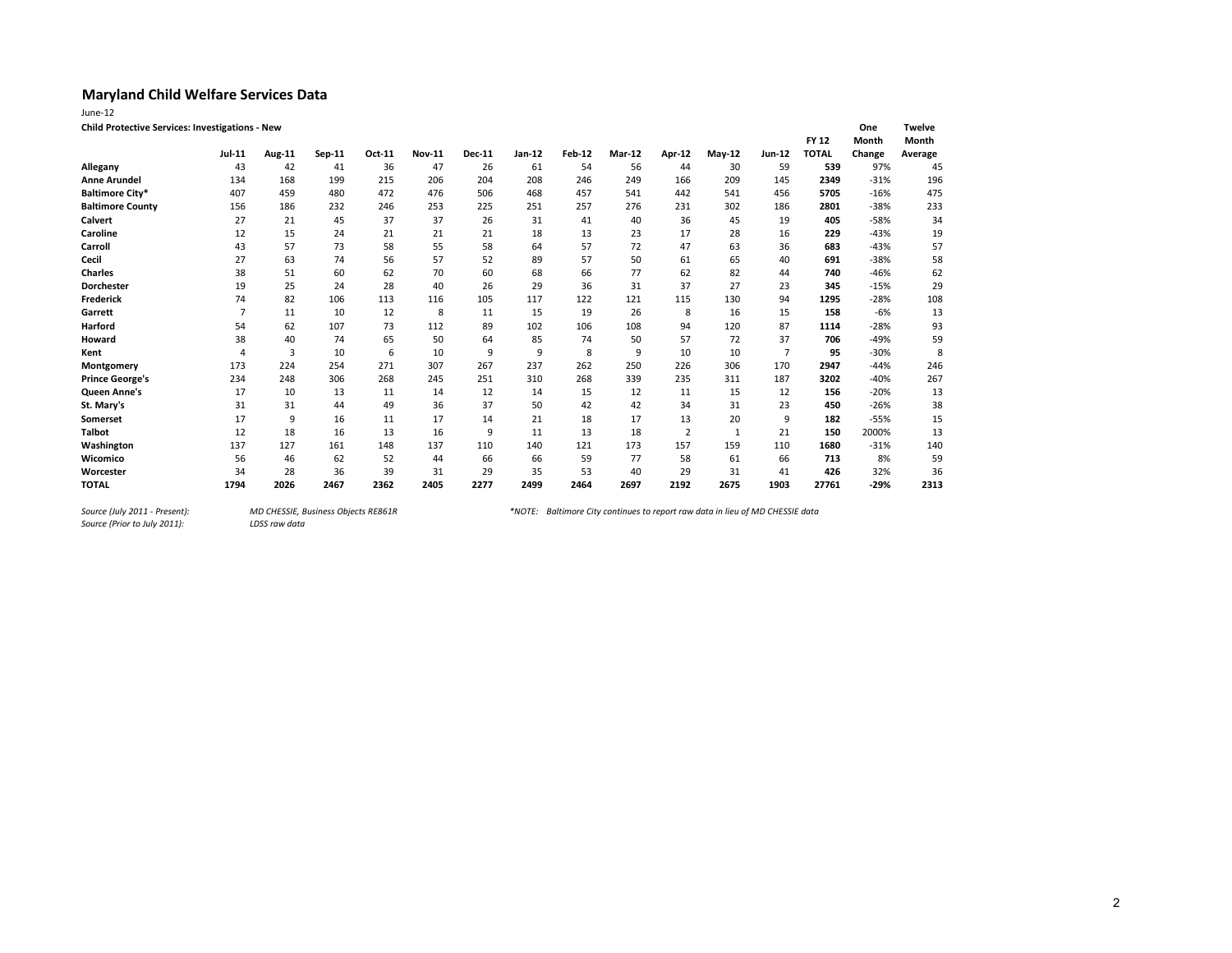| June-12                                                |                |                |        |        |               |               |        |               |               |                |        |                |              |        |               |
|--------------------------------------------------------|----------------|----------------|--------|--------|---------------|---------------|--------|---------------|---------------|----------------|--------|----------------|--------------|--------|---------------|
| <b>Child Protective Services: Investigations - New</b> |                |                |        |        |               |               |        |               |               |                |        |                |              | One    | <b>Twelve</b> |
|                                                        |                |                |        |        |               |               |        |               |               |                |        |                | <b>FY 12</b> | Month  | Month         |
|                                                        | <b>Jul-11</b>  | Aug-11         | Sep-11 | Oct-11 | <b>Nov-11</b> | <b>Dec-11</b> | Jan-12 | <b>Feb-12</b> | <b>Mar-12</b> | Apr-12         | May-12 | Jun-12         | <b>TOTAL</b> | Change | Average       |
| Allegany                                               | 43             | 42             | 41     | 36     | 47            | 26            | 61     | 54            | 56            | 44             | 30     | 59             | 539          | 97%    | 45            |
| <b>Anne Arundel</b>                                    | 134            | 168            | 199    | 215    | 206           | 204           | 208    | 246           | 249           | 166            | 209    | 145            | 2349         | $-31%$ | 196           |
| <b>Baltimore City*</b>                                 | 407            | 459            | 480    | 472    | 476           | 506           | 468    | 457           | 541           | 442            | 541    | 456            | 5705         | $-16%$ | 475           |
| <b>Baltimore County</b>                                | 156            | 186            | 232    | 246    | 253           | 225           | 251    | 257           | 276           | 231            | 302    | 186            | 2801         | $-38%$ | 233           |
| Calvert                                                | 27             | 21             | 45     | 37     | 37            | 26            | 31     | 41            | 40            | 36             | 45     | 19             | 405          | $-58%$ | 34            |
| Caroline                                               | 12             | 15             | 24     | 21     | 21            | 21            | 18     | 13            | 23            | 17             | 28     | 16             | 229          | $-43%$ | 19            |
| Carroll                                                | 43             | 57             | 73     | 58     | 55            | 58            | 64     | 57            | 72            | 47             | 63     | 36             | 683          | $-43%$ | 57            |
| Cecil                                                  | 27             | 63             | 74     | 56     | 57            | 52            | 89     | 57            | 50            | 61             | 65     | 40             | 691          | $-38%$ | 58            |
| <b>Charles</b>                                         | 38             | 51             | 60     | 62     | 70            | 60            | 68     | 66            | 77            | 62             | 82     | 44             | 740          | $-46%$ | 62            |
| <b>Dorchester</b>                                      | 19             | 25             | 24     | 28     | 40            | 26            | 29     | 36            | 31            | 37             | 27     | 23             | 345          | $-15%$ | 29            |
| Frederick                                              | 74             | 82             | 106    | 113    | 116           | 105           | 117    | 122           | 121           | 115            | 130    | 94             | 1295         | $-28%$ | 108           |
| Garrett                                                | 7              | 11             | 10     | 12     | 8             | 11            | 15     | 19            | 26            | 8              | 16     | 15             | 158          | $-6%$  | 13            |
| Harford                                                | 54             | 62             | 107    | 73     | 112           | 89            | 102    | 106           | 108           | 94             | 120    | 87             | 1114         | $-28%$ | 93            |
| Howard                                                 | 38             | 40             | 74     | 65     | 50            | 64            | 85     | 74            | 50            | 57             | 72     | 37             | 706          | $-49%$ | 59            |
| Kent                                                   | $\overline{4}$ | $\overline{3}$ | 10     | 6      | 10            | 9             | 9      | 8             | 9             | 10             | 10     | $\overline{7}$ | 95           | $-30%$ | 8             |
| Montgomery                                             | 173            | 224            | 254    | 271    | 307           | 267           | 237    | 262           | 250           | 226            | 306    | 170            | 2947         | $-44%$ | 246           |
| <b>Prince George's</b>                                 | 234            | 248            | 306    | 268    | 245           | 251           | 310    | 268           | 339           | 235            | 311    | 187            | 3202         | $-40%$ | 267           |
| <b>Queen Anne's</b>                                    | 17             | 10             | 13     | 11     | 14            | 12            | 14     | 15            | 12            | 11             | 15     | 12             | 156          | $-20%$ | 13            |
| St. Mary's                                             | 31             | 31             | 44     | 49     | 36            | 37            | 50     | 42            | 42            | 34             | 31     | 23             | 450          | $-26%$ | 38            |
| Somerset                                               | 17             | 9              | 16     | 11     | 17            | 14            | 21     | 18            | 17            | 13             | 20     | 9              | 182          | $-55%$ | 15            |
| <b>Talbot</b>                                          | 12             | 18             | 16     | 13     | 16            | 9             | 11     | 13            | 18            | $\overline{2}$ | 1      | 21             | 150          | 2000%  | 13            |
| Washington                                             | 137            | 127            | 161    | 148    | 137           | 110           | 140    | 121           | 173           | 157            | 159    | 110            | 1680         | $-31%$ | 140           |
| Wicomico                                               | 56             | 46             | 62     | 52     | 44            | 66            | 66     | 59            | 77            | 58             | 61     | 66             | 713          | 8%     | 59            |
| Worcester                                              | 34             | 28             | 36     | 39     | 31            | 29            | 35     | 53            | 40            | 29             | 31     | 41             | 426          | 32%    | 36            |
| <b>TOTAL</b>                                           | 1794           | 2026           | 2467   | 2362   | 2405          | 2277          | 2499   | 2464          | 2697          | 2192           | 2675   | 1903           | 27761        | $-29%$ | 2313          |

*Source (Prior to July 2011):*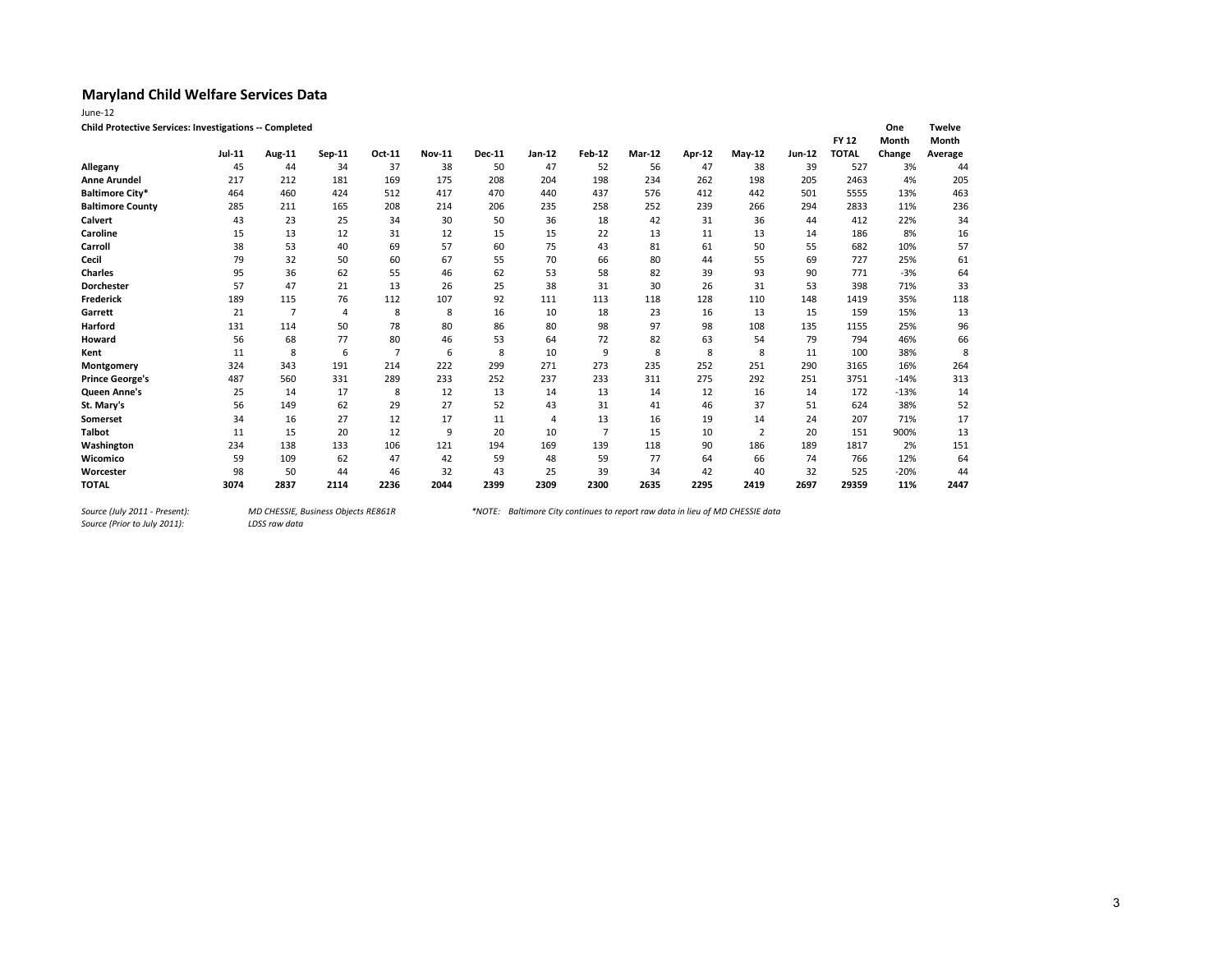| June-12                                                |        |                |        |                |               |               |                |                |               |        |          |        |              |              |         |
|--------------------------------------------------------|--------|----------------|--------|----------------|---------------|---------------|----------------|----------------|---------------|--------|----------|--------|--------------|--------------|---------|
| Child Protective Services: Investigations -- Completed |        |                |        |                |               |               |                |                |               |        |          |        |              | One          | Twelve  |
|                                                        |        |                |        |                |               |               |                |                |               |        |          |        | <b>FY 12</b> | <b>Month</b> | Month   |
|                                                        | Jul-11 | <b>Aug-11</b>  | Sep-11 | Oct-11         | <b>Nov-11</b> | <b>Dec-11</b> | Jan-12         | <b>Feb-12</b>  | <b>Mar-12</b> | Apr-12 | $May-12$ | Jun-12 | <b>TOTAL</b> | Change       | Average |
| Allegany                                               | 45     | 44             | 34     | 37             | 38            | 50            | 47             | 52             | 56            | 47     | 38       | 39     | 527          | 3%           | 44      |
| <b>Anne Arundel</b>                                    | 217    | 212            | 181    | 169            | 175           | 208           | 204            | 198            | 234           | 262    | 198      | 205    | 2463         | 4%           | 205     |
| <b>Baltimore City*</b>                                 | 464    | 460            | 424    | 512            | 417           | 470           | 440            | 437            | 576           | 412    | 442      | 501    | 5555         | 13%          | 463     |
| <b>Baltimore County</b>                                | 285    | 211            | 165    | 208            | 214           | 206           | 235            | 258            | 252           | 239    | 266      | 294    | 2833         | 11%          | 236     |
| Calvert                                                | 43     | 23             | 25     | 34             | 30            | 50            | 36             | 18             | 42            | 31     | 36       | 44     | 412          | 22%          | 34      |
| Caroline                                               | 15     | 13             | 12     | 31             | 12            | 15            | 15             | 22             | 13            | 11     | 13       | 14     | 186          | 8%           | 16      |
| Carroll                                                | 38     | 53             | 40     | 69             | 57            | 60            | 75             | 43             | 81            | 61     | 50       | 55     | 682          | 10%          | 57      |
| Cecil                                                  | 79     | 32             | 50     | 60             | 67            | 55            | 70             | 66             | 80            | 44     | 55       | 69     | 727          | 25%          | 61      |
| <b>Charles</b>                                         | 95     | 36             | 62     | 55             | 46            | 62            | 53             | 58             | 82            | 39     | 93       | 90     | 771          | $-3%$        | 64      |
| <b>Dorchester</b>                                      | 57     | 47             | 21     | 13             | 26            | 25            | 38             | 31             | 30            | 26     | 31       | 53     | 398          | 71%          | 33      |
| Frederick                                              | 189    | 115            | 76     | 112            | 107           | 92            | 111            | 113            | 118           | 128    | 110      | 148    | 1419         | 35%          | 118     |
| Garrett                                                | 21     | $\overline{7}$ | 4      | 8              | 8             | 16            | 10             | 18             | 23            | 16     | 13       | 15     | 159          | 15%          | 13      |
| Harford                                                | 131    | 114            | 50     | 78             | 80            | 86            | 80             | 98             | 97            | 98     | 108      | 135    | 1155         | 25%          | 96      |
| Howard                                                 | 56     | 68             | 77     | 80             | 46            | 53            | 64             | 72             | 82            | 63     | 54       | 79     | 794          | 46%          | 66      |
| Kent                                                   | 11     | 8              | 6      | $\overline{7}$ | 6             | 8             | 10             | 9              | 8             | 8      | 8        | 11     | 100          | 38%          | 8       |
| Montgomery                                             | 324    | 343            | 191    | 214            | 222           | 299           | 271            | 273            | 235           | 252    | 251      | 290    | 3165         | 16%          | 264     |
| <b>Prince George's</b>                                 | 487    | 560            | 331    | 289            | 233           | 252           | 237            | 233            | 311           | 275    | 292      | 251    | 3751         | $-14%$       | 313     |
| Queen Anne's                                           | 25     | 14             | 17     | 8              | 12            | 13            | 14             | 13             | 14            | 12     | 16       | 14     | 172          | $-13%$       | 14      |
| St. Mary's                                             | 56     | 149            | 62     | 29             | 27            | 52            | 43             | 31             | 41            | 46     | 37       | 51     | 624          | 38%          | 52      |
| Somerset                                               | 34     | 16             | 27     | 12             | 17            | 11            | $\overline{4}$ | 13             | 16            | 19     | 14       | 24     | 207          | 71%          | 17      |
| <b>Talbot</b>                                          | 11     | 15             | 20     | 12             | 9             | 20            | 10             | $\overline{7}$ | 15            | 10     | 2        | 20     | 151          | 900%         | 13      |
| Washington                                             | 234    | 138            | 133    | 106            | 121           | 194           | 169            | 139            | 118           | 90     | 186      | 189    | 1817         | 2%           | 151     |
| Wicomico                                               | 59     | 109            | 62     | 47             | 42            | 59            | 48             | 59             | 77            | 64     | 66       | 74     | 766          | 12%          | 64      |
| Worcester                                              | 98     | 50             | 44     | 46             | 32            | 43            | 25             | 39             | 34            | 42     | 40       | 32     | 525          | $-20%$       | 44      |
| <b>TOTAL</b>                                           | 3074   | 2837           | 2114   | 2236           | 2044          | 2399          | 2309           | 2300           | 2635          | 2295   | 2419     | 2697   | 29359        | 11%          | 2447    |

*Source (Prior to July 2011):*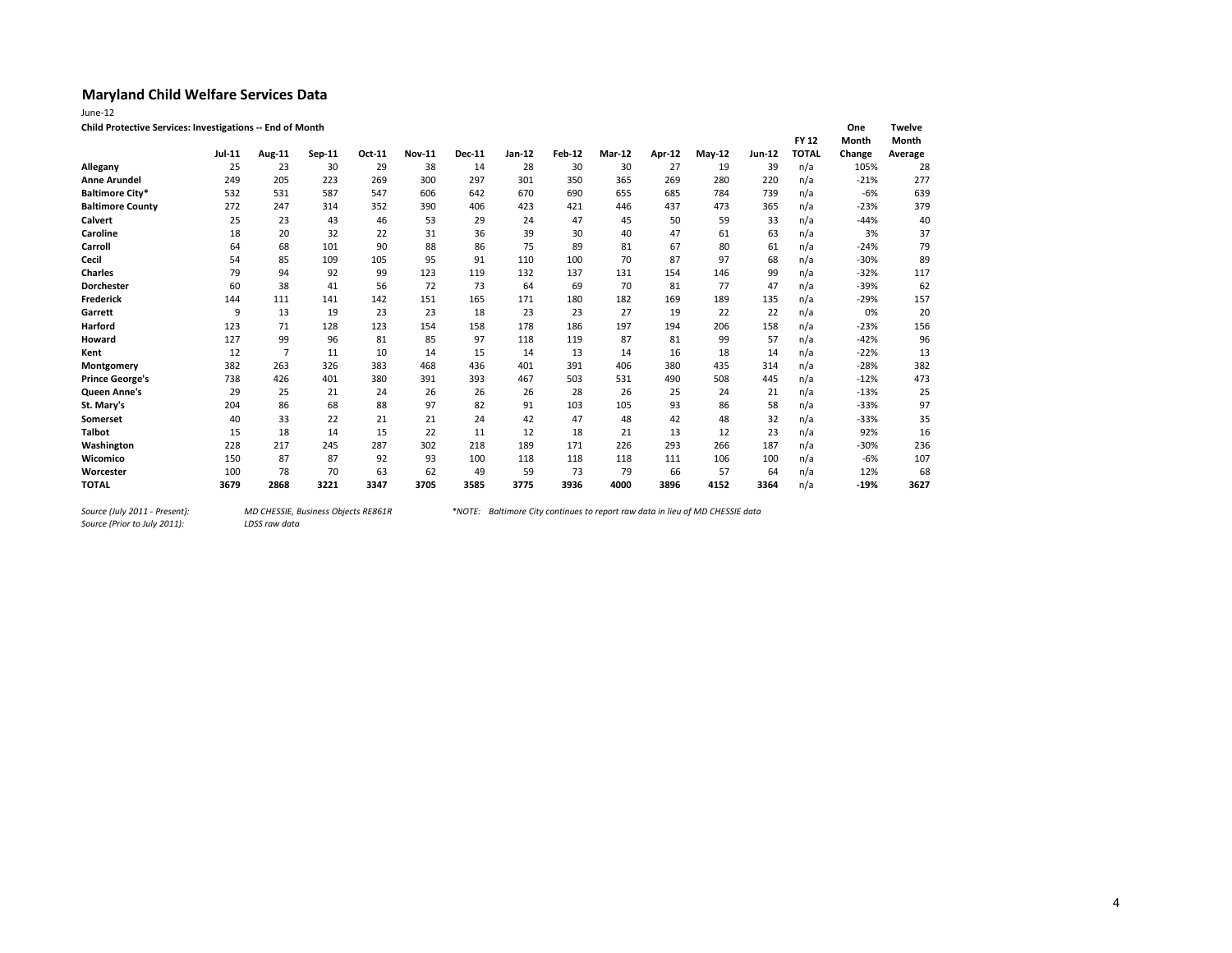| June-12                                                   |                     |                     |        |        |               |               |              |              |           |              |        |        |              |                |               |
|-----------------------------------------------------------|---------------------|---------------------|--------|--------|---------------|---------------|--------------|--------------|-----------|--------------|--------|--------|--------------|----------------|---------------|
| Child Protective Services: Investigations -- End of Month |                     |                     |        |        |               |               |              |              |           |              |        |        |              | One            | <b>Twelve</b> |
|                                                           |                     |                     |        |        |               |               |              |              |           |              |        |        | <b>FY 12</b> | Month          | Month         |
|                                                           | <b>Jul-11</b><br>25 | <b>Aug-11</b><br>23 | Sep-11 | Oct-11 | <b>Nov-11</b> | <b>Dec-11</b> | Jan-12<br>28 | Feb-12<br>30 | Mar-12    | Apr-12<br>27 | May-12 | Jun-12 | <b>TOTAL</b> | Change<br>105% | Average       |
| Allegany                                                  | 249                 | 205                 | 30     | 29     | 38            | 14            | 301          | 350          | 30<br>365 |              | 19     | 39     | n/a          |                | 28            |
| <b>Anne Arundel</b>                                       |                     |                     | 223    | 269    | 300           | 297           |              |              |           | 269          | 280    | 220    | n/a          | $-21%$         | 277           |
| <b>Baltimore City*</b>                                    | 532                 | 531                 | 587    | 547    | 606           | 642           | 670          | 690          | 655       | 685          | 784    | 739    | n/a          | -6%            | 639           |
| <b>Baltimore County</b>                                   | 272                 | 247                 | 314    | 352    | 390           | 406           | 423          | 421          | 446       | 437          | 473    | 365    | n/a          | $-23%$         | 379           |
| <b>Calvert</b>                                            | 25                  | 23                  | 43     | 46     | 53            | 29            | 24           | 47           | 45        | 50           | 59     | 33     | n/a          | $-44%$         | 40            |
| Caroline                                                  | 18                  | 20                  | 32     | 22     | 31            | 36            | 39           | 30           | 40        | 47           | 61     | 63     | n/a          | 3%             | 37            |
| Carroll                                                   | 64                  | 68                  | 101    | 90     | 88            | 86            | 75           | 89           | 81        | 67           | 80     | 61     | n/a          | $-24%$         | 79            |
| Cecil                                                     | 54                  | 85                  | 109    | 105    | 95            | 91            | 110          | 100          | 70        | 87           | 97     | 68     | n/a          | $-30%$         | 89            |
| <b>Charles</b>                                            | 79                  | 94                  | 92     | 99     | 123           | 119           | 132          | 137          | 131       | 154          | 146    | 99     | n/a          | $-32%$         | 117           |
| <b>Dorchester</b>                                         | 60                  | 38                  | 41     | 56     | 72            | 73            | 64           | 69           | 70        | 81           | 77     | 47     | n/a          | $-39%$         | 62            |
| <b>Frederick</b>                                          | 144                 | 111                 | 141    | 142    | 151           | 165           | 171          | 180          | 182       | 169          | 189    | 135    | n/a          | $-29%$         | 157           |
| Garrett                                                   | 9                   | 13                  | 19     | 23     | 23            | 18            | 23           | 23           | 27        | 19           | 22     | 22     | n/a          | 0%             | 20            |
| Harford                                                   | 123                 | 71                  | 128    | 123    | 154           | 158           | 178          | 186          | 197       | 194          | 206    | 158    | n/a          | $-23%$         | 156           |
| <b>Howard</b>                                             | 127                 | 99                  | 96     | 81     | 85            | 97            | 118          | 119          | 87        | 81           | 99     | 57     | n/a          | $-42%$         | 96            |
| Kent                                                      | 12                  | $\overline{7}$      | 11     | 10     | 14            | 15            | 14           | 13           | 14        | 16           | 18     | 14     | n/a          | $-22%$         | 13            |
| Montgomery                                                | 382                 | 263                 | 326    | 383    | 468           | 436           | 401          | 391          | 406       | 380          | 435    | 314    | n/a          | $-28%$         | 382           |
| <b>Prince George's</b>                                    | 738                 | 426                 | 401    | 380    | 391           | 393           | 467          | 503          | 531       | 490          | 508    | 445    | n/a          | $-12%$         | 473           |
| Queen Anne's                                              | 29                  | 25                  | 21     | 24     | 26            | 26            | 26           | 28           | 26        | 25           | 24     | 21     | n/a          | $-13%$         | 25            |
| St. Mary's                                                | 204                 | 86                  | 68     | 88     | 97            | 82            | 91           | 103          | 105       | 93           | 86     | 58     | n/a          | $-33%$         | 97            |
| Somerset                                                  | 40                  | 33                  | 22     | 21     | 21            | 24            | 42           | 47           | 48        | 42           | 48     | 32     | n/a          | $-33%$         | 35            |
| <b>Talbot</b>                                             | 15                  | 18                  | 14     | 15     | 22            | 11            | 12           | 18           | 21        | 13           | 12     | 23     | n/a          | 92%            | 16            |
| Washington                                                | 228                 | 217                 | 245    | 287    | 302           | 218           | 189          | 171          | 226       | 293          | 266    | 187    | n/a          | $-30%$         | 236           |
| Wicomico                                                  | 150                 | 87                  | 87     | 92     | 93            | 100           | 118          | 118          | 118       | 111          | 106    | 100    | n/a          | $-6%$          | 107           |
| Worcester                                                 | 100                 | 78                  | 70     | 63     | 62            | 49            | 59           | 73           | 79        | 66           | 57     | 64     | n/a          | 12%            | 68            |
| <b>TOTAL</b>                                              | 3679                | 2868                | 3221   | 3347   | 3705          | 3585          | 3775         | 3936         | 4000      | 3896         | 4152   | 3364   | n/a          | $-19%$         | 3627          |

*Source (Prior to July 2011):*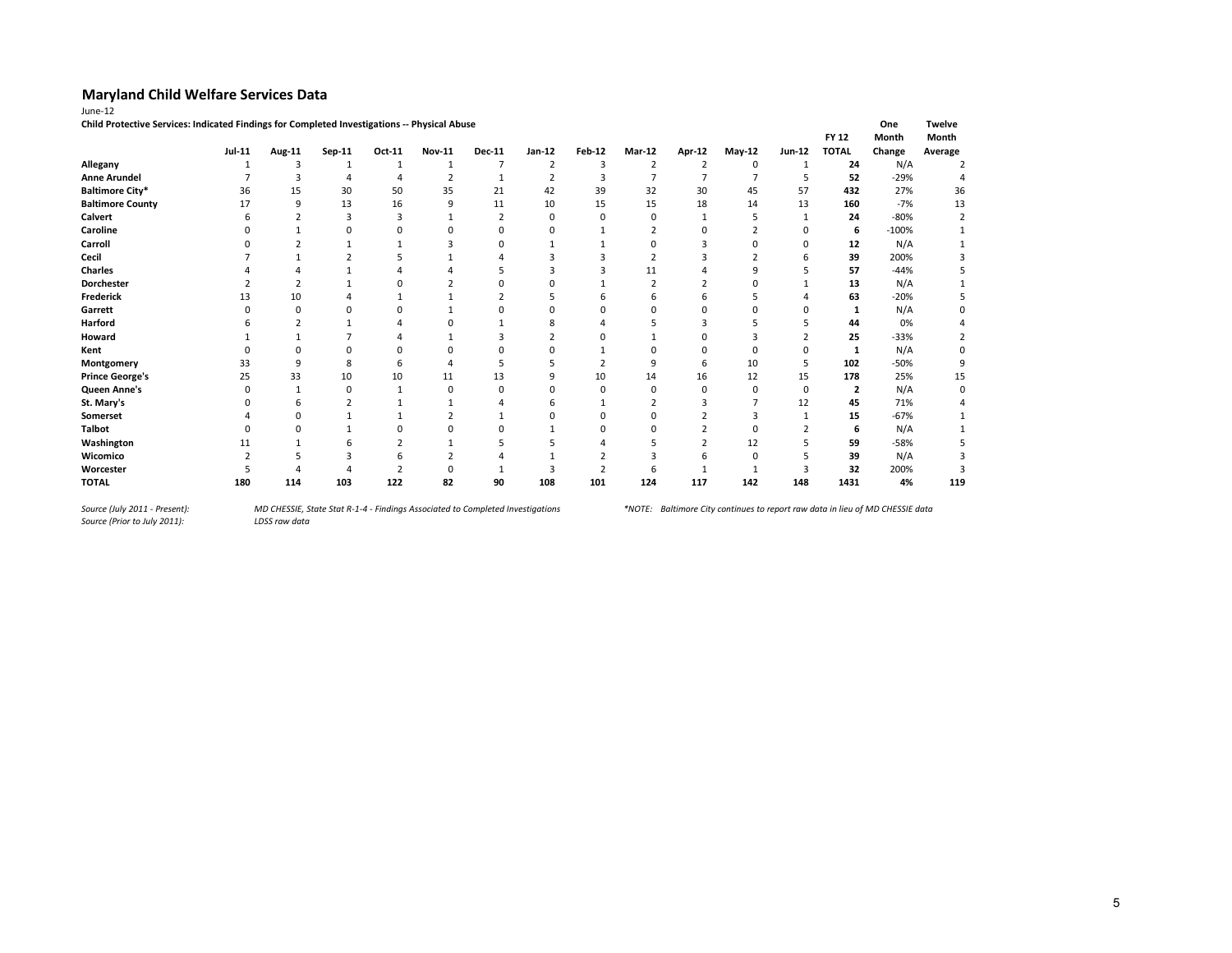| Child Protective Services: Indicated Findings for Completed Investigations -- Physical Abuse |               |        |          |        |               |               |        |               |        |               |          |               |              | One     | Twelve  |
|----------------------------------------------------------------------------------------------|---------------|--------|----------|--------|---------------|---------------|--------|---------------|--------|---------------|----------|---------------|--------------|---------|---------|
|                                                                                              |               |        |          |        |               |               |        |               |        |               |          |               | <b>FY 12</b> | Month   | Month   |
|                                                                                              | <b>Jul-11</b> | Aug-11 | Sep-11   | Oct-11 | <b>Nov-11</b> | <b>Dec-11</b> | Jan-12 | <b>Feb-12</b> | Mar-12 | <b>Apr-12</b> | $May-12$ | <b>Jun-12</b> | <b>TOTAL</b> | Change  | Average |
| Allegany                                                                                     |               | 3      |          |        | -1            |               |        | ς             |        |               | $\Omega$ |               | 24           | N/A     |         |
| <b>Anne Arundel</b>                                                                          |               | 3      |          |        |               |               |        |               |        |               |          |               | 52           | $-29%$  |         |
| <b>Baltimore City*</b>                                                                       | 36            | 15     | 30       | 50     | 35            | 21            | 42     | 39            | 32     | 30            | 45       | 57            | 432          | 27%     | 36      |
| <b>Baltimore County</b>                                                                      | 17            | 9      | 13       | 16     | 9             | 11            | 10     | 15            | 15     | 18            | 14       | 13            | 160          | $-7%$   | 13      |
| Calvert                                                                                      |               |        |          | 3      |               |               |        |               |        |               |          |               | 24           | $-80%$  |         |
| Caroline                                                                                     |               |        |          |        |               |               |        |               |        |               |          |               | 6            | $-100%$ |         |
| Carroll                                                                                      |               |        |          |        |               |               |        |               |        |               |          | በ             | 12           | N/A     |         |
| Cecil                                                                                        |               |        |          |        |               |               |        |               |        |               |          |               | 39           | 200%    |         |
| Charles                                                                                      |               |        |          |        |               |               |        |               | 11     |               |          |               | 57           | $-44%$  |         |
| <b>Dorchester</b>                                                                            |               |        |          |        |               |               |        |               |        |               |          |               | 13           | N/A     |         |
| Frederick                                                                                    |               | 10     |          |        |               |               |        |               |        |               |          |               | 63           | $-20%$  |         |
| Garrett                                                                                      |               |        |          |        |               |               |        |               |        |               |          |               |              | N/A     |         |
| Harford                                                                                      |               |        |          |        |               |               |        |               |        |               |          |               | 44           | 0%      |         |
| Howard                                                                                       |               |        |          |        |               |               |        |               |        |               |          |               | 25           | -33%    |         |
| Kent                                                                                         |               |        |          |        |               |               |        |               |        |               |          |               | 1            | N/A     |         |
| Montgomery                                                                                   | 33            | q      | 8        |        |               |               |        |               |        |               | 10       |               | 102          | -50%    |         |
| <b>Prince George's</b>                                                                       | 25            | 33     | 10       | 10     | 11            | 13            |        | 10            | 14     | 16            | 12       | 15            | 178          | 25%     | 15      |
| Queen Anne's                                                                                 | O             |        | $\Omega$ |        | $\Omega$      |               |        |               |        | 0             |          | 0             | 2            | N/A     | ŋ       |
| St. Mary's                                                                                   |               |        |          |        |               |               |        |               |        |               |          | 12            | 45           | 71%     |         |
| Somerset                                                                                     |               |        |          |        |               |               |        |               |        |               |          |               | 15           | $-67%$  |         |
| <b>Talbot</b>                                                                                |               |        |          |        |               |               |        |               |        |               |          |               | 6            | N/A     |         |
| Washington                                                                                   |               |        |          |        |               |               |        |               |        |               | 12       |               | 59           | $-58%$  |         |
| Wicomico                                                                                     |               |        |          | h      |               |               |        |               |        |               |          |               | 39           | N/A     |         |
| Worcester                                                                                    |               |        |          |        |               |               |        |               |        |               |          |               | 32           | 200%    |         |
| <b>TOTAL</b>                                                                                 | 180           | 114    | 103      | 122    | 82            | 90            | 108    | 101           | 124    | 117           | 142      | 148           | 1431         | 4%      | 119     |

*Source (July 2011 - Present):<br>Source (Prior to July 2011):*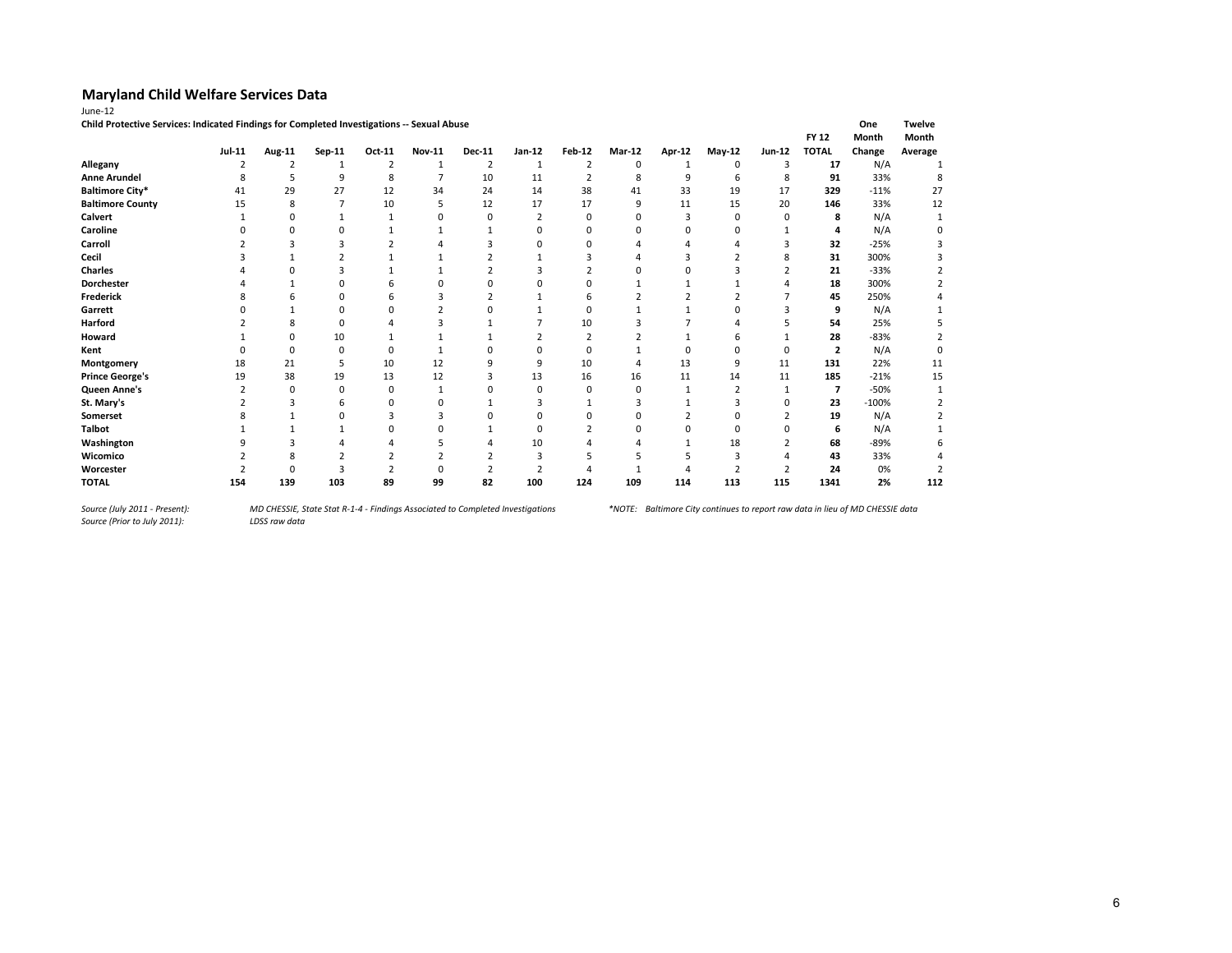|                         | Child Protective Services: Indicated Findings for Completed Investigations -- Sexual Abuse<br>Month<br><b>FY 12</b> |                |        |                |               |               |               |               |               |        |                |        |                |         |         |
|-------------------------|---------------------------------------------------------------------------------------------------------------------|----------------|--------|----------------|---------------|---------------|---------------|---------------|---------------|--------|----------------|--------|----------------|---------|---------|
|                         | Jul-11                                                                                                              | Aug-11         | Sep-11 | Oct-11         | <b>Nov-11</b> | <b>Dec-11</b> | Jan-12        | <b>Feb-12</b> | <b>Mar-12</b> | Apr-12 | $May-12$       | Jun-12 | <b>TOTAL</b>   | Change  | Average |
| Allegany                |                                                                                                                     | $\overline{2}$ |        | $\overline{2}$ |               | 2             |               |               | 0             |        | 0              | 3      | 17             | N/A     |         |
| <b>Anne Arundel</b>     |                                                                                                                     |                | q      | 8              |               | 10            | 11            |               | 8             | q      | 6              | 8      | 91             | 33%     |         |
| <b>Baltimore City*</b>  | 41                                                                                                                  | 29             | 27     | 12             | 34            | 24            | 14            | 38            | 41            | 33     | 19             | 17     | 329            | $-11%$  | 27      |
| <b>Baltimore County</b> | 15                                                                                                                  | 8              | 7      | 10             |               | 12            | 17            | 17            | 9             | 11     | 15             | 20     | 146            | 33%     | 12      |
| Calvert                 |                                                                                                                     |                |        |                |               |               |               | $\Omega$      | O             |        | 0              | O      | 8              | N/A     |         |
| Caroline                |                                                                                                                     |                |        |                |               |               |               | $\Omega$      |               |        | ŋ              |        | 4              | N/A     |         |
| Carroll                 |                                                                                                                     |                |        |                |               |               |               | n             |               |        |                |        | 32             | $-25%$  |         |
| Cecil                   |                                                                                                                     |                |        |                |               |               |               |               |               |        |                |        | 31             | 300%    |         |
| <b>Charles</b>          |                                                                                                                     |                |        |                |               |               |               |               |               |        |                |        | 21             | $-33%$  |         |
| <b>Dorchester</b>       |                                                                                                                     |                |        |                |               |               |               |               |               |        |                |        | 18             | 300%    |         |
| <b>Frederick</b>        |                                                                                                                     |                |        |                |               |               |               |               |               |        |                |        | 45             | 250%    |         |
| Garrett                 |                                                                                                                     |                |        |                |               |               |               | $\Omega$      |               |        | 0              |        | 9              | N/A     |         |
| Harford                 |                                                                                                                     |                |        |                |               |               |               | 10            |               |        |                |        | 54             | 25%     |         |
| Howard                  |                                                                                                                     |                | 10     |                |               |               |               |               |               |        | h              |        | 28             | $-83%$  |         |
| Kent                    |                                                                                                                     | $\Omega$       | 0      |                |               |               |               | $\Omega$      |               | ŋ      | 0              | 0      | $\overline{2}$ | N/A     |         |
| Montgomery              | 18                                                                                                                  | 21             | 5      | 10             | 12            |               | q             | 10            |               | 13     | 9              | 11     | 131            | 22%     | 11      |
| <b>Prince George's</b>  | 19                                                                                                                  | 38             | 19     | 13             | 12            |               | 13            | 16            | 16            | 11     | 14             | 11     | 185            | $-21%$  | 15      |
| Queen Anne's            |                                                                                                                     | $\Omega$       | n      |                |               |               | $\Omega$      |               | $\Omega$      |        |                |        | 7              | $-50%$  |         |
| St. Mary's              |                                                                                                                     |                |        |                |               |               |               |               |               |        |                | ŋ      | 23             | $-100%$ |         |
| Somerset                |                                                                                                                     |                |        |                |               |               |               |               | O             |        | n              |        | 19             | N/A     |         |
| <b>Talbot</b>           |                                                                                                                     |                |        |                |               |               | $\Omega$      |               | O             | O      | $\Omega$       | ŋ      | 6              | N/A     |         |
| Washington              |                                                                                                                     |                |        |                |               |               | 10            |               |               |        | 18             |        | 68             | $-89%$  |         |
| Wicomico                |                                                                                                                     |                |        |                |               |               |               |               |               |        |                |        | 43             | 33%     |         |
| Worcester               |                                                                                                                     |                |        |                |               |               | $\mathcal{P}$ |               |               |        | $\mathfrak{p}$ |        | 24             | 0%      |         |
| <b>TOTAL</b>            | 154                                                                                                                 | 139            | 103    | 89             | 99            | 82            | 100           | 124           | 109           | 114    | 113            | 115    | 1341           | 2%      | 112     |

*Source (July 2011 - Present):<br>Source (Prior to July 2011):*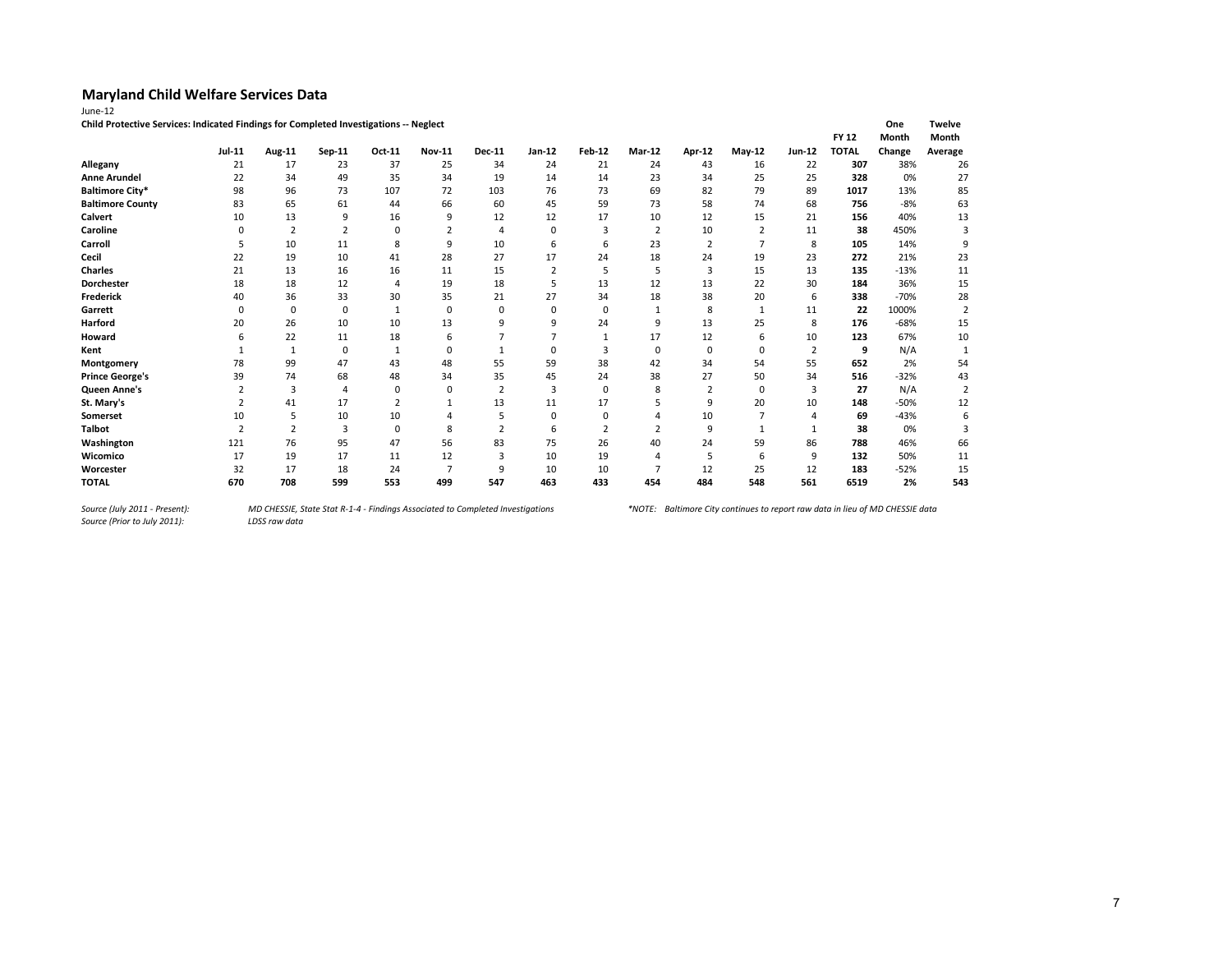**Child Protective Services: Indicated Findings for Completed Investigations -- Neglect One Twelve**

|                         |                |                |                |        |                |                |                |                |                          |        |              |        | <b>FY 12</b> | <b>Month</b> | Month          |
|-------------------------|----------------|----------------|----------------|--------|----------------|----------------|----------------|----------------|--------------------------|--------|--------------|--------|--------------|--------------|----------------|
|                         | Jul-11         | Aug-11         | Sep-11         | Oct-11 | <b>Nov-11</b>  | Dec-11         | $Jan-12$       | <b>Feb-12</b>  | Mar-12                   | Apr-12 | $May-12$     | Jun-12 | <b>TOTAL</b> | Change       | Average        |
| Allegany                | 21             | 17             | 23             | 37     | 25             | 34             | 24             | 21             | 24                       | 43     | 16           | 22     | 307          | 38%          | 26             |
| <b>Anne Arundel</b>     | 22             | 34             | 49             | 35     | 34             | 19             | 14             | 14             | 23                       | 34     | 25           | 25     | 328          | 0%           | 27             |
| <b>Baltimore City*</b>  | 98             | 96             | 73             | 107    | 72             | 103            | 76             | 73             | 69                       | 82     | 79           | 89     | 1017         | 13%          | 85             |
| <b>Baltimore County</b> | 83             | 65             | 61             | 44     | 66             | 60             | 45             | 59             | 73                       | 58     | 74           | 68     | 756          | $-8%$        | 63             |
| <b>Calvert</b>          | 10             | 13             | 9              | 16     | 9              | 12             | 12             | 17             | 10                       | 12     | 15           | 21     | 156          | 40%          | 13             |
| Caroline                | $\Omega$       | $\overline{2}$ | $\overline{2}$ | 0      | $\overline{2}$ | 4              | 0              | 3              | $\overline{2}$           | 10     | 2            | 11     | 38           | 450%         | 3              |
| Carroll                 |                | 10             | 11             | 8      | 9              | 10             | 6              | 6              | 23                       | 2      | 7            | 8      | 105          | 14%          | 9              |
| Cecil                   | 22             | 19             | 10             | 41     | 28             | 27             | 17             | 24             | 18                       | 24     | 19           | 23     | 272          | 21%          | 23             |
| <b>Charles</b>          | 21             | 13             | 16             | 16     | 11             | 15             | $\overline{2}$ | 5              | 5                        | 3      | 15           | 13     | 135          | $-13%$       | 11             |
| Dorchester              | 18             | 18             | 12             | 4      | 19             | 18             | 5              | 13             | 12                       | 13     | 22           | 30     | 184          | 36%          | 15             |
| Frederick               | 40             | 36             | 33             | 30     | 35             | 21             | 27             | 34             | 18                       | 38     | 20           | 6      | 338          | $-70%$       | 28             |
| Garrett                 | $\Omega$       | 0              | 0              | 1      | 0              | 0              | 0              | $\mathbf 0$    | 1                        | 8      | $\mathbf{1}$ | 11     | 22           | 1000%        | 2              |
| Harford                 | 20             | 26             | 10             | 10     | 13             | 9              | 9              | 24             | 9                        | 13     | 25           | 8      | 176          | $-68%$       | 15             |
| Howard                  | 6              | 22             | 11             | 18     | 6              |                | $\overline{7}$ | 1              | 17                       | 12     | 6            | 10     | 123          | 67%          | 10             |
| Kent                    |                | 1              | 0              | 1      | $\Omega$       |                | $\Omega$       | 3              | 0                        | 0      | $\Omega$     | 2      | 9            | N/A          | $\mathbf{1}$   |
| Montgomery              | 78             | 99             | 47             | 43     | 48             | 55             | 59             | 38             | 42                       | 34     | 54           | 55     | 652          | 2%           | 54             |
| <b>Prince George's</b>  | 39             | 74             | 68             | 48     | 34             | 35             | 45             | 24             | 38                       | 27     | 50           | 34     | 516          | $-32%$       | 43             |
| Queen Anne's            | 2              | 3              | $\overline{4}$ | 0      | 0              | $\overline{2}$ | 3              | $\mathbf 0$    | 8                        | 2      | 0            | 3      | 27           | N/A          | $\overline{2}$ |
| St. Mary's              | 2              | 41             | 17             | 2      |                | 13             | 11             | 17             | 5                        | 9      | 20           | 10     | 148          | $-50%$       | 12             |
| Somerset                | 10             | 5              | 10             | 10     |                | 5              | $\Omega$       | 0              | 4                        | 10     |              | 4      | 69           | $-43%$       | 6              |
| <b>Talbot</b>           | $\overline{2}$ | $\overline{2}$ | $\overline{3}$ | 0      | 8              | $\overline{2}$ | 6              | $\overline{2}$ | 2                        | 9      |              |        | 38           | 0%           | 3              |
| Washington              | 121            | 76             | 95             | 47     | 56             | 83             | 75             | 26             | 40                       | 24     | 59           | 86     | 788          | 46%          | 66             |
| Wicomico                | 17             | 19             | 17             | 11     | 12             | 3              | 10             | 19             | $\Delta$                 | 5      | 6            | 9      | 132          | 50%          | 11             |
| Worcester               | 32             | 17             | 18             | 24     | ⇁              | 9              | 10             | 10             | $\overline{\phantom{a}}$ | 12     | 25           | 12     | 183          | $-52%$       | 15             |
| <b>TOTAL</b>            | 670            | 708            | 599            | 553    | 499            | 547            | 463            | 433            | 454                      | 484    | 548          | 561    | 6519         | 2%           | 543            |

*Source (Prior to July 2011):*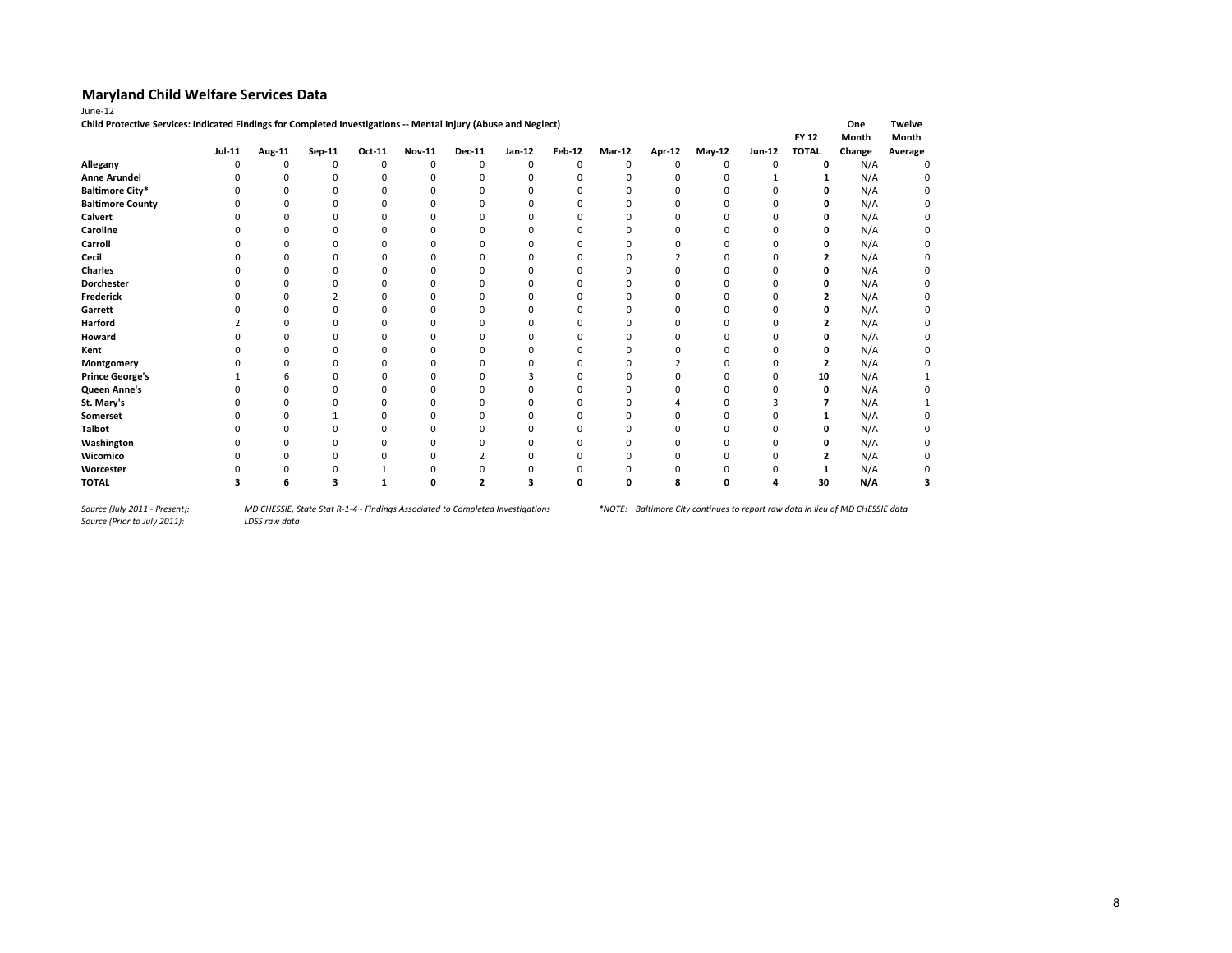| June-12                                                                                                         |               |          |          |          |               |               |          |               |        |               |          |          |              |        |               |
|-----------------------------------------------------------------------------------------------------------------|---------------|----------|----------|----------|---------------|---------------|----------|---------------|--------|---------------|----------|----------|--------------|--------|---------------|
| Child Protective Services: Indicated Findings for Completed Investigations -- Mental Injury (Abuse and Neglect) |               |          |          |          |               |               |          |               |        |               |          |          |              | One    | <b>Twelve</b> |
|                                                                                                                 |               |          |          |          |               |               |          |               |        |               |          |          | <b>FY 12</b> | Month  | Month         |
|                                                                                                                 | <b>Jul-11</b> | Aug-11   | Sep-11   | Oct-11   | <b>Nov-11</b> | <b>Dec-11</b> | Jan-12   | <b>Feb-12</b> | Mar-12 | <b>Apr-12</b> | May-12   | Jun-12   | <b>TOTAL</b> | Change | Average       |
| Allegany                                                                                                        | ŋ             | $\Omega$ | $\Omega$ | $\Omega$ |               | $\Omega$      | $\Omega$ | $\Omega$      |        | $\Omega$      | $\Omega$ | $\Omega$ | 0            | N/A    | $\Omega$      |
| <b>Anne Arundel</b>                                                                                             |               |          |          | n        |               | $\Omega$      |          | n             |        | n             | O        |          | 1            | N/A    |               |
| <b>Baltimore City*</b>                                                                                          |               |          |          |          |               | n             |          |               |        | n             | O        | O        | 0            | N/A    |               |
| <b>Baltimore County</b>                                                                                         |               |          |          |          |               |               |          |               |        |               |          | 0        | 0            | N/A    |               |
| <b>Calvert</b>                                                                                                  |               | $\Omega$ |          |          |               |               |          |               |        |               |          | O        | 0            | N/A    |               |
| Caroline                                                                                                        |               |          |          |          |               |               |          |               |        |               |          |          | 0            | N/A    |               |
| Carroll                                                                                                         |               |          |          |          |               |               |          |               |        |               |          |          | 0            | N/A    |               |
| Cecil                                                                                                           |               | n        |          | n        |               | O             |          |               |        |               | O        | O        | 2            | N/A    |               |
| Charles                                                                                                         |               |          |          |          |               |               |          |               |        |               |          |          | 0            | N/A    |               |
| Dorchester                                                                                                      |               |          |          |          |               |               |          |               |        |               |          |          | 0            | N/A    |               |
| <b>Frederick</b>                                                                                                |               |          |          |          |               |               |          |               |        | n             | O        | O        | 2            | N/A    |               |
| Garrett                                                                                                         |               |          |          |          |               |               |          |               |        | n             | n        | O        | 0            | N/A    |               |
| Harford                                                                                                         |               |          |          |          |               | n             |          |               |        | n             |          | O        | 2            | N/A    |               |
| Howard                                                                                                          |               |          |          |          |               |               |          |               |        |               |          | O        | 0            | N/A    |               |
| Kent                                                                                                            |               |          |          |          |               |               |          |               |        |               |          |          | 0            | N/A    |               |
| Montgomery                                                                                                      |               |          |          |          |               |               |          |               |        |               |          | O        | 2            | N/A    |               |
| <b>Prince George's</b>                                                                                          |               |          |          |          |               |               |          |               |        |               |          | O        | 10           | N/A    |               |
| Queen Anne's                                                                                                    |               | $\Omega$ |          | n        |               | n             |          |               |        | O             | O        | O        | 0            | N/A    |               |
| St. Mary's                                                                                                      |               |          |          |          |               |               |          |               |        |               |          |          |              | N/A    |               |
| Somerset                                                                                                        |               |          |          |          |               |               |          |               |        | O             |          |          | 1            | N/A    |               |
| <b>Talbot</b>                                                                                                   |               |          |          |          |               |               |          |               |        |               | 0        | O        | 0            | N/A    |               |
| Washington                                                                                                      |               |          |          |          |               |               |          |               |        | n             | ŋ        |          | 0            | N/A    |               |
| Wicomico                                                                                                        |               |          |          |          |               |               |          |               |        |               |          |          | ,            | N/A    |               |
| Worcester                                                                                                       |               |          |          |          |               |               |          |               |        |               |          |          |              | N/A    |               |
| <b>TOTAL</b>                                                                                                    |               |          |          |          |               | C.            |          |               |        | я             | ŋ        |          | 30           | N/A    |               |

*Source (Prior to July 2011):*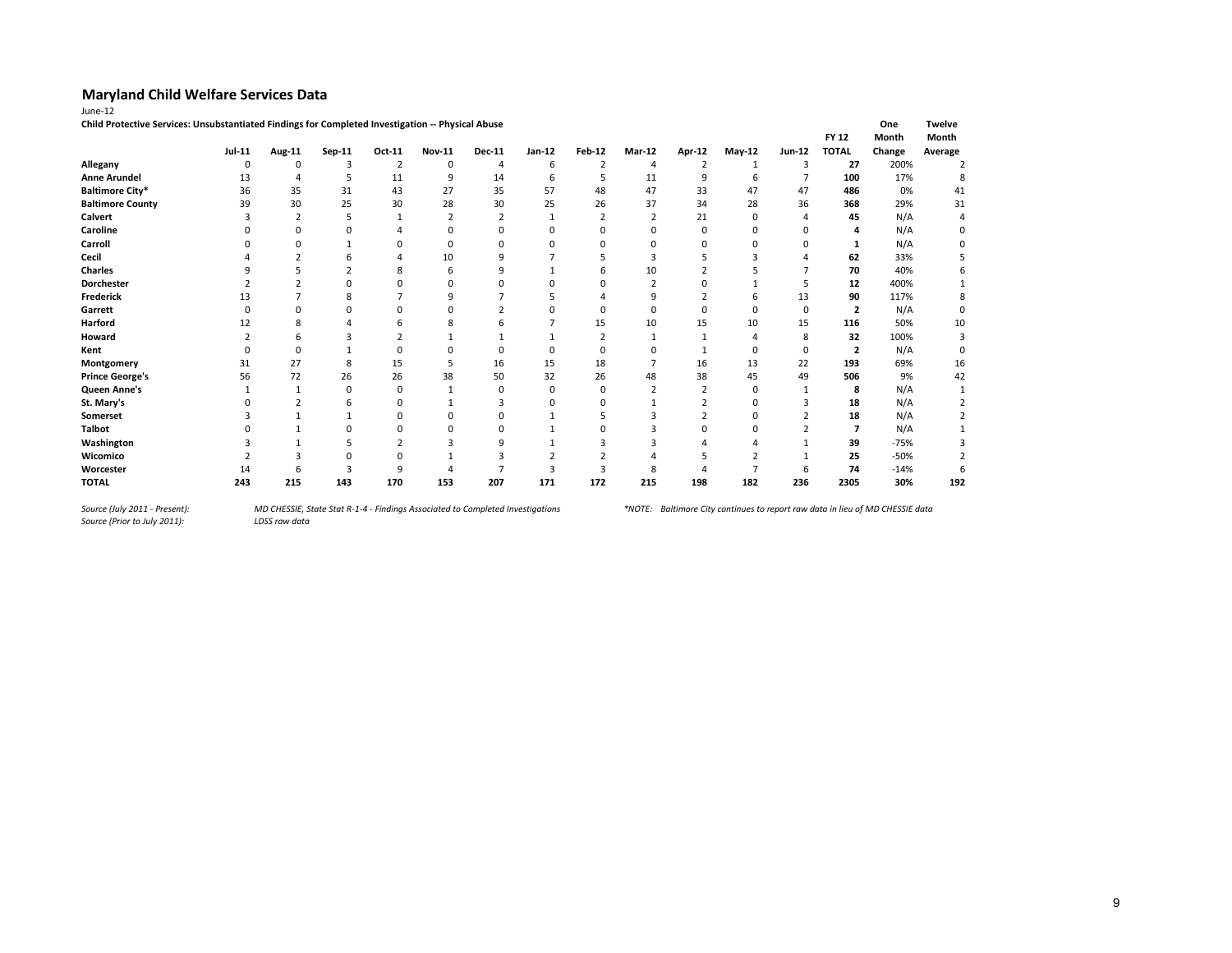|        | on the |
|--------|--------|
| "<br>۰ |        |

| Child Protective Services: Unsubstantiated Findings for Completed Investigation -- Physical Abuse |               |          |          |        |               |               |          |               |        |               |          |          |                         | One    | Twelve  |
|---------------------------------------------------------------------------------------------------|---------------|----------|----------|--------|---------------|---------------|----------|---------------|--------|---------------|----------|----------|-------------------------|--------|---------|
|                                                                                                   |               |          |          |        |               |               |          |               |        |               |          |          | <b>FY 12</b>            | Month  | Month   |
|                                                                                                   | <b>Jul-11</b> | Aug-11   | Sep-11   | Oct-11 | <b>Nov-11</b> | <b>Dec-11</b> | Jan-12   | <b>Feb-12</b> | Mar-12 | <b>Apr-12</b> | $May-12$ | Jun-12   | <b>TOTAL</b>            | Change | Average |
| Allegany                                                                                          | 0             | 0        | 3        |        | 0             | 4             | 6        |               | 4      |               |          | ٩        | 27                      | 200%   |         |
| <b>Anne Arundel</b>                                                                               | 13            |          | 5        | 11     | 9             | 14            | 6        |               | 11     | 9             | 6        |          | 100                     | 17%    |         |
| <b>Baltimore City*</b>                                                                            | 36            | 35       | 31       | 43     | 27            | 35            | 57       | 48            | 47     | 33            | 47       | 47       | 486                     | 0%     | 41      |
| <b>Baltimore County</b>                                                                           | 39            | 30       | 25       | 30     | 28            | 30            | 25       | 26            | 37     | 34            | 28       | 36       | 368                     | 29%    | 31      |
| Calvert                                                                                           |               |          |          |        |               |               |          |               |        | 21            | 0        |          | 45                      | N/A    |         |
| Caroline                                                                                          |               |          |          |        |               |               |          |               |        |               |          |          |                         | N/A    |         |
| Carroll                                                                                           |               |          |          |        | 0             |               |          |               |        |               |          |          |                         | N/A    |         |
| Cecil                                                                                             |               |          |          |        | 10            |               |          |               |        |               |          |          | 62                      | 33%    |         |
| <b>Charles</b>                                                                                    |               |          |          |        |               |               |          |               | 10     |               |          |          | 70                      | 40%    |         |
| <b>Dorchester</b>                                                                                 |               |          |          | ŋ      | n             |               |          |               | h      |               |          |          | 12                      | 400%   |         |
| Frederick                                                                                         |               |          | 8        |        |               |               |          |               |        |               |          | 13       | 90                      | 117%   |         |
| Garrett                                                                                           |               |          |          |        |               |               |          |               |        |               |          | $\Omega$ | 2                       | N/A    | O       |
| Harford                                                                                           |               |          |          |        |               |               |          | 15            | 10     | 15            | 10       | 15       | 116                     | 50%    | 10      |
| Howard                                                                                            |               |          |          |        |               |               |          |               |        |               |          | 8        | 32                      | 100%   |         |
| Kent                                                                                              |               | $\Omega$ |          |        |               |               |          |               |        |               | 0        | 0        | $\overline{\mathbf{2}}$ | N/A    |         |
| Montgomery                                                                                        | 31            | 27       | 8        | 15     |               | 16            | 15       | 18            |        | 16            | 13       | 22       | 193                     | 69%    | 16      |
| <b>Prince George's</b>                                                                            | 56            | 72       | 26       | 26     | 38            | 50            | 32       | 26            | 48     | 38            | 45       | 49       | 506                     | 9%     | 42      |
| Queen Anne's                                                                                      |               |          | $\Omega$ | 0      |               | 0             | $\Omega$ | 0             |        |               |          |          | 8                       | N/A    |         |
| St. Mary's                                                                                        |               |          |          | ŋ      |               |               |          |               |        |               |          |          | 18                      | N/A    |         |
| Somerset                                                                                          |               |          |          | ŋ      |               |               |          |               |        |               |          |          | 18                      | N/A    |         |
| <b>Talbot</b>                                                                                     |               |          |          |        |               |               |          |               |        |               |          |          |                         | N/A    |         |
| Washington                                                                                        |               |          |          |        |               | a             |          |               |        |               |          |          | 39                      | $-75%$ |         |
| Wicomico                                                                                          |               |          |          |        |               |               |          |               |        |               |          |          | 25                      | $-50%$ |         |
| Worcester                                                                                         | 14            |          |          | q      |               |               |          |               |        |               |          | h        | 74                      | $-14%$ |         |
| <b>TOTAL</b>                                                                                      | 243           | 215      | 143      | 170    | 153           | 207           | 171      | 172           | 215    | 198           | 182      | 236      | 2305                    | 30%    | 192     |

*Source (July 2011 - Present):<br>Source (Prior to July 2011):*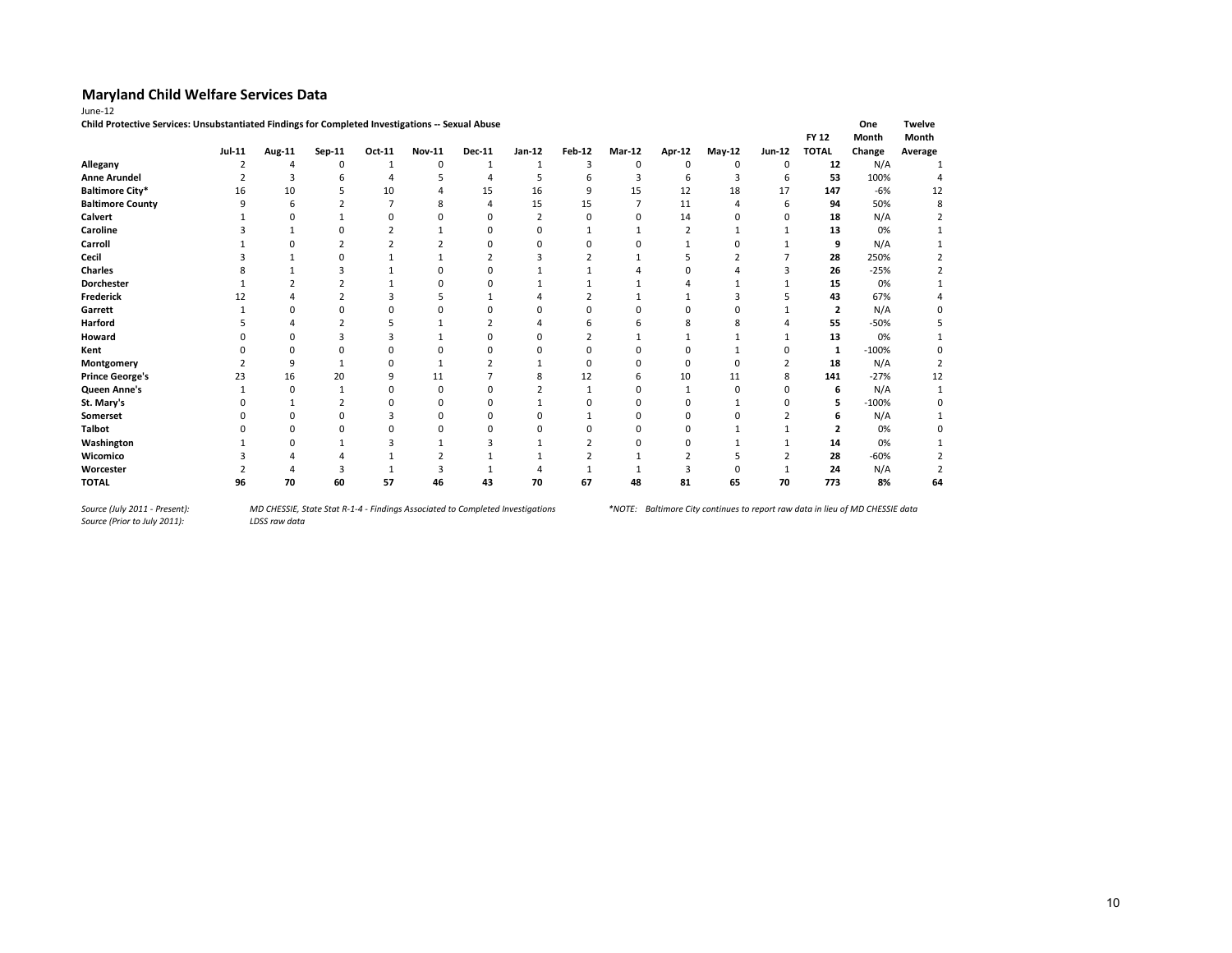| June-12                                                                                          |               |          |        |        |               |               |              |               |          |                |          |              |                         |         |               |
|--------------------------------------------------------------------------------------------------|---------------|----------|--------|--------|---------------|---------------|--------------|---------------|----------|----------------|----------|--------------|-------------------------|---------|---------------|
| Child Protective Services: Unsubstantiated Findings for Completed Investigations -- Sexual Abuse |               |          |        |        |               |               |              |               |          |                |          |              |                         | One     | <b>Twelve</b> |
|                                                                                                  |               |          |        |        |               |               |              |               |          |                |          |              | <b>FY 12</b>            | Month   | Month         |
|                                                                                                  | <b>Jul-11</b> | Aug-11   | Sep-11 | Oct-11 | <b>Nov-11</b> | <b>Dec-11</b> | Jan-12       | <b>Feb-12</b> | Mar-12   | <b>Apr-12</b>  | $May-12$ | Jun-12       | <b>TOTAL</b>            | Change  | Average       |
| Allegany                                                                                         |               | 4        | 0      |        | $\mathbf 0$   | 1             | $\mathbf{1}$ | 3             | 0        | 0              | 0        | $\Omega$     | 12                      | N/A     |               |
| <b>Anne Arundel</b>                                                                              |               | 3        | 6      | Δ      |               |               | 5            | b             | 3        | 6              | 3        | 6            | 53                      | 100%    |               |
| <b>Baltimore City*</b>                                                                           | 16            | 10       | 5      | 10     |               | 15            | 16           | 9             | 15       | 12             | 18       | 17           | 147                     | $-6%$   | 12            |
| <b>Baltimore County</b>                                                                          | 9             | 6        |        |        | 8             |               | 15           | 15            | 7        | 11             | 4        | 6            | 94                      | 50%     | 8             |
| Calvert                                                                                          |               |          |        |        |               |               |              | n             | $\Omega$ | 14             |          | $\Omega$     | 18                      | N/A     |               |
| Caroline                                                                                         |               |          |        |        |               |               |              |               |          | $\overline{2}$ |          |              | 13                      | 0%      |               |
| Carroll                                                                                          |               |          |        |        |               |               |              | n             |          |                |          |              | 9                       | N/A     |               |
| Cecil                                                                                            |               |          | U      |        |               |               |              |               |          |                |          |              | 28                      | 250%    |               |
| Charles                                                                                          |               |          |        |        |               |               |              |               |          |                |          |              | 26                      | $-25%$  |               |
| <b>Dorchester</b>                                                                                |               |          |        |        |               |               |              |               |          |                |          |              | 15                      | 0%      |               |
| Frederick                                                                                        | 12            |          |        |        |               |               |              |               |          |                | 3        |              | 43                      | 67%     |               |
| Garrett                                                                                          |               |          | C      |        |               |               |              |               |          | n              |          |              | $\overline{\mathbf{2}}$ | N/A     |               |
| <b>Harford</b>                                                                                   |               |          |        |        |               |               |              |               |          |                |          |              | 55                      | $-50%$  |               |
| Howard                                                                                           |               |          |        |        |               |               |              |               |          |                |          |              | 13                      | 0%      |               |
| Kent                                                                                             |               |          |        | በ      | c             |               |              | <sup>0</sup>  | O        |                |          |              | 1                       | $-100%$ |               |
| Montgomery                                                                                       |               | 9        |        | በ      |               |               |              | <sup>0</sup>  | O        | ŋ              | n        |              | 18                      | N/A     |               |
| <b>Prince George's</b>                                                                           | 23            | 16       | 20     | 9      | 11            |               |              | 12            | 6        | 10             | 11       | 8            | 141                     | $-27%$  | 12            |
| Queen Anne's                                                                                     | $\mathbf{1}$  | $\Omega$ |        | 0      | $\mathbf 0$   |               |              |               | $\Omega$ | $\mathbf{1}$   | $\Omega$ | <sup>0</sup> | 6                       | N/A     |               |
| St. Mary's                                                                                       |               |          |        | በ      | $\Omega$      |               |              |               |          | $\Omega$       |          |              | 5                       | $-100%$ |               |
| Somerset                                                                                         |               |          |        |        | $\Omega$      |               |              |               | O        | $\Omega$       |          |              | 6                       | N/A     |               |
| <b>Talbot</b>                                                                                    |               |          |        |        |               |               |              |               |          | $\Omega$       |          |              | 2                       | 0%      |               |
| Washington                                                                                       |               |          |        |        |               |               |              |               |          | ŋ              |          |              | 14                      | 0%      |               |
| Wicomico                                                                                         |               |          |        |        |               |               |              |               |          |                |          |              | 28                      | $-60%$  |               |
| Worcester                                                                                        |               |          | э      |        |               |               |              |               |          |                |          |              | 24                      | N/A     |               |
| <b>TOTAL</b>                                                                                     | 96            | 70       | 60     | 57     | 46            | 43            | 70           | 67            | 48       | 81             | 65       | 70           | 773                     | 8%      | 64            |

*Source (July 2011 - Present):<br>Source (Prior to July 2011):*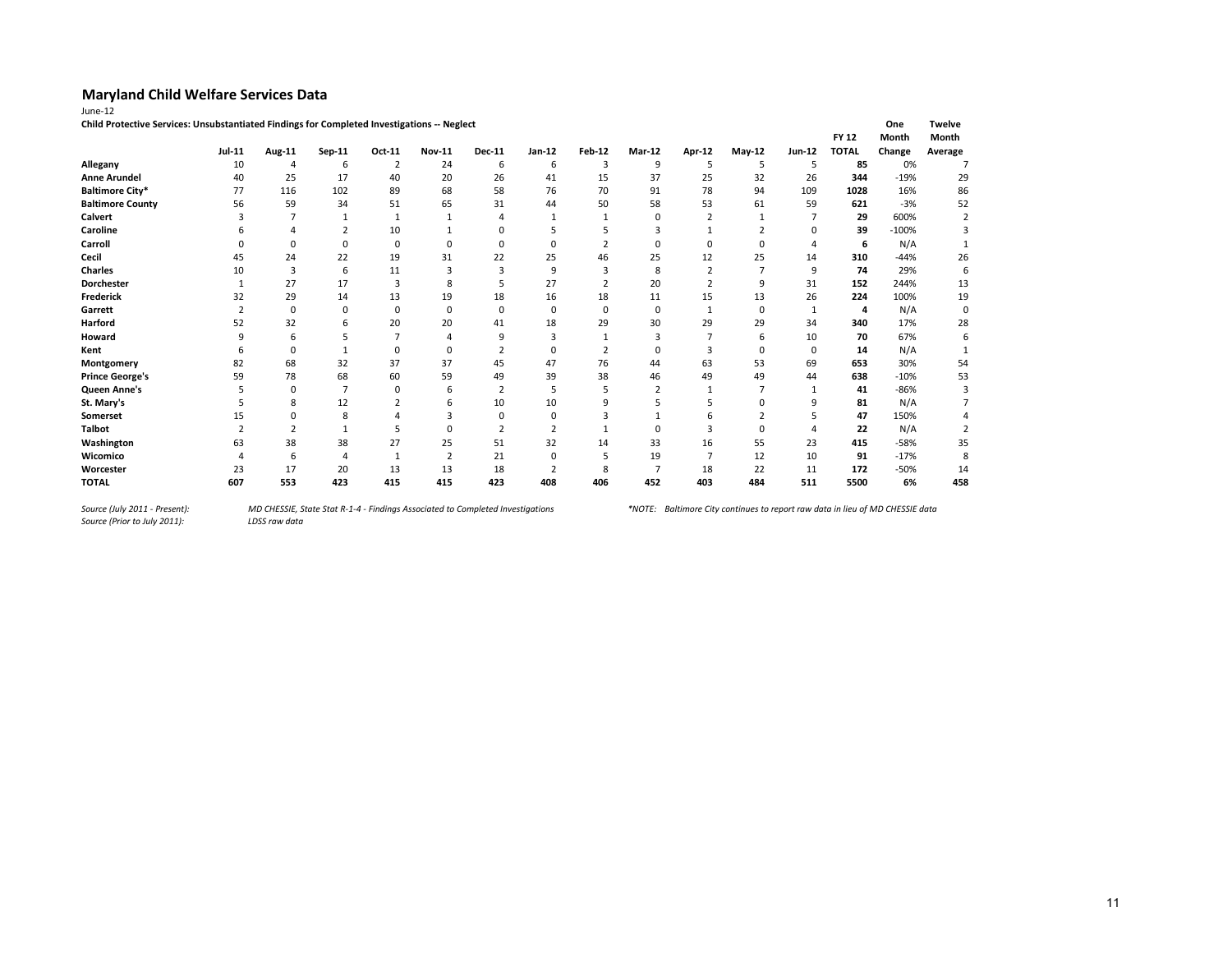| . |  |
|---|--|
|   |  |

| Child Protective Services: Unsubstantiated Findings for Completed Investigations -- Neglect |                |             |        |          |               |                |          |                |          |               |             |        |              | One     | <b>Twelve</b> |
|---------------------------------------------------------------------------------------------|----------------|-------------|--------|----------|---------------|----------------|----------|----------------|----------|---------------|-------------|--------|--------------|---------|---------------|
|                                                                                             |                |             |        |          |               |                |          |                |          |               |             |        | <b>FY 12</b> | Month   | Month         |
|                                                                                             | Jul-11         | Aug-11      | Sep-11 | Oct-11   | <b>Nov-11</b> | <b>Dec-11</b>  | Jan-12   | <b>Feb-12</b>  | Mar-12   | <b>Apr-12</b> | $May-12$    | Jun-12 | <b>TOTAL</b> | Change  | Average       |
| Allegany                                                                                    | 10             | 4           | 6      |          | 24            | 6              | 6        | З              | 9        |               | 5           | 5      | 85           | 0%      |               |
| <b>Anne Arundel</b>                                                                         | 40             | 25          | 17     | 40       | 20            | 26             | 41       | 15             | 37       | 25            | 32          | 26     | 344          | $-19%$  | 29            |
| <b>Baltimore City*</b>                                                                      | 77             | 116         | 102    | 89       | 68            | 58             | 76       | 70             | 91       | 78            | 94          | 109    | 1028         | 16%     | 86            |
| <b>Baltimore County</b>                                                                     | 56             | 59          | 34     | 51       | 65            | 31             | 44       | 50             | 58       | 53            | 61          | 59     | 621          | $-3%$   | 52            |
| Calvert                                                                                     |                |             |        |          |               |                |          |                | $\Omega$ |               |             |        | 29           | 600%    |               |
| Caroline                                                                                    |                |             |        | 10       |               |                |          |                |          |               |             |        | 39           | $-100%$ |               |
| Carroll                                                                                     |                | n           | 0      | $\Omega$ | $\Omega$      | O              | n        |                | $\Omega$ |               | n           |        | 6            | N/A     |               |
| Cecil                                                                                       | 45             | 24          | 22     | 19       | 31            | 22             | 25       | 46             | 25       | 12            | 25          | 14     | 310          | $-44%$  | 26            |
| <b>Charles</b>                                                                              | 10             | 3           | 6      | 11       |               | 3              | q        |                | 8        |               |             | 9      | 74           | 29%     | 6             |
| Dorchester                                                                                  |                | 27          | 17     | 3        | 8             | 5              | 27       | $\overline{2}$ | 20       |               | q           | 31     | 152          | 244%    | 13            |
| Frederick                                                                                   | 32             | 29          | 14     | 13       | 19            | 18             | 16       | 18             | 11       | 15            | 13          | 26     | 224          | 100%    | 19            |
| Garrett                                                                                     | $\overline{2}$ | $\mathbf 0$ | 0      | 0        | $\Omega$      | $\Omega$       | $\Omega$ | $\mathbf 0$    | 0        |               | $\mathbf 0$ | 1      | 4            | N/A     | $\Omega$      |
| Harford                                                                                     | 52             | 32          | 6      | 20       | 20            | 41             | 18       | 29             | 30       | 29            | 29          | 34     | 340          | 17%     | 28            |
| Howard                                                                                      |                | 6           |        |          |               | q              |          |                | 3        |               | 6           | 10     | 70           | 67%     |               |
| Kent                                                                                        |                | $\Omega$    |        | 0        |               | $\overline{2}$ | $\Omega$ |                | 0        |               | $\Omega$    | 0      | 14           | N/A     |               |
| Montgomery                                                                                  | 82             | 68          | 32     | 37       | 37            | 45             | 47       | 76             | 44       | 63            | 53          | 69     | 653          | 30%     | 54            |
| <b>Prince George's</b>                                                                      | 59             | 78          | 68     | 60       | 59            | 49             | 39       | 38             | 46       | 49            | 49          | 44     | 638          | $-10%$  | 53            |
| Queen Anne's                                                                                |                | 0           |        | $\Omega$ | 6             | $\overline{2}$ |          |                |          |               |             |        | 41           | $-86%$  |               |
| St. Mary's                                                                                  |                |             | 12     |          |               | 10             | 10       |                |          |               |             | q      | 81           | N/A     |               |
| <b>Somerset</b>                                                                             |                |             | 8      |          |               |                |          |                |          |               |             |        | 47           | 150%    |               |
| <b>Talbot</b>                                                                               |                |             |        |          |               |                |          |                |          |               |             |        | 22           | N/A     |               |
| Washington                                                                                  | 63             | 38          | 38     | 27       | 25            | 51             | 32       | 14             | 33       | 16            | 55          | 23     | 415          | $-58%$  | 35            |
| Wicomico                                                                                    |                | 6           |        |          | $\mathcal{I}$ | 21             | n        |                | 19       |               | 12          | 10     | 91           | $-17%$  | 8             |
| Worcester                                                                                   | 23             | 17          | 20     | 13       | 13            | 18             |          | 8              | 7        | 18            | 22          | 11     | 172          | $-50%$  | 14            |
| <b>TOTAL</b>                                                                                | 607            | 553         | 423    | 415      | 415           | 423            | 408      | 406            | 452      | 403           | 484         | 511    | 5500         | 6%      | 458           |

*Source (July 2011 - Present):<br>Source (Prior to July 2011):*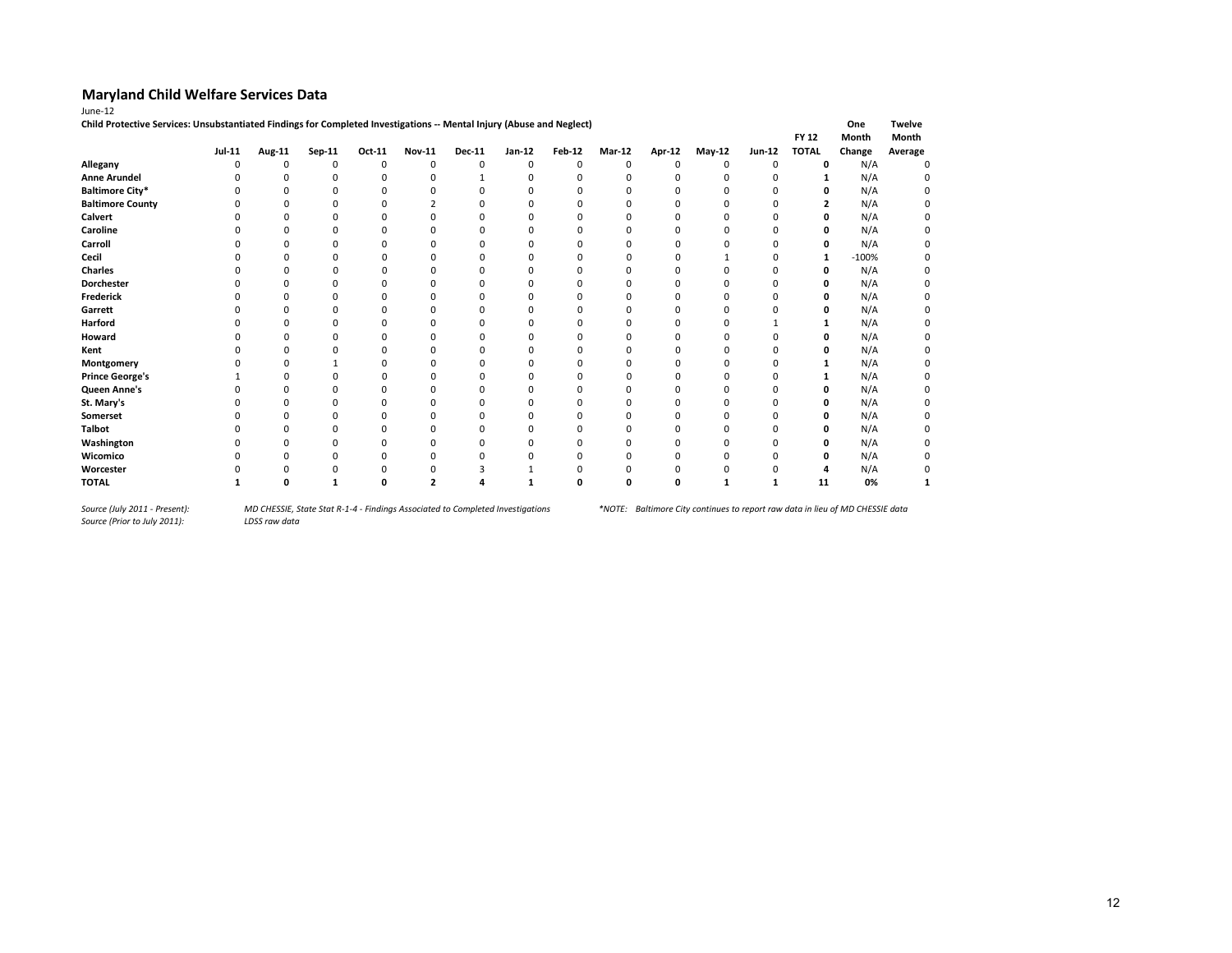| June-12                                                                                                               |               |          |              |          |               |               |          |               |               |          |               |          |              |         |               |
|-----------------------------------------------------------------------------------------------------------------------|---------------|----------|--------------|----------|---------------|---------------|----------|---------------|---------------|----------|---------------|----------|--------------|---------|---------------|
| Child Protective Services: Unsubstantiated Findings for Completed Investigations -- Mental Injury (Abuse and Neglect) |               |          |              |          |               |               |          |               |               |          |               |          |              | One     | <b>Twelve</b> |
|                                                                                                                       |               |          |              |          |               |               |          |               |               |          |               |          | <b>FY 12</b> | Month   | Month         |
|                                                                                                                       | <b>Jul-11</b> | Aug-11   | Sep-11       | Oct-11   | <b>Nov-11</b> | <b>Dec-11</b> | Jan-12   | <b>Feb-12</b> | <b>Mar-12</b> | Apr-12   | <b>May-12</b> | Jun-12   | <b>TOTAL</b> | Change  | Average       |
| Allegany                                                                                                              | O             | $\Omega$ | 0            | 0        | 0             | 0             | 0        | $\Omega$      | $\Omega$      | $\Omega$ | 0             | 0        | 0            | N/A     | $\Omega$      |
| <b>Anne Arundel</b>                                                                                                   |               | O        | <sup>0</sup> | $\Omega$ | $\Omega$      | 1             | $\Omega$ | $\Omega$      | $\Omega$      | $\Omega$ | $\Omega$      | $\Omega$ | 1            | N/A     |               |
| <b>Baltimore City*</b>                                                                                                |               | O        | ŋ            | O        | n             | $\Omega$      | n        | n             | n             | n        | O             | O        | 0            | N/A     |               |
| <b>Baltimore County</b>                                                                                               |               | 0        |              | 0        |               | $\Omega$      | 0        |               |               |          | 0             | $\Omega$ | 2            | N/A     |               |
| <b>Calvert</b>                                                                                                        |               | n        | O            | ŋ        | n             | n             | n        |               | O             | n        | O             |          | 0            | N/A     |               |
| Caroline                                                                                                              |               |          |              |          |               |               |          |               |               |          |               |          | ŋ            | N/A     |               |
| Carroll                                                                                                               |               | n        | n            | O        | n             | <sup>0</sup>  | n        | n             | <sup>0</sup>  | n        |               | n        | 0            | N/A     |               |
| Cecil                                                                                                                 |               | O        | n            | O        | n             | <sup>0</sup>  | n        | n             | n             | n        |               | O        | 1            | $-100%$ |               |
| <b>Charles</b>                                                                                                        |               |          |              |          |               |               |          |               |               |          |               | O        | 0            | N/A     |               |
| <b>Dorchester</b>                                                                                                     |               | O        |              | O        | n             | n             | n        | O             | O             | O        |               | O        | 0            | N/A     |               |
| <b>Frederick</b>                                                                                                      |               | O        | O            | O        | n             | n             | n        |               | O             | O        | O             | O        | 0            | N/A     |               |
| Garrett                                                                                                               |               | O        | ŋ            | O        | n             | n             | n        | n             | n             | O        | <sup>0</sup>  | ŋ        | 0            | N/A     |               |
| Harford                                                                                                               |               | O        | O            | O        | <sup>0</sup>  | $\Omega$      | n        | n             | O             | 0        | 0             |          |              | N/A     |               |
| Howard                                                                                                                |               | O        | O            | 0        |               | $\Omega$      | n        | n             | n             | O        | 0             | O        | 0            | N/A     |               |
| Kent                                                                                                                  |               | O        |              | O        | <sup>0</sup>  | <sup>0</sup>  | n        | n             | n             | O        | O             | O        | 0            | N/A     |               |
| Montgomery                                                                                                            |               | O        |              | O        | O             | <sup>0</sup>  | n        | n             | n             | n        | O             | O        | 1            | N/A     |               |
| <b>Prince George's</b>                                                                                                |               | O        | n            | O        | <sup>0</sup>  | <sup>0</sup>  | O        | n             | n             | n        | 0             | O        |              | N/A     |               |
| Queen Anne's                                                                                                          |               | O        | O            | O        | n             | $\Omega$      | $\Omega$ | O             | $\Omega$      | $\Omega$ | $\Omega$      | O        | 0            | N/A     |               |
| St. Mary's                                                                                                            |               | O        |              | O        |               | $\Omega$      | n        |               |               | $\Omega$ | O             | O        | 0            | N/A     |               |
| Somerset                                                                                                              |               | O        | O            | ŋ        | n             | n             | O        | O             | 0             | $\Omega$ | 0             | O        | 0            | N/A     |               |
| Talbot                                                                                                                |               | O        | 0            | 0        | $\Omega$      | $\Omega$      | n        |               | 0             | $\Omega$ | 0             | 0        | 0            | N/A     |               |
| Washington                                                                                                            |               | ŋ        | ŋ            | n        | n             | n             | n        |               | n             | O        | 0             | ŋ        | 0            | N/A     |               |
| Wicomico                                                                                                              |               | ŋ        |              | ŋ        | n             | n             | n        | n             | n             | O        | O             | ŋ        | 0            | N/A     |               |
| Worcester                                                                                                             |               |          |              |          |               |               |          |               |               |          |               |          |              | N/A     |               |
| <b>TOTAL</b>                                                                                                          |               | O        |              | O        |               |               |          | O             | O             | O        |               |          | 11           | 0%      |               |

*Source (July 2011 - Present):<br>Source (Prior to July 2011):*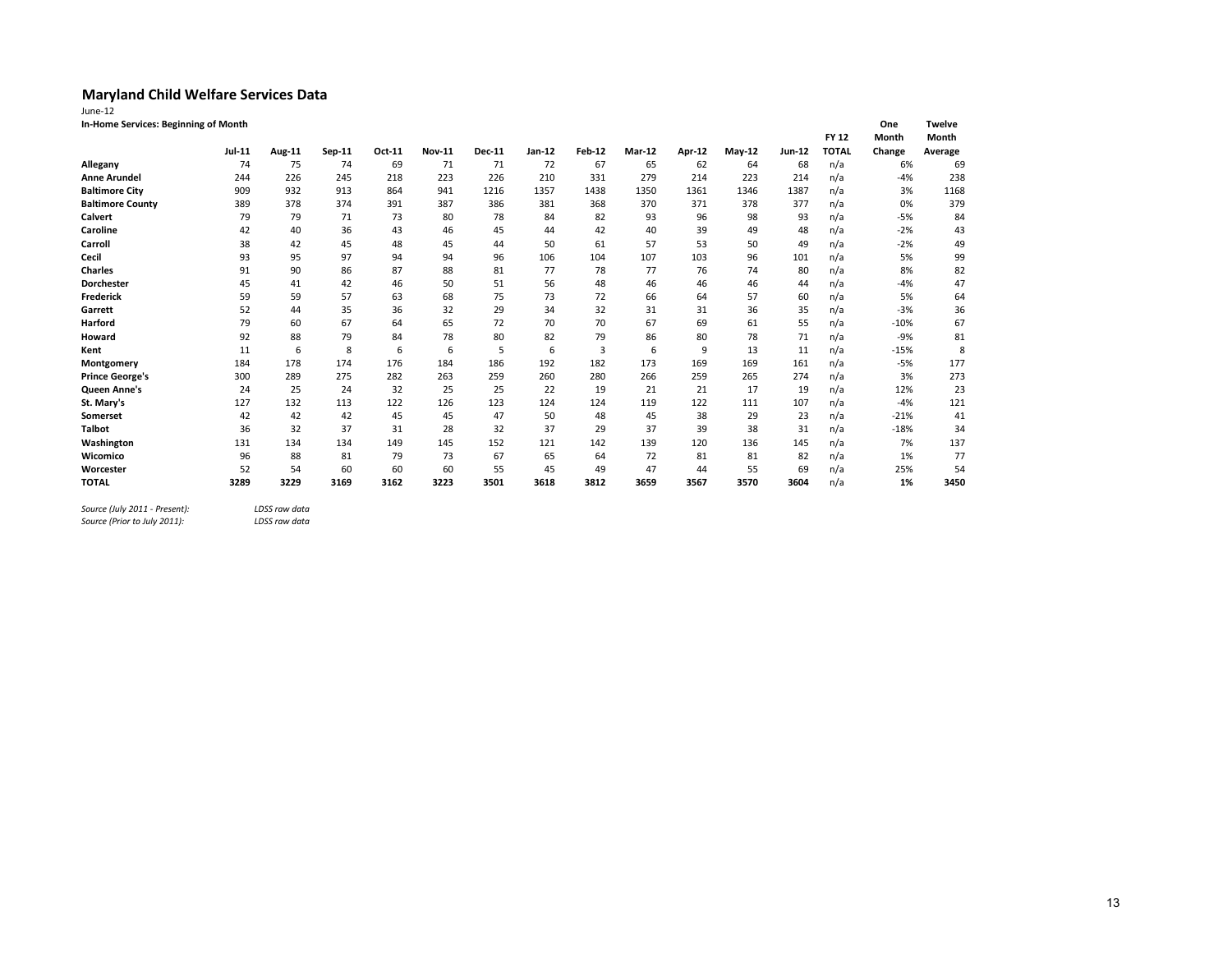| June-12                              |               |        |        |        |               |               |        |        |        |        |        |        |              |        |               |
|--------------------------------------|---------------|--------|--------|--------|---------------|---------------|--------|--------|--------|--------|--------|--------|--------------|--------|---------------|
| In-Home Services: Beginning of Month |               |        |        |        |               |               |        |        |        |        |        |        |              | One    | <b>Twelve</b> |
|                                      |               |        |        |        |               |               |        |        |        |        |        |        | <b>FY 12</b> | Month  | Month         |
|                                      | <b>Jul-11</b> | Aug-11 | Sep-11 | Oct-11 | <b>Nov-11</b> | <b>Dec-11</b> | Jan-12 | Feb-12 | Mar-12 | Apr-12 | May-12 | Jun-12 | <b>TOTAL</b> | Change | Average       |
| Allegany                             | 74            | 75     | 74     | 69     | 71            | 71            | 72     | 67     | 65     | 62     | 64     | 68     | n/a          | 6%     | 69            |
| <b>Anne Arundel</b>                  | 244           | 226    | 245    | 218    | 223           | 226           | 210    | 331    | 279    | 214    | 223    | 214    | n/a          | $-4%$  | 238           |
| <b>Baltimore City</b>                | 909           | 932    | 913    | 864    | 941           | 1216          | 1357   | 1438   | 1350   | 1361   | 1346   | 1387   | n/a          | 3%     | 1168          |
| <b>Baltimore County</b>              | 389           | 378    | 374    | 391    | 387           | 386           | 381    | 368    | 370    | 371    | 378    | 377    | n/a          | 0%     | 379           |
| Calvert                              | 79            | 79     | 71     | 73     | 80            | 78            | 84     | 82     | 93     | 96     | 98     | 93     | n/a          | $-5%$  | 84            |
| Caroline                             | 42            | 40     | 36     | 43     | 46            | 45            | 44     | 42     | 40     | 39     | 49     | 48     | n/a          | $-2%$  | 43            |
| Carroll                              | 38            | 42     | 45     | 48     | 45            | 44            | 50     | 61     | 57     | 53     | 50     | 49     | n/a          | $-2%$  | 49            |
| Cecil                                | 93            | 95     | 97     | 94     | 94            | 96            | 106    | 104    | 107    | 103    | 96     | 101    | n/a          | 5%     | 99            |
| <b>Charles</b>                       | 91            | 90     | 86     | 87     | 88            | 81            | 77     | 78     | 77     | 76     | 74     | 80     | n/a          | 8%     | 82            |
| <b>Dorchester</b>                    | 45            | 41     | 42     | 46     | 50            | 51            | 56     | 48     | 46     | 46     | 46     | 44     | n/a          | $-4%$  | 47            |
| Frederick                            | 59            | 59     | 57     | 63     | 68            | 75            | 73     | 72     | 66     | 64     | 57     | 60     | n/a          | 5%     | 64            |
| Garrett                              | 52            | 44     | 35     | 36     | 32            | 29            | 34     | 32     | 31     | 31     | 36     | 35     | n/a          | $-3%$  | 36            |
| Harford                              | 79            | 60     | 67     | 64     | 65            | 72            | 70     | 70     | 67     | 69     | 61     | 55     | n/a          | $-10%$ | 67            |
| Howard                               | 92            | 88     | 79     | 84     | 78            | 80            | 82     | 79     | 86     | 80     | 78     | 71     | n/a          | $-9%$  | 81            |
| Kent                                 | 11            | 6      | 8      | 6      | 6             | 5             | 6      | 3      | 6      | 9      | 13     | 11     | n/a          | $-15%$ | 8             |
| Montgomery                           | 184           | 178    | 174    | 176    | 184           | 186           | 192    | 182    | 173    | 169    | 169    | 161    | n/a          | $-5%$  | 177           |
| <b>Prince George's</b>               | 300           | 289    | 275    | 282    | 263           | 259           | 260    | 280    | 266    | 259    | 265    | 274    | n/a          | 3%     | 273           |
| <b>Queen Anne's</b>                  | 24            | 25     | 24     | 32     | 25            | 25            | 22     | 19     | 21     | 21     | 17     | 19     | n/a          | 12%    | 23            |
| St. Mary's                           | 127           | 132    | 113    | 122    | 126           | 123           | 124    | 124    | 119    | 122    | 111    | 107    | n/a          | $-4%$  | 121           |
| Somerset                             | 42            | 42     | 42     | 45     | 45            | 47            | 50     | 48     | 45     | 38     | 29     | 23     | n/a          | $-21%$ | 41            |
| <b>Talbot</b>                        | 36            | 32     | 37     | 31     | 28            | 32            | 37     | 29     | 37     | 39     | 38     | 31     | n/a          | $-18%$ | 34            |
| Washington                           | 131           | 134    | 134    | 149    | 145           | 152           | 121    | 142    | 139    | 120    | 136    | 145    | n/a          | 7%     | 137           |
| Wicomico                             | 96            | 88     | 81     | 79     | 73            | 67            | 65     | 64     | 72     | 81     | 81     | 82     | n/a          | 1%     | 77            |
| Worcester                            | 52            | 54     | 60     | 60     | 60            | 55            | 45     | 49     | 47     | 44     | 55     | 69     | n/a          | 25%    | 54            |
| <b>TOTAL</b>                         | 3289          | 3229   | 3169   | 3162   | 3223          | 3501          | 3618   | 3812   | 3659   | 3567   | 3570   | 3604   | n/a          | 1%     | 3450          |

*Source (July 2011 - Present): LDSS raw data*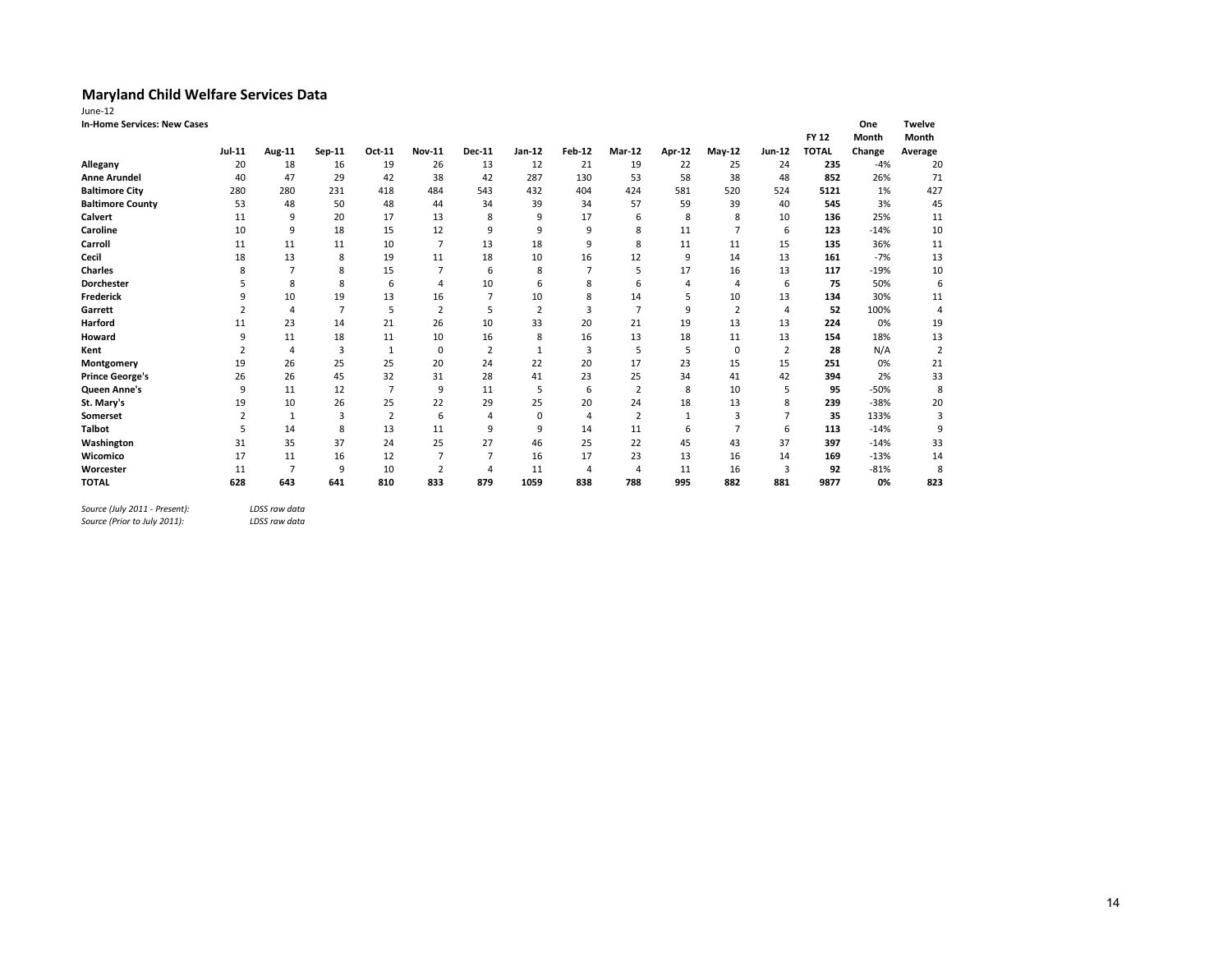| June-12                            |                |                |                |                |                |               |                |                |                |        |                |                |              |        |                |
|------------------------------------|----------------|----------------|----------------|----------------|----------------|---------------|----------------|----------------|----------------|--------|----------------|----------------|--------------|--------|----------------|
| <b>In-Home Services: New Cases</b> |                |                |                |                |                |               |                |                |                |        |                |                |              | One    | <b>Twelve</b>  |
|                                    |                |                |                |                |                |               |                |                |                |        |                |                | <b>FY 12</b> | Month  | Month          |
|                                    | Jul-11         | <b>Aug-11</b>  | Sep-11         | Oct-11         | <b>Nov-11</b>  | <b>Dec-11</b> | Jan-12         | <b>Feb-12</b>  | Mar-12         | Apr-12 | $May-12$       | Jun-12         | <b>TOTAL</b> | Change | Average        |
| Allegany                           | 20             | 18             | 16             | 19             | 26             | 13            | 12             | 21             | 19             | 22     | 25             | 24             | 235          | $-4%$  | 20             |
| <b>Anne Arundel</b>                | 40             | 47             | 29             | 42             | 38             | 42            | 287            | 130            | 53             | 58     | 38             | 48             | 852          | 26%    | 71             |
| <b>Baltimore City</b>              | 280            | 280            | 231            | 418            | 484            | 543           | 432            | 404            | 424            | 581    | 520            | 524            | 5121         | 1%     | 427            |
| <b>Baltimore County</b>            | 53             | 48             | 50             | 48             | 44             | 34            | 39             | 34             | 57             | 59     | 39             | 40             | 545          | 3%     | 45             |
| Calvert                            | 11             | 9              | 20             | 17             | 13             | 8             | 9              | 17             | 6              | 8      | 8              | 10             | 136          | 25%    | 11             |
| Caroline                           | 10             | 9              | 18             | 15             | 12             | 9             | 9              | 9              | 8              | 11     | $\overline{7}$ | 6              | 123          | $-14%$ | 10             |
| Carroll                            | 11             | 11             | 11             | 10             | $\overline{7}$ | 13            | 18             | 9              | 8              | 11     | 11             | 15             | 135          | 36%    | 11             |
| Cecil                              | 18             | 13             | 8              | 19             | 11             | 18            | 10             | 16             | 12             | 9      | 14             | 13             | 161          | $-7%$  | 13             |
| <b>Charles</b>                     | 8              | 7              | 8              | 15             | 7              | 6             | 8              | $\overline{7}$ | 5              | 17     | 16             | 13             | 117          | $-19%$ | 10             |
| <b>Dorchester</b>                  | 5              | 8              | 8              | 6              | 4              | 10            | 6              | 8              | 6              | 4      | 4              | 6              | 75           | 50%    | 6              |
| <b>Frederick</b>                   | 9              | 10             | 19             | 13             | 16             | 7             | 10             | 8              | 14             | 5      | 10             | 13             | 134          | 30%    | 11             |
| Garrett                            | $\overline{2}$ | 4              | $\overline{7}$ | 5              | $\overline{2}$ | 5             | $\overline{2}$ | 3              | $\overline{7}$ | 9      | $\overline{2}$ | 4              | 52           | 100%   | $\overline{4}$ |
| Harford                            | 11             | 23             | 14             | 21             | 26             | 10            | 33             | 20             | 21             | 19     | 13             | 13             | 224          | 0%     | 19             |
| Howard                             | 9              | 11             | 18             | 11             | 10             | 16            | 8              | 16             | 13             | 18     | 11             | 13             | 154          | 18%    | 13             |
| Kent                               | 2              | 4              | 3              | $\mathbf{1}$   | $\mathbf 0$    | 2             | $\mathbf{1}$   | 3              | 5              | 5      | $\mathbf 0$    | $\overline{2}$ | 28           | N/A    | $\overline{2}$ |
| Montgomery                         | 19             | 26             | 25             | 25             | 20             | 24            | 22             | 20             | 17             | 23     | 15             | 15             | 251          | 0%     | 21             |
| <b>Prince George's</b>             | 26             | 26             | 45             | 32             | 31             | 28            | 41             | 23             | 25             | 34     | 41             | 42             | 394          | 2%     | 33             |
| Queen Anne's                       | 9              | 11             | 12             | $\overline{7}$ | 9              | 11            | 5              | 6              | $\overline{2}$ | 8      | 10             | 5              | 95           | $-50%$ | 8              |
| St. Mary's                         | 19             | 10             | 26             | 25             | 22             | 29            | 25             | 20             | 24             | 18     | 13             | 8              | 239          | $-38%$ | 20             |
| Somerset                           | 2              | 1              | 3              | $\overline{2}$ | 6              | 4             | $\mathbf 0$    | 4              | $\overline{2}$ | 1      | 3              | $\overline{7}$ | 35           | 133%   | 3              |
| <b>Talbot</b>                      | 5              | 14             | 8              | 13             | 11             | 9             | 9              | 14             | 11             | 6      | $\overline{7}$ | 6              | 113          | $-14%$ | 9              |
| Washington                         | 31             | 35             | 37             | 24             | 25             | 27            | 46             | 25             | 22             | 45     | 43             | 37             | 397          | $-14%$ | 33             |
| Wicomico                           | 17             | 11             | 16             | 12             | $\overline{7}$ | 7             | 16             | 17             | 23             | 13     | 16             | 14             | 169          | $-13%$ | 14             |
| Worcester                          | 11             | $\overline{7}$ | 9              | 10             | $\overline{2}$ | 4             | 11             | 4              | $\overline{4}$ | 11     | 16             | 3              | 92           | $-81%$ | 8              |
| <b>TOTAL</b>                       | 628            | 643            | 641            | 810            | 833            | 879           | 1059           | 838            | 788            | 995    | 882            | 881            | 9877         | 0%     | 823            |
|                                    |                |                |                |                |                |               |                |                |                |        |                |                |              |        |                |

*Source (July 2011 - Present): LDSS raw data*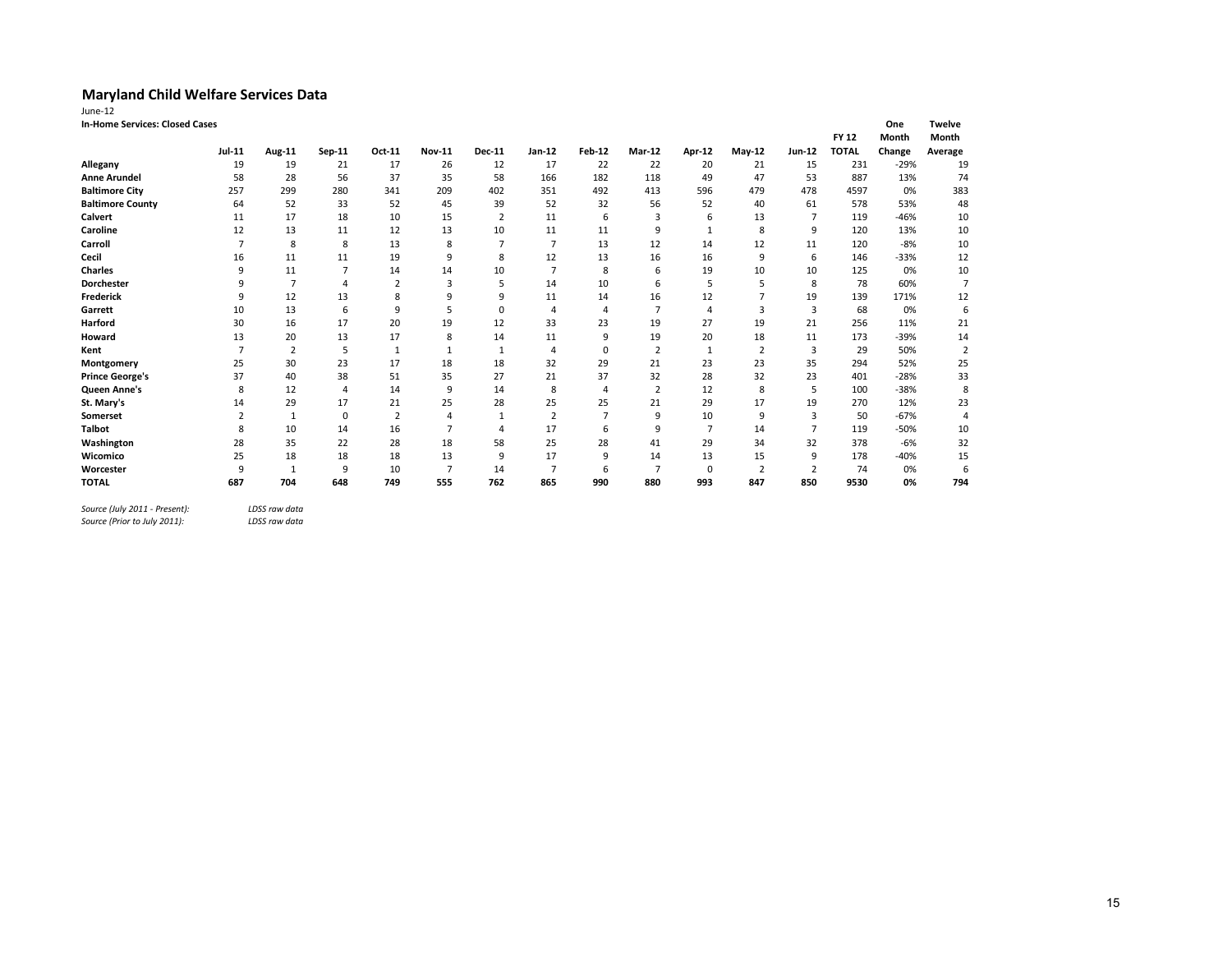| <b>In-Home Services: Closed Cases</b><br><b>Twelve</b><br>One<br><b>FY 12</b><br>Month<br>Month<br>Jul-11<br><b>Nov-11</b><br>$Jan-12$<br><b>Feb-12</b><br><b>Jun-12</b><br><b>TOTAL</b><br>Change<br>Aug-11<br>Oct-11<br>Dec-11<br>Mar-12<br>Apr-12<br>$May-12$<br>Sep-11<br>Average<br>19<br>17<br>26<br>17<br>22<br>22<br>20<br>$-29%$<br>Allegany<br>19<br>21<br>12<br>21<br>15<br>231<br>182<br><b>Anne Arundel</b><br>58<br>28<br>56<br>37<br>35<br>58<br>166<br>118<br>47<br>887<br>13%<br>49<br>53<br><b>Baltimore City</b><br>299<br>280<br>209<br>492<br>479<br>257<br>341<br>402<br>351<br>413<br>596<br>478<br>4597<br>0%<br>52<br>33<br>32<br>52<br><b>Baltimore County</b><br>64<br>52<br>45<br>39<br>52<br>56<br>61<br>578<br>53%<br>40<br>Calvert<br>18<br>$-46%$<br>17<br>10<br>15<br>6<br>3<br>13<br>11<br>2<br>11<br>7<br>119<br>6<br>Caroline<br>8<br>12<br>13<br>11<br>12<br>13<br>10<br>11<br>9<br>9<br>11<br>120<br>13%<br>$\mathbf{1}$<br>Carroll<br>8<br>8<br>$\overline{7}$<br>13<br>$-8%$<br>$\overline{7}$<br>13<br>8<br>12<br>14<br>12<br>120<br>11<br>Cecil<br>11<br>19<br>9<br>8<br>12<br>13<br>16<br>9<br>$-33%$<br>16<br>11<br>16<br>6<br>146<br><b>Charles</b><br>9<br>11<br>$\overline{7}$<br>14<br>10<br>$\overline{7}$<br>8<br>6<br>19<br>10<br>0%<br>14<br>10<br>125<br>10<br>Dorchester<br>$\overline{7}$<br>$\overline{2}$<br>3<br>5<br>14<br>6<br>5<br>5<br>8<br>78<br>60%<br>q<br>4<br><b>Frederick</b><br>12<br>13<br>8<br>9<br>9<br>16<br>9<br>11<br>14<br>12<br>19<br>139<br>171%<br>5<br>0%<br>Garrett<br>10<br>13<br>6<br>9<br>0<br>7<br>3<br>3<br>68<br>$\overline{4}$<br>4<br>4<br>20<br>33<br>23<br>19<br>Harford<br>30<br>16<br>17<br>19<br>12<br>27<br>19<br>21<br>256<br>11%<br>20<br>13<br>17<br>9<br>19<br>20<br>18<br>$-39%$<br>13<br>8<br>173<br>Howard<br>14<br>11<br>11<br>$\overline{2}$<br>5<br>$\mathbf 0$<br>50%<br>Kent<br>$\overline{2}$<br>$\overline{2}$<br>3<br>29<br>$\mathbf{1}$<br>1<br>1<br>4<br>1<br>30<br>23<br>29<br>23<br>25<br>17<br>18<br>18<br>32<br>21<br>23<br>35<br>294<br>52%<br>Montgomery<br>38<br>37<br>35<br>37<br>32<br>32<br>$-28%$<br><b>Prince George's</b><br>40<br>51<br>27<br>21<br>28<br>23<br>401<br>8<br>$-38%$<br>8<br>12<br>14<br>9<br>8<br>$\overline{2}$<br>12<br>Queen Anne's<br>4<br>14<br>5<br>100<br>$\overline{4}$<br>St. Mary's<br>29<br>17<br>25<br>25<br>29<br>21<br>28<br>25<br>21<br>17<br>19<br>270<br>12%<br>14<br>$\mathbf 0$<br>2<br>$\overline{7}$<br>9<br>10<br>9<br>$-67%$<br>$\overline{2}$<br>3<br>50<br>Somerset<br>$\overline{2}$<br>1<br>$\boldsymbol{\Delta}$<br><b>Talbot</b><br>10<br>9<br>$\overline{7}$<br>$-50%$<br>14<br>16<br>$\overline{7}$<br>17<br>6<br>$\overline{7}$<br>8<br>14<br>119<br>58<br>28<br>Washington<br>28<br>35<br>22<br>28<br>18<br>25<br>41<br>29<br>32<br>378<br>$-6%$<br>34<br>25<br>18<br>18<br>18<br>13<br>17<br>9<br>Wicomico<br>9<br>14<br>13<br>15<br>9<br>$-40%$<br>178<br>9<br>9<br>10<br>$\overline{7}$<br>$\overline{7}$<br>6<br>$\overline{2}$<br>0%<br>Worcester<br>14<br>7<br>0<br>$\overline{2}$<br>74<br>-1<br>880<br>993<br><b>TOTAL</b><br>687<br>704<br>648<br>749<br>555<br>762<br>865<br>990<br>847<br>850<br>9530<br>0% | June-12 |  |  |  |  |  |  |  |                |
|------------------------------------------------------------------------------------------------------------------------------------------------------------------------------------------------------------------------------------------------------------------------------------------------------------------------------------------------------------------------------------------------------------------------------------------------------------------------------------------------------------------------------------------------------------------------------------------------------------------------------------------------------------------------------------------------------------------------------------------------------------------------------------------------------------------------------------------------------------------------------------------------------------------------------------------------------------------------------------------------------------------------------------------------------------------------------------------------------------------------------------------------------------------------------------------------------------------------------------------------------------------------------------------------------------------------------------------------------------------------------------------------------------------------------------------------------------------------------------------------------------------------------------------------------------------------------------------------------------------------------------------------------------------------------------------------------------------------------------------------------------------------------------------------------------------------------------------------------------------------------------------------------------------------------------------------------------------------------------------------------------------------------------------------------------------------------------------------------------------------------------------------------------------------------------------------------------------------------------------------------------------------------------------------------------------------------------------------------------------------------------------------------------------------------------------------------------------------------------------------------------------------------------------------------------------------------------------------------------------------------------------------------------------------------------------------------------------------------------------------------------------------------------------------------------------------------------------------------------------------------------------------------------------------------------------------------------------------------------------------------------------------------------------------------------------------------------------------------------------------------------------------------------------------------------------------------|---------|--|--|--|--|--|--|--|----------------|
|                                                                                                                                                                                                                                                                                                                                                                                                                                                                                                                                                                                                                                                                                                                                                                                                                                                                                                                                                                                                                                                                                                                                                                                                                                                                                                                                                                                                                                                                                                                                                                                                                                                                                                                                                                                                                                                                                                                                                                                                                                                                                                                                                                                                                                                                                                                                                                                                                                                                                                                                                                                                                                                                                                                                                                                                                                                                                                                                                                                                                                                                                                                                                                                                      |         |  |  |  |  |  |  |  |                |
|                                                                                                                                                                                                                                                                                                                                                                                                                                                                                                                                                                                                                                                                                                                                                                                                                                                                                                                                                                                                                                                                                                                                                                                                                                                                                                                                                                                                                                                                                                                                                                                                                                                                                                                                                                                                                                                                                                                                                                                                                                                                                                                                                                                                                                                                                                                                                                                                                                                                                                                                                                                                                                                                                                                                                                                                                                                                                                                                                                                                                                                                                                                                                                                                      |         |  |  |  |  |  |  |  |                |
|                                                                                                                                                                                                                                                                                                                                                                                                                                                                                                                                                                                                                                                                                                                                                                                                                                                                                                                                                                                                                                                                                                                                                                                                                                                                                                                                                                                                                                                                                                                                                                                                                                                                                                                                                                                                                                                                                                                                                                                                                                                                                                                                                                                                                                                                                                                                                                                                                                                                                                                                                                                                                                                                                                                                                                                                                                                                                                                                                                                                                                                                                                                                                                                                      |         |  |  |  |  |  |  |  |                |
|                                                                                                                                                                                                                                                                                                                                                                                                                                                                                                                                                                                                                                                                                                                                                                                                                                                                                                                                                                                                                                                                                                                                                                                                                                                                                                                                                                                                                                                                                                                                                                                                                                                                                                                                                                                                                                                                                                                                                                                                                                                                                                                                                                                                                                                                                                                                                                                                                                                                                                                                                                                                                                                                                                                                                                                                                                                                                                                                                                                                                                                                                                                                                                                                      |         |  |  |  |  |  |  |  | 19             |
|                                                                                                                                                                                                                                                                                                                                                                                                                                                                                                                                                                                                                                                                                                                                                                                                                                                                                                                                                                                                                                                                                                                                                                                                                                                                                                                                                                                                                                                                                                                                                                                                                                                                                                                                                                                                                                                                                                                                                                                                                                                                                                                                                                                                                                                                                                                                                                                                                                                                                                                                                                                                                                                                                                                                                                                                                                                                                                                                                                                                                                                                                                                                                                                                      |         |  |  |  |  |  |  |  | 74             |
|                                                                                                                                                                                                                                                                                                                                                                                                                                                                                                                                                                                                                                                                                                                                                                                                                                                                                                                                                                                                                                                                                                                                                                                                                                                                                                                                                                                                                                                                                                                                                                                                                                                                                                                                                                                                                                                                                                                                                                                                                                                                                                                                                                                                                                                                                                                                                                                                                                                                                                                                                                                                                                                                                                                                                                                                                                                                                                                                                                                                                                                                                                                                                                                                      |         |  |  |  |  |  |  |  | 383            |
|                                                                                                                                                                                                                                                                                                                                                                                                                                                                                                                                                                                                                                                                                                                                                                                                                                                                                                                                                                                                                                                                                                                                                                                                                                                                                                                                                                                                                                                                                                                                                                                                                                                                                                                                                                                                                                                                                                                                                                                                                                                                                                                                                                                                                                                                                                                                                                                                                                                                                                                                                                                                                                                                                                                                                                                                                                                                                                                                                                                                                                                                                                                                                                                                      |         |  |  |  |  |  |  |  | 48             |
|                                                                                                                                                                                                                                                                                                                                                                                                                                                                                                                                                                                                                                                                                                                                                                                                                                                                                                                                                                                                                                                                                                                                                                                                                                                                                                                                                                                                                                                                                                                                                                                                                                                                                                                                                                                                                                                                                                                                                                                                                                                                                                                                                                                                                                                                                                                                                                                                                                                                                                                                                                                                                                                                                                                                                                                                                                                                                                                                                                                                                                                                                                                                                                                                      |         |  |  |  |  |  |  |  | 10             |
|                                                                                                                                                                                                                                                                                                                                                                                                                                                                                                                                                                                                                                                                                                                                                                                                                                                                                                                                                                                                                                                                                                                                                                                                                                                                                                                                                                                                                                                                                                                                                                                                                                                                                                                                                                                                                                                                                                                                                                                                                                                                                                                                                                                                                                                                                                                                                                                                                                                                                                                                                                                                                                                                                                                                                                                                                                                                                                                                                                                                                                                                                                                                                                                                      |         |  |  |  |  |  |  |  | 10             |
|                                                                                                                                                                                                                                                                                                                                                                                                                                                                                                                                                                                                                                                                                                                                                                                                                                                                                                                                                                                                                                                                                                                                                                                                                                                                                                                                                                                                                                                                                                                                                                                                                                                                                                                                                                                                                                                                                                                                                                                                                                                                                                                                                                                                                                                                                                                                                                                                                                                                                                                                                                                                                                                                                                                                                                                                                                                                                                                                                                                                                                                                                                                                                                                                      |         |  |  |  |  |  |  |  | 10             |
|                                                                                                                                                                                                                                                                                                                                                                                                                                                                                                                                                                                                                                                                                                                                                                                                                                                                                                                                                                                                                                                                                                                                                                                                                                                                                                                                                                                                                                                                                                                                                                                                                                                                                                                                                                                                                                                                                                                                                                                                                                                                                                                                                                                                                                                                                                                                                                                                                                                                                                                                                                                                                                                                                                                                                                                                                                                                                                                                                                                                                                                                                                                                                                                                      |         |  |  |  |  |  |  |  | 12             |
|                                                                                                                                                                                                                                                                                                                                                                                                                                                                                                                                                                                                                                                                                                                                                                                                                                                                                                                                                                                                                                                                                                                                                                                                                                                                                                                                                                                                                                                                                                                                                                                                                                                                                                                                                                                                                                                                                                                                                                                                                                                                                                                                                                                                                                                                                                                                                                                                                                                                                                                                                                                                                                                                                                                                                                                                                                                                                                                                                                                                                                                                                                                                                                                                      |         |  |  |  |  |  |  |  | 10             |
|                                                                                                                                                                                                                                                                                                                                                                                                                                                                                                                                                                                                                                                                                                                                                                                                                                                                                                                                                                                                                                                                                                                                                                                                                                                                                                                                                                                                                                                                                                                                                                                                                                                                                                                                                                                                                                                                                                                                                                                                                                                                                                                                                                                                                                                                                                                                                                                                                                                                                                                                                                                                                                                                                                                                                                                                                                                                                                                                                                                                                                                                                                                                                                                                      |         |  |  |  |  |  |  |  | $\overline{7}$ |
|                                                                                                                                                                                                                                                                                                                                                                                                                                                                                                                                                                                                                                                                                                                                                                                                                                                                                                                                                                                                                                                                                                                                                                                                                                                                                                                                                                                                                                                                                                                                                                                                                                                                                                                                                                                                                                                                                                                                                                                                                                                                                                                                                                                                                                                                                                                                                                                                                                                                                                                                                                                                                                                                                                                                                                                                                                                                                                                                                                                                                                                                                                                                                                                                      |         |  |  |  |  |  |  |  | 12             |
|                                                                                                                                                                                                                                                                                                                                                                                                                                                                                                                                                                                                                                                                                                                                                                                                                                                                                                                                                                                                                                                                                                                                                                                                                                                                                                                                                                                                                                                                                                                                                                                                                                                                                                                                                                                                                                                                                                                                                                                                                                                                                                                                                                                                                                                                                                                                                                                                                                                                                                                                                                                                                                                                                                                                                                                                                                                                                                                                                                                                                                                                                                                                                                                                      |         |  |  |  |  |  |  |  | 6              |
|                                                                                                                                                                                                                                                                                                                                                                                                                                                                                                                                                                                                                                                                                                                                                                                                                                                                                                                                                                                                                                                                                                                                                                                                                                                                                                                                                                                                                                                                                                                                                                                                                                                                                                                                                                                                                                                                                                                                                                                                                                                                                                                                                                                                                                                                                                                                                                                                                                                                                                                                                                                                                                                                                                                                                                                                                                                                                                                                                                                                                                                                                                                                                                                                      |         |  |  |  |  |  |  |  | 21             |
|                                                                                                                                                                                                                                                                                                                                                                                                                                                                                                                                                                                                                                                                                                                                                                                                                                                                                                                                                                                                                                                                                                                                                                                                                                                                                                                                                                                                                                                                                                                                                                                                                                                                                                                                                                                                                                                                                                                                                                                                                                                                                                                                                                                                                                                                                                                                                                                                                                                                                                                                                                                                                                                                                                                                                                                                                                                                                                                                                                                                                                                                                                                                                                                                      |         |  |  |  |  |  |  |  | 14             |
|                                                                                                                                                                                                                                                                                                                                                                                                                                                                                                                                                                                                                                                                                                                                                                                                                                                                                                                                                                                                                                                                                                                                                                                                                                                                                                                                                                                                                                                                                                                                                                                                                                                                                                                                                                                                                                                                                                                                                                                                                                                                                                                                                                                                                                                                                                                                                                                                                                                                                                                                                                                                                                                                                                                                                                                                                                                                                                                                                                                                                                                                                                                                                                                                      |         |  |  |  |  |  |  |  | $\overline{2}$ |
|                                                                                                                                                                                                                                                                                                                                                                                                                                                                                                                                                                                                                                                                                                                                                                                                                                                                                                                                                                                                                                                                                                                                                                                                                                                                                                                                                                                                                                                                                                                                                                                                                                                                                                                                                                                                                                                                                                                                                                                                                                                                                                                                                                                                                                                                                                                                                                                                                                                                                                                                                                                                                                                                                                                                                                                                                                                                                                                                                                                                                                                                                                                                                                                                      |         |  |  |  |  |  |  |  | 25             |
|                                                                                                                                                                                                                                                                                                                                                                                                                                                                                                                                                                                                                                                                                                                                                                                                                                                                                                                                                                                                                                                                                                                                                                                                                                                                                                                                                                                                                                                                                                                                                                                                                                                                                                                                                                                                                                                                                                                                                                                                                                                                                                                                                                                                                                                                                                                                                                                                                                                                                                                                                                                                                                                                                                                                                                                                                                                                                                                                                                                                                                                                                                                                                                                                      |         |  |  |  |  |  |  |  | 33             |
|                                                                                                                                                                                                                                                                                                                                                                                                                                                                                                                                                                                                                                                                                                                                                                                                                                                                                                                                                                                                                                                                                                                                                                                                                                                                                                                                                                                                                                                                                                                                                                                                                                                                                                                                                                                                                                                                                                                                                                                                                                                                                                                                                                                                                                                                                                                                                                                                                                                                                                                                                                                                                                                                                                                                                                                                                                                                                                                                                                                                                                                                                                                                                                                                      |         |  |  |  |  |  |  |  | 8              |
|                                                                                                                                                                                                                                                                                                                                                                                                                                                                                                                                                                                                                                                                                                                                                                                                                                                                                                                                                                                                                                                                                                                                                                                                                                                                                                                                                                                                                                                                                                                                                                                                                                                                                                                                                                                                                                                                                                                                                                                                                                                                                                                                                                                                                                                                                                                                                                                                                                                                                                                                                                                                                                                                                                                                                                                                                                                                                                                                                                                                                                                                                                                                                                                                      |         |  |  |  |  |  |  |  | 23             |
|                                                                                                                                                                                                                                                                                                                                                                                                                                                                                                                                                                                                                                                                                                                                                                                                                                                                                                                                                                                                                                                                                                                                                                                                                                                                                                                                                                                                                                                                                                                                                                                                                                                                                                                                                                                                                                                                                                                                                                                                                                                                                                                                                                                                                                                                                                                                                                                                                                                                                                                                                                                                                                                                                                                                                                                                                                                                                                                                                                                                                                                                                                                                                                                                      |         |  |  |  |  |  |  |  | $\overline{4}$ |
|                                                                                                                                                                                                                                                                                                                                                                                                                                                                                                                                                                                                                                                                                                                                                                                                                                                                                                                                                                                                                                                                                                                                                                                                                                                                                                                                                                                                                                                                                                                                                                                                                                                                                                                                                                                                                                                                                                                                                                                                                                                                                                                                                                                                                                                                                                                                                                                                                                                                                                                                                                                                                                                                                                                                                                                                                                                                                                                                                                                                                                                                                                                                                                                                      |         |  |  |  |  |  |  |  | 10             |
|                                                                                                                                                                                                                                                                                                                                                                                                                                                                                                                                                                                                                                                                                                                                                                                                                                                                                                                                                                                                                                                                                                                                                                                                                                                                                                                                                                                                                                                                                                                                                                                                                                                                                                                                                                                                                                                                                                                                                                                                                                                                                                                                                                                                                                                                                                                                                                                                                                                                                                                                                                                                                                                                                                                                                                                                                                                                                                                                                                                                                                                                                                                                                                                                      |         |  |  |  |  |  |  |  | 32             |
|                                                                                                                                                                                                                                                                                                                                                                                                                                                                                                                                                                                                                                                                                                                                                                                                                                                                                                                                                                                                                                                                                                                                                                                                                                                                                                                                                                                                                                                                                                                                                                                                                                                                                                                                                                                                                                                                                                                                                                                                                                                                                                                                                                                                                                                                                                                                                                                                                                                                                                                                                                                                                                                                                                                                                                                                                                                                                                                                                                                                                                                                                                                                                                                                      |         |  |  |  |  |  |  |  | 15             |
|                                                                                                                                                                                                                                                                                                                                                                                                                                                                                                                                                                                                                                                                                                                                                                                                                                                                                                                                                                                                                                                                                                                                                                                                                                                                                                                                                                                                                                                                                                                                                                                                                                                                                                                                                                                                                                                                                                                                                                                                                                                                                                                                                                                                                                                                                                                                                                                                                                                                                                                                                                                                                                                                                                                                                                                                                                                                                                                                                                                                                                                                                                                                                                                                      |         |  |  |  |  |  |  |  | 6              |
|                                                                                                                                                                                                                                                                                                                                                                                                                                                                                                                                                                                                                                                                                                                                                                                                                                                                                                                                                                                                                                                                                                                                                                                                                                                                                                                                                                                                                                                                                                                                                                                                                                                                                                                                                                                                                                                                                                                                                                                                                                                                                                                                                                                                                                                                                                                                                                                                                                                                                                                                                                                                                                                                                                                                                                                                                                                                                                                                                                                                                                                                                                                                                                                                      |         |  |  |  |  |  |  |  | 794            |

*Source (July 2011 - Present): LDSS raw data*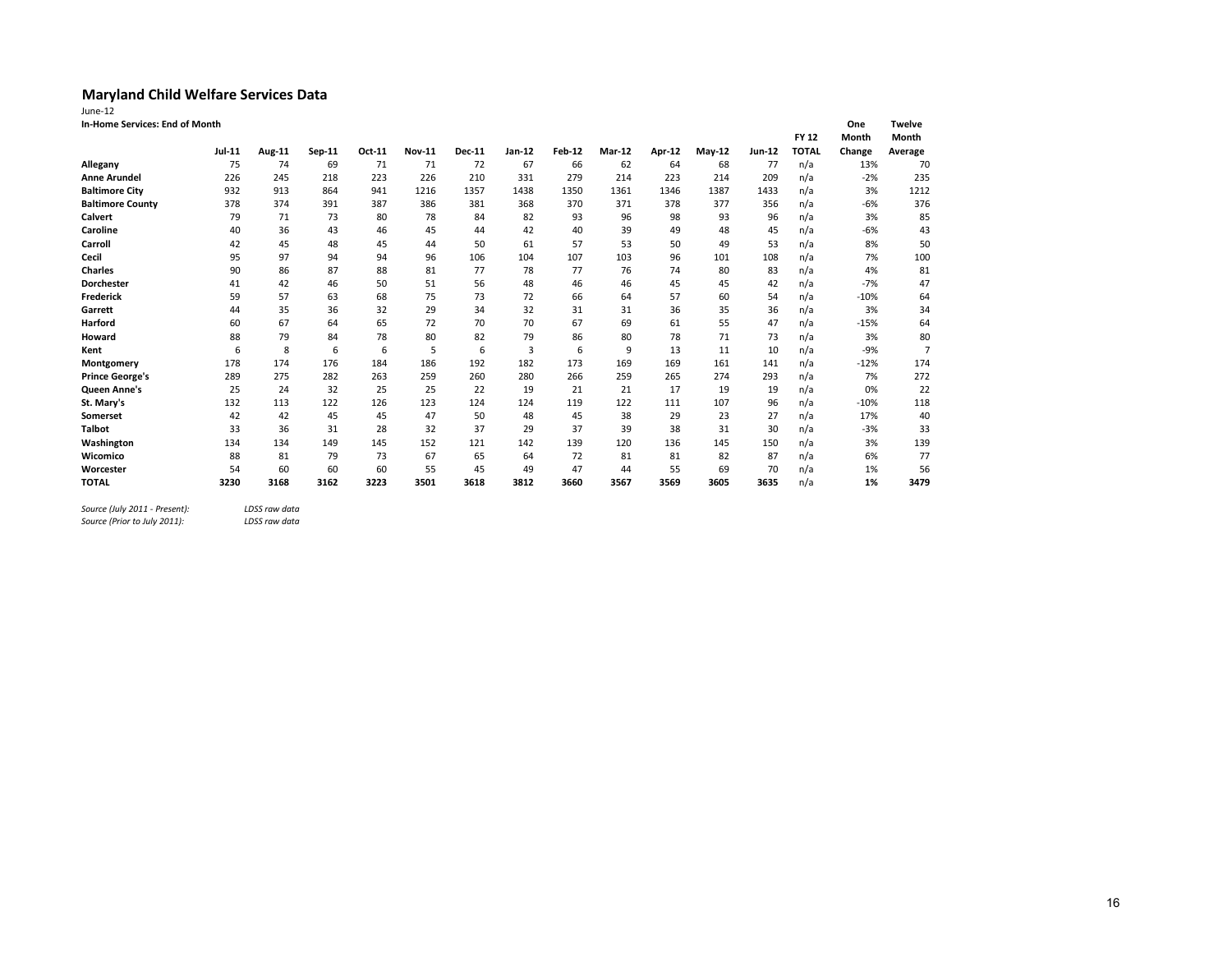| June-12                        |        |        |        |        |               |               |        |               |        |               |        |        |              |        |                |
|--------------------------------|--------|--------|--------|--------|---------------|---------------|--------|---------------|--------|---------------|--------|--------|--------------|--------|----------------|
| In-Home Services: End of Month |        |        |        |        |               |               |        |               |        |               |        |        |              | One    | <b>Twelve</b>  |
|                                |        |        |        |        |               |               |        |               |        |               |        |        | <b>FY 12</b> | Month  | Month          |
|                                | Jul-11 | Aug-11 | Sep-11 | Oct-11 | <b>Nov-11</b> | <b>Dec-11</b> | Jan-12 | <b>Feb-12</b> | Mar-12 | <b>Apr-12</b> | May-12 | Jun-12 | <b>TOTAL</b> | Change | Average        |
| Allegany                       | 75     | 74     | 69     | 71     | 71            | 72            | 67     | 66            | 62     | 64            | 68     | 77     | n/a          | 13%    | 70             |
| <b>Anne Arundel</b>            | 226    | 245    | 218    | 223    | 226           | 210           | 331    | 279           | 214    | 223           | 214    | 209    | n/a          | $-2%$  | 235            |
| <b>Baltimore City</b>          | 932    | 913    | 864    | 941    | 1216          | 1357          | 1438   | 1350          | 1361   | 1346          | 1387   | 1433   | n/a          | 3%     | 1212           |
| <b>Baltimore County</b>        | 378    | 374    | 391    | 387    | 386           | 381           | 368    | 370           | 371    | 378           | 377    | 356    | n/a          | $-6%$  | 376            |
| <b>Calvert</b>                 | 79     | 71     | 73     | 80     | 78            | 84            | 82     | 93            | 96     | 98            | 93     | 96     | n/a          | 3%     | 85             |
| Caroline                       | 40     | 36     | 43     | 46     | 45            | 44            | 42     | 40            | 39     | 49            | 48     | 45     | n/a          | $-6%$  | 43             |
| Carroll                        | 42     | 45     | 48     | 45     | 44            | 50            | 61     | 57            | 53     | 50            | 49     | 53     | n/a          | 8%     | 50             |
| Cecil                          | 95     | 97     | 94     | 94     | 96            | 106           | 104    | 107           | 103    | 96            | 101    | 108    | n/a          | 7%     | 100            |
| <b>Charles</b>                 | 90     | 86     | 87     | 88     | 81            | 77            | 78     | 77            | 76     | 74            | 80     | 83     | n/a          | 4%     | 81             |
| Dorchester                     | 41     | 42     | 46     | 50     | 51            | 56            | 48     | 46            | 46     | 45            | 45     | 42     | n/a          | $-7%$  | 47             |
| <b>Frederick</b>               | 59     | 57     | 63     | 68     | 75            | 73            | 72     | 66            | 64     | 57            | 60     | 54     | n/a          | $-10%$ | 64             |
| Garrett                        | 44     | 35     | 36     | 32     | 29            | 34            | 32     | 31            | 31     | 36            | 35     | 36     | n/a          | 3%     | 34             |
| Harford                        | 60     | 67     | 64     | 65     | 72            | 70            | 70     | 67            | 69     | 61            | 55     | 47     | n/a          | $-15%$ | 64             |
| Howard                         | 88     | 79     | 84     | 78     | 80            | 82            | 79     | 86            | 80     | 78            | 71     | 73     | n/a          | 3%     | 80             |
| Kent                           | 6      | 8      | 6      | 6      | 5             | 6             | 3      | 6             | 9      | 13            | 11     | 10     | n/a          | $-9%$  | $\overline{7}$ |
| Montgomery                     | 178    | 174    | 176    | 184    | 186           | 192           | 182    | 173           | 169    | 169           | 161    | 141    | n/a          | $-12%$ | 174            |
| <b>Prince George's</b>         | 289    | 275    | 282    | 263    | 259           | 260           | 280    | 266           | 259    | 265           | 274    | 293    | n/a          | 7%     | 272            |
| <b>Queen Anne's</b>            | 25     | 24     | 32     | 25     | 25            | 22            | 19     | 21            | 21     | 17            | 19     | 19     | n/a          | 0%     | 22             |
| St. Mary's                     | 132    | 113    | 122    | 126    | 123           | 124           | 124    | 119           | 122    | 111           | 107    | 96     | n/a          | $-10%$ | 118            |
| Somerset                       | 42     | 42     | 45     | 45     | 47            | 50            | 48     | 45            | 38     | 29            | 23     | 27     | n/a          | 17%    | 40             |
| <b>Talbot</b>                  | 33     | 36     | 31     | 28     | 32            | 37            | 29     | 37            | 39     | 38            | 31     | 30     | n/a          | $-3%$  | 33             |
| Washington                     | 134    | 134    | 149    | 145    | 152           | 121           | 142    | 139           | 120    | 136           | 145    | 150    | n/a          | 3%     | 139            |
| Wicomico                       | 88     | 81     | 79     | 73     | 67            | 65            | 64     | 72            | 81     | 81            | 82     | 87     | n/a          | 6%     | 77             |
| Worcester                      | 54     | 60     | 60     | 60     | 55            | 45            | 49     | 47            | 44     | 55            | 69     | 70     | n/a          | 1%     | 56             |
| <b>TOTAL</b>                   | 3230   | 3168   | 3162   | 3223   | 3501          | 3618          | 3812   | 3660          | 3567   | 3569          | 3605   | 3635   | n/a          | 1%     | 3479           |

*Source (July 2011 - Present): LDSS raw data*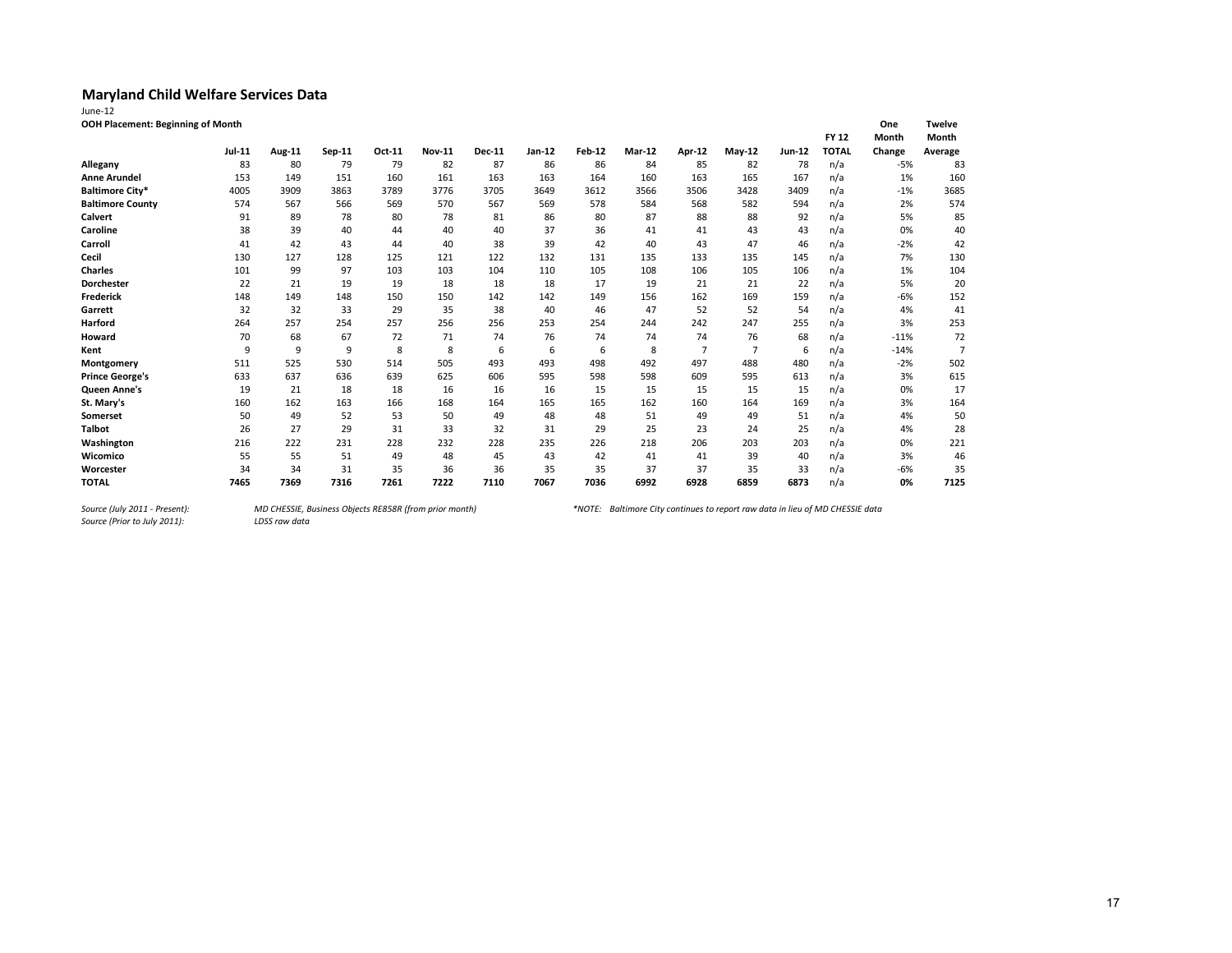| lune |  |  |
|------|--|--|

| June-12                           |  |
|-----------------------------------|--|
| OOH Placement: Beginning of Month |  |

| OOH Placement: Beginning of Month |        |        |          |        |               |               |        |               |        |                |          |               |              | One    | Twelve         |
|-----------------------------------|--------|--------|----------|--------|---------------|---------------|--------|---------------|--------|----------------|----------|---------------|--------------|--------|----------------|
|                                   |        |        |          |        |               |               |        |               |        |                |          |               | <b>FY 12</b> | Month  | Month          |
|                                   | Jul-11 | Aug-11 | $Sep-11$ | Oct-11 | <b>Nov-11</b> | <b>Dec-11</b> | Jan-12 | <b>Feb-12</b> | Mar-12 | Apr-12         | $May-12$ | <b>Jun-12</b> | <b>TOTAL</b> | Change | Average        |
| Allegany                          | 83     | 80     | 79       | 79     | 82            | 87            | 86     | 86            | 84     | 85             | 82       | 78            | n/a          | $-5%$  | 83             |
| <b>Anne Arundel</b>               | 153    | 149    | 151      | 160    | 161           | 163           | 163    | 164           | 160    | 163            | 165      | 167           | n/a          | 1%     | 160            |
| <b>Baltimore City*</b>            | 4005   | 3909   | 3863     | 3789   | 3776          | 3705          | 3649   | 3612          | 3566   | 3506           | 3428     | 3409          | n/a          | $-1%$  | 3685           |
| <b>Baltimore County</b>           | 574    | 567    | 566      | 569    | 570           | 567           | 569    | 578           | 584    | 568            | 582      | 594           | n/a          | 2%     | 574            |
| Calvert                           | 91     | 89     | 78       | 80     | 78            | 81            | 86     | 80            | 87     | 88             | 88       | 92            | n/a          | 5%     | 85             |
| Caroline                          | 38     | 39     | 40       | 44     | 40            | 40            | 37     | 36            | 41     | 41             | 43       | 43            | n/a          | 0%     | 40             |
| Carroll                           | 41     | 42     | 43       | 44     | 40            | 38            | 39     | 42            | 40     | 43             | 47       | 46            | n/a          | $-2%$  | 42             |
| Cecil                             | 130    | 127    | 128      | 125    | 121           | 122           | 132    | 131           | 135    | 133            | 135      | 145           | n/a          | 7%     | 130            |
| <b>Charles</b>                    | 101    | 99     | 97       | 103    | 103           | 104           | 110    | 105           | 108    | 106            | 105      | 106           | n/a          | 1%     | 104            |
| Dorchester                        | 22     | 21     | 19       | 19     | 18            | 18            | 18     | 17            | 19     | 21             | 21       | 22            | n/a          | 5%     | 20             |
| <b>Frederick</b>                  | 148    | 149    | 148      | 150    | 150           | 142           | 142    | 149           | 156    | 162            | 169      | 159           | n/a          | $-6%$  | 152            |
| Garrett                           | 32     | 32     | 33       | 29     | 35            | 38            | 40     | 46            | 47     | 52             | 52       | 54            | n/a          | 4%     | 41             |
| Harford                           | 264    | 257    | 254      | 257    | 256           | 256           | 253    | 254           | 244    | 242            | 247      | 255           | n/a          | 3%     | 253            |
| Howard                            | 70     | 68     | 67       | 72     | 71            | 74            | 76     | 74            | 74     | 74             | 76       | 68            | n/a          | $-11%$ | 72             |
| Kent                              | 9      | 9      | 9        | 8      | 8             | 6             | 6      | 6             | 8      | $\overline{7}$ | 7        | 6             | n/a          | $-14%$ | $\overline{7}$ |
| Montgomery                        | 511    | 525    | 530      | 514    | 505           | 493           | 493    | 498           | 492    | 497            | 488      | 480           | n/a          | $-2%$  | 502            |
| <b>Prince George's</b>            | 633    | 637    | 636      | 639    | 625           | 606           | 595    | 598           | 598    | 609            | 595      | 613           | n/a          | 3%     | 615            |
| <b>Queen Anne's</b>               | 19     | 21     | 18       | 18     | 16            | 16            | 16     | 15            | 15     | 15             | 15       | 15            | n/a          | 0%     | 17             |
| St. Mary's                        | 160    | 162    | 163      | 166    | 168           | 164           | 165    | 165           | 162    | 160            | 164      | 169           | n/a          | 3%     | 164            |
| Somerset                          | 50     | 49     | 52       | 53     | 50            | 49            | 48     | 48            | 51     | 49             | 49       | 51            | n/a          | 4%     | 50             |
| <b>Talbot</b>                     | 26     | 27     | 29       | 31     | 33            | 32            | 31     | 29            | 25     | 23             | 24       | 25            | n/a          | 4%     | 28             |
| Washington                        | 216    | 222    | 231      | 228    | 232           | 228           | 235    | 226           | 218    | 206            | 203      | 203           | n/a          | 0%     | 221            |
| Wicomico                          | 55     | 55     | 51       | 49     | 48            | 45            | 43     | 42            | 41     | 41             | 39       | 40            | n/a          | 3%     | 46             |
| Worcester                         | 34     | 34     | 31       | 35     | 36            | 36            | 35     | 35            | 37     | 37             | 35       | 33            | n/a          | -6%    | 35             |
| <b>TOTAL</b>                      | 7465   | 7369   | 7316     | 7261   | 7222          | 7110          | 7067   | 7036          | 6992   | 6928           | 6859     | 6873          | n/a          | 0%     | 7125           |

*Source (July 2011 - Present):<br>Source (Prior to July 2011):*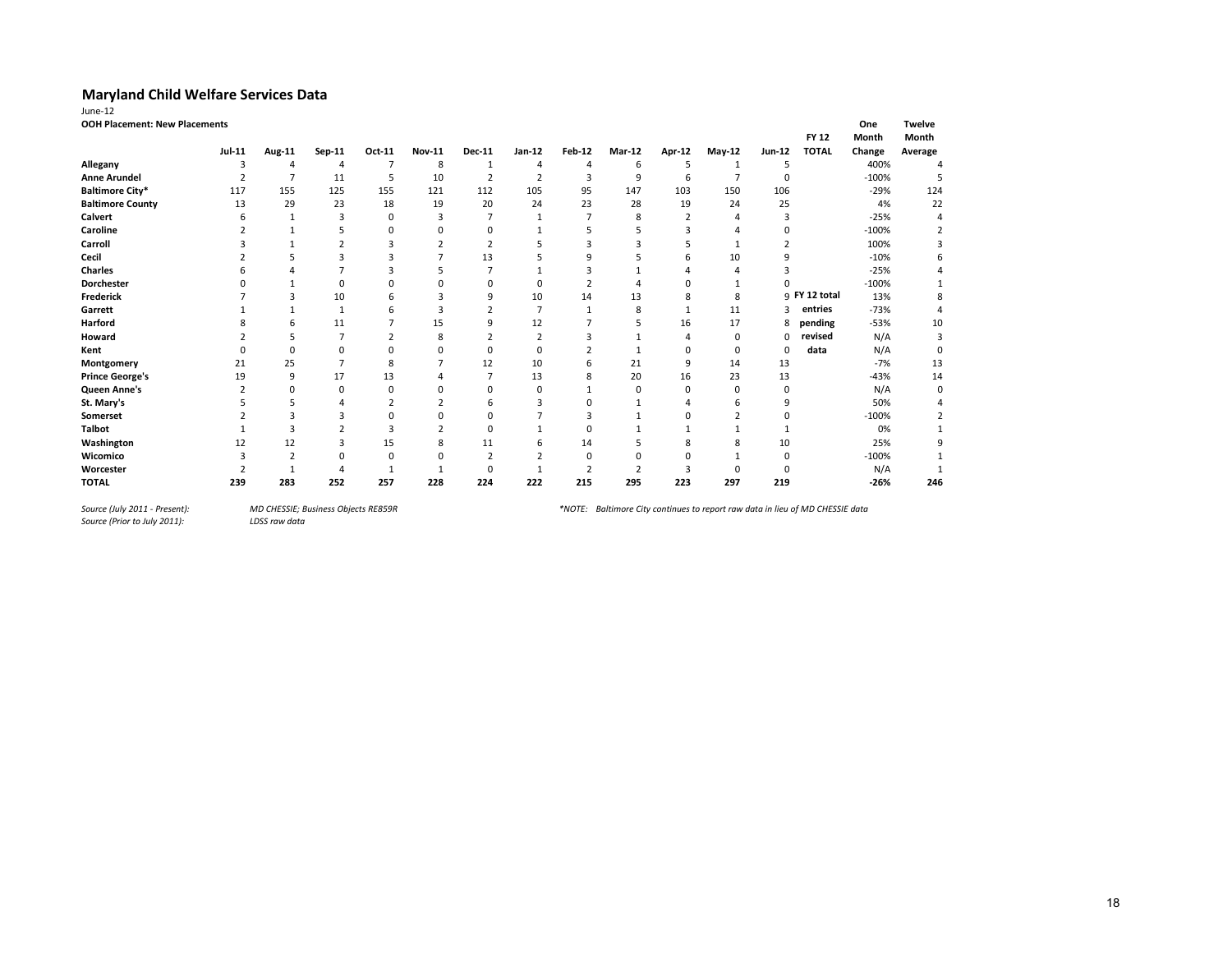| June-12                              |                |                |                         |                |               |                |                |          |          |          |                |          |               |         |               |
|--------------------------------------|----------------|----------------|-------------------------|----------------|---------------|----------------|----------------|----------|----------|----------|----------------|----------|---------------|---------|---------------|
| <b>OOH Placement: New Placements</b> |                |                |                         |                |               |                |                |          |          |          |                |          |               | One     | <b>Twelve</b> |
|                                      |                |                |                         |                |               |                |                |          |          |          |                |          | <b>FY 12</b>  | Month   | Month         |
|                                      | Jul-11         | Aug-11         | Sep-11                  | Oct-11         | <b>Nov-11</b> | <b>Dec-11</b>  | Jan-12         | Feb-12   | Mar-12   | Apr-12   | $May-12$       | Jun-12   | <b>TOTAL</b>  | Change  | Average       |
| Allegany                             | 3              | 4              | 4                       | 7              | 8             | 1              | 4              | 4        | 6        | 5        | 1              | .5       |               | 400%    |               |
| <b>Anne Arundel</b>                  | $\overline{2}$ | $\overline{7}$ | 11                      | 5              | 10            | $\overline{2}$ | $\overline{2}$ | 3        | 9        | 6        | $\overline{7}$ | $\Omega$ |               | $-100%$ | 5             |
| <b>Baltimore City*</b>               | 117            | 155            | 125                     | 155            | 121           | 112            | 105            | 95       | 147      | 103      | 150            | 106      |               | $-29%$  | 124           |
| <b>Baltimore County</b>              | 13             | 29             | 23                      | 18             | 19            | 20             | 24             | 23       | 28       | 19       | 24             | 25       |               | 4%      | 22            |
| <b>Calvert</b>                       | 6              | $\mathbf{1}$   | 3                       | 0              | 3             |                |                |          | 8        | 2        |                | 3        |               | $-25%$  |               |
| Caroline                             |                |                | 5                       | 0              | ŋ             | ŋ              |                |          |          |          |                | $\Omega$ |               | $-100%$ |               |
| Carroll                              |                |                | $\overline{\mathbf{c}}$ | 3              |               | 2              |                |          |          |          |                |          |               | 100%    |               |
| Cecil                                |                |                | з                       | 3              |               | 13             |                | q        |          | h        | 10             | 9        |               | $-10%$  | 6             |
| <b>Charles</b>                       |                |                |                         | 3              | 5             |                |                |          |          |          |                |          |               | $-25%$  |               |
| Dorchester                           |                |                | $\Omega$                |                | C             | ŋ              | n              |          |          |          |                |          |               | $-100%$ |               |
| <b>Frederick</b>                     |                | 3              | 10                      | 6              | 3             | 9              | 10             | 14       | 13       | 8        | 8              |          | 9 FY 12 total | 13%     | 8             |
| Garrett                              |                |                | $\overline{1}$          | 6              | 3             |                |                |          | 8        |          | 11             |          | entries       | $-73%$  |               |
| Harford                              |                | 6              | 11                      |                | 15            | 9              | 12             |          |          | 16       | 17             | 8        | pending       | $-53%$  | 10            |
| Howard                               |                | 5              | 7                       | $\overline{c}$ | 8             |                | $\overline{2}$ |          |          |          | $\Omega$       |          | revised       | N/A     | 3             |
| Kent                                 | O              | $\Omega$       | $\Omega$                | n              | O             | 0              | $\Omega$       |          | 1        | $\Omega$ | $\Omega$       | $\Omega$ | data          | N/A     | $\Omega$      |
| Montgomery                           | 21             | 25             | ∍                       | 8              |               | 12             | 10             | 6        | 21       | 9        | 14             | 13       |               | $-7%$   | 13            |
| <b>Prince George's</b>               | 19             | 9              | 17                      | 13             |               |                | 13             | 8        | 20       | 16       | 23             | 13       |               | $-43%$  | 14            |
| Queen Anne's                         | h              | $\Omega$       | $\Omega$                | $\Omega$       | C             | 0              | n              |          | $\Omega$ | $\Omega$ | n              | $\Omega$ |               | N/A     | $\Omega$      |
| St. Mary's                           |                | 5              |                         |                |               | 6              |                |          |          |          | h              | 9        |               | 50%     |               |
| <b>Somerset</b>                      |                | 3              |                         | 0              | ŋ             | 0              |                |          |          |          |                | $\Omega$ |               | $-100%$ |               |
| <b>Talbot</b>                        |                | 3              |                         | 3              | 2             | O              |                | $\Omega$ |          |          |                |          |               | 0%      |               |
| Washington                           | 12             | 12             | 3                       | 15             | 8             | 11             | 6              | 14       |          |          |                | 10       |               | 25%     | 9             |
| Wicomico                             |                |                | $\Omega$                | 0              |               | $\overline{2}$ |                | $\Omega$ |          |          |                | $\Omega$ |               | $-100%$ |               |
| Worcester                            |                |                |                         |                |               | 0              |                |          |          |          | n              |          |               | N/A     |               |
| <b>TOTAL</b>                         | 239            | 283            | 252                     | 257            | 228           | 224            | 222            | 215      | 295      | 223      | 297            | 219      |               | $-26%$  | 246           |

*Source (July 2011 - Present):<br>Source (Prior to July 2011):* 

*Source (July 2011 - Present): MD CHESSIE; Business Objects RE859R \*NOTE: Baltimore City continues to report raw data in lieu of MD CHESSIE data*

18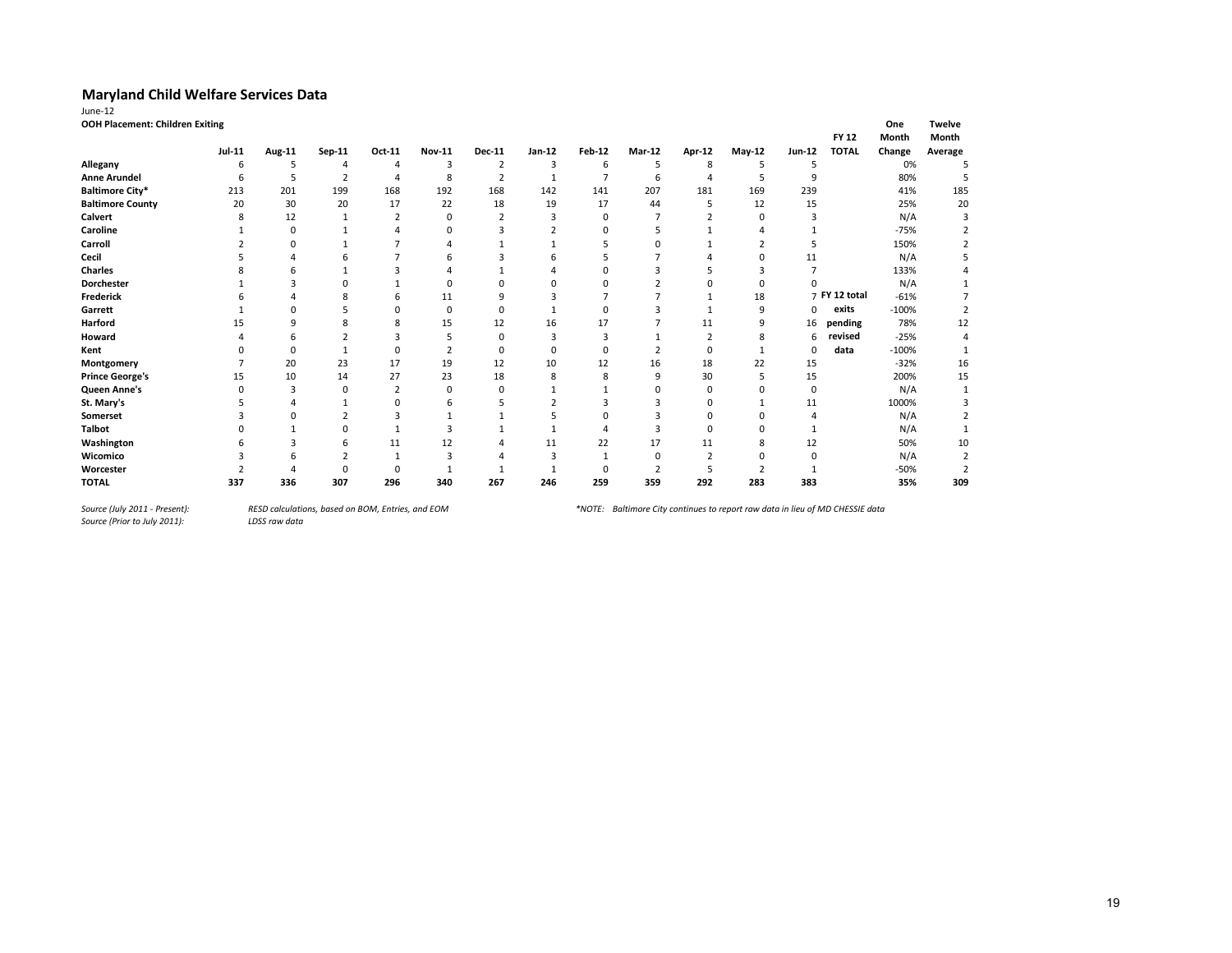| June-12                                |        |        |                |                |                |                |              |                |        |                |          |          |               |         |               |
|----------------------------------------|--------|--------|----------------|----------------|----------------|----------------|--------------|----------------|--------|----------------|----------|----------|---------------|---------|---------------|
| <b>OOH Placement: Children Exiting</b> |        |        |                |                |                |                |              |                |        |                |          |          |               | One     | <b>Twelve</b> |
|                                        |        |        |                |                |                |                |              |                |        |                |          |          | <b>FY 12</b>  | Month   | Month         |
|                                        | Jul-11 | Aug-11 | Sep-11         | Oct-11         | <b>Nov-11</b>  | <b>Dec-11</b>  | $Jan-12$     | Feb-12         | Mar-12 | <b>Apr-12</b>  | May-12   | Jun-12   | <b>TOTAL</b>  | Change  | Average       |
| Allegany                               | 6      | 5      | 4              | 4              | 3              | $\overline{2}$ | 3            | 6              | 5      | 8              | 5        | 5        |               | 0%      |               |
| <b>Anne Arundel</b>                    | 6      | 5      | $\overline{2}$ | 4              | 8              | $\overline{2}$ | $\mathbf{1}$ | $\overline{7}$ | 6      | $\Delta$       | 5        | 9        |               | 80%     |               |
| <b>Baltimore City*</b>                 | 213    | 201    | 199            | 168            | 192            | 168            | 142          | 141            | 207    | 181            | 169      | 239      |               | 41%     | 185           |
| <b>Baltimore County</b>                | 20     | 30     | 20             | 17             | 22             | 18             | 19           | 17             | 44     | 5              | 12       | 15       |               | 25%     | 20            |
| <b>Calvert</b>                         |        | 12     |                | $\overline{2}$ | 0              | 2              | 3            | $\Omega$       |        |                | n        |          |               | N/A     |               |
| Caroline                               |        | 0      |                |                | 0              |                |              |                |        |                |          |          |               | $-75%$  |               |
| Carroll                                |        | 0      |                |                |                |                |              |                |        |                |          | 5        |               | 150%    |               |
| Cecil                                  |        |        |                |                | 6              |                |              |                |        |                | $\Omega$ | 11       |               | N/A     |               |
| <b>Charles</b>                         |        |        |                |                |                |                |              |                |        |                |          | 7        |               | 133%    |               |
| Dorchester                             |        | з      |                |                | O              |                |              |                |        |                |          |          |               | N/A     |               |
| <b>Frederick</b>                       |        |        |                | 6              | 11             |                | Р            |                |        | 1              | 18       |          | 7 FY 12 total | $-61%$  |               |
| Garrett                                |        | 0      |                | $\Omega$       | 0              |                |              | $\Omega$       |        |                | 9        | $\Omega$ | exits         | $-100%$ |               |
| Harford                                | 15     | 9      |                | 8              | 15             | 12             | 16           | 17             |        | 11             | q        | 16       | pending       | 78%     | 12            |
| Howard                                 |        | h      |                | 3              | 5              |                | 3            | 3              |        | $\overline{2}$ | 8        | 6        | revised       | $-25%$  |               |
| Kent                                   |        | O      |                | $\Omega$       | $\overline{2}$ |                | $\Omega$     | $\Omega$       |        | $\Omega$       |          | $\Omega$ | data          | $-100%$ |               |
| Montgomery                             |        | 20     | 23             | 17             | 19             | 12             | 10           | 12             | 16     | 18             | 22       | 15       |               | $-32%$  | 16            |
| <b>Prince George's</b>                 | 15     | 10     | 14             | 27             | 23             | 18             | 8            | 8              | 9      | 30             |          | 15       |               | 200%    | 15            |
| Queen Anne's                           |        | 3      | O              | $\overline{2}$ | $\Omega$       | n              |              |                | 0      | $\Omega$       | n        | $\Omega$ |               | N/A     |               |
| St. Mary's                             |        |        |                | $\Omega$       | 6              |                |              |                |        | $\Omega$       |          | 11       |               | 1000%   |               |
| Somerset                               |        |        |                | 3              |                |                |              | n              |        | $\Omega$       | n        |          |               | N/A     |               |
| <b>Talbot</b>                          |        |        | n              |                | κ              |                |              |                |        | $\Omega$       | n        |          |               | N/A     |               |
| Washington                             |        |        |                | 11             | 12             |                | 11           | 22             | 17     | 11             |          | 12       |               | 50%     | 10            |
| Wicomico                               |        |        |                |                | 3              |                | з            |                | 0      |                |          | O        |               | N/A     |               |
| Worcester                              |        |        |                | $\Omega$       |                |                |              | n              | 2      |                |          |          |               | $-50%$  |               |
| <b>TOTAL</b>                           | 337    | 336    | 307            | 296            | 340            | 267            | 246          | 259            | 359    | 292            | 283      | 383      |               | 35%     | 309           |

*Source (July 2011 - Present):<br>Source (Prior to July 2011):* 

*Source (July 2011 - Present): RESD calculations, based on BOM, Entries, and EOM \*NOTE: Baltimore City continues to report raw data in lieu of MD CHESSIE data*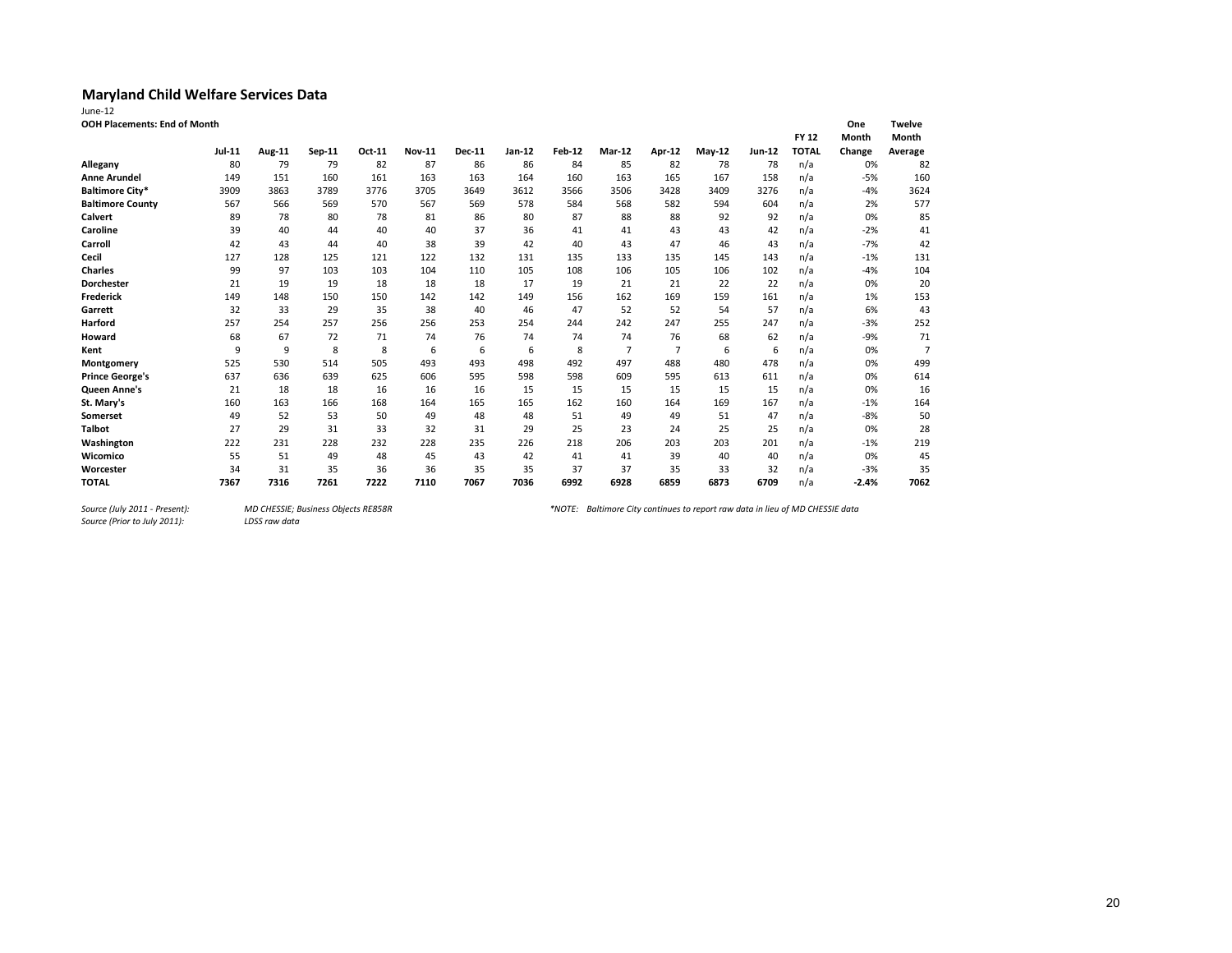| June-12                      |               |        |        |        |               |               |        |               |                |                |          |        |              |         |                |
|------------------------------|---------------|--------|--------|--------|---------------|---------------|--------|---------------|----------------|----------------|----------|--------|--------------|---------|----------------|
| OOH Placements: End of Month |               |        |        |        |               |               |        |               |                |                |          |        |              | One     | <b>Twelve</b>  |
|                              |               |        |        |        |               |               |        |               |                |                |          |        | <b>FY 12</b> | Month   | Month          |
|                              | <b>Jul-11</b> | Aug-11 | Sep-11 | Oct-11 | <b>Nov-11</b> | <b>Dec-11</b> | Jan-12 | <b>Feb-12</b> | Mar-12         | Apr-12         | $May-12$ | Jun-12 | <b>TOTAL</b> | Change  | Average        |
| Allegany                     | 80            | 79     | 79     | 82     | 87            | 86            | 86     | 84            | 85             | 82             | 78       | 78     | n/a          | 0%      | 82             |
| <b>Anne Arundel</b>          | 149           | 151    | 160    | 161    | 163           | 163           | 164    | 160           | 163            | 165            | 167      | 158    | n/a          | $-5%$   | 160            |
| <b>Baltimore City*</b>       | 3909          | 3863   | 3789   | 3776   | 3705          | 3649          | 3612   | 3566          | 3506           | 3428           | 3409     | 3276   | n/a          | $-4%$   | 3624           |
| <b>Baltimore County</b>      | 567           | 566    | 569    | 570    | 567           | 569           | 578    | 584           | 568            | 582            | 594      | 604    | n/a          | 2%      | 577            |
| <b>Calvert</b>               | 89            | 78     | 80     | 78     | 81            | 86            | 80     | 87            | 88             | 88             | 92       | 92     | n/a          | 0%      | 85             |
| Caroline                     | 39            | 40     | 44     | 40     | 40            | 37            | 36     | 41            | 41             | 43             | 43       | 42     | n/a          | $-2%$   | 41             |
| Carroll                      | 42            | 43     | 44     | 40     | 38            | 39            | 42     | 40            | 43             | 47             | 46       | 43     | n/a          | $-7%$   | 42             |
| Cecil                        | 127           | 128    | 125    | 121    | 122           | 132           | 131    | 135           | 133            | 135            | 145      | 143    | n/a          | $-1%$   | 131            |
| <b>Charles</b>               | 99            | 97     | 103    | 103    | 104           | 110           | 105    | 108           | 106            | 105            | 106      | 102    | n/a          | $-4%$   | 104            |
| <b>Dorchester</b>            | 21            | 19     | 19     | 18     | 18            | 18            | 17     | 19            | 21             | 21             | 22       | 22     | n/a          | 0%      | 20             |
| <b>Frederick</b>             | 149           | 148    | 150    | 150    | 142           | 142           | 149    | 156           | 162            | 169            | 159      | 161    | n/a          | 1%      | 153            |
| Garrett                      | 32            | 33     | 29     | 35     | 38            | 40            | 46     | 47            | 52             | 52             | 54       | 57     | n/a          | 6%      | 43             |
| Harford                      | 257           | 254    | 257    | 256    | 256           | 253           | 254    | 244           | 242            | 247            | 255      | 247    | n/a          | $-3%$   | 252            |
| Howard                       | 68            | 67     | 72     | 71     | 74            | 76            | 74     | 74            | 74             | 76             | 68       | 62     | n/a          | $-9%$   | 71             |
| Kent                         | 9             | 9      | 8      | 8      | 6             | 6             | 6      | 8             | $\overline{7}$ | $\overline{7}$ | 6        | 6      | n/a          | 0%      | $\overline{7}$ |
| Montgomery                   | 525           | 530    | 514    | 505    | 493           | 493           | 498    | 492           | 497            | 488            | 480      | 478    | n/a          | 0%      | 499            |
| <b>Prince George's</b>       | 637           | 636    | 639    | 625    | 606           | 595           | 598    | 598           | 609            | 595            | 613      | 611    | n/a          | 0%      | 614            |
| Queen Anne's                 | 21            | 18     | 18     | 16     | 16            | 16            | 15     | 15            | 15             | 15             | 15       | 15     | n/a          | 0%      | 16             |
| St. Mary's                   | 160           | 163    | 166    | 168    | 164           | 165           | 165    | 162           | 160            | 164            | 169      | 167    | n/a          | $-1%$   | 164            |
| <b>Somerset</b>              | 49            | 52     | 53     | 50     | 49            | 48            | 48     | 51            | 49             | 49             | 51       | 47     | n/a          | $-8%$   | 50             |
| <b>Talbot</b>                | 27            | 29     | 31     | 33     | 32            | 31            | 29     | 25            | 23             | 24             | 25       | 25     | n/a          | 0%      | 28             |
| Washington                   | 222           | 231    | 228    | 232    | 228           | 235           | 226    | 218           | 206            | 203            | 203      | 201    | n/a          | $-1%$   | 219            |
| Wicomico                     | 55            | 51     | 49     | 48     | 45            | 43            | 42     | 41            | 41             | 39             | 40       | 40     | n/a          | 0%      | 45             |
| Worcester                    | 34            | 31     | 35     | 36     | 36            | 35            | 35     | 37            | 37             | 35             | 33       | 32     | n/a          | $-3%$   | 35             |
| <b>TOTAL</b>                 | 7367          | 7316   | 7261   | 7222   | 7110          | 7067          | 7036   | 6992          | 6928           | 6859           | 6873     | 6709   | n/a          | $-2.4%$ | 7062           |

*Source (Prior to July 2011):* 

*Source (July 2011 - Present): MD CHESSIE; Business Objects RE858R \*NOTE: Baltimore City continues to report raw data in lieu of MD CHESSIE data*

20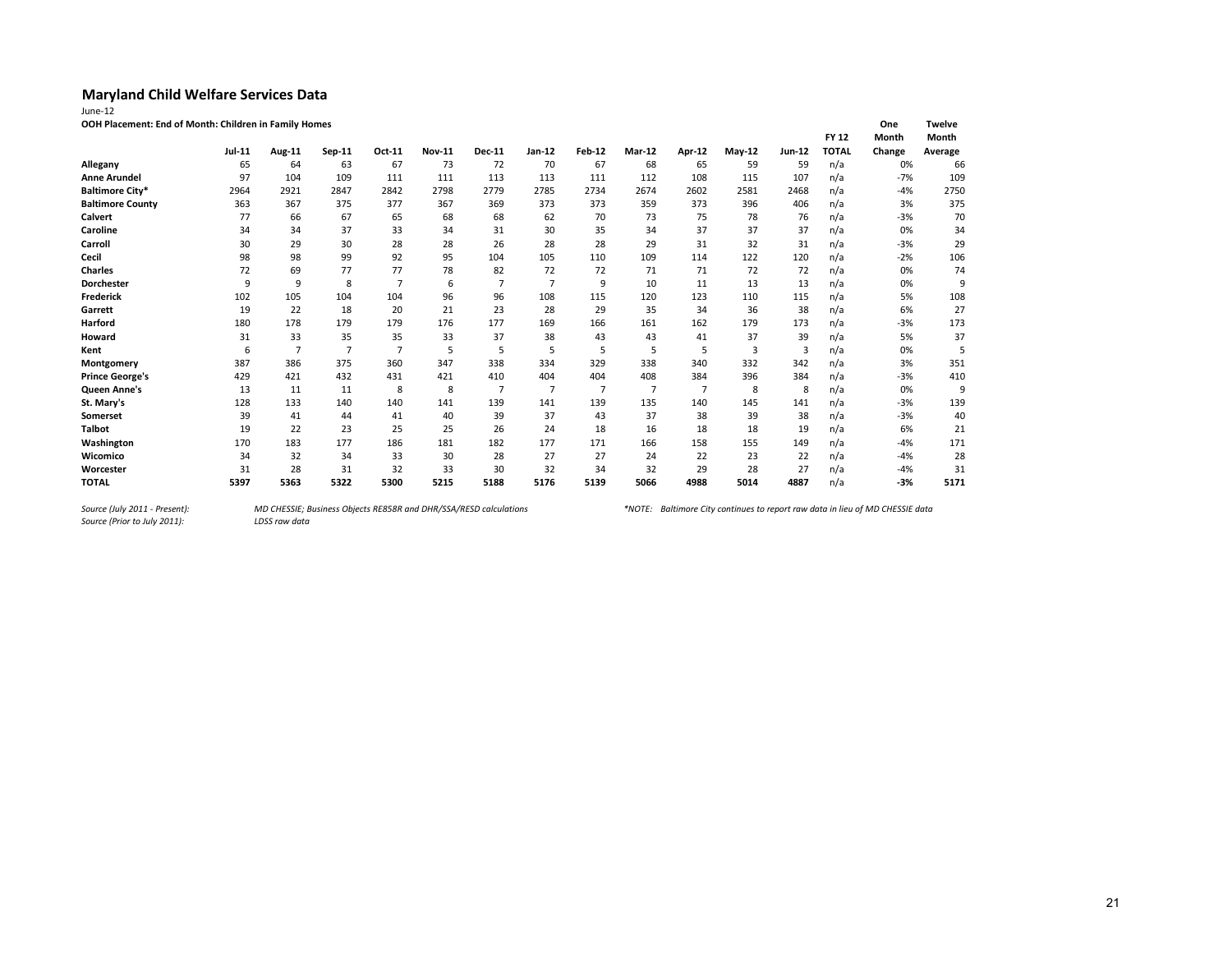| June-12 |  |
|---------|--|
| OOH Pla |  |

| <b>DOH Placement: End of Month: Children in Family Homes</b> |  |
|--------------------------------------------------------------|--|
|--------------------------------------------------------------|--|

| OOH Placement: End of Month: Children in Family Homes |        |                |                |                |               |               |                |                |                |        |          |               |              | One    | Twelve  |
|-------------------------------------------------------|--------|----------------|----------------|----------------|---------------|---------------|----------------|----------------|----------------|--------|----------|---------------|--------------|--------|---------|
|                                                       |        |                |                |                |               |               |                |                |                |        |          |               | <b>FY 12</b> | Month  | Month   |
|                                                       | Jul-11 | Aug-11         | Sep-11         | Oct-11         | <b>Nov-11</b> | <b>Dec-11</b> | Jan-12         | <b>Feb-12</b>  | Mar-12         | Apr-12 | $May-12$ | <b>Jun-12</b> | <b>TOTAL</b> | Change | Average |
| Allegany                                              | 65     | 64             | 63             | 67             | 73            | 72            | 70             | 67             | 68             | 65     | 59       | 59            | n/a          | 0%     | 66      |
| <b>Anne Arundel</b>                                   | 97     | 104            | 109            | 111            | 111           | 113           | 113            | 111            | 112            | 108    | 115      | 107           | n/a          | $-7%$  | 109     |
| <b>Baltimore City*</b>                                | 2964   | 2921           | 2847           | 2842           | 2798          | 2779          | 2785           | 2734           | 2674           | 2602   | 2581     | 2468          | n/a          | -4%    | 2750    |
| <b>Baltimore County</b>                               | 363    | 367            | 375            | 377            | 367           | 369           | 373            | 373            | 359            | 373    | 396      | 406           | n/a          | 3%     | 375     |
| Calvert                                               | 77     | 66             | 67             | 65             | 68            | 68            | 62             | 70             | 73             | 75     | 78       | 76            | n/a          | $-3%$  | 70      |
| Caroline                                              | 34     | 34             | 37             | 33             | 34            | 31            | 30             | 35             | 34             | 37     | 37       | 37            | n/a          | 0%     | 34      |
| Carroll                                               | 30     | 29             | 30             | 28             | 28            | 26            | 28             | 28             | 29             | 31     | 32       | 31            | n/a          | $-3%$  | 29      |
| Cecil                                                 | 98     | 98             | 99             | 92             | 95            | 104           | 105            | 110            | 109            | 114    | 122      | 120           | n/a          | $-2%$  | 106     |
| <b>Charles</b>                                        | 72     | 69             | 77             | 77             | 78            | 82            | 72             | 72             | 71             | 71     | 72       | 72            | n/a          | 0%     | 74      |
| <b>Dorchester</b>                                     | 9      | 9              | 8              | $\overline{7}$ | 6             |               | $\overline{7}$ | 9              | 10             | 11     | 13       | 13            | n/a          | 0%     | 9       |
| <b>Frederick</b>                                      | 102    | 105            | 104            | 104            | 96            | 96            | 108            | 115            | 120            | 123    | 110      | 115           | n/a          | 5%     | 108     |
| Garrett                                               | 19     | 22             | 18             | 20             | 21            | 23            | 28             | 29             | 35             | 34     | 36       | 38            | n/a          | 6%     | 27      |
| Harford                                               | 180    | 178            | 179            | 179            | 176           | 177           | 169            | 166            | 161            | 162    | 179      | 173           | n/a          | $-3%$  | 173     |
| Howard                                                | 31     | 33             | 35             | 35             | 33            | 37            | 38             | 43             | 43             | 41     | 37       | 39            | n/a          | 5%     | 37      |
| Kent                                                  | 6      | $\overline{7}$ | $\overline{7}$ | 7              | 5             | 5             | 5              | 5              | 5              | 5      | 3        | 3             | n/a          | 0%     | 5       |
| Montgomery                                            | 387    | 386            | 375            | 360            | 347           | 338           | 334            | 329            | 338            | 340    | 332      | 342           | n/a          | 3%     | 351     |
| <b>Prince George's</b>                                | 429    | 421            | 432            | 431            | 421           | 410           | 404            | 404            | 408            | 384    | 396      | 384           | n/a          | $-3%$  | 410     |
| <b>Queen Anne's</b>                                   | 13     | 11             | 11             | 8              | 8             | 7             | $\overline{7}$ | $\overline{7}$ | $\overline{7}$ | 7      | 8        | 8             | n/a          | 0%     | 9       |
| St. Mary's                                            | 128    | 133            | 140            | 140            | 141           | 139           | 141            | 139            | 135            | 140    | 145      | 141           | n/a          | $-3%$  | 139     |
| Somerset                                              | 39     | 41             | 44             | 41             | 40            | 39            | 37             | 43             | 37             | 38     | 39       | 38            | n/a          | $-3%$  | 40      |
| <b>Talbot</b>                                         | 19     | 22             | 23             | 25             | 25            | 26            | 24             | 18             | 16             | 18     | 18       | 19            | n/a          | 6%     | 21      |
| Washington                                            | 170    | 183            | 177            | 186            | 181           | 182           | 177            | 171            | 166            | 158    | 155      | 149           | n/a          | $-4%$  | 171     |
| Wicomico                                              | 34     | 32             | 34             | 33             | 30            | 28            | 27             | 27             | 24             | 22     | 23       | 22            | n/a          | $-4%$  | 28      |
| Worcester                                             | 31     | 28             | 31             | 32             | 33            | 30            | 32             | 34             | 32             | 29     | 28       | 27            | n/a          | -4%    | 31      |
| <b>TOTAL</b>                                          | 5397   | 5363           | 5322           | 5300           | 5215          | 5188          | 5176           | 5139           | 5066           | 4988   | 5014     | 4887          | n/a          | $-3%$  | 5171    |

*Source (July 2011 - Present):<br>Source (Prior to July 2011):*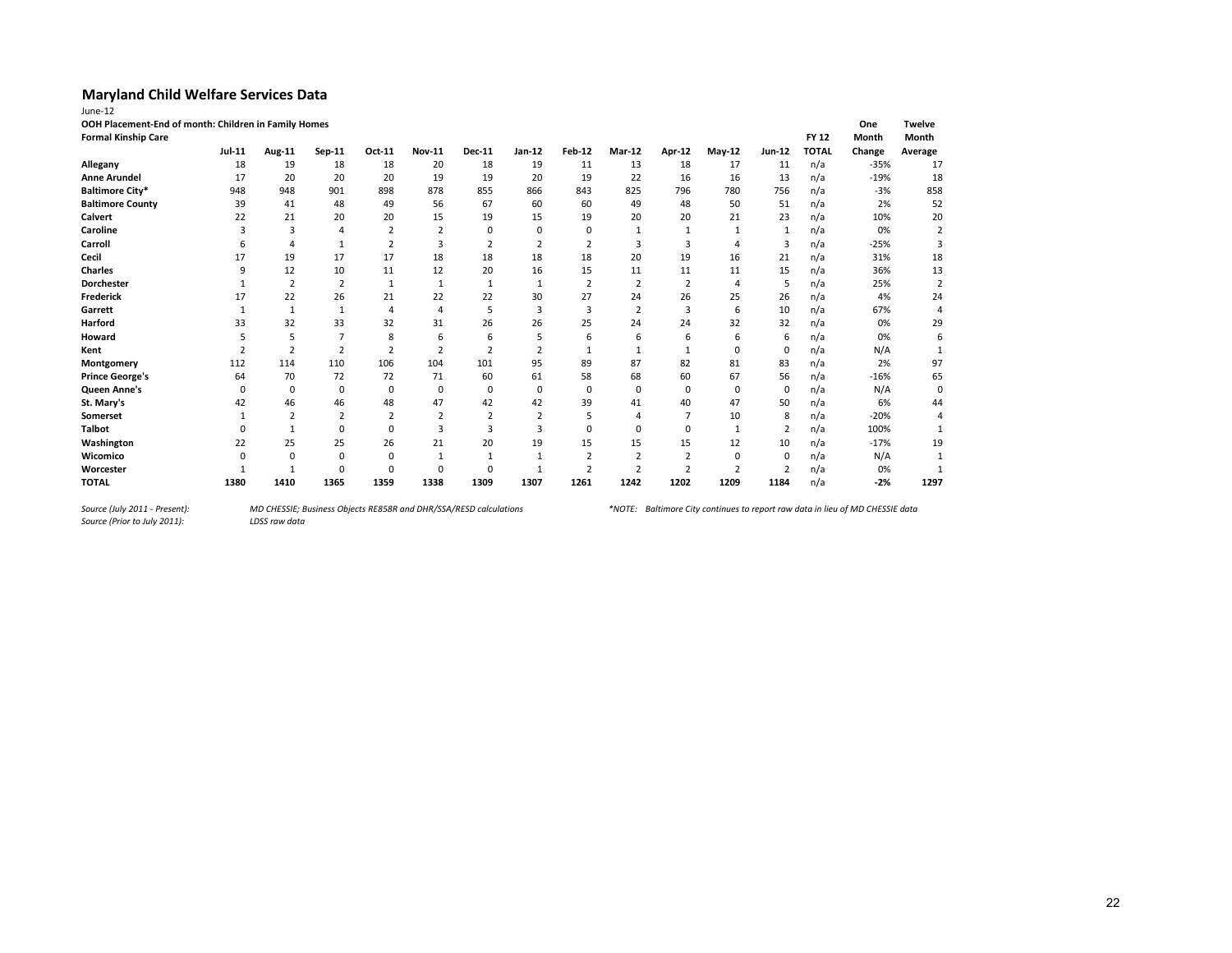| OOH Placement-End of month: Children in Family Homes<br><b>Formal Kinship Care</b> |          |                |                |                |                |                |                |                |                |                |                |             | <b>FY 12</b> | One<br>Month | <b>Twelve</b><br>Month |
|------------------------------------------------------------------------------------|----------|----------------|----------------|----------------|----------------|----------------|----------------|----------------|----------------|----------------|----------------|-------------|--------------|--------------|------------------------|
|                                                                                    | Jul-11   | Aug-11         | Sep-11         | Oct-11         | <b>Nov-11</b>  | <b>Dec-11</b>  | Jan-12         | <b>Feb-12</b>  | Mar-12         | Apr-12         | $May-12$       | Jun-12      | <b>TOTAL</b> | Change       | Average                |
| Allegany                                                                           | 18       | 19             | 18             | 18             | 20             | 18             | 19             | 11             | 13             | 18             | 17             | 11          | n/a          | $-35%$       | 17                     |
| <b>Anne Arundel</b>                                                                | 17       | 20             | 20             | 20             | 19             | 19             | 20             | 19             | 22             | 16             | 16             | 13          | n/a          | $-19%$       | 18                     |
| <b>Baltimore City*</b>                                                             | 948      | 948            | 901            | 898            | 878            | 855            | 866            | 843            | 825            | 796            | 780            | 756         | n/a          | $-3%$        | 858                    |
| <b>Baltimore County</b>                                                            | 39       | 41             | 48             | 49             | 56             | 67             | 60             | 60             | 49             | 48             | 50             | 51          | n/a          | 2%           | 52                     |
| Calvert                                                                            | 22       | 21             | 20             | 20             | 15             | 19             | 15             | 19             | 20             | 20             | 21             | 23          | n/a          | 10%          | 20                     |
| Caroline                                                                           |          | 3              | 4              | $\overline{2}$ | $\overline{2}$ | 0              | $\Omega$       | 0              |                |                |                |             | n/a          | 0%           |                        |
| Carroll                                                                            |          | 4              | 1              | $\overline{2}$ | 3              | $\overline{2}$ | $\overline{2}$ | $\overline{2}$ | 3              | 3              | 4              | 3           | n/a          | $-25%$       | 3                      |
| Cecil                                                                              | 17       | 19             | 17             | 17             | 18             | 18             | 18             | 18             | 20             | 19             | 16             | 21          | n/a          | 31%          | 18                     |
| <b>Charles</b>                                                                     | q        | 12             | 10             | 11             | 12             | 20             | 16             | 15             | 11             | 11             | 11             | 15          | n/a          | 36%          | 13                     |
| <b>Dorchester</b>                                                                  |          | 2              | 2              | 1              | 1              | $\mathbf{1}$   | 1              | $\overline{2}$ | $\overline{2}$ | 2              | 4              | 5           | n/a          | 25%          | $\overline{2}$         |
| <b>Frederick</b>                                                                   | 17       | 22             | 26             | 21             | 22             | 22             | 30             | 27             | 24             | 26             | 25             | 26          | n/a          | 4%           | 24                     |
| Garrett                                                                            |          | 1              |                | 4              | 4              | 5              | 3              | 3              | $\overline{2}$ | 3              | 6              | 10          | n/a          | 67%          |                        |
| Harford                                                                            | 33       | 32             | 33             | 32             | 31             | 26             | 26             | 25             | 24             | 24             | 32             | 32          | n/a          | 0%           | 29                     |
| Howard                                                                             |          | 5              | $\overline{7}$ | 8              | 6              | 6              | 5              | 6              | 6              | 6              | 6              | 6           | n/a          | 0%           | 6                      |
| Kent                                                                               |          | $\overline{2}$ | $\overline{2}$ | $\overline{2}$ | $\overline{2}$ | $\overline{2}$ | $\overline{2}$ |                |                |                | $\Omega$       | $\mathbf 0$ | n/a          | N/A          |                        |
| Montgomery                                                                         | 112      | 114            | 110            | 106            | 104            | 101            | 95             | 89             | 87             | 82             | 81             | 83          | n/a          | 2%           | 97                     |
| <b>Prince George's</b>                                                             | 64       | 70             | 72             | 72             | 71             | 60             | 61             | 58             | 68             | 60             | 67             | 56          | n/a          | $-16%$       | 65                     |
| Queen Anne's                                                                       | $\Omega$ | 0              | 0              | 0              | 0              | 0              | 0              | 0              | 0              | 0              | $\mathbf 0$    | $\mathbf 0$ | n/a          | N/A          | 0                      |
| St. Mary's                                                                         | 42       | 46             | 46             | 48             | 47             | 42             | 42             | 39             | 41             | 40             | 47             | 50          | n/a          | 6%           | 44                     |
| Somerset                                                                           |          |                |                |                |                |                |                |                | 4              |                | 10             | 8           | n/a          | $-20%$       | 4                      |
| <b>Talbot</b>                                                                      |          |                | $\Omega$       | $\Omega$       | 3              | 3              | 3              | $\Omega$       | $\Omega$       | $\Omega$       |                | 2           | n/a          | 100%         |                        |
| Washington                                                                         | 22       | 25             | 25             | 26             | 21             | 20             | 19             | 15             | 15             | 15             | 12             | 10          | n/a          | $-17%$       | 19                     |
| Wicomico                                                                           | O        | $\Omega$       | $\Omega$       | $\Omega$       |                |                |                |                | $\overline{2}$ | $\overline{2}$ | $\Omega$       | $\Omega$    | n/a          | N/A          |                        |
| Worcester                                                                          |          |                | $\Omega$       | O              | $\Omega$       | n              |                |                | $\overline{2}$ | $\overline{2}$ | $\overline{2}$ |             | n/a          | 0%           |                        |
| <b>TOTAL</b>                                                                       | 1380     | 1410           | 1365           | 1359           | 1338           | 1309           | 1307           | 1261           | 1242           | 1202           | 1209           | 1184        | n/a          | $-2%$        | 1297                   |

*Source (July 2011 - Present):<br>Source (Prior to July 2011):*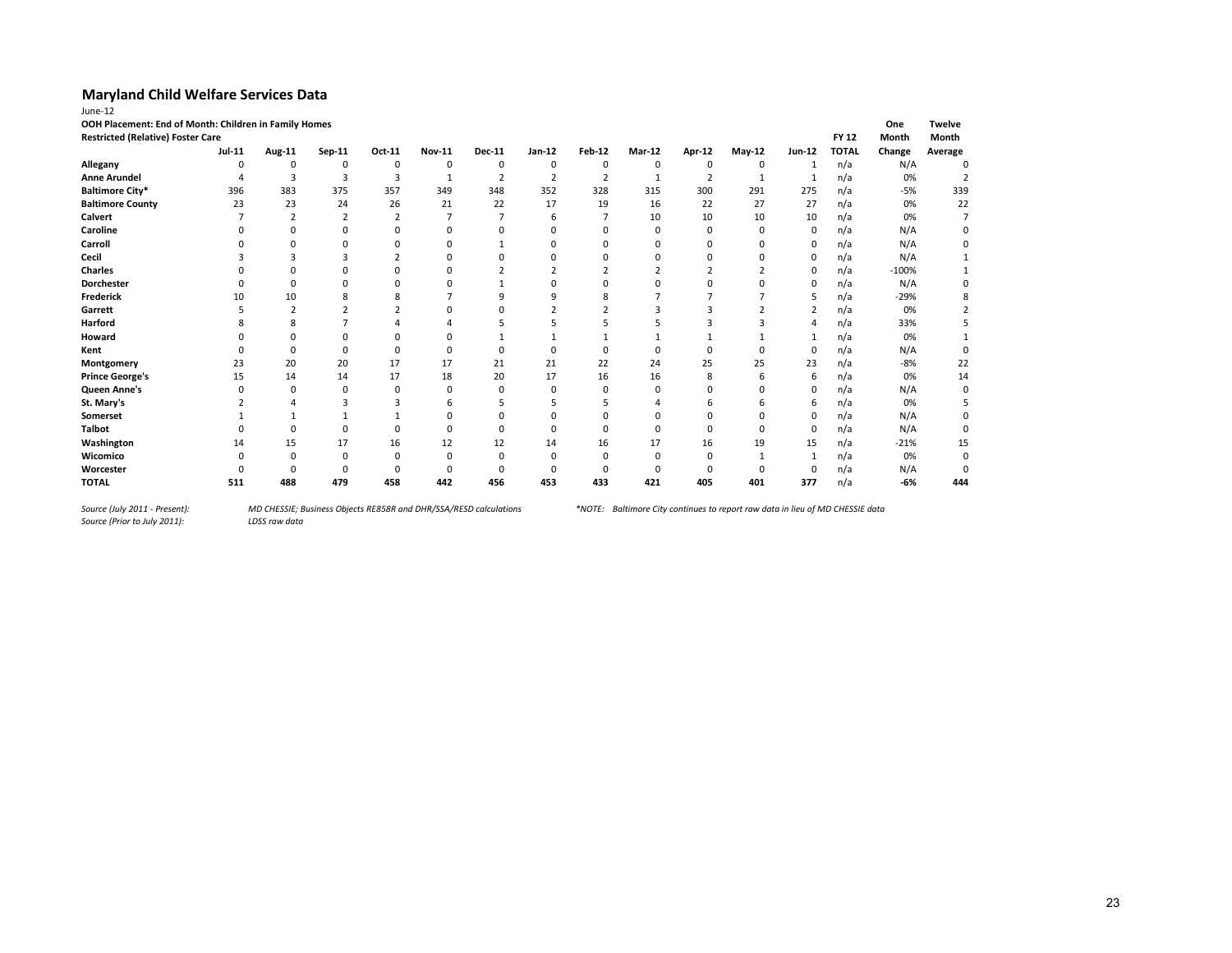| June-12                                               |          |                |                |                |               |                |                |                |          |                |               |                |              |              |                |
|-------------------------------------------------------|----------|----------------|----------------|----------------|---------------|----------------|----------------|----------------|----------|----------------|---------------|----------------|--------------|--------------|----------------|
| OOH Placement: End of Month: Children in Family Homes |          |                |                |                |               |                |                |                |          |                |               |                |              | One          | <b>Twelve</b>  |
| <b>Restricted (Relative) Foster Care</b>              |          |                |                |                |               |                |                |                |          |                |               |                | <b>FY 12</b> | <b>Month</b> | Month          |
|                                                       | Jul-11   | Aug-11         | Sep-11         | Oct-11         | <b>Nov-11</b> | <b>Dec-11</b>  | Jan-12         | <b>Feb-12</b>  | Mar-12   | Apr-12         | May-12        | Jun-12         | <b>TOTAL</b> | Change       | Average        |
| Allegany                                              | $\Omega$ | 0              | 0              | 0              | 0             | 0              | $\mathbf 0$    | 0              | 0        | 0              | 0             | 1              | n/a          | N/A          | $\Omega$       |
| <b>Anne Arundel</b>                                   |          | $\overline{3}$ | 3              | 3              |               | $\overline{2}$ | $\overline{2}$ | $\overline{2}$ | 1        | $\overline{2}$ | 1             | 1              | n/a          | 0%           | $\overline{2}$ |
| <b>Baltimore City*</b>                                | 396      | 383            | 375            | 357            | 349           | 348            | 352            | 328            | 315      | 300            | 291           | 275            | n/a          | $-5%$        | 339            |
| <b>Baltimore County</b>                               | 23       | 23             | 24             | 26             | 21            | 22             | 17             | 19             | 16       | 22             | 27            | 27             | n/a          | 0%           | 22             |
| Calvert                                               |          | 2              | $\overline{2}$ | $\overline{2}$ |               |                | 6              |                | 10       | 10             | 10            | 10             | n/a          | 0%           | 7              |
| Caroline                                              |          | $\Omega$       | O              | n              | 0             | O              | n              |                | $\Omega$ | $\Omega$       | n             | 0              | n/a          | N/A          |                |
| Carroll                                               |          | $\Omega$       | ŋ              | $\Omega$       | $\Omega$      |                | $\Omega$       |                |          | $\Omega$       | n             | 0              | n/a          | N/A          |                |
| Cecil                                                 |          |                |                |                | $\Omega$      | O              |                | O              |          | O              | $\Omega$      | $\mathbf 0$    | n/a          | N/A          |                |
| <b>Charles</b>                                        |          |                |                |                | Ω             |                |                |                |          |                |               | 0              | n/a          | $-100%$      |                |
| Dorchester                                            |          | 0              |                |                |               |                |                |                |          |                | n             | 0              | n/a          | N/A          |                |
| <b>Frederick</b>                                      | 10       | 10             |                |                |               | q              | q              | 8              |          |                |               | 5              | n/a          | $-29%$       |                |
| Garrett                                               |          | $\overline{2}$ |                | $\overline{2}$ | $\Omega$      | O              |                |                |          | 3              | $\mathcal{P}$ | $\overline{2}$ | n/a          | 0%           |                |
| Harford                                               |          | 8              |                |                |               |                |                |                |          |                |               | 4              | n/a          | 33%          |                |
| Howard                                                |          |                |                | $\Omega$       | 0             |                |                |                |          |                |               | 1              | n/a          | 0%           |                |
| Kent                                                  |          | $\Omega$       | O              | n              | O             | $\Omega$       | $\Omega$       | O              |          | n              | $\Omega$      | $\mathbf 0$    | n/a          | N/A          |                |
| Montgomery                                            | 23       | 20             | 20             | 17             | 17            | 21             | 21             | 22             | 24       | 25             | 25            | 23             | n/a          | $-8%$        | 22             |
| <b>Prince George's</b>                                | 15       | 14             | 14             | 17             | 18            | 20             | 17             | 16             | 16       | 8              | 6             | 6              | n/a          | 0%           | 14             |
| Queen Anne's                                          | n        | $\Omega$       | $\Omega$       | $\Omega$       | 0             | O              | n              | 0              |          | O              | n             | 0              | n/a          | N/A          | n              |
| St. Mary's                                            |          |                |                | 3              | 6             |                |                |                |          | h              |               | 6              | n/a          | 0%           |                |
| Somerset                                              |          |                |                |                | $\Omega$      | O              | $\Omega$       |                |          | O              | $\Omega$      | 0              | n/a          | N/A          |                |
| <b>Talbot</b>                                         |          | $\Omega$       | 0              | $\Omega$       | 0             | $\Omega$       | $\Omega$       | 0              | O        | <sup>0</sup>   | $\Omega$      | 0              | n/a          | N/A          | 0              |
| Washington                                            | 14       | 15             | 17             | 16             | 12            | 12             | 14             | 16             | 17       | 16             | 19            | 15             | n/a          | $-21%$       | 15             |
| Wicomico                                              |          |                | $\Omega$       |                | 0             | $\Omega$       |                | 0              |          | O              |               | -1             | n/a          | 0%           | $\Omega$       |
| Worcester                                             |          | O              | O              |                | 0             | O              | $\Omega$       | ŋ              |          | n              | $\Omega$      | 0              | n/a          | N/A          | $\Omega$       |
| <b>TOTAL</b>                                          | 511      | 488            | 479            | 458            | 442           | 456            | 453            | 433            | 421      | 405            | 401           | 377            | n/a          | $-6%$        | 444            |

*Source (July 2011 - Present):<br>Source (Prior to July 2011):*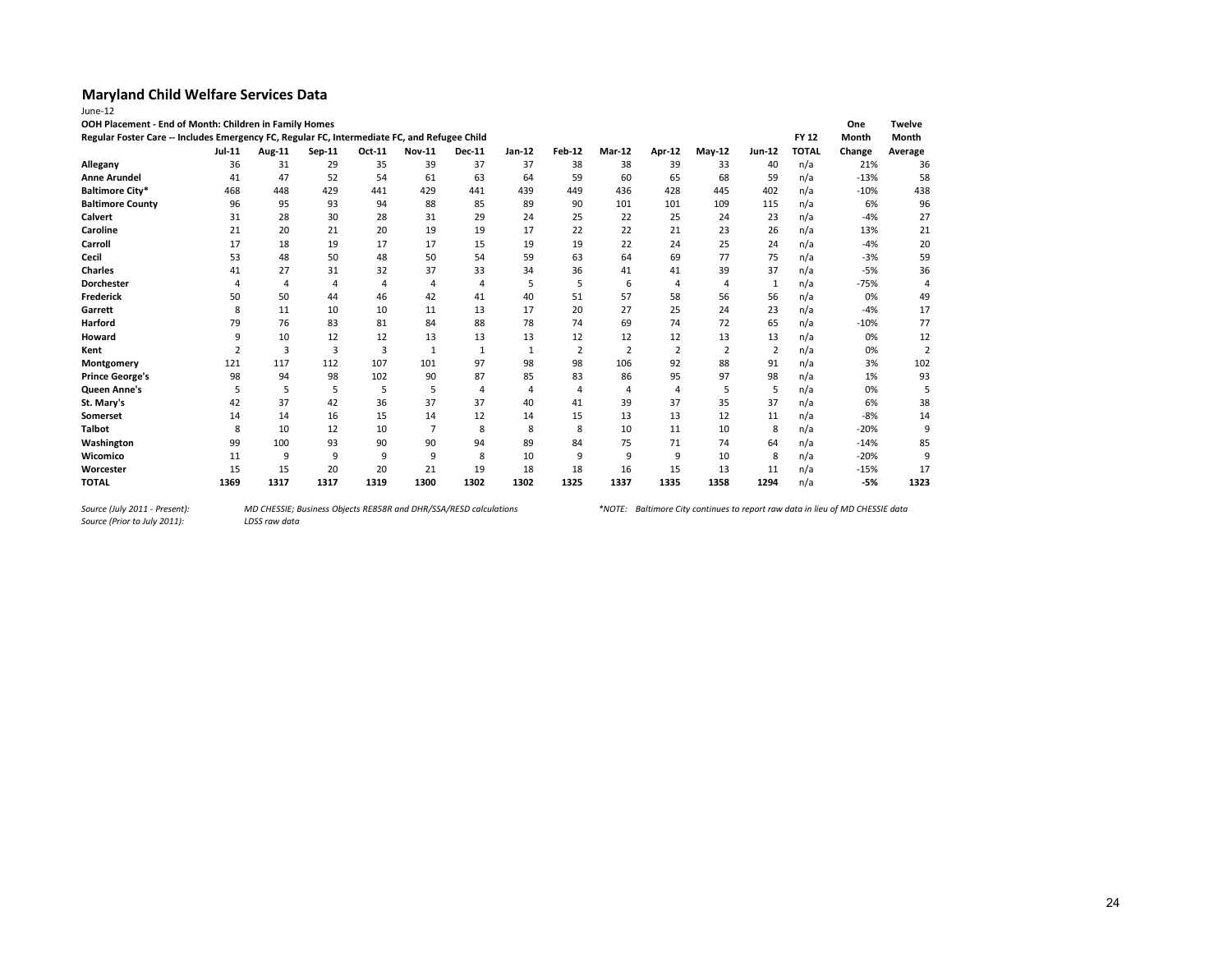| OOH Placement - End of Month: Children in Family Homes                                       |        |                |        |                |                |               |          |                |                |                |                |                |              | One    | <b>Twelve</b>  |
|----------------------------------------------------------------------------------------------|--------|----------------|--------|----------------|----------------|---------------|----------|----------------|----------------|----------------|----------------|----------------|--------------|--------|----------------|
| Regular Foster Care -- Includes Emergency FC, Regular FC, Intermediate FC, and Refugee Child |        |                |        |                |                |               |          |                |                |                |                |                | <b>FY 12</b> | Month  | Month          |
|                                                                                              | Jul-11 | Aug-11         | Sep-11 | Oct-11         | <b>Nov-11</b>  | <b>Dec-11</b> | $Jan-12$ | <b>Feb-12</b>  | Mar-12         | Apr-12         | <b>May-12</b>  | <b>Jun-12</b>  | <b>TOTAL</b> | Change | Average        |
| Allegany                                                                                     | 36     | 31             | 29     | 35             | 39             | 37            | 37       | 38             | 38             | 39             | 33             | 40             | n/a          | 21%    | 36             |
| <b>Anne Arundel</b>                                                                          | 41     | 47             | 52     | 54             | 61             | 63            | 64       | 59             | 60             | 65             | 68             | 59             | n/a          | $-13%$ | 58             |
| <b>Baltimore City*</b>                                                                       | 468    | 448            | 429    | 441            | 429            | 441           | 439      | 449            | 436            | 428            | 445            | 402            | n/a          | $-10%$ | 438            |
| <b>Baltimore County</b>                                                                      | 96     | 95             | 93     | 94             | 88             | 85            | 89       | 90             | 101            | 101            | 109            | 115            | n/a          | 6%     | 96             |
| Calvert                                                                                      | 31     | 28             | 30     | 28             | 31             | 29            | 24       | 25             | 22             | 25             | 24             | 23             | n/a          | $-4%$  | 27             |
| Caroline                                                                                     | 21     | 20             | 21     | 20             | 19             | 19            | 17       | 22             | 22             | 21             | 23             | 26             | n/a          | 13%    | 21             |
| Carroll                                                                                      | 17     | 18             | 19     | 17             | 17             | 15            | 19       | 19             | 22             | 24             | 25             | 24             | n/a          | $-4%$  | 20             |
| Cecil                                                                                        | 53     | 48             | 50     | 48             | 50             | 54            | 59       | 63             | 64             | 69             | 77             | 75             | n/a          | $-3%$  | 59             |
| <b>Charles</b>                                                                               | 41     | 27             | 31     | 32             | 37             | 33            | 34       | 36             | 41             | 41             | 39             | 37             | n/a          | $-5%$  | 36             |
| <b>Dorchester</b>                                                                            |        | 4              | 4      | $\overline{4}$ | 4              | 4             | 5        | 5              | 6              | $\overline{4}$ | 4              | -1             | n/a          | $-75%$ | 4              |
| <b>Frederick</b>                                                                             | 50     | 50             | 44     | 46             | 42             | 41            | 40       | 51             | 57             | 58             | 56             | 56             | n/a          | 0%     | 49             |
| Garrett                                                                                      | 8      | 11             | 10     | 10             | 11             | 13            | 17       | 20             | 27             | 25             | 24             | 23             | n/a          | $-4%$  | 17             |
| Harford                                                                                      | 79     | 76             | 83     | 81             | 84             | 88            | 78       | 74             | 69             | 74             | 72             | 65             | n/a          | $-10%$ | 77             |
| Howard                                                                                       | 9      | 10             | 12     | 12             | 13             | 13            | 13       | 12             | 12             | 12             | 13             | 13             | n/a          | 0%     | 12             |
| Kent                                                                                         |        | $\overline{3}$ | 3      | 3              | 1              | $\mathbf{1}$  | 1        | $\overline{2}$ | $\overline{2}$ | $\overline{2}$ | $\overline{2}$ | $\overline{2}$ | n/a          | 0%     | $\overline{2}$ |
| Montgomery                                                                                   | 121    | 117            | 112    | 107            | 101            | 97            | 98       | 98             | 106            | 92             | 88             | 91             | n/a          | 3%     | 102            |
| <b>Prince George's</b>                                                                       | 98     | 94             | 98     | 102            | 90             | 87            | 85       | 83             | 86             | 95             | 97             | 98             | n/a          | 1%     | 93             |
| Queen Anne's                                                                                 | 5      | 5              | 5      | 5              | 5              | 4             | 4        | $\Delta$       | 4              | $\overline{4}$ | 5              | 5              | n/a          | 0%     |                |
| St. Mary's                                                                                   | 42     | 37             | 42     | 36             | 37             | 37            | 40       | 41             | 39             | 37             | 35             | 37             | n/a          | 6%     | 38             |
| Somerset                                                                                     | 14     | 14             | 16     | 15             | 14             | 12            | 14       | 15             | 13             | 13             | 12             | 11             | n/a          | $-8%$  | 14             |
| <b>Talbot</b>                                                                                | 8      | 10             | 12     | 10             | $\overline{7}$ | 8             | 8        | 8              | 10             | 11             | 10             | 8              | n/a          | $-20%$ | 9              |
| Washington                                                                                   | 99     | 100            | 93     | 90             | 90             | 94            | 89       | 84             | 75             | 71             | 74             | 64             | n/a          | $-14%$ | 85             |
| Wicomico                                                                                     | 11     | 9              | 9      | 9              | 9              | 8             | 10       | 9              | 9              | 9              | 10             | 8              | n/a          | $-20%$ | 9              |
| Worcester                                                                                    | 15     | 15             | 20     | 20             | 21             | 19            | 18       | 18             | 16             | 15             | 13             | 11             | n/a          | $-15%$ | 17             |
| <b>TOTAL</b>                                                                                 | 1369   | 1317           | 1317   | 1319           | 1300           | 1302          | 1302     | 1325           | 1337           | 1335           | 1358           | 1294           | n/a          | $-5%$  | 1323           |

*Source (Prior to July 2011):*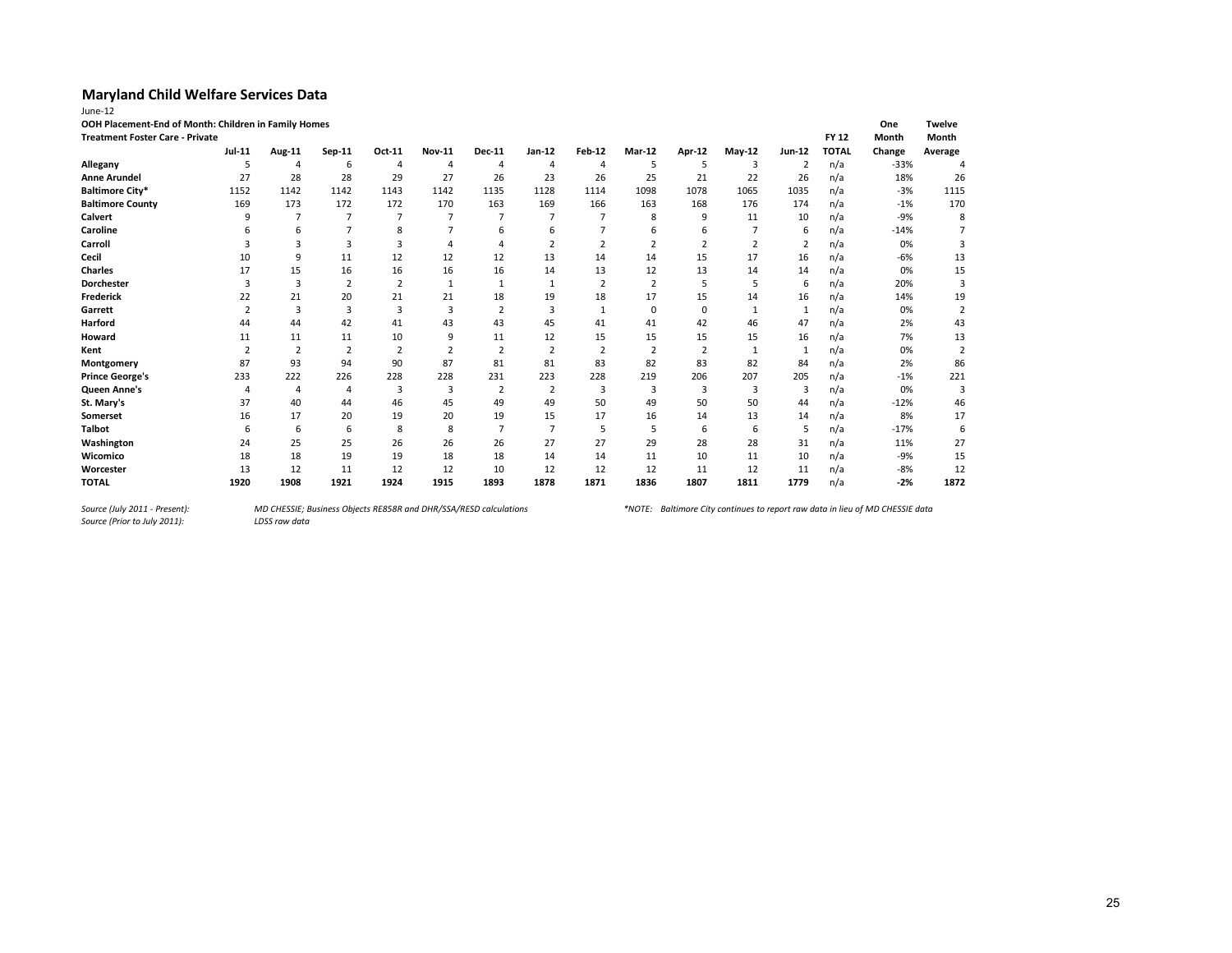| June-12                                              |                |                |                |                |                |                |                |                |                |                |              |                |              |        |                |
|------------------------------------------------------|----------------|----------------|----------------|----------------|----------------|----------------|----------------|----------------|----------------|----------------|--------------|----------------|--------------|--------|----------------|
| OOH Placement-End of Month: Children in Family Homes |                |                |                |                |                |                |                |                |                |                |              |                |              | One    | <b>Twelve</b>  |
| <b>Treatment Foster Care - Private</b>               |                |                |                |                |                |                |                |                |                |                |              |                | <b>FY 12</b> | Month  | Month          |
|                                                      | Jul-11         | Aug-11         | Sep-11         | Oct-11         | <b>Nov-11</b>  | <b>Dec-11</b>  | Jan-12         | Feb-12         | Mar-12         | Apr-12         | $May-12$     | <b>Jun-12</b>  | <b>TOTAL</b> | Change | Average        |
| Allegany                                             | 5              | 4              | 6              | 4              | $\overline{4}$ | 4              | $\overline{4}$ | $\overline{4}$ | 5              | 5              | 3            | 2              | n/a          | $-33%$ | 4              |
| <b>Anne Arundel</b>                                  | 27             | 28             | 28             | 29             | 27             | 26             | 23             | 26             | 25             | 21             | 22           | 26             | n/a          | 18%    | 26             |
| <b>Baltimore City*</b>                               | 1152           | 1142           | 1142           | 1143           | 1142           | 1135           | 1128           | 1114           | 1098           | 1078           | 1065         | 1035           | n/a          | $-3%$  | 1115           |
| <b>Baltimore County</b>                              | 169            | 173            | 172            | 172            | 170            | 163            | 169            | 166            | 163            | 168            | 176          | 174            | n/a          | $-1%$  | 170            |
| <b>Calvert</b>                                       | q              |                | 7              |                | $\overline{7}$ |                |                |                | 8              | 9              | 11           | 10             | n/a          | $-9%$  | 8              |
| Caroline                                             |                | 6              |                | 8              |                |                | 6              |                | 6              | 6              |              | 6              | n/a          | $-14%$ |                |
| Carroll                                              |                | 3              | 3              | 3              |                |                | 2              | 2              | 2              | 2              | 2            | $\overline{2}$ | n/a          | 0%     | 3              |
| Cecil                                                | 10             | 9              | 11             | 12             | 12             | 12             | 13             | 14             | 14             | 15             | 17           | 16             | n/a          | -6%    | 13             |
| <b>Charles</b>                                       | 17             | 15             | 16             | 16             | 16             | 16             | 14             | 13             | 12             | 13             | 14           | 14             | n/a          | 0%     | 15             |
| Dorchester                                           | з              | 3              | 2              | $\overline{2}$ |                |                |                | $\overline{2}$ | $\overline{2}$ | 5              | 5            | 6              | n/a          | 20%    | 3              |
| <b>Frederick</b>                                     | 22             | 21             | 20             | 21             | 21             | 18             | 19             | 18             | 17             | 15             | 14           | 16             | n/a          | 14%    | 19             |
| Garrett                                              | $\overline{2}$ | 3              | 3              | 3              | 3              | $\overline{2}$ | 3              | 1              | $\mathbf 0$    | $\mathbf 0$    | $\mathbf{1}$ | $\mathbf{1}$   | n/a          | 0%     | $\overline{2}$ |
| Harford                                              | 44             | 44             | 42             | 41             | 43             | 43             | 45             | 41             | 41             | 42             | 46           | 47             | n/a          | 2%     | 43             |
| Howard                                               | 11             | 11             | 11             | 10             | 9              | 11             | 12             | 15             | 15             | 15             | 15           | 16             | n/a          | 7%     | 13             |
| Kent                                                 | $\overline{2}$ | 2              | 2              | 2              | 2              | 2              | $\overline{2}$ | $\overline{2}$ | $\overline{2}$ | $\overline{2}$ | $\mathbf{1}$ | 1              | n/a          | 0%     | $\overline{2}$ |
| Montgomery                                           | 87             | 93             | 94             | 90             | 87             | 81             | 81             | 83             | 82             | 83             | 82           | 84             | n/a          | 2%     | 86             |
| <b>Prince George's</b>                               | 233            | 222            | 226            | 228            | 228            | 231            | 223            | 228            | 219            | 206            | 207          | 205            | n/a          | $-1%$  | 221            |
| Queen Anne's                                         | $\overline{4}$ | $\overline{4}$ | $\overline{4}$ | 3              | 3              | $\overline{2}$ | 2              | 3              | 3              | 3              | 3            | 3              | n/a          | 0%     | 3              |
| St. Mary's                                           | 37             | 40             | 44             | 46             | 45             | 49             | 49             | 50             | 49             | 50             | 50           | 44             | n/a          | $-12%$ | 46             |
| <b>Somerset</b>                                      | 16             | 17             | 20             | 19             | 20             | 19             | 15             | 17             | 16             | 14             | 13           | 14             | n/a          | 8%     | 17             |
| <b>Talbot</b>                                        | 6              | 6              | 6              | 8              | 8              | $\overline{7}$ | $\overline{7}$ | .5             | 5              | 6              | 6            | 5              | n/a          | $-17%$ | 6              |
| Washington                                           | 24             | 25             | 25             | 26             | 26             | 26             | 27             | 27             | 29             | 28             | 28           | 31             | n/a          | 11%    | 27             |
| Wicomico                                             | 18             | 18             | 19             | 19             | 18             | 18             | 14             | 14             | 11             | 10             | 11           | 10             | n/a          | $-9%$  | 15             |
| Worcester                                            | 13             | 12             | 11             | 12             | 12             | 10             | 12             | 12             | 12             | 11             | 12           | 11             | n/a          | $-8%$  | 12             |
| <b>TOTAL</b>                                         | 1920           | 1908           | 1921           | 1924           | 1915           | 1893           | 1878           | 1871           | 1836           | 1807           | 1811         | 1779           | n/a          | $-2%$  | 1872           |

*Source (July 2011 - Present):<br>Source (Prior to July 2011):*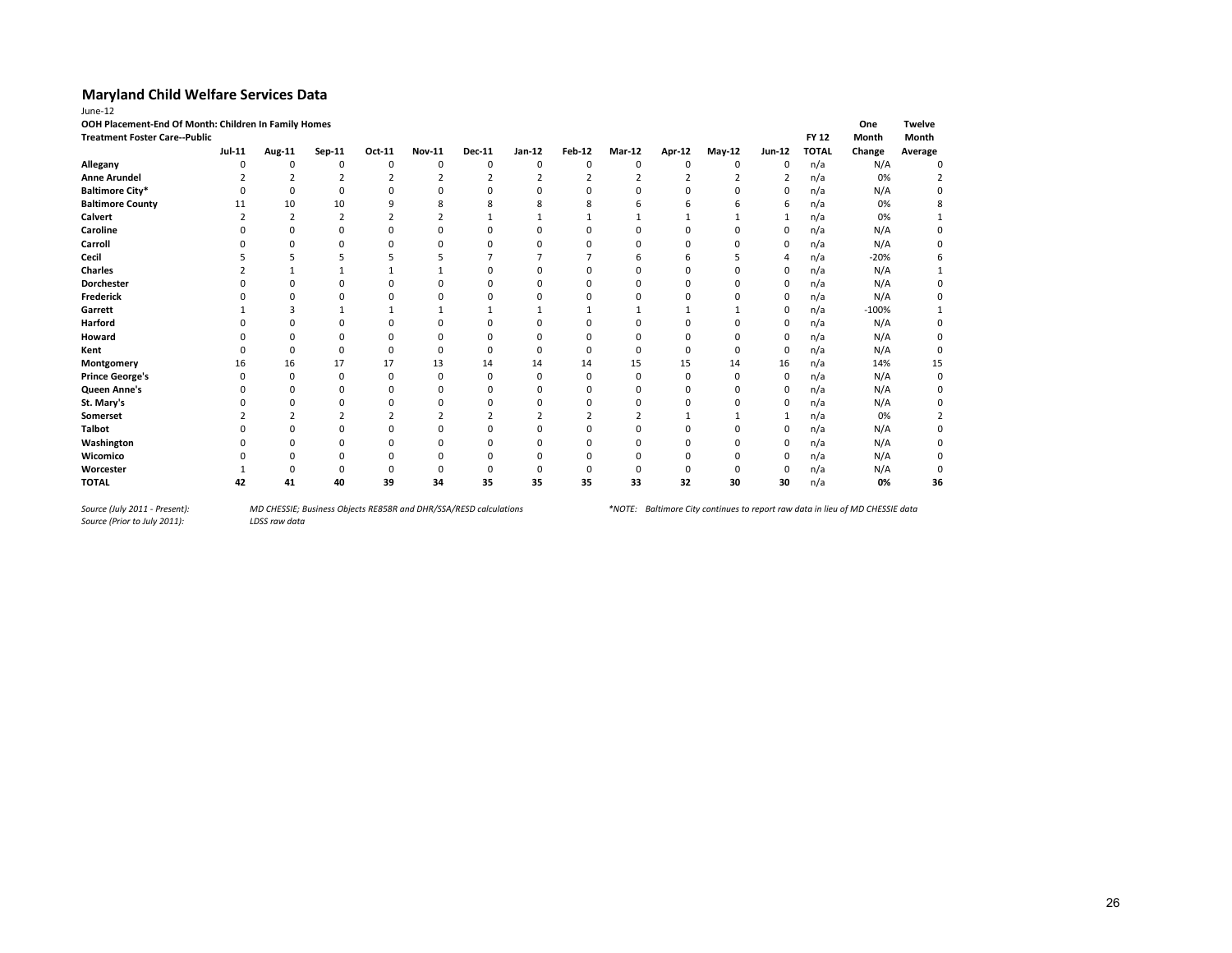| OOH Placement-End Of Month: Children In Family Homes<br><b>Treatment Foster Care--Public</b> |               |          |          |        |               |          |          |               |               |        |          |          | <b>FY 12</b> | One<br>Month | <b>Twelve</b><br>Month |
|----------------------------------------------------------------------------------------------|---------------|----------|----------|--------|---------------|----------|----------|---------------|---------------|--------|----------|----------|--------------|--------------|------------------------|
|                                                                                              | <b>Jul-11</b> | Aug-11   | Sep-11   | Oct-11 | <b>Nov-11</b> | Dec-11   | Jan-12   | <b>Feb-12</b> | <b>Mar-12</b> | Apr-12 | $May-12$ | Jun-12   | <b>TOTAL</b> | Change       | Average                |
| Allegany                                                                                     | n             | $\Omega$ | $\Omega$ | O      | $\Omega$      | 0        | 0        | $\Omega$      | $\Omega$      | O      | 0        | 0        | n/a          | N/A          | $\Omega$               |
| <b>Anne Arundel</b>                                                                          |               |          |          |        |               |          |          |               |               |        |          |          | n/a          | 0%           |                        |
| <b>Baltimore City*</b>                                                                       |               | O        |          |        |               |          |          |               |               |        |          | $\Omega$ | n/a          | N/A          |                        |
| <b>Baltimore County</b>                                                                      | 11            | 10       | 10       | q      | 8             |          | 8        |               |               |        |          | 6        | n/a          | 0%           |                        |
| Calvert                                                                                      |               |          |          |        |               |          |          |               |               |        |          | 1        | n/a          | 0%           |                        |
| Caroline                                                                                     |               |          | 0        |        | $\Omega$      | $\Omega$ | 0        |               |               | 0      | 0        | 0        | n/a          | N/A          |                        |
| Carroll                                                                                      |               | $\Omega$ | O        | n      | $\Omega$      | $\Omega$ |          | n             | n             | U      | ŋ        | 0        | n/a          | N/A          | n                      |
| Cecil                                                                                        |               |          |          |        |               |          |          |               | b             |        |          | 4        | n/a          | $-20%$       | 6                      |
| <b>Charles</b>                                                                               |               |          |          |        |               | n        |          |               | O             | O      |          | 0        | n/a          | N/A          |                        |
| <b>Dorchester</b>                                                                            |               |          | ŋ        | ŋ      | n             | n        |          | n             |               | ŋ      | ŋ        | 0        | n/a          | N/A          |                        |
| <b>Frederick</b>                                                                             |               |          | ŋ        |        | n             | n        |          |               |               |        |          | 0        | n/a          | N/A          |                        |
| Garrett                                                                                      |               |          |          |        |               |          |          |               |               |        |          | 0        | n/a          | $-100%$      |                        |
| Harford                                                                                      |               |          |          |        | n             | n        |          |               |               | ŋ      | ŋ        | 0        | n/a          | N/A          |                        |
| Howard                                                                                       |               |          |          |        | $\Omega$      | O        |          | O             | O             | ŋ      |          | 0        | n/a          | N/A          |                        |
| Kent                                                                                         |               | O        | O        | ŋ      | $\Omega$      | $\Omega$ | $\Omega$ | O             | $\Omega$      | 0      | 0        | 0        | n/a          | N/A          |                        |
| Montgomery                                                                                   | 16            | 16       | 17       | 17     | 13            | 14       | 14       | 14            | 15            | 15     | 14       | 16       | n/a          | 14%          | 15                     |
| <b>Prince George's</b>                                                                       | O             | $\Omega$ | O        | ŋ      | n             | O        | O        | 0             | $\Omega$      | O      | ŋ        | 0        | n/a          | N/A          | 0                      |
| Queen Anne's                                                                                 |               | O        | 0        | 0      | $\Omega$      | n        |          |               | 0             | 0      | 0        | 0        | n/a          | N/A          |                        |
| St. Mary's                                                                                   |               |          |          |        | n             |          |          |               |               |        |          | 0        | n/a          | N/A          |                        |
| Somerset                                                                                     |               |          |          |        |               |          |          |               |               |        |          |          | n/a          | 0%           |                        |
| <b>Talbot</b>                                                                                |               |          |          |        |               |          |          |               |               |        |          | 0        | n/a          | N/A          |                        |
| Washington                                                                                   |               |          |          |        | n             |          |          |               |               | ŋ      |          | 0        | n/a          | N/A          |                        |
| Wicomico                                                                                     |               |          |          |        | n             | n        |          |               |               |        |          | $\Omega$ | n/a          | N/A          |                        |
| Worcester                                                                                    |               |          |          |        |               |          |          |               |               |        |          | $\Omega$ | n/a          | N/A          |                        |
| <b>TOTAL</b>                                                                                 | 42            | 41       | 40       | 39     | 34            | 35       | 35       | 35            | 33            | 32     | 30       | 30       | n/a          | 0%           | 36                     |

*Source (July 2011 - Present):<br>Source (Prior to July 2011):*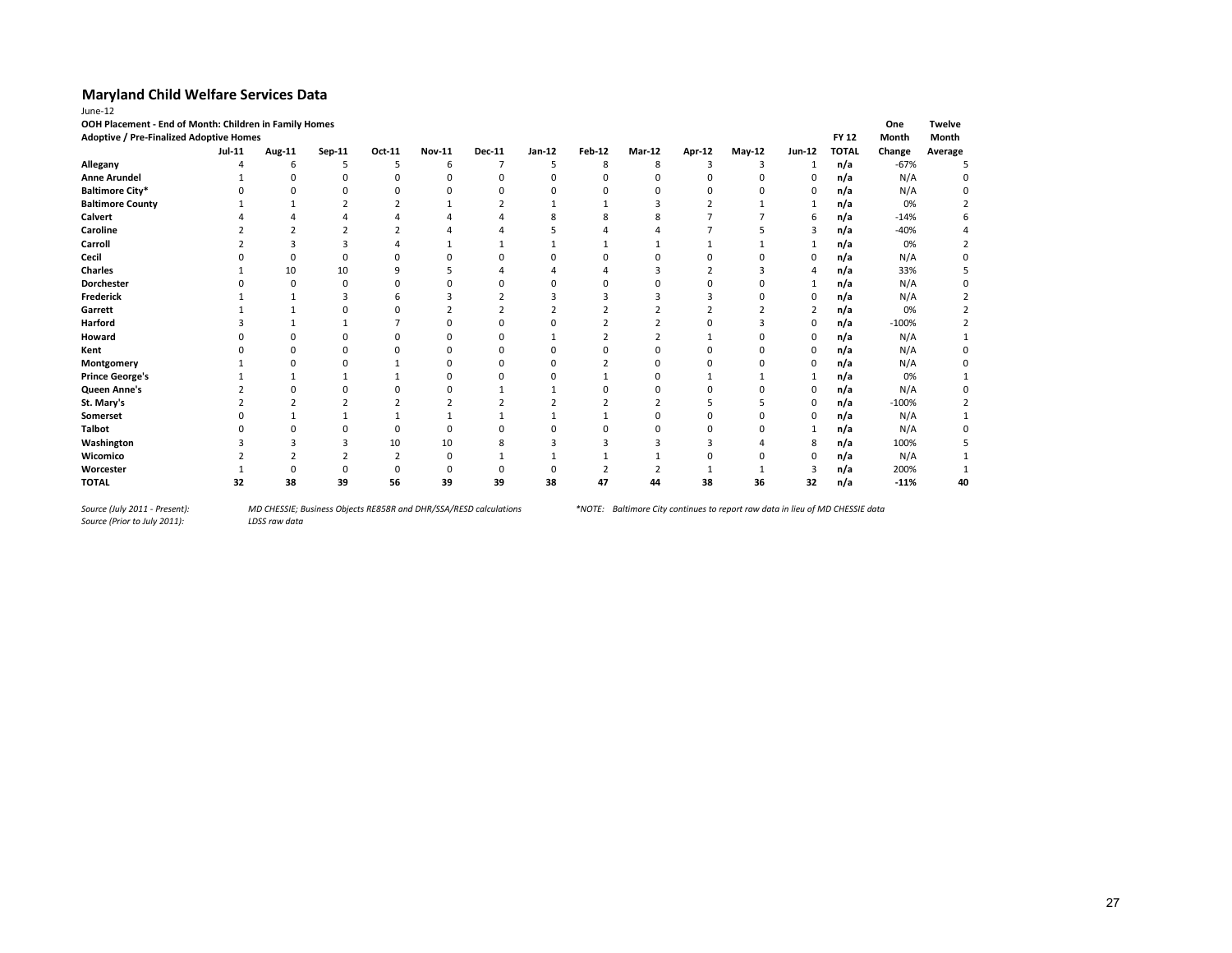| June-12                                                |               |        |        |             |               |               |          |               |        |        |          |                |              |         |               |
|--------------------------------------------------------|---------------|--------|--------|-------------|---------------|---------------|----------|---------------|--------|--------|----------|----------------|--------------|---------|---------------|
| OOH Placement - End of Month: Children in Family Homes |               |        |        |             |               |               |          |               |        |        |          |                |              | One     | <b>Twelve</b> |
| <b>Adoptive / Pre-Finalized Adoptive Homes</b>         |               |        |        |             |               |               |          |               |        |        |          |                | <b>FY 12</b> | Month   | Month         |
|                                                        | <b>Jul-11</b> | Aug-11 | Sep-11 | Oct-11      | <b>Nov-11</b> | <b>Dec-11</b> | Jan-12   | <b>Feb-12</b> | Mar-12 | Apr-12 | May-12   | <b>Jun-12</b>  | <b>TOTAL</b> | Change  | Average       |
| Allegany                                               |               | 6      | 5      | 5           | 6             |               | 5        | 8             | 8      | 3      | 3        | 1              | n/a          | $-67%$  |               |
| <b>Anne Arundel</b>                                    |               | 0      | O      | $\mathbf 0$ | 0             | n             | $\Omega$ | $\Omega$      |        | O      | $\Omega$ | 0              | n/a          | N/A     |               |
| <b>Baltimore City*</b>                                 |               | O      |        |             | n             | <sup>0</sup>  | n        |               |        | C      | n        | 0              | n/a          | N/A     |               |
| <b>Baltimore County</b>                                |               |        |        |             |               |               |          |               |        |        |          | 1              | n/a          | 0%      |               |
| <b>Calvert</b>                                         |               |        |        |             |               |               |          |               |        |        |          | 6              | n/a          | $-14%$  |               |
| Caroline                                               |               |        |        |             |               |               |          |               |        |        |          | 3              | n/a          | $-40%$  |               |
| Carroll                                                |               |        |        |             |               |               |          |               |        |        |          | $\mathbf{1}$   | n/a          | 0%      |               |
| Cecil                                                  |               | 0      | 0      |             |               |               |          | ŋ             |        |        | n        | 0              | n/a          | N/A     |               |
| Charles                                                |               | 10     | 10     |             |               |               |          |               |        |        |          | 4              | n/a          | 33%     |               |
| Dorchester                                             |               | O      | O      |             |               |               |          |               |        |        | n        |                | n/a          | N/A     |               |
| Frederick                                              |               |        | ٦      | h           | ੨             |               |          |               |        |        | n        | 0              | n/a          | N/A     |               |
| Garrett                                                |               |        |        |             |               |               |          |               |        |        |          | $\overline{2}$ | n/a          | 0%      |               |
| Harford                                                |               |        |        |             |               |               |          |               |        |        |          | 0              | n/a          | $-100%$ |               |
| Howard                                                 |               |        |        |             |               |               |          |               |        |        |          | 0              | n/a          | N/A     |               |
| Kent                                                   |               |        | ŋ      |             |               |               |          |               |        |        | n        | 0              | n/a          | N/A     |               |
| Montgomery                                             |               |        |        |             |               |               |          |               |        |        |          | 0              | n/a          | N/A     |               |
| <b>Prince George's</b>                                 |               |        |        |             |               |               |          |               |        |        |          |                | n/a          | 0%      |               |
| Queen Anne's                                           |               |        |        |             |               |               |          |               |        |        |          | 0              | n/a          | N/A     |               |
| St. Mary's                                             |               |        |        |             |               |               |          |               |        |        |          | $\Omega$       | n/a          | $-100%$ |               |
| Somerset                                               |               |        |        |             |               |               |          |               |        |        |          | $\Omega$       | n/a          | N/A     |               |
| <b>Talbot</b>                                          |               |        |        |             |               |               |          |               |        |        | n        |                | n/a          | N/A     |               |
| Washington                                             |               |        |        | 10          | 10            |               |          |               |        |        |          | 8              | n/a          | 100%    |               |
| Wicomico                                               |               |        |        |             |               |               |          |               |        |        |          | $\Omega$       | n/a          | N/A     |               |
| Worcester                                              |               | O      |        |             |               |               |          |               |        |        |          |                | n/a          | 200%    |               |
| <b>TOTAL</b>                                           | 32            | 38     | 39     | 56          | 39            | 39            | 38       | 47            | 44     | 38     | 36       | 32             | n/a          | $-11%$  | 40            |

*Source (July 2011 - Present):<br>Source (Prior to July 2011):*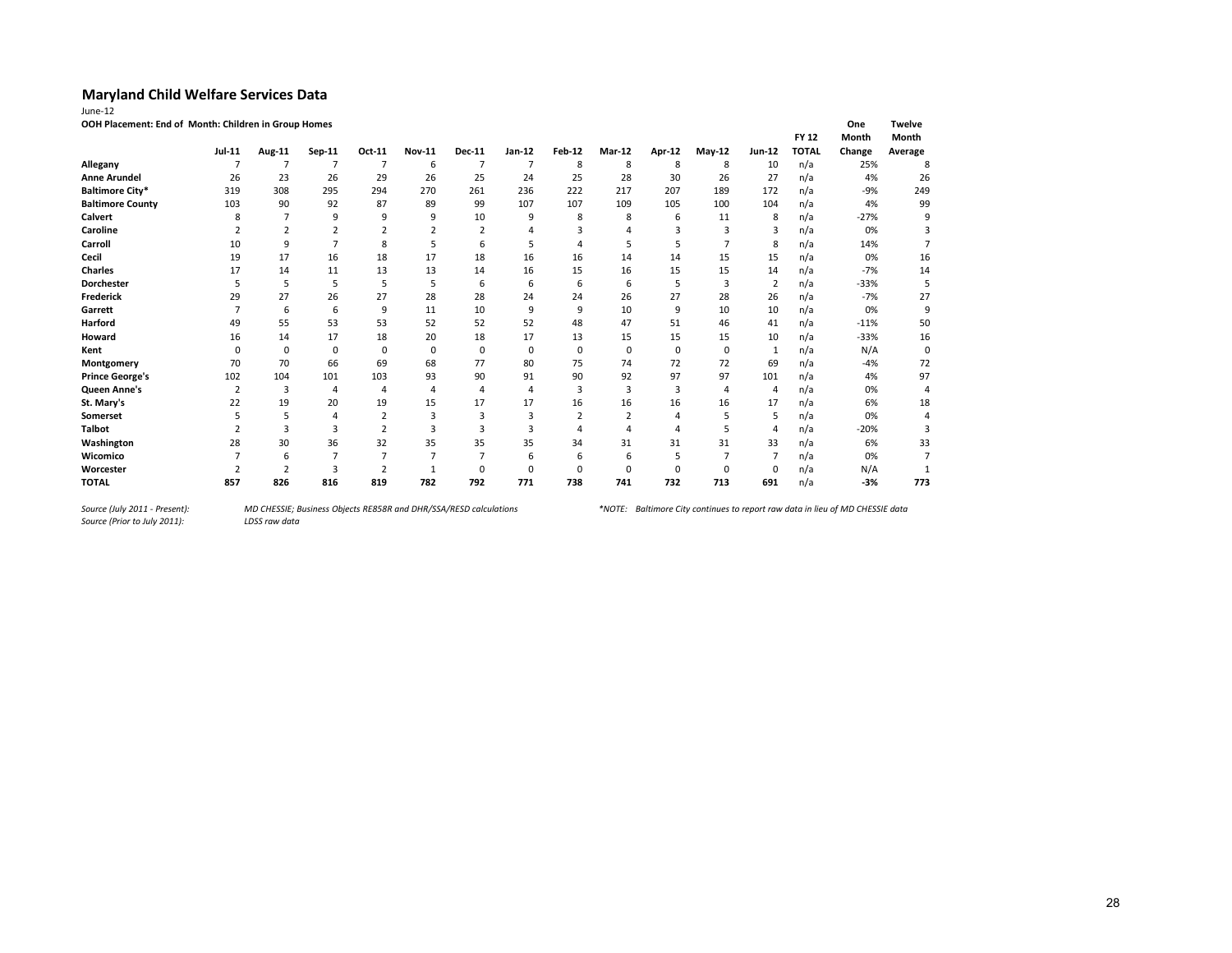| une |  |
|-----|--|

**OOH Placement: End of Month: Children in Group Homes One Twelve**

|                         |               |                |        |                |               |                |             |                |                |             |                |          | <b>FY 12</b> | Month  | Month   |
|-------------------------|---------------|----------------|--------|----------------|---------------|----------------|-------------|----------------|----------------|-------------|----------------|----------|--------------|--------|---------|
|                         | <b>Jul-11</b> | Aug-11         | Sep-11 | Oct-11         | <b>Nov-11</b> | <b>Dec-11</b>  | Jan-12      | <b>Feb-12</b>  | Mar-12         | Apr-12      | May-12         | Jun-12   | <b>TOTAL</b> | Change | Average |
| Allegany                |               |                |        | 7              | 6             |                | 7           | 8              | 8              | 8           | 8              | 10       | n/a          | 25%    | 8       |
| <b>Anne Arundel</b>     | 26            | 23             | 26     | 29             | 26            | 25             | 24          | 25             | 28             | 30          | 26             | 27       | n/a          | 4%     | 26      |
| <b>Baltimore City*</b>  | 319           | 308            | 295    | 294            | 270           | 261            | 236         | 222            | 217            | 207         | 189            | 172      | n/a          | $-9%$  | 249     |
| <b>Baltimore County</b> | 103           | 90             | 92     | 87             | 89            | 99             | 107         | 107            | 109            | 105         | 100            | 104      | n/a          | 4%     | 99      |
| Calvert                 | 8             |                | 9      | q              | q             | 10             | 9           | 8              | 8              | 6           | 11             | 8        | n/a          | $-27%$ | 9       |
| Caroline                |               |                |        |                |               | $\overline{2}$ |             |                |                | 3           | 3              | 3        | n/a          | 0%     |         |
| Carroll                 | 10            | 9              |        | 8              |               | 6              |             |                |                | 5           | $\overline{7}$ | 8        | n/a          | 14%    |         |
| Cecil                   | 19            | 17             | 16     | 18             | 17            | 18             | 16          | 16             | 14             | 14          | 15             | 15       | n/a          | 0%     | 16      |
| <b>Charles</b>          | 17            | 14             | 11     | 13             | 13            | 14             | 16          | 15             | 16             | 15          | 15             | 14       | n/a          | $-7%$  | 14      |
| <b>Dorchester</b>       | 5             | 5              | 5      | .5             | 5             | 6              | 6           | 6              | 6              | 5           | 3              | 2        | n/a          | $-33%$ | 5       |
| Frederick               | 29            | 27             | 26     | 27             | 28            | 28             | 24          | 24             | 26             | 27          | 28             | 26       | n/a          | $-7%$  | 27      |
| Garrett                 |               | 6              | 6      | 9              | 11            | 10             | 9           | 9              | 10             | 9           | 10             | 10       | n/a          | 0%     | 9       |
| Harford                 | 49            | 55             | 53     | 53             | 52            | 52             | 52          | 48             | 47             | 51          | 46             | 41       | n/a          | $-11%$ | 50      |
| Howard                  | 16            | 14             | 17     | 18             | 20            | 18             | 17          | 13             | 15             | 15          | 15             | 10       | n/a          | $-33%$ | 16      |
| Kent                    |               | $\mathbf 0$    | 0      | $\mathbf 0$    | 0             | 0              | $\mathbf 0$ | 0              | 0              | $\mathbf 0$ | $\mathbf 0$    |          | n/a          | N/A    | 0       |
| Montgomery              | 70            | 70             | 66     | 69             | 68            | 77             | 80          | 75             | 74             | 72          | 72             | 69       | n/a          | $-4%$  | 72      |
| <b>Prince George's</b>  | 102           | 104            | 101    | 103            | 93            | 90             | 91          | 90             | 92             | 97          | 97             | 101      | n/a          | 4%     | 97      |
| Queen Anne's            | 2             | 3              | 4      | $\overline{a}$ | 4             | $\overline{a}$ | 4           | $\overline{3}$ | 3              | 3           | 4              | 4        | n/a          | 0%     | 4       |
| St. Mary's              | 22            | 19             | 20     | 19             | 15            | 17             | 17          | 16             | 16             | 16          | 16             | 17       | n/a          | 6%     | 18      |
| Somerset                |               | 5              |        | $\overline{2}$ | 3             | 3              | 3           |                | $\overline{2}$ | 4           | 5              | 5        | n/a          | 0%     |         |
| <b>Talbot</b>           |               | 3              | 3      |                |               |                | ੨           |                |                | 4           |                | 4        | n/a          | $-20%$ | 3       |
| Washington              | 28            | 30             | 36     | 32             | 35            | 35             | 35          | 34             | 31             | 31          | 31             | 33       | n/a          | 6%     | 33      |
| Wicomico                |               | 6              |        |                |               |                | 6           | 6              | 6              | 5           |                |          | n/a          | 0%     |         |
| Worcester               |               | $\overline{2}$ | 3      |                |               | $\Omega$       | 0           |                | $\Omega$       | $\Omega$    | $\Omega$       | $\Omega$ | n/a          | N/A    |         |
| <b>TOTAL</b>            | 857           | 826            | 816    | 819            | 782           | 792            | 771         | 738            | 741            | 732         | 713            | 691      | n/a          | $-3%$  | 773     |

*Source (Prior to July 2011):*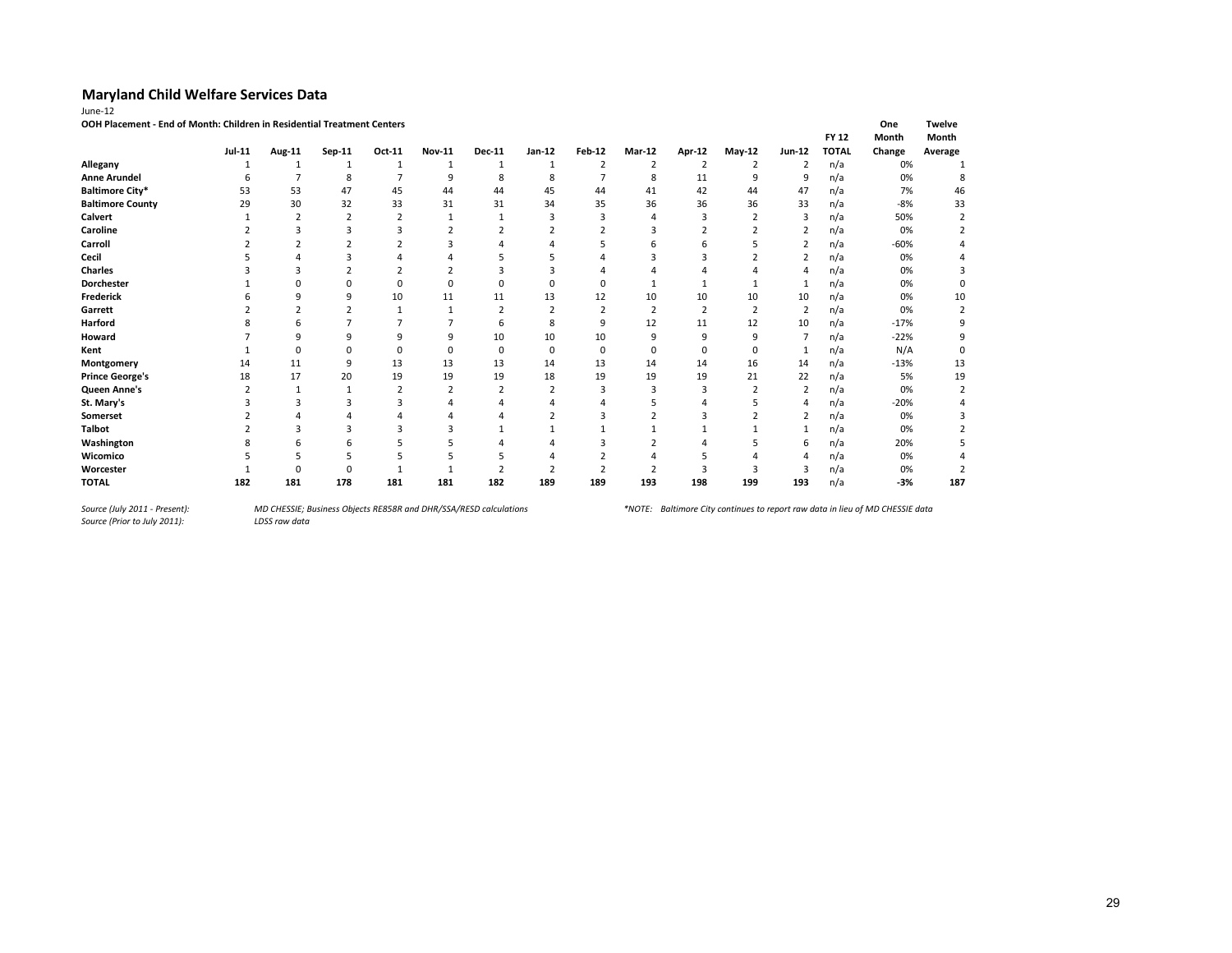| ١H<br>ır |  |
|----------|--|
|          |  |

**OOH Placement - End of Month: Children in Residential Treatment Centers One Twelve**

|                         |               |          |        |        |               |               |          |                |                |                |                |                | <b>FY 12</b> | Month  | Month    |
|-------------------------|---------------|----------|--------|--------|---------------|---------------|----------|----------------|----------------|----------------|----------------|----------------|--------------|--------|----------|
|                         | <b>Jul-11</b> | Aug-11   | Sep-11 | Oct-11 | <b>Nov-11</b> | <b>Dec-11</b> | Jan-12   | <b>Feb-12</b>  | <b>Mar-12</b>  | <b>Apr-12</b>  | May-12         | $Jun-12$       | <b>TOTAL</b> | Change | Average  |
| Allegany                |               |          | 1      |        |               | 1             | 1        | $\overline{2}$ | $\overline{2}$ | $\overline{2}$ | $\overline{2}$ | 2              | n/a          | 0%     |          |
| <b>Anne Arundel</b>     |               |          | 8      |        | 9             | 8             | 8        |                | 8              | 11             | 9              | 9              | n/a          | 0%     |          |
| <b>Baltimore City*</b>  | 53            | 53       | 47     | 45     | 44            | 44            | 45       | 44             | 41             | 42             | 44             | 47             | n/a          | 7%     | 46       |
| <b>Baltimore County</b> | 29            | 30       | 32     | 33     | 31            | 31            | 34       | 35             | 36             | 36             | 36             | 33             | n/a          | $-8%$  | 33       |
| Calvert                 |               |          |        |        | -1            |               |          |                |                |                |                | 3              | n/a          | 50%    |          |
| Caroline                |               |          |        |        |               |               |          |                |                |                |                | $\overline{2}$ | n/a          | 0%     |          |
| Carroll                 |               |          |        |        |               |               |          |                |                |                |                | 2              | n/a          | $-60%$ |          |
| Cecil                   |               |          |        |        |               |               |          |                |                |                |                | $\overline{2}$ | n/a          | 0%     |          |
| <b>Charles</b>          |               |          |        |        |               |               |          |                |                |                |                | 4              | n/a          | 0%     |          |
| Dorchester              |               |          |        |        |               |               |          |                |                |                |                |                | n/a          | 0%     |          |
| Frederick               |               |          | q      | 10     | 11            | 11            | 13       | 12             | 10             | 10             | 10             | 10             | n/a          | 0%     | 10       |
| Garrett                 |               |          |        |        |               |               |          |                | $\overline{2}$ | $\overline{2}$ |                | 2              | n/a          | 0%     | 2        |
| Harford                 |               |          |        |        |               | 6             |          | 9              | 12             | 11             | 12             | 10             | n/a          | $-17%$ | 9        |
| Howard                  |               |          | q      | q      | q             | 10            | 10       | 10             | q              | 9              | q              |                | n/a          | $-22%$ | 9        |
| Kent                    |               | $\Omega$ |        |        | $\Omega$      | $\mathbf 0$   | $\Omega$ | $\Omega$       | $\Omega$       | $\Omega$       | $\Omega$       |                | n/a          | N/A    | $\Omega$ |
| Montgomery              | 14            | 11       | 9      | 13     | 13            | 13            | 14       | 13             | 14             | 14             | 16             | 14             | n/a          | $-13%$ | 13       |
| <b>Prince George's</b>  | 18            | 17       | 20     | 19     | 19            | 19            | 18       | 19             | 19             | 19             | 21             | 22             | n/a          | 5%     | 19       |
| Queen Anne's            |               |          |        |        |               |               |          |                |                |                |                | $\overline{2}$ | n/a          | 0%     |          |
| St. Mary's              |               |          |        |        |               |               |          |                |                |                |                |                | n/a          | $-20%$ |          |
| Somerset                |               |          |        |        |               |               |          |                |                |                |                | $\overline{2}$ | n/a          | 0%     |          |
| Talbot                  |               |          |        |        |               |               |          |                |                |                |                |                | n/a          | 0%     |          |
| Washington              |               |          | h      |        |               |               |          |                |                |                |                | 6              | n/a          | 20%    |          |
| Wicomico                |               |          |        |        |               |               |          |                |                |                |                |                | n/a          | 0%     |          |
| Worcester               |               |          |        |        |               |               |          |                |                |                |                |                | n/a          | 0%     |          |
| <b>TOTAL</b>            | 182           | 181      | 178    | 181    | 181           | 182           | 189      | 189            | 193            | 198            | 199            | 193            | n/a          | $-3%$  | 187      |

*Source (Prior to July 2011):*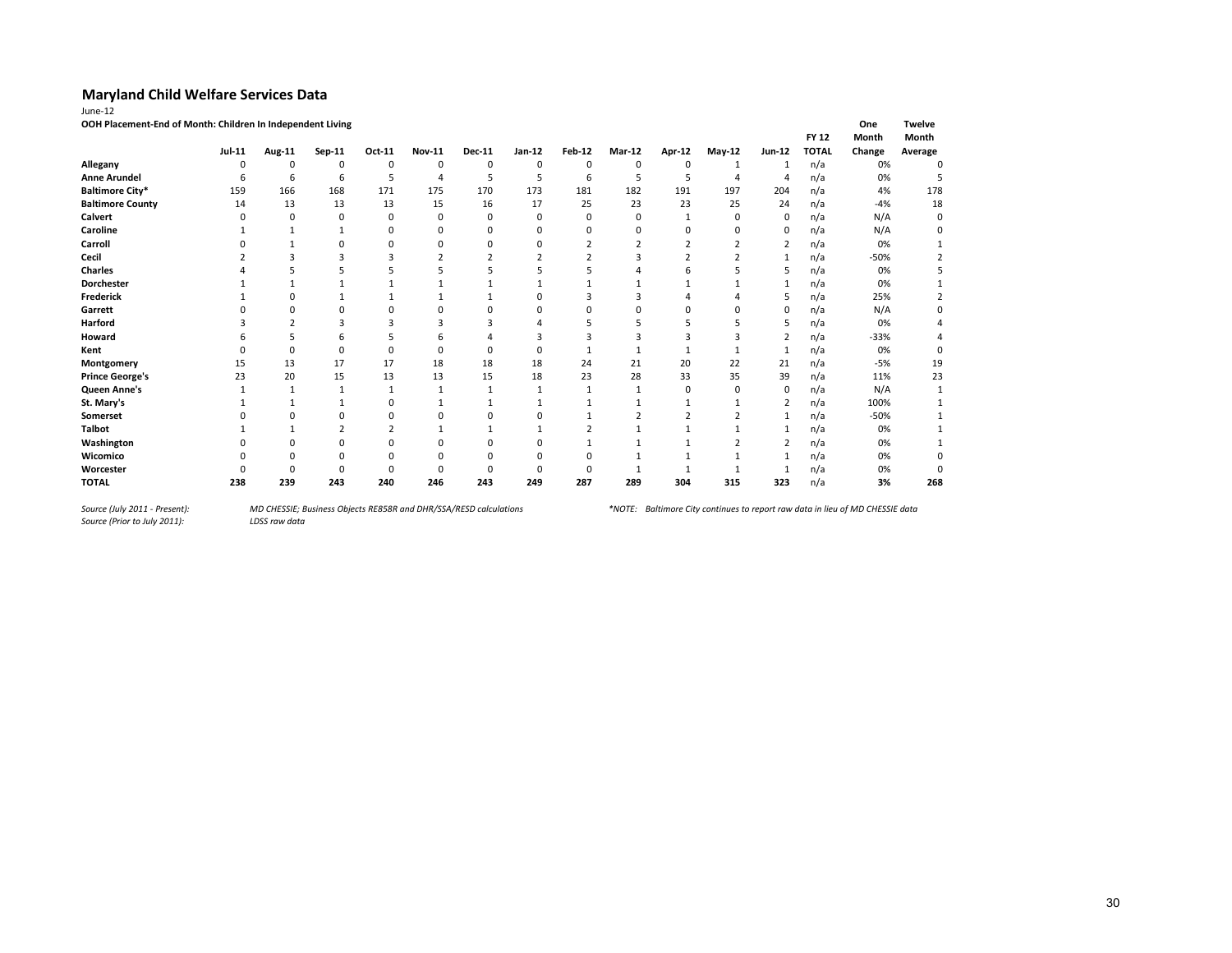| June-12                                                    |               |          |             |          |                |               |          |                |                |                |                |                |              |        |               |
|------------------------------------------------------------|---------------|----------|-------------|----------|----------------|---------------|----------|----------------|----------------|----------------|----------------|----------------|--------------|--------|---------------|
| OOH Placement-End of Month: Children In Independent Living |               |          |             |          |                |               |          |                |                |                |                |                |              | One    | <b>Twelve</b> |
|                                                            |               |          |             |          |                |               |          |                |                |                |                |                | <b>FY 12</b> | Month  | Month         |
|                                                            | <b>Jul-11</b> | Aug-11   | Sep-11      | Oct-11   | <b>Nov-11</b>  | <b>Dec-11</b> | Jan-12   | <b>Feb-12</b>  | <b>Mar-12</b>  | Apr-12         | May-12         | Jun-12         | <b>TOTAL</b> | Change | Average       |
| Allegany                                                   | 0             | 0        | $\mathbf 0$ | 0        | $\mathbf 0$    | 0             | 0        | 0              | 0              | 0              | 1              | 1              | n/a          | 0%     | 0             |
| <b>Anne Arundel</b>                                        | 6             | 6        | 6           | 5        | $\overline{4}$ | 5             | 5        | 6              | 5              | 5              | 4              | $\overline{4}$ | n/a          | 0%     |               |
| <b>Baltimore City*</b>                                     | 159           | 166      | 168         | 171      | 175            | 170           | 173      | 181            | 182            | 191            | 197            | 204            | n/a          | 4%     | 178           |
| <b>Baltimore County</b>                                    | 14            | 13       | 13          | 13       | 15             | 16            | 17       | 25             | 23             | 23             | 25             | 24             | n/a          | $-4%$  | 18            |
| Calvert                                                    | n             | 0        | 0           | 0        | $\mathbf 0$    | 0             | $\Omega$ | $\Omega$       | 0              | 1              | 0              | 0              | n/a          | N/A    | 0             |
| Caroline                                                   |               |          |             | $\Omega$ | $\Omega$       | O             | n        | 0              | $\Omega$       | $\Omega$       | 0              | 0              | n/a          | N/A    | 0             |
| Carroll                                                    |               |          | $\Omega$    | 0        | $\Omega$       |               | $\Omega$ | $\overline{2}$ | $\overline{2}$ | $\overline{2}$ | $\overline{2}$ | 2              | n/a          | 0%     |               |
| Cecil                                                      |               |          |             |          |                |               |          |                | 3              |                |                | $\mathbf{1}$   | n/a          | $-50%$ |               |
| <b>Charles</b>                                             |               |          |             |          |                |               |          |                |                | h              | 5              | 5              | n/a          | 0%     |               |
| Dorchester                                                 |               |          |             |          |                |               |          |                |                |                |                | 1              | n/a          | 0%     |               |
| Frederick                                                  |               | O        |             |          |                |               | n        |                | 3              |                |                | 5              | n/a          | 25%    |               |
| Garrett                                                    |               | $\Omega$ | $\Omega$    |          |                |               |          |                | $\Omega$       | O              | 0              | $\mathbf 0$    | n/a          | N/A    |               |
| <b>Harford</b>                                             |               |          |             |          |                |               |          |                |                |                |                | 5              | n/a          | 0%     |               |
| Howard                                                     |               | 5        | 6           |          | h              |               | 3        |                | 3              | 3              | 3              | $\overline{2}$ | n/a          | $-33%$ |               |
| Kent                                                       |               | $\Omega$ | $\Omega$    | O        | $\Omega$       |               | n        |                |                | 1              |                | 1              | n/a          | 0%     | 0             |
| Montgomery                                                 | 15            | 13       | 17          | 17       | 18             | 18            | 18       | 24             | 21             | 20             | 22             | 21             | n/a          | $-5%$  | 19            |
| <b>Prince George's</b>                                     | 23            | 20       | 15          | 13       | 13             | 15            | 18       | 23             | 28             | 33             | 35             | 39             | n/a          | 11%    | 23            |
| Queen Anne's                                               |               |          |             |          |                |               |          |                |                | 0              | $\Omega$       | 0              | n/a          | N/A    |               |
| St. Mary's                                                 |               |          |             | 0        |                |               |          |                |                |                |                | 2              | n/a          | 100%   |               |
| Somerset                                                   |               |          | 0           | ŋ        | n              |               | n        |                |                |                |                | $\mathbf{1}$   | n/a          | $-50%$ |               |
| <b>Talbot</b>                                              |               |          | 2           |          | 1              |               |          |                |                | 1              |                | -1             | n/a          | 0%     |               |
| Washington                                                 |               |          | $\Omega$    | $\Omega$ |                |               |          |                |                |                | $\overline{2}$ | $\overline{2}$ | n/a          | 0%     |               |
| Wicomico                                                   |               |          | Ω           |          | $\Omega$       |               |          |                |                |                |                | 1              | n/a          | 0%     |               |
| Worcester                                                  |               | $\Omega$ | n           | O        | $\Omega$       |               |          |                |                |                |                | -1             | n/a          | 0%     | $\Omega$      |
| <b>TOTAL</b>                                               | 238           | 239      | 243         | 240      | 246            | 243           | 249      | 287            | 289            | 304            | 315            | 323            | n/a          | 3%     | 268           |

*Source (July 2011 - Present):<br>Source (Prior to July 2011):*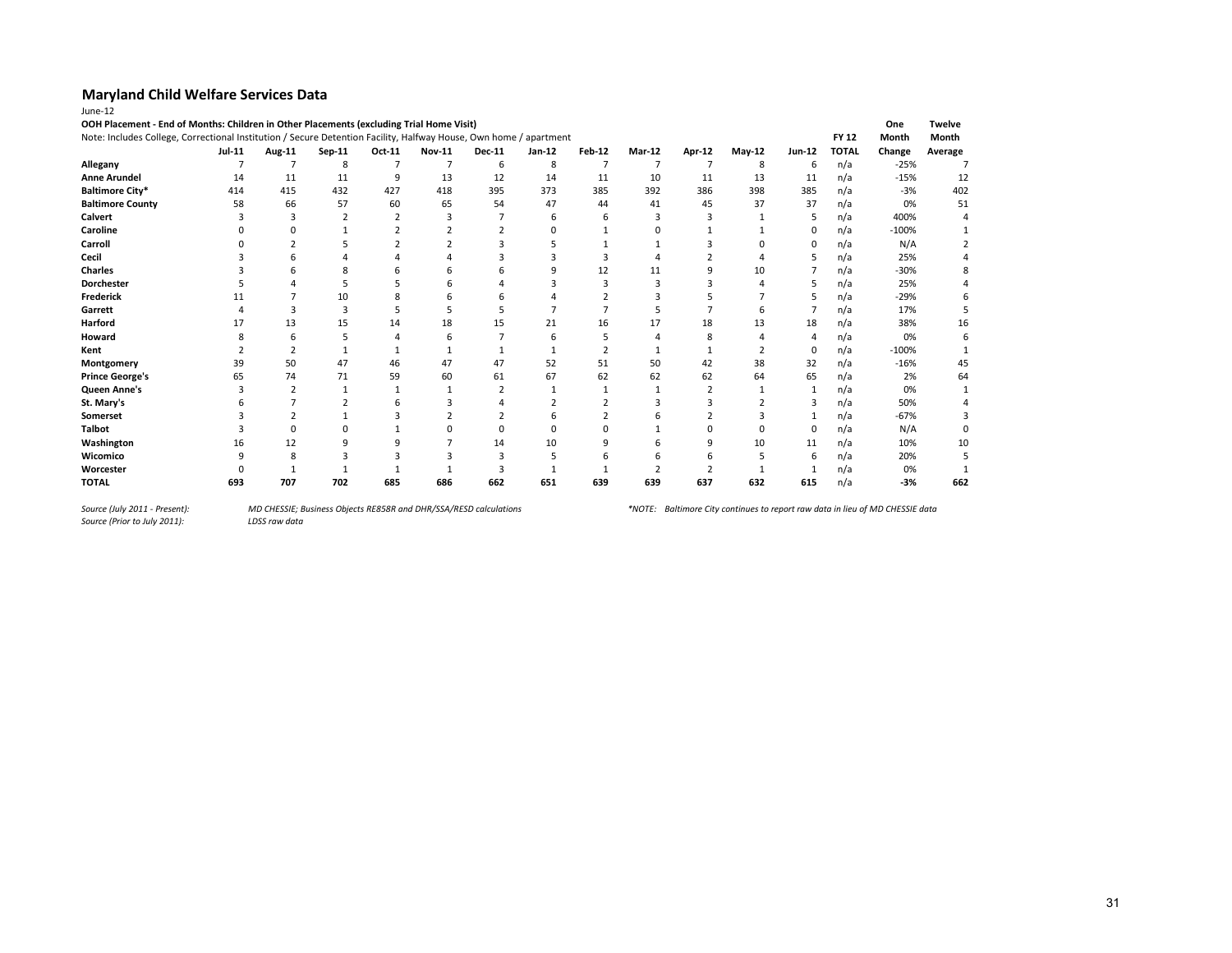| OOH Placement - End of Months: Children in Other Placements (excluding Trial Home Visit)<br>Note: Includes College, Correctional Institution / Secure Detention Facility, Halfway House, Own home / apartment |               |        |          |                |               |               |        |               |               |        |          |          | <b>FY 12</b> | One<br>Month | <b>Twelve</b><br>Month |
|---------------------------------------------------------------------------------------------------------------------------------------------------------------------------------------------------------------|---------------|--------|----------|----------------|---------------|---------------|--------|---------------|---------------|--------|----------|----------|--------------|--------------|------------------------|
|                                                                                                                                                                                                               | <b>Jul-11</b> | Aug-11 | $Sep-11$ | Oct-11         | <b>Nov-11</b> | <b>Dec-11</b> | Jan-12 | <b>Feb-12</b> | <b>Mar-12</b> | Apr-12 | $May-12$ | Jun-12   | <b>TOTAL</b> | Change       | Average                |
| Allegany                                                                                                                                                                                                      |               |        | 8        | $\overline{7}$ |               | 6             | 8      |               |               |        | 8        | 6        | n/a          | $-25%$       |                        |
| <b>Anne Arundel</b>                                                                                                                                                                                           | 14            | 11     | 11       | 9              | 13            | 12            | 14     | 11            | 10            | 11     | 13       | 11       | n/a          | $-15%$       | 12                     |
| <b>Baltimore City*</b>                                                                                                                                                                                        | 414           | 415    | 432      | 427            | 418           | 395           | 373    | 385           | 392           | 386    | 398      | 385      | n/a          | $-3%$        | 402                    |
| <b>Baltimore County</b>                                                                                                                                                                                       | 58            | 66     | 57       | 60             | 65            | 54            | 47     | 44            | 41            | 45     | 37       | 37       | n/a          | 0%           | 51                     |
| Calvert                                                                                                                                                                                                       |               |        |          |                |               |               |        | h             |               |        |          |          | n/a          | 400%         |                        |
| Caroline                                                                                                                                                                                                      |               |        |          |                |               |               |        |               |               |        |          |          | n/a          | $-100%$      |                        |
| Carroll                                                                                                                                                                                                       |               |        |          |                |               |               |        |               |               |        |          |          | n/a          | N/A          |                        |
| Cecil                                                                                                                                                                                                         |               |        |          |                |               |               |        |               |               |        |          |          | n/a          | 25%          |                        |
| <b>Charles</b>                                                                                                                                                                                                |               |        |          |                |               |               |        | 12            | 11            |        | 10       |          | n/a          | $-30%$       |                        |
| Dorchester                                                                                                                                                                                                    |               |        |          |                |               |               |        |               |               |        |          |          | n/a          | 25%          |                        |
| <b>Frederick</b>                                                                                                                                                                                              |               |        | 10       |                |               |               |        |               |               |        |          |          | n/a          | $-29%$       |                        |
| Garrett                                                                                                                                                                                                       |               | з      | 3        |                |               |               |        |               |               |        | h        |          | n/a          | 17%          |                        |
| <b>Harford</b>                                                                                                                                                                                                | 17            | 13     | 15       | 14             | 18            | 15            | 21     | 16            | 17            | 18     | 13       | 18       | n/a          | 38%          | 16                     |
| Howard                                                                                                                                                                                                        |               | h      |          |                |               |               |        |               |               | 8      |          |          | n/a          | 0%           |                        |
| Kent                                                                                                                                                                                                          |               |        |          |                |               |               |        |               |               |        |          | $\Omega$ | n/a          | $-100%$      |                        |
| Montgomery                                                                                                                                                                                                    | 39            | 50     | 47       | 46             | 47            | 47            | 52     | 51            | 50            | 42     | 38       | 32       | n/a          | $-16%$       | 45                     |
| <b>Prince George's</b>                                                                                                                                                                                        | 65            | 74     | 71       | 59             | 60            | 61            | 67     | 62            | 62            | 62     | 64       | 65       | n/a          | 2%           | 64                     |
| Queen Anne's                                                                                                                                                                                                  |               |        | 1        |                |               |               |        |               | 1             |        |          |          | n/a          | 0%           |                        |
| St. Mary's                                                                                                                                                                                                    |               |        |          |                |               |               |        |               |               |        |          | 3        | n/a          | 50%          |                        |
| Somerset                                                                                                                                                                                                      |               |        |          |                |               |               |        |               |               |        |          |          | n/a          | $-67%$       |                        |
| <b>Talbot</b>                                                                                                                                                                                                 |               |        |          |                |               |               |        |               |               |        |          | $\Omega$ | n/a          | N/A          |                        |
| Washington                                                                                                                                                                                                    | 16            | 12     |          |                |               | 14            | 10     | q             |               | q      | 10       | 11       | n/a          | 10%          | 10                     |
| Wicomico                                                                                                                                                                                                      |               | 8      |          |                |               |               |        |               |               |        |          | 6        | n/a          | 20%          |                        |
| Worcester                                                                                                                                                                                                     |               |        |          |                |               |               |        |               |               |        |          |          | n/a          | 0%           |                        |
| <b>TOTAL</b>                                                                                                                                                                                                  | 693           | 707    | 702      | 685            | 686           | 662           | 651    | 639           | 639           | 637    | 632      | 615      | n/a          | $-3%$        | 662                    |

*Source (Prior to July 2011):*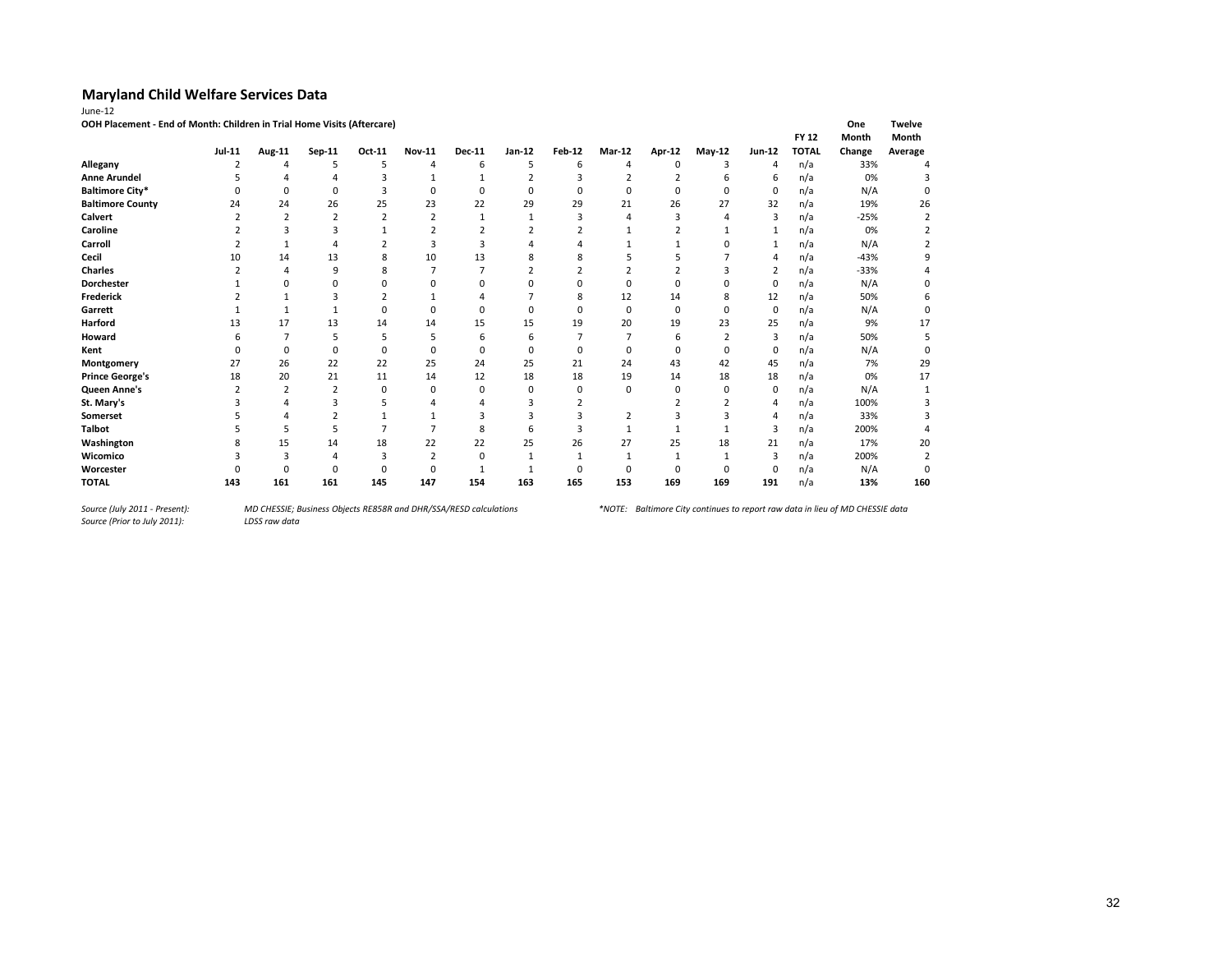| "<br>L |  |
|--------|--|
|        |  |

**OOH Placement - End of Month: Children in Trial Home Visits (Aftercare) One Twelve**

|                         |        |        | .             |          |               |               |          |               |                |          |          |                | <b>FY 12</b> | Month  | Month   |
|-------------------------|--------|--------|---------------|----------|---------------|---------------|----------|---------------|----------------|----------|----------|----------------|--------------|--------|---------|
|                         | Jul-11 | Aug-11 | Sep-11        | Oct-11   | <b>Nov-11</b> | <b>Dec-11</b> | Jan-12   | <b>Feb-12</b> | <b>Mar-12</b>  | Apr-12   | May-12   | Jun-12         | <b>TOTAL</b> | Change | Average |
| Allegany                |        |        |               | 5        | Δ             | 6             |          | 6             |                |          |          | Δ              | n/a          | 33%    |         |
| <b>Anne Arundel</b>     |        |        |               |          |               |               |          |               |                |          |          | 6              | n/a          | 0%     |         |
| <b>Baltimore City*</b>  |        |        |               |          |               | 0             |          |               |                |          |          | 0              | n/a          | N/A    |         |
| <b>Baltimore County</b> | 24     | 24     | 26            | 25       | 23            | 22            | 29       | 29            | 21             | 26       | 27       | 32             | n/a          | 19%    | 26      |
| Calvert                 |        |        |               |          |               |               |          |               |                |          |          | 3              | n/a          | $-25%$ |         |
| Caroline                |        |        |               |          |               |               |          |               |                |          |          | $\mathbf{1}$   | n/a          | 0%     |         |
| Carroll                 |        |        |               |          |               |               |          |               |                |          |          |                | n/a          | N/A    |         |
| Cecil                   | 10     | 14     | 13            | 8        | 10            | 13            |          |               |                |          |          |                | n/a          | $-43%$ |         |
| <b>Charles</b>          |        |        | q             |          |               |               |          |               |                |          |          | $\overline{2}$ | n/a          | $-33%$ |         |
| <b>Dorchester</b>       |        |        |               |          |               |               |          |               |                |          |          | $\Omega$       | n/a          | N/A    |         |
| Frederick               |        |        |               |          |               |               |          | 8             | 12             | 14       |          | 12             | n/a          | 50%    |         |
| Garrett                 |        |        |               | $\Omega$ |               | O             | n        | $\Omega$      | $\Omega$       | $\Omega$ |          | $\mathbf 0$    | n/a          | N/A    | 0       |
| Harford                 | 13     | 17     | 13            | 14       | 14            | 15            | 15       | 19            | 20             | 19       | 23       | 25             | n/a          | 9%     | 17      |
| Howard                  |        |        | 5             | 5        | 5             | 6             | 6        |               |                | 6        |          | 3              | n/a          | 50%    |         |
| Kent                    |        | 0      | $\Omega$      | $\Omega$ | O             | O             |          | $\Omega$      |                |          |          | $\mathbf 0$    | n/a          | N/A    |         |
| Montgomery              | 27     | 26     | 22            | 22       | 25            | 24            | 25       | 21            | 24             | 43       | 42       | 45             | n/a          | 7%     | 29      |
| <b>Prince George's</b>  | 18     | 20     | 21            | 11       | 14            | 12            | 18       | 18            | 19             | 14       | 18       | 18             | n/a          | 0%     | 17      |
| Queen Anne's            |        |        | $\mathcal{I}$ | 0        | 0             | 0             | $\Omega$ | O             | $\Omega$       | $\Omega$ | $\Omega$ | 0              | n/a          | N/A    |         |
| St. Mary's              |        |        |               |          |               |               |          |               |                |          |          | 4              | n/a          | 100%   |         |
| Somerset                |        |        |               |          |               |               |          |               | $\overline{2}$ |          |          | 4              | n/a          | 33%    |         |
| <b>Talbot</b>           |        |        |               |          |               |               |          |               |                |          |          | 3              | n/a          | 200%   |         |
| Washington              |        | 15     | 14            | 18       | 22            | 22            | 25       | 26            | 27             | 25       | 18       | 21             | n/a          | 17%    | 20      |
| Wicomico                |        |        |               | 3        |               | 0             |          |               |                |          |          | 3              | n/a          | 200%   |         |
| Worcester               |        |        |               | 0        | O             |               |          | $\Omega$      |                |          |          | $\Omega$       | n/a          | N/A    |         |
| <b>TOTAL</b>            | 143    | 161    | 161           | 145      | 147           | 154           | 163      | 165           | 153            | 169      | 169      | 191            | n/a          | 13%    | 160     |

*Source (Prior to July 2011):*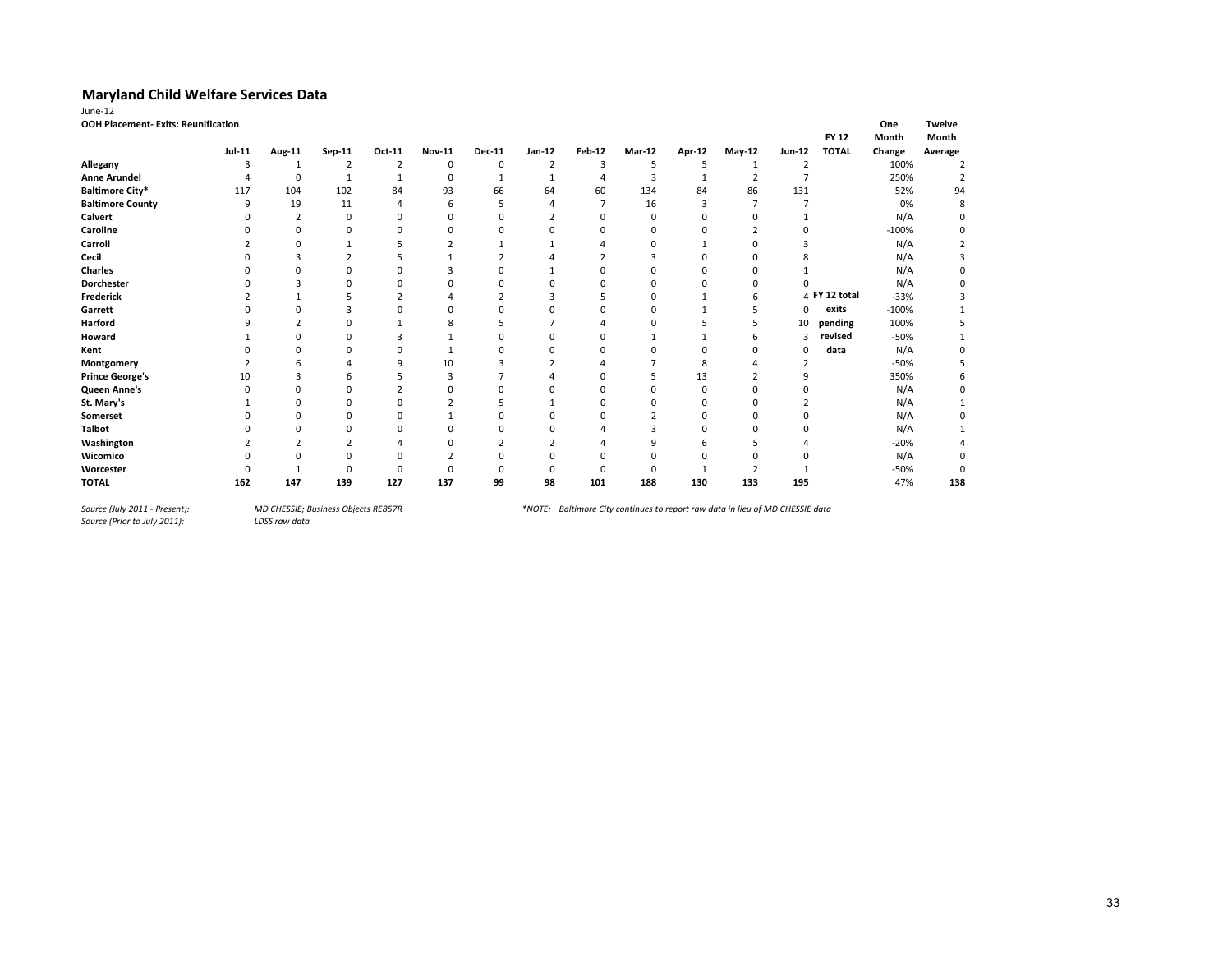| OOH Placement- Exits: Reunification |               |                |          |        |                |               |                |        |               |               |          |                | <b>FY 12</b>  | One<br>Month | <b>Twelve</b><br>Month |
|-------------------------------------|---------------|----------------|----------|--------|----------------|---------------|----------------|--------|---------------|---------------|----------|----------------|---------------|--------------|------------------------|
|                                     | <b>Jul-11</b> | Aug-11         | Sep-11   | Oct-11 | <b>Nov-11</b>  | <b>Dec-11</b> | Jan-12         | Feb-12 | <b>Mar-12</b> | <b>Apr-12</b> | $May-12$ | Jun-12         | <b>TOTAL</b>  | Change       | Average                |
| Allegany                            | 3             | 1              | 2        | 2      | 0              | 0             | $\overline{2}$ | 3      | 5             | 5             |          | 2              |               | 100%         |                        |
| <b>Anne Arundel</b>                 |               | 0              | 1        |        | 0              | 1             |                | 4      | 3             |               |          | 7              |               | 250%         |                        |
| <b>Baltimore City*</b>              | 117           | 104            | 102      | 84     | 93             | 66            | 64             | 60     | 134           | 84            | 86       | 131            |               | 52%          | 94                     |
| <b>Baltimore County</b>             | 9             | 19             | 11       | 4      | 6              | 5             |                | 7      | 16            | 3             | 7        |                |               | 0%           | 8                      |
| Calvert                             | O             | $\overline{2}$ | $\Omega$ | 0      | 0              |               |                |        | <sup>0</sup>  |               |          |                |               | N/A          |                        |
| Caroline                            |               | ŋ              | $\Omega$ | O      | ŋ              |               |                |        | 0             |               |          | 0              |               | $-100%$      |                        |
| Carroll                             |               | 0              |          |        | $\overline{2}$ |               |                |        |               |               |          |                |               | N/A          |                        |
| Cecil                               |               |                |          |        |                |               |                |        |               |               |          | 8              |               | N/A          |                        |
| <b>Charles</b>                      |               |                | O        | ŋ      | 3              |               |                |        | n             |               | O        |                |               | N/A          |                        |
| <b>Dorchester</b>                   |               |                | O        | O      | O              | $\Omega$      |                |        |               |               | ŋ        | ŋ              |               | N/A          |                        |
| <b>Frederick</b>                    |               |                |          |        |                |               |                |        |               |               | h        |                | 4 FY 12 total | $-33%$       |                        |
| Garrett                             |               |                | ٦        | ŋ      | ŋ              |               |                |        | <sup>0</sup>  |               |          | 0              | exits         | $-100%$      |                        |
| Harford                             |               |                | $\Omega$ |        | 8              |               |                |        |               |               |          | 10             | pending       | 100%         |                        |
| Howard                              |               |                |          |        |                |               |                |        |               |               |          | 3              | revised       | $-50%$       |                        |
| Kent                                |               |                | ŋ        | 0      |                |               |                |        |               |               | O        | 0              | data          | N/A          |                        |
| Montgomery                          |               |                |          | 9      | 10             | з             |                |        |               | 8             |          | $\overline{2}$ |               | $-50%$       |                        |
| <b>Prince George's</b>              | 10            |                | h        |        |                |               |                |        |               | 13            |          | 9              |               | 350%         |                        |
| Queen Anne's                        | 0             |                | 0        |        |                |               |                |        |               | 0             |          | 0              |               | N/A          |                        |
| St. Mary's                          |               | ŋ              | O        | 0      |                |               |                |        |               |               |          | $\overline{2}$ |               | N/A          |                        |
| Somerset                            |               | ŋ              | ŋ        | 0      |                | O             |                |        |               |               |          |                |               | N/A          |                        |
| <b>Talbot</b>                       |               |                | 0        | 0      |                |               |                |        |               |               |          |                |               | N/A          |                        |
| Washington                          |               |                |          |        |                |               |                |        |               |               |          |                |               | $-20%$       |                        |
| Wicomico                            |               |                | ŋ        | 0      |                |               |                |        |               |               |          |                |               | N/A          | 0                      |
| Worcester                           |               |                |          | ŋ      |                |               |                |        |               |               |          |                |               | $-50%$       | 0                      |
| <b>TOTAL</b>                        | 162           | 147            | 139      | 127    | 137            | 99            | 98             | 101    | 188           | 130           | 133      | 195            |               | 47%          | 138                    |

*Source (July 2011 - Present):<br>Source (Prior to July 2011):* 

*Source (July 2011 - Present): MD CHESSIE; Business Objects RE857R \*NOTE: Baltimore City continues to report raw data in lieu of MD CHESSIE data*

33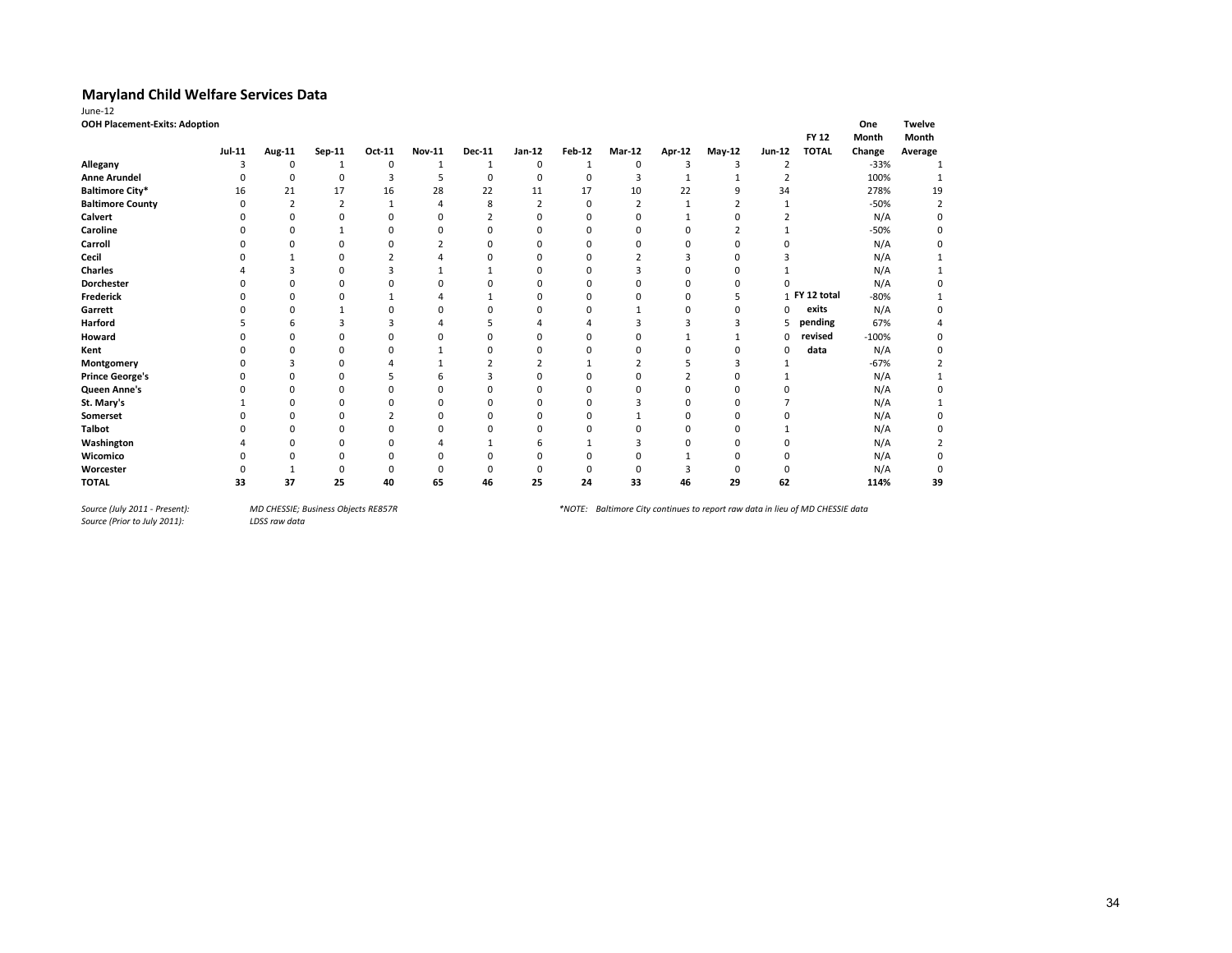| <b>OOH Placement-Exits: Adoption</b> |          |          |        |          |               |               |               |               |        |        |          |               | FY 12         | One<br>Month | <b>Twelve</b><br>Month |
|--------------------------------------|----------|----------|--------|----------|---------------|---------------|---------------|---------------|--------|--------|----------|---------------|---------------|--------------|------------------------|
|                                      | $Jul-11$ | Aug-11   | Sep-11 | Oct-11   | <b>Nov-11</b> | <b>Dec-11</b> | <b>Jan-12</b> | <b>Feb-12</b> | Mar-12 | Apr-12 | $May-12$ | <b>Jun-12</b> | <b>TOTAL</b>  | Change       | Average                |
| Allegany                             |          | $\Omega$ |        | $\Omega$ |               |               | $\Omega$      |               |        |        | з        |               |               | $-33%$       |                        |
| <b>Anne Arundel</b>                  |          |          |        |          |               |               |               |               |        |        |          |               |               | 100%         |                        |
| <b>Baltimore City*</b>               | 16       | 21       | 17     | 16       | 28            | 22            | 11            | 17            | 10     | 22     |          | 34            |               | 278%         | 19                     |
| <b>Baltimore County</b>              |          |          |        |          |               |               |               |               |        |        |          |               |               | $-50%$       |                        |
| Calvert                              |          |          |        |          |               |               |               |               |        |        |          |               |               | N/A          |                        |
| Caroline                             |          |          |        |          |               |               |               |               |        |        |          |               |               | $-50%$       |                        |
| Carroll                              |          |          |        |          |               |               |               |               |        |        |          |               |               | N/A          |                        |
| Cecil                                |          |          |        |          |               |               |               |               |        |        |          |               |               | N/A          |                        |
| <b>Charles</b>                       |          |          |        |          |               |               |               |               |        |        |          |               |               | N/A          |                        |
| Dorchester                           |          |          |        |          |               |               |               |               |        |        |          |               |               | N/A          |                        |
| Frederick                            |          |          |        |          |               |               |               |               |        |        |          |               | 1 FY 12 total | $-80%$       |                        |
| Garrett                              |          |          |        |          |               |               |               |               |        |        |          | $\Omega$      | exits         | N/A          |                        |
| Harford                              |          |          |        |          |               |               |               |               |        |        |          |               | pending       | 67%          |                        |
| Howard                               |          |          |        |          |               |               |               |               |        |        |          | 0             | revised       | $-100%$      |                        |
| Kent                                 |          |          |        |          |               |               |               |               |        |        |          | 0             | data          | N/A          |                        |
| Montgomery                           |          |          |        |          |               |               |               |               |        |        |          |               |               | $-67%$       |                        |
| <b>Prince George's</b>               |          |          |        |          |               |               |               |               |        |        |          |               |               | N/A          |                        |
| Queen Anne's                         |          |          |        |          |               |               |               |               |        |        |          |               |               | N/A          |                        |
| St. Mary's                           |          |          |        |          |               |               |               |               |        |        |          |               |               | N/A          |                        |
| Somerset                             |          |          |        |          |               |               |               |               |        |        |          |               |               | N/A          |                        |
| <b>Talbot</b>                        |          |          |        |          |               |               |               |               |        |        |          |               |               | N/A          |                        |
| Washington                           |          |          |        |          |               |               |               |               |        |        |          |               |               | N/A          |                        |
| Wicomico                             |          |          |        |          |               |               |               |               |        |        |          |               |               | N/A          |                        |
| Worcester                            |          |          |        |          |               |               |               |               |        |        |          |               |               | N/A          |                        |
| <b>TOTAL</b>                         | 33       | 37       | 25     | 40       | 65            | 46            | 25            | 24            | 33     | 46     | 29       | 62            |               | 114%         | 39                     |

*Source (July 2011 - Present):<br>Source (Prior to July 2011):*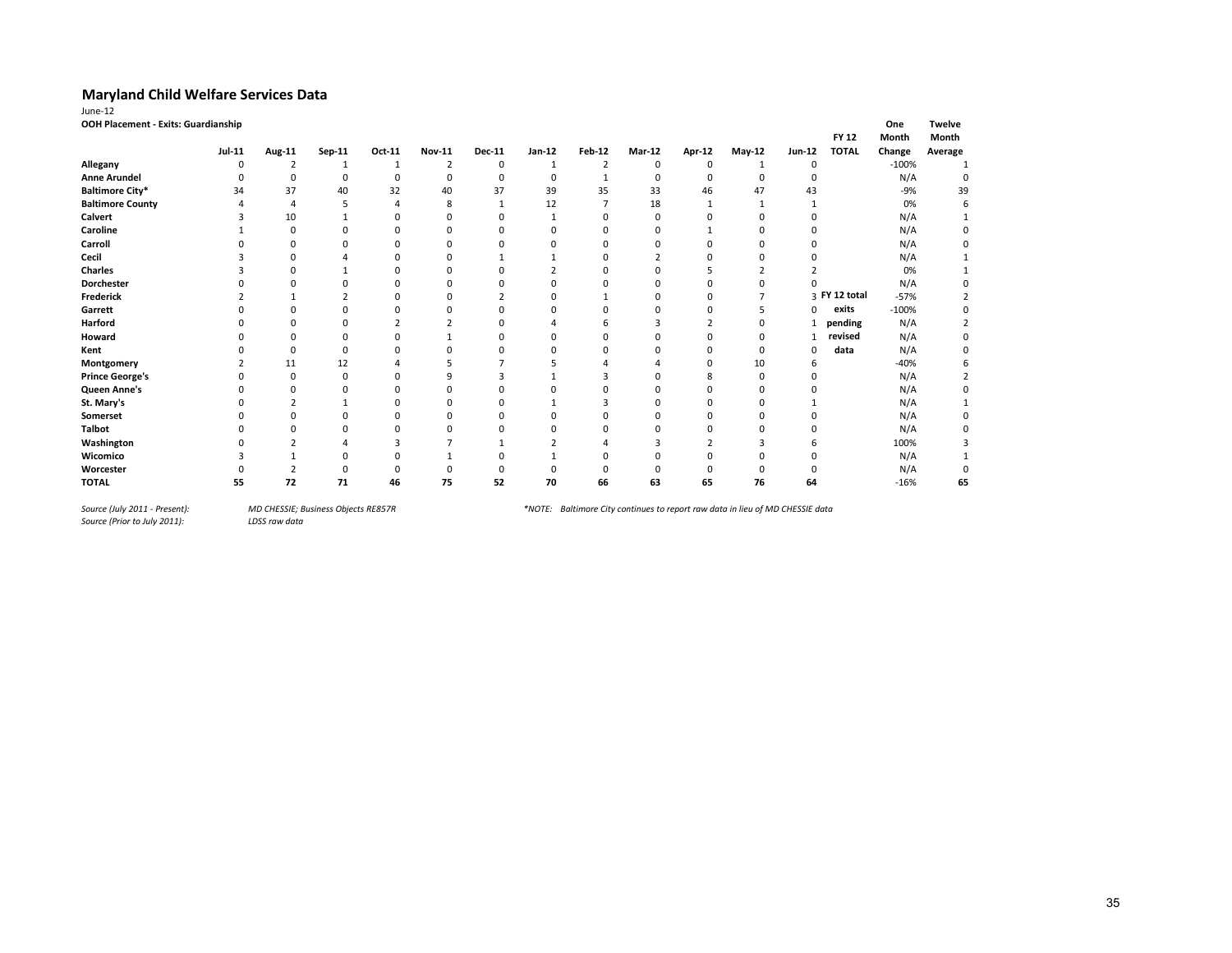| OOH Placement - Exits: Guardianship |          |          |        |        |               |        |        |               |          |        |          |          | <b>FY 12</b> | One<br>Month | <b>Twelve</b><br>Month |
|-------------------------------------|----------|----------|--------|--------|---------------|--------|--------|---------------|----------|--------|----------|----------|--------------|--------------|------------------------|
|                                     | $Jul-11$ | Aug-11   | Sep-11 | Oct-11 | <b>Nov-11</b> | Dec-11 | Jan-12 | <b>Feb-12</b> | Mar-12   | Apr-12 | $May-12$ | Jun-12   | <b>TOTAL</b> | Change       | Average                |
| Allegany                            | 0        |          |        |        |               | 0      |        |               | $\Omega$ |        |          | 0        |              | $-100%$      |                        |
| <b>Anne Arundel</b>                 |          | O        |        | n      | O             | O      | 0      |               | 0        |        | C        | O        |              | N/A          |                        |
| <b>Baltimore City*</b>              | 34       | 37       | 40     | 32     | 40            | 37     | 39     | 35            | 33       | 46     | 47       | 43       |              | $-9%$        | 39                     |
| <b>Baltimore County</b>             |          |          |        |        | 8             |        | 12     |               | 18       |        |          |          |              | 0%           |                        |
| Calvert                             |          | 10       |        |        | n             |        |        |               | ŋ        |        | n        |          |              | N/A          |                        |
| Caroline                            |          | 0        |        | O      | n             |        | O      |               |          |        | n        |          |              | N/A          |                        |
| Carroll                             |          | $\Omega$ |        |        |               |        |        |               |          |        |          |          |              | N/A          |                        |
| Cecil                               |          |          |        |        |               |        |        |               |          |        |          |          |              | N/A          |                        |
| <b>Charles</b>                      |          | ŋ        |        |        | n             |        |        |               |          |        |          |          |              | 0%           |                        |
| Dorchester                          |          |          |        |        |               |        |        |               |          |        |          |          |              | N/A          |                        |
| Frederick                           |          |          |        |        |               |        |        |               |          |        |          | з        | FY 12 total  | $-57%$       |                        |
| Garrett                             |          |          |        |        |               |        |        |               |          |        |          | $\Omega$ | exits        | $-100%$      |                        |
| Harford                             |          |          |        |        |               |        |        |               |          |        |          |          | pending      | N/A          |                        |
| Howard                              |          |          |        |        |               |        |        |               |          |        | n        | 1        | revised      | N/A          |                        |
| Kent                                |          | 0        |        |        |               |        |        |               |          |        | $\Omega$ | $\Omega$ | data         | N/A          |                        |
| Montgomery                          |          | 11       | 12     |        |               |        |        |               |          |        | 10       | 6        |              | $-40%$       |                        |
| <b>Prince George's</b>              |          | $\Omega$ |        |        | a             |        |        |               |          |        |          |          |              | N/A          |                        |
| Queen Anne's                        |          |          |        |        |               |        |        |               |          |        |          |          |              | N/A          |                        |
| St. Mary's                          |          |          |        |        |               |        |        |               |          |        |          |          |              | N/A          |                        |
| Somerset                            |          |          |        |        |               |        |        |               |          |        |          |          |              | N/A          |                        |
| <b>Talbot</b>                       |          |          |        |        |               |        |        |               |          |        |          |          |              | N/A          |                        |
| Washington                          |          |          |        |        |               |        |        |               |          |        |          |          |              | 100%         |                        |
| Wicomico                            |          |          |        |        |               |        |        |               |          |        |          |          |              | N/A          |                        |
| Worcester                           |          |          |        |        |               |        |        |               |          |        |          |          |              | N/A          |                        |
| <b>TOTAL</b>                        | 55       | 72       | 71     | 46     | 75            | 52     | 70     | 66            | 63       | 65     | 76       | 64       |              | $-16%$       | 65                     |

*Source (July 2011 - Present):<br>Source (Prior to July 2011):*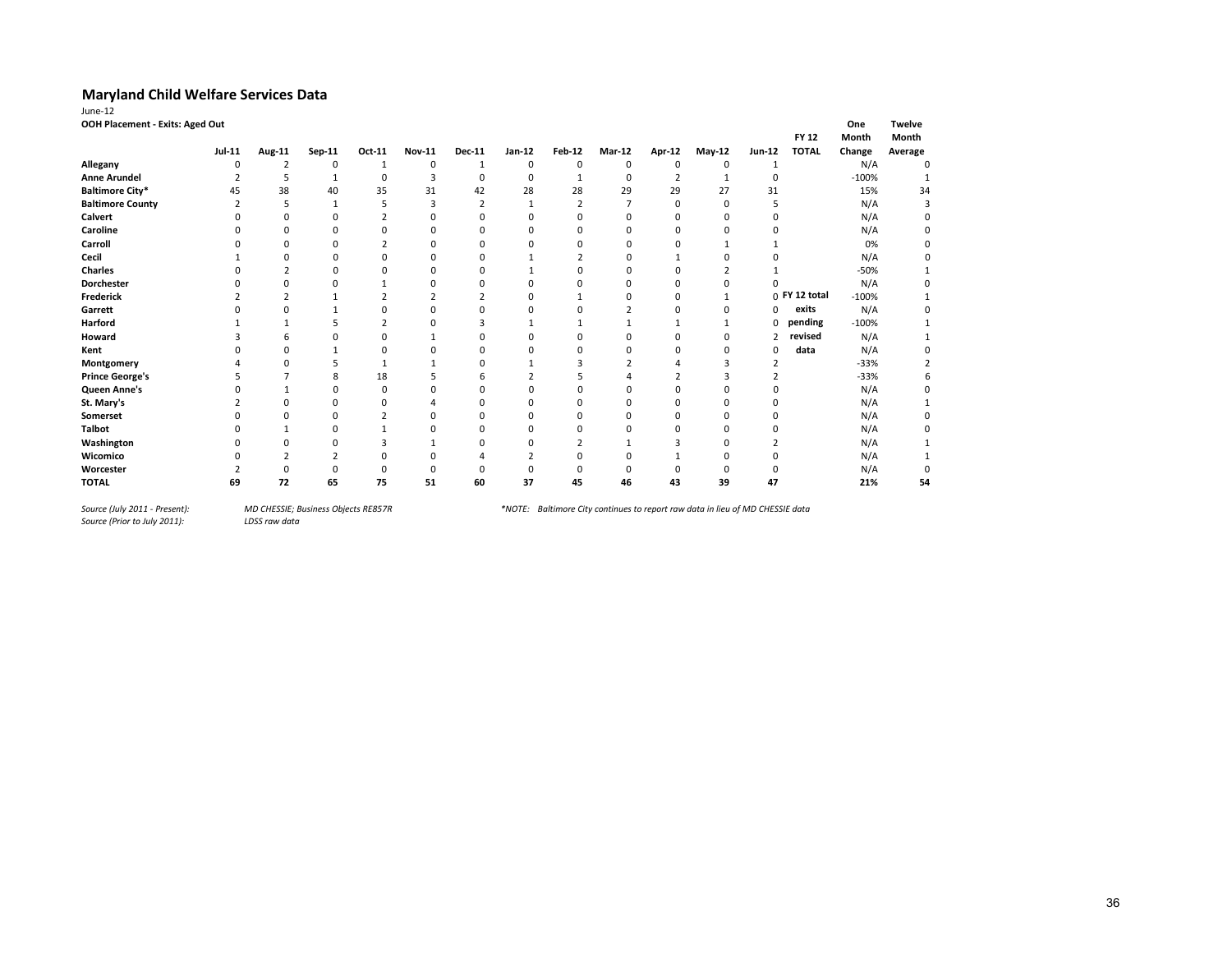| June-12                         |                         |                |          |                |               |                |             |               |             |        |             |                |                 |         |               |
|---------------------------------|-------------------------|----------------|----------|----------------|---------------|----------------|-------------|---------------|-------------|--------|-------------|----------------|-----------------|---------|---------------|
| OOH Placement - Exits: Aged Out |                         |                |          |                |               |                |             |               |             |        |             |                |                 | One     | <b>Twelve</b> |
|                                 |                         |                |          |                |               |                |             |               |             |        |             |                | <b>FY 12</b>    | Month   | Month         |
|                                 | <b>Jul-11</b>           | Aug-11         | Sep-11   | Oct-11         | <b>Nov-11</b> | <b>Dec-11</b>  | Jan-12      | <b>Feb-12</b> | Mar-12      | Apr-12 | $May-12$    | Jun-12         | <b>TOTAL</b>    | Change  | Average       |
| Allegany                        | 0                       | $\overline{2}$ | 0        | 1              | 0             | 1              | 0           | 0             | $\mathbf 0$ | 0      | $\mathbf 0$ |                |                 | N/A     | 0             |
| <b>Anne Arundel</b>             | $\overline{\mathbf{c}}$ | 5              |          | $\Omega$       | 3             | 0              | $\mathbf 0$ | $\mathbf{1}$  | $\mathbf 0$ | 2      |             | $\Omega$       |                 | $-100%$ |               |
| <b>Baltimore City*</b>          | 45                      | 38             | 40       | 35             | 31            | 42             | 28          | 28            | 29          | 29     | 27          | 31             |                 | 15%     | 34            |
| <b>Baltimore County</b>         | 2                       | 5              |          | 5              | 3             | $\overline{2}$ | 1           |               | 7           | 0      | $\Omega$    | 5              |                 | N/A     |               |
| <b>Calvert</b>                  | 0                       | $\Omega$       | 0        |                | $\Omega$      | $\Omega$       | 0           | $\Omega$      | $\Omega$    | 0      | $\Omega$    | 0              |                 | N/A     | 0             |
| Caroline                        | n                       | O              | ŋ        | $\Omega$       | $\Omega$      | O              | O           | n             | n           | O      | n           |                |                 | N/A     |               |
| Carroll                         |                         | $\Omega$       | ŋ        | $\overline{2}$ | $\Omega$      | $\Omega$       | $\Omega$    | $\Omega$      | n           |        |             |                |                 | 0%      |               |
| Cecil                           |                         | $\Omega$       |          | $\Omega$       | $\Omega$      | 0              |             |               | $\Omega$    |        |             |                |                 | N/A     |               |
| <b>Charles</b>                  |                         |                |          | 0              | $\Omega$      | $\Omega$       |             | $\Omega$      | 0           |        |             |                |                 | $-50%$  |               |
| Dorchester                      |                         |                |          |                |               | ŋ              | ŋ           | O             | O           | O      | O           |                |                 | N/A     |               |
| <b>Frederick</b>                |                         |                |          |                |               |                | O           |               | $\Omega$    | O      |             |                | $0$ FY 12 total | $-100%$ |               |
| Garrett                         |                         |                |          | 0              | $\Omega$      | O              | O           | $\Omega$      |             | O      | n           | $\Omega$       | exits           | N/A     |               |
| Harford                         |                         |                |          |                | $\Omega$      |                |             |               |             |        |             | 0              | pending         | $-100%$ |               |
| Howard                          |                         | h              |          | 0              |               | $\Omega$       | O           | n             |             |        |             | $\overline{2}$ | revised         | N/A     |               |
| Kent                            |                         |                |          | U              | O             | O              | ŋ           | n             |             |        |             | $\Omega$       | data            | N/A     |               |
| Montgomery                      |                         |                |          | $\mathbf 1$    |               | O              |             |               |             |        |             |                |                 | $-33%$  |               |
| <b>Prince George's</b>          |                         |                | 8        | 18             | 5             | 6              |             |               |             |        |             |                |                 | $-33%$  |               |
| Queen Anne's                    | n                       |                | ŋ        | $\Omega$       | $\Omega$      | O              | O           | O             |             |        |             |                |                 | N/A     |               |
| St. Mary's                      |                         |                | n        | $\Omega$       |               | O              |             |               |             | n      | O           |                |                 | N/A     |               |
| Somerset                        |                         |                | O        | $\overline{2}$ | ŋ             | O              | U           | $\Omega$      | O           | O      | O           |                |                 | N/A     |               |
| <b>Talbot</b>                   | ŋ                       |                | 0        | -1             | ŋ             | $\Omega$       | ŋ           | <sup>0</sup>  | n           | ŋ      | O           |                |                 | N/A     |               |
| Washington                      |                         |                | $\Omega$ | З              |               | O              | U           |               |             |        | O           |                |                 | N/A     |               |
| Wicomico                        |                         |                |          |                |               |                |             | $\Omega$      |             |        |             |                |                 | N/A     |               |
| Worcester                       |                         |                | n        | n              |               | ŋ              |             |               | O           |        | O           |                |                 | N/A     |               |
| <b>TOTAL</b>                    | 69                      | 72             | 65       | 75             | 51            | 60             | 37          | 45            | 46          | 43     | 39          | 47             |                 | 21%     | 54            |

*Source (July 2011 - Present):<br>Source (Prior to July 2011):*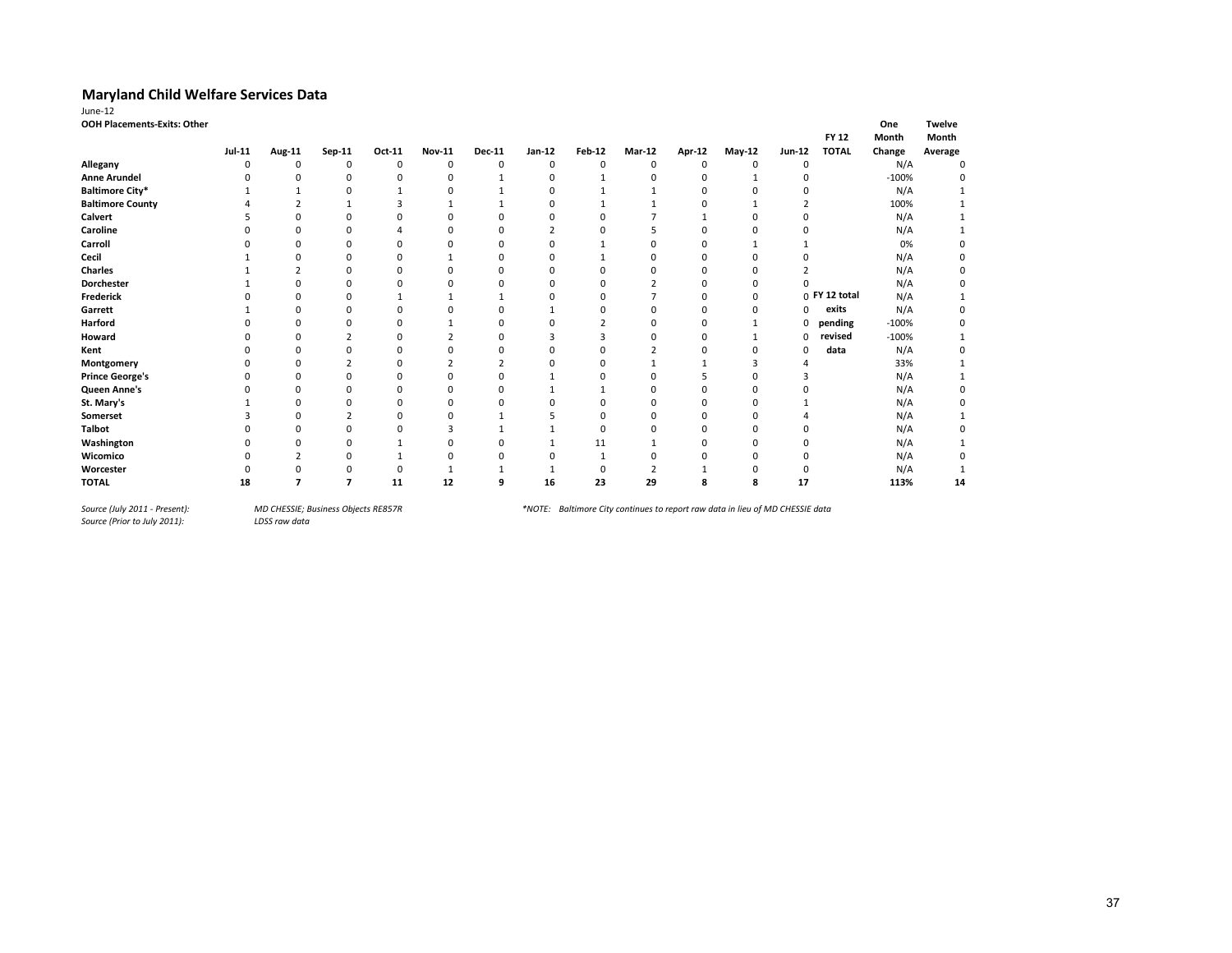| June-12                            |               |          |          |          |               |               |             |          |               |        |          |          |               |         |               |
|------------------------------------|---------------|----------|----------|----------|---------------|---------------|-------------|----------|---------------|--------|----------|----------|---------------|---------|---------------|
| <b>OOH Placements-Exits: Other</b> |               |          |          |          |               |               |             |          |               |        |          |          |               | One     | <b>Twelve</b> |
|                                    |               |          |          |          |               |               |             |          |               |        |          |          | <b>FY 12</b>  | Month   | Month         |
|                                    | <b>Jul-11</b> | Aug-11   | Sep-11   | Oct-11   | <b>Nov-11</b> | <b>Dec-11</b> | Jan-12      | Feb-12   | <b>Mar-12</b> | Apr-12 | $May-12$ | Jun-12   | <b>TOTAL</b>  | Change  | Average       |
| Allegany                           | 0             | 0        | 0        | 0        | 0             | 0             | $\mathbf 0$ | 0        | 0             | 0      | $\Omega$ | 0        |               | N/A     | 0             |
| <b>Anne Arundel</b>                |               | O        | $\Omega$ | 0        | $\Omega$      |               | O           |          | n             | O      |          | 0        |               | $-100%$ |               |
| <b>Baltimore City*</b>             |               |          | U        |          | $\Omega$      |               | O           |          |               |        |          | 0        |               | N/A     |               |
| <b>Baltimore County</b>            |               |          |          |          |               |               |             |          |               |        |          |          |               | 100%    |               |
| Calvert                            |               |          | n        | n        | $\Omega$      |               |             |          |               |        | O        | 0        |               | N/A     |               |
| Caroline                           |               |          | C        |          | n             |               |             |          |               |        | O        | n        |               | N/A     |               |
| Carroll                            |               |          | $\Omega$ | $\Omega$ | $\Omega$      | 0             | $\Omega$    |          |               | ŋ      |          |          |               | 0%      |               |
| Cecil                              |               |          | $\Omega$ | $\Omega$ |               | U             | $\Omega$    |          | O             | 0      | $\Omega$ | $\Omega$ |               | N/A     |               |
| <b>Charles</b>                     |               |          |          |          |               |               |             |          |               |        |          |          |               | N/A     |               |
| Dorchester                         |               | በ        | n        | 0        | n             | C             | O           | 0        |               | U      | 0        |          |               | N/A     |               |
| Frederick                          |               | ŋ        | 0        |          |               |               | O           | 0        |               | n      | $\Omega$ |          | 0 FY 12 total | N/A     |               |
| Garrett                            |               |          | 0        | 0        | C             | O             |             | O        |               | 0      | $\Omega$ | 0        | exits         | N/A     |               |
| Harford                            |               |          | 0        | 0        |               |               |             |          |               |        |          | 0        | pending       | $-100%$ | 0             |
| Howard                             |               |          |          | 0        |               |               |             | э        |               | 0      |          | 0        | revised       | $-100%$ |               |
| Kent                               |               | O        | $\Omega$ | O        | n             | U             | n           | ŋ        |               | O      | $\Omega$ | $\Omega$ | data          | N/A     |               |
| Montgomery                         |               | 0        |          | $\Omega$ |               |               | n           | $\Omega$ |               |        |          | 4        |               | 33%     |               |
| <b>Prince George's</b>             |               | 0        | 0        | 0        | C             | 0             |             | 0        |               | 5      | $\Omega$ |          |               | N/A     |               |
| Queen Anne's                       |               | 0        | $\Omega$ | $\Omega$ | $\Omega$      | n             |             |          | n             | ŋ      | $\Omega$ | O        |               | N/A     | ŋ             |
| St. Mary's                         |               | $\Omega$ | n        | 0        | $\Omega$      | 0             | ſ           | 0        | $\Omega$      | 0      | 0        |          |               | N/A     |               |
| Somerset                           |               | 0        | ∍        | 0        | $\Omega$      |               |             | $\Omega$ | $\Omega$      | 0      | $\Omega$ |          |               | N/A     |               |
| <b>Talbot</b>                      |               | 0        | $\Omega$ | O        | з             |               |             | $\Omega$ | $\Omega$      | 0      | $\Omega$ | $\Omega$ |               | N/A     |               |
| Washington                         |               | O        | $\Omega$ |          | $\Omega$      | O             |             | 11       |               | 0      | $\Omega$ | 0        |               | N/A     |               |
| Wicomico                           |               |          | U        |          | $\Omega$      | O             | n           |          |               |        | n        | 0        |               | N/A     | 0             |
| Worcester                          |               | በ        | U        | 0        |               |               |             | $\Omega$ |               |        | n        | 0        |               | N/A     |               |
| <b>TOTAL</b>                       | 18            |          |          | 11       | 12            | 9             | 16          | 23       | 29            | 8      | 8        | 17       |               | 113%    | 14            |

*Source (July 2011 - Present):<br>Source (Prior to July 2011):*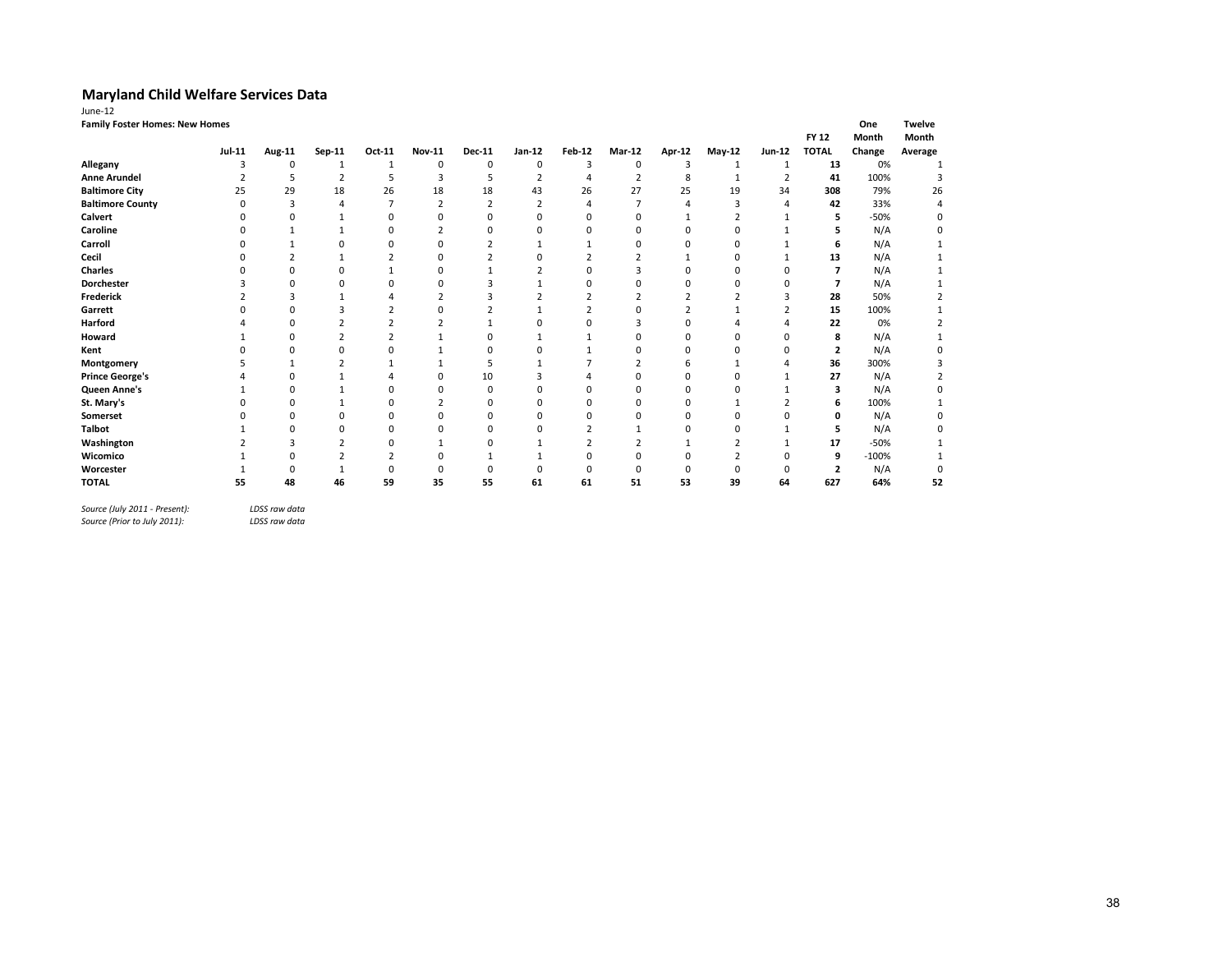| June-12                               |               |          |                         |                |               |               |          |                |               |        |              |                |              |         |               |
|---------------------------------------|---------------|----------|-------------------------|----------------|---------------|---------------|----------|----------------|---------------|--------|--------------|----------------|--------------|---------|---------------|
| <b>Family Foster Homes: New Homes</b> |               |          |                         |                |               |               |          |                |               |        |              |                |              | One     | <b>Twelve</b> |
|                                       |               |          |                         |                |               |               |          |                |               |        |              |                | <b>FY 12</b> | Month   | Month         |
|                                       | <b>Jul-11</b> | Aug-11   | Sep-11                  | Oct-11         | <b>Nov-11</b> | <b>Dec-11</b> | Jan-12   | Feb-12         | <b>Mar-12</b> | Apr-12 | May-12       | Jun-12         | <b>TOTAL</b> | Change  | Average       |
| Allegany                              | 3             | 0        |                         |                | 0             | 0             | 0        | 3              | 0             | 3      | $\mathbf{1}$ |                | 13           | 0%      |               |
| <b>Anne Arundel</b>                   |               | 5        | $\overline{\mathbf{z}}$ | 5              | 3             | 5             |          |                |               | 8      |              | $\overline{2}$ | 41           | 100%    |               |
| <b>Baltimore City</b>                 | 25            | 29       | 18                      | 26             | 18            | 18            | 43       | 26             | 27            | 25     | 19           | 34             | 308          | 79%     | 26            |
| <b>Baltimore County</b>               | $\Omega$      |          |                         |                |               |               |          |                |               |        |              |                | 42           | 33%     | 4             |
| Calvert                               | U             | U        |                         | $\Omega$       | $\Omega$      | $\Omega$      | $\Omega$ | $\Omega$       | $\Omega$      |        |              |                | 5            | $-50%$  | 0             |
| Caroline                              |               |          |                         | O              | $\mathcal{P}$ | $\Omega$      | $\Omega$ | $\Omega$       | $\Omega$      |        | n            |                |              | N/A     | O             |
| Carroll                               |               |          | n                       | 0              | $\Omega$      |               |          |                |               |        |              |                | 6            | N/A     |               |
| Cecil                                 |               |          |                         | ∠              | $\Omega$      |               |          |                |               |        |              |                | 13           | N/A     |               |
| Charles                               |               | n        | n                       |                | $\Omega$      |               |          | $\Omega$       |               |        |              |                |              | N/A     |               |
| Dorchester                            |               |          |                         | 0              | U             |               |          |                |               |        |              |                |              | N/A     |               |
| Frederick                             |               |          |                         |                |               |               |          |                |               |        |              |                | 28           | 50%     |               |
| Garrett                               |               | U        | ٩                       |                | n             |               |          | $\overline{c}$ |               |        |              |                | 15           | 100%    |               |
| Harford                               |               | U        |                         |                |               |               |          |                |               |        |              |                | 22           | 0%      |               |
| Howard                                |               | O        | ,                       |                |               | O             |          |                |               |        |              |                | 8            | N/A     |               |
| Kent                                  |               | 0        | 0                       |                |               | 0             |          |                |               |        |              |                | 2            | N/A     |               |
| Montgomery                            |               |          |                         |                |               |               |          |                |               |        |              |                | 36           | 300%    |               |
| <b>Prince George's</b>                |               | n        |                         |                | $\Omega$      | 10            |          |                |               |        |              |                | 27           | N/A     |               |
| Queen Anne's                          |               | 0        |                         | 0              | n             | $\Omega$      | n        |                |               |        |              |                | 3            | N/A     | 0             |
| St. Mary's                            |               | $\Omega$ |                         | $\Omega$       | $\mathcal{P}$ | $\Omega$      | $\Omega$ | $\Omega$       | O             |        |              |                | 6            | 100%    |               |
| Somerset                              |               | 0        |                         | 0              | $\Omega$      | $\Omega$      | $\Omega$ |                |               |        |              |                | n            | N/A     |               |
| <b>Talbot</b>                         |               |          | n                       | $\Omega$       | $\Omega$      | n             | n        |                |               |        |              |                | 5            | N/A     |               |
| Washington                            |               | 3        |                         | 0              |               | 0             |          |                |               |        |              |                | 17           | $-50%$  |               |
| Wicomico                              |               | O        |                         | $\overline{2}$ | n             |               |          | $\Omega$       |               |        |              |                | 9            | $-100%$ |               |
| Worcester                             |               | 0        |                         | 0              | 0             | 0             | $\Omega$ |                |               |        |              |                | 2            | N/A     | 0             |
| <b>TOTAL</b>                          | 55            | 48       | 46                      | 59             | 35            | 55            | 61       | 61             | 51            | 53     | 39           | 64             | 627          | 64%     | 52            |
|                                       |               |          |                         |                |               |               |          |                |               |        |              |                |              |         |               |

*Source (July 2011 - Present): LDSS raw data*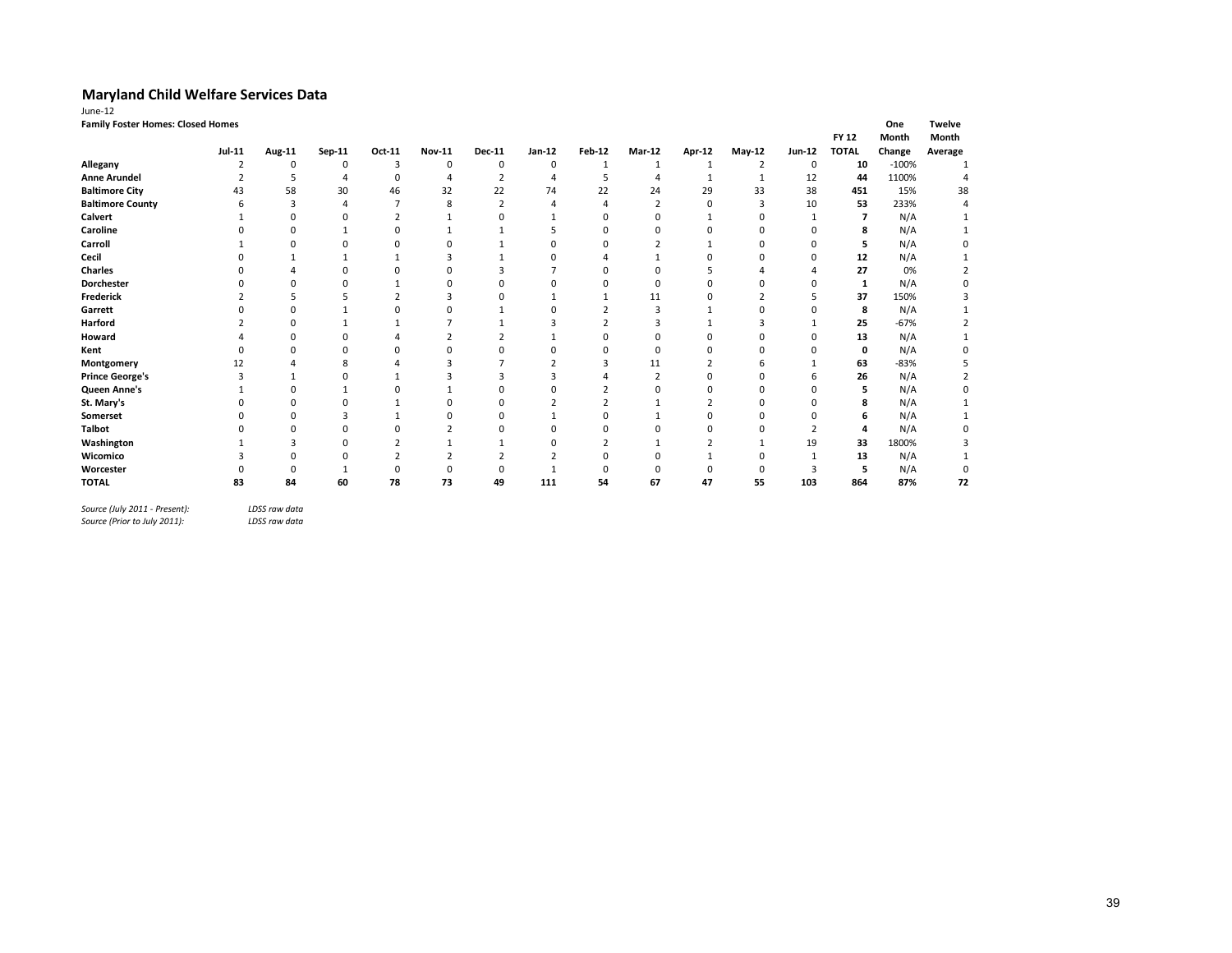| June-12                                  |                |              |             |                |               |                |          |        |               |               |                |                |              |         |               |
|------------------------------------------|----------------|--------------|-------------|----------------|---------------|----------------|----------|--------|---------------|---------------|----------------|----------------|--------------|---------|---------------|
| <b>Family Foster Homes: Closed Homes</b> |                |              |             |                |               |                |          |        |               |               |                |                |              | One     | <b>Twelve</b> |
|                                          |                |              |             |                |               |                |          |        |               |               |                |                | <b>FY 12</b> | Month   | Month         |
|                                          | <b>Jul-11</b>  | Aug-11       | Sep-11      | Oct-11         | Nov-11        | Dec-11         | $Jan-12$ | Feb-12 | <b>Mar-12</b> | <b>Apr-12</b> | $May-12$       | <b>Jun-12</b>  | <b>TOTAL</b> | Change  | Average       |
| Allegany                                 | 2              | $\Omega$     | $\mathbf 0$ | 3              | 0             | $\mathbf 0$    | 0        | 1      | 1             |               | $\overline{2}$ | 0              | 10           | $-100%$ |               |
| <b>Anne Arundel</b>                      | $\overline{2}$ | 5            | 4           | 0              | $\Delta$      | 2              | 4        | 5      | 4             | $\mathbf{1}$  | -1             | 12             | 44           | 1100%   |               |
| <b>Baltimore City</b>                    | 43             | 58           | 30          | 46             | 32            | 22             | 74       | 22     | 24            | 29            | 33             | 38             | 451          | 15%     | 38            |
| <b>Baltimore County</b>                  | 6              | 3            |             | 7              | 8             | $\overline{2}$ | 4        |        | 2             | $\Omega$      | 3              | 10             | 53           | 233%    |               |
| Calvert                                  |                | $\Omega$     |             | $\overline{2}$ |               | 0              |          |        | n             |               | n              |                |              | N/A     |               |
| Caroline                                 |                | $\Omega$     |             | 0              |               |                |          |        |               |               | O              | $\Omega$       | 8            | N/A     |               |
| Carroll                                  |                | n            |             |                |               |                | O        |        |               |               | n              | O              |              | N/A     |               |
| Cecil                                    |                |              |             | 1              | з             |                | $\Omega$ |        |               |               | $\Omega$       | O              | 12           | N/A     |               |
| <b>Charles</b>                           |                |              |             |                |               |                |          |        |               |               |                |                | 27           | 0%      |               |
| <b>Dorchester</b>                        |                | O            |             |                |               |                |          |        |               |               | n              | O              | 1            | N/A     |               |
| <b>Frederick</b>                         |                |              |             |                | 3             | 0              |          |        | 11            |               |                | 5              | 37           | 150%    |               |
| Garrett                                  |                | $\Omega$     |             |                |               |                | O        |        | 3             |               | n              | O              | 8            | N/A     |               |
| Harford                                  |                | n            |             |                |               |                |          |        | 3             |               | з              |                | 25           | $-67%$  |               |
| Howard                                   |                | $\Omega$     |             |                | $\mathcal{P}$ |                |          |        | 0             |               | 0              | $\Omega$       | 13           | N/A     |               |
| Kent                                     |                | $\Omega$     |             | ŋ              | n             | O              | O        |        | 0             |               | 0              | 0              | 0            | N/A     |               |
| Montgomery                               | 12             |              | 8           |                |               |                |          |        | 11            |               | 6              |                | 63           | $-83%$  |               |
| <b>Prince George's</b>                   |                |              |             |                |               |                |          |        |               |               | $\Omega$       | 6              | 26           | N/A     |               |
| Queen Anne's                             |                | O            |             | ŋ              |               | n              | O        |        |               | n             | $\Omega$       | O              | 5            | N/A     |               |
| St. Mary's                               |                | O            |             |                |               | n              |          |        |               |               | n              | O              | 8            | N/A     |               |
| Somerset                                 |                | <sup>0</sup> |             |                |               |                |          |        |               |               | n              | O              |              | N/A     |               |
| <b>Talbot</b>                            |                | $\Omega$     |             |                |               | 0              | $\Omega$ |        |               |               | n              | $\overline{2}$ |              | N/A     |               |
| Washington                               |                | з            |             |                |               |                | n        |        |               |               |                | 19             | 33           | 1800%   |               |
| Wicomico                                 |                | <sup>0</sup> |             |                |               |                |          |        |               |               | n              | 1              | 13           | N/A     |               |
| Worcester                                |                | $\Omega$     |             | O              |               | 0              |          |        |               |               | $\Omega$       | 3              |              | N/A     |               |
| <b>TOTAL</b>                             | 83             | 84           | 60          | 78             | 73            | 49             | 111      | 54     | 67            | 47            | 55             | 103            | 864          | 87%     | 72            |

*Source (July 2011 - Present): LDSS raw data*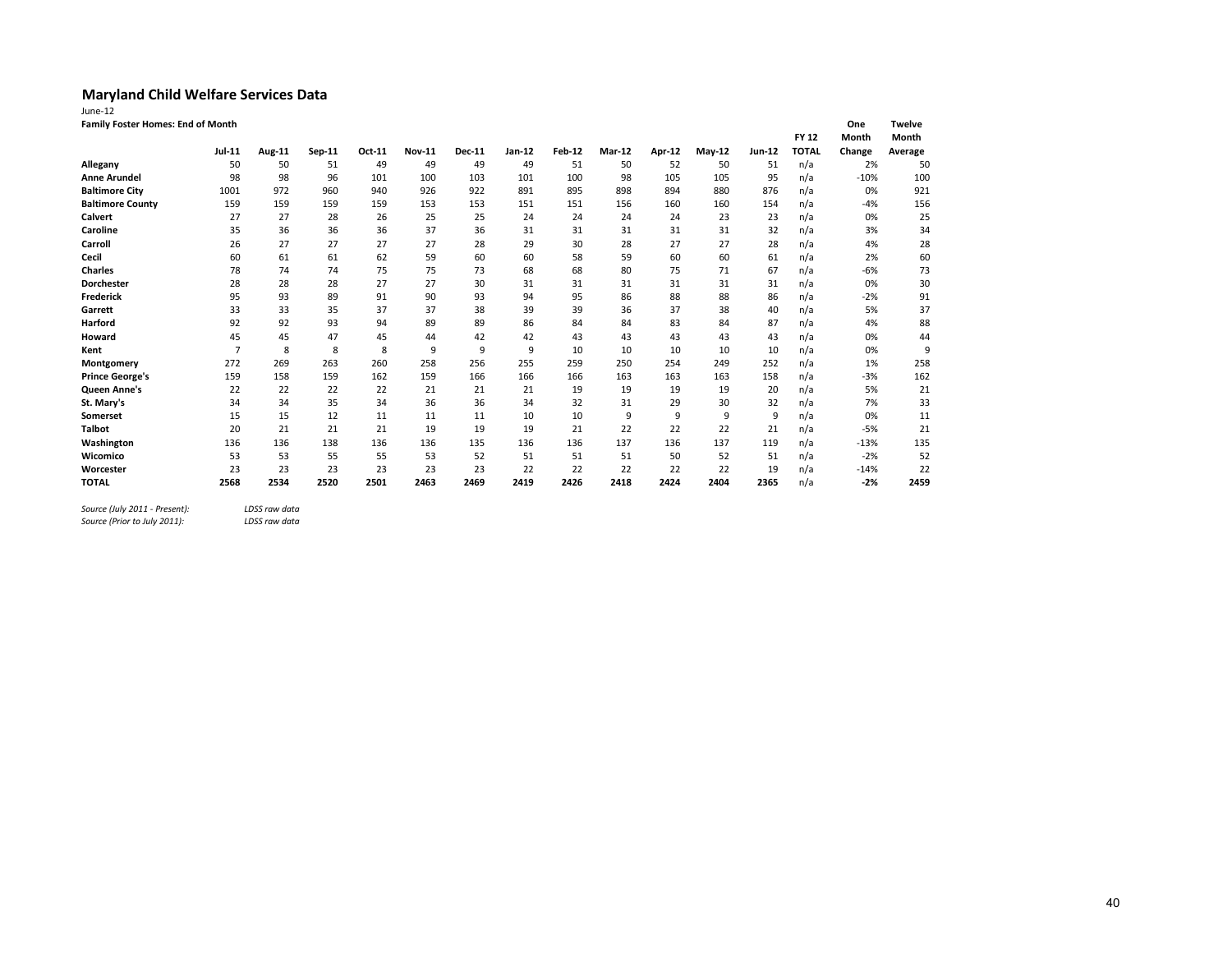| June-12                           |                |               |        |        |               |        |        |               |        |        |               |        |              |              |                               |
|-----------------------------------|----------------|---------------|--------|--------|---------------|--------|--------|---------------|--------|--------|---------------|--------|--------------|--------------|-------------------------------|
| Family Foster Homes: End of Month |                |               |        |        |               |        |        |               |        |        |               |        | <b>FY 12</b> | One<br>Month | <b>Twelve</b><br><b>Month</b> |
|                                   | Jul-11         | <b>Aug-11</b> | Sep-11 | Oct-11 | <b>Nov-11</b> | Dec-11 | Jan-12 | <b>Feb-12</b> | Mar-12 | Apr-12 | <b>May-12</b> | Jun-12 | <b>TOTAL</b> | Change       | Average                       |
| Allegany                          | 50             | 50            | 51     | 49     | 49            | 49     | 49     | 51            | 50     | 52     | 50            | 51     | n/a          | 2%           | 50                            |
| <b>Anne Arundel</b>               | 98             | 98            | 96     | 101    | 100           | 103    | 101    | 100           | 98     | 105    | 105           | 95     | n/a          | $-10%$       | 100                           |
| <b>Baltimore City</b>             | 1001           | 972           | 960    | 940    | 926           | 922    | 891    | 895           | 898    | 894    | 880           | 876    | n/a          | 0%           | 921                           |
| <b>Baltimore County</b>           | 159            | 159           | 159    | 159    | 153           | 153    | 151    | 151           | 156    | 160    | 160           | 154    | n/a          | $-4%$        | 156                           |
| <b>Calvert</b>                    | 27             | 27            | 28     | 26     | 25            | 25     | 24     | 24            | 24     | 24     | 23            | 23     | n/a          | 0%           | 25                            |
| Caroline                          | 35             | 36            | 36     | 36     | 37            | 36     | 31     | 31            | 31     | 31     | 31            | 32     | n/a          | 3%           | 34                            |
| Carroll                           | 26             | 27            | 27     | 27     | 27            | 28     | 29     | 30            | 28     | 27     | 27            | 28     | n/a          | 4%           | 28                            |
| Cecil                             | 60             | 61            | 61     | 62     | 59            | 60     | 60     | 58            | 59     | 60     | 60            | 61     | n/a          | 2%           | 60                            |
| <b>Charles</b>                    | 78             | 74            | 74     | 75     | 75            | 73     | 68     | 68            | 80     | 75     | 71            | 67     | n/a          | $-6%$        | 73                            |
| <b>Dorchester</b>                 | 28             | 28            | 28     | 27     | 27            | 30     | 31     | 31            | 31     | 31     | 31            | 31     | n/a          | 0%           | 3 <sup>c</sup>                |
| <b>Frederick</b>                  | 95             | 93            | 89     | 91     | 90            | 93     | 94     | 95            | 86     | 88     | 88            | 86     | n/a          | $-2%$        | 91                            |
| Garrett                           | 33             | 33            | 35     | 37     | 37            | 38     | 39     | 39            | 36     | 37     | 38            | 40     | n/a          | 5%           | 37                            |
| <b>Harford</b>                    | 92             | 92            | 93     | 94     | 89            | 89     | 86     | 84            | 84     | 83     | 84            | 87     | n/a          | 4%           | 88                            |
| Howard                            | 45             | 45            | 47     | 45     | 44            | 42     | 42     | 43            | 43     | 43     | 43            | 43     | n/a          | 0%           | 44                            |
| Kent                              | $\overline{7}$ | 8             | 8      | 8      | 9             | 9      | 9      | 10            | 10     | 10     | 10            | 10     | n/a          | 0%           | $\epsilon$                    |
| Montgomery                        | 272            | 269           | 263    | 260    | 258           | 256    | 255    | 259           | 250    | 254    | 249           | 252    | n/a          | 1%           | 258                           |
| <b>Prince George's</b>            | 159            | 158           | 159    | 162    | 159           | 166    | 166    | 166           | 163    | 163    | 163           | 158    | n/a          | $-3%$        | 162                           |
| <b>Queen Anne's</b>               | 22             | 22            | 22     | 22     | 21            | 21     | 21     | 19            | 19     | 19     | 19            | 20     | n/a          | 5%           | 21                            |
| St. Mary's                        | 34             | 34            | 35     | 34     | 36            | 36     | 34     | 32            | 31     | 29     | 30            | 32     | n/a          | 7%           | 33                            |
| Somerset                          | 15             | 15            | 12     | 11     | 11            | 11     | 10     | 10            | 9      | 9      | 9             | 9      | n/a          | 0%           | 11                            |
| <b>Talbot</b>                     | 20             | 21            | 21     | 21     | 19            | 19     | 19     | 21            | 22     | 22     | 22            | 21     | n/a          | $-5%$        | 21                            |
| Washington                        | 136            | 136           | 138    | 136    | 136           | 135    | 136    | 136           | 137    | 136    | 137           | 119    | n/a          | $-13%$       | 135                           |
| Wicomico                          | 53             | 53            | 55     | 55     | 53            | 52     | 51     | 51            | 51     | 50     | 52            | 51     | n/a          | $-2%$        | 52                            |
| Worcester                         | 23             | 23            | 23     | 23     | 23            | 23     | 22     | 22            | 22     | 22     | 22            | 19     | n/a          | $-14%$       | 22                            |
| <b>TOTAL</b>                      | 2568           | 2534          | 2520   | 2501   | 2463          | 2469   | 2419   | 2426          | 2418   | 2424   | 2404          | 2365   | n/a          | $-2%$        | 2459                          |
|                                   |                |               |        |        |               |        |        |               |        |        |               |        |              |              |                               |

*Source (July 2011 - Present): LDSS raw data Source (Prior to July 2011): LDSS raw data*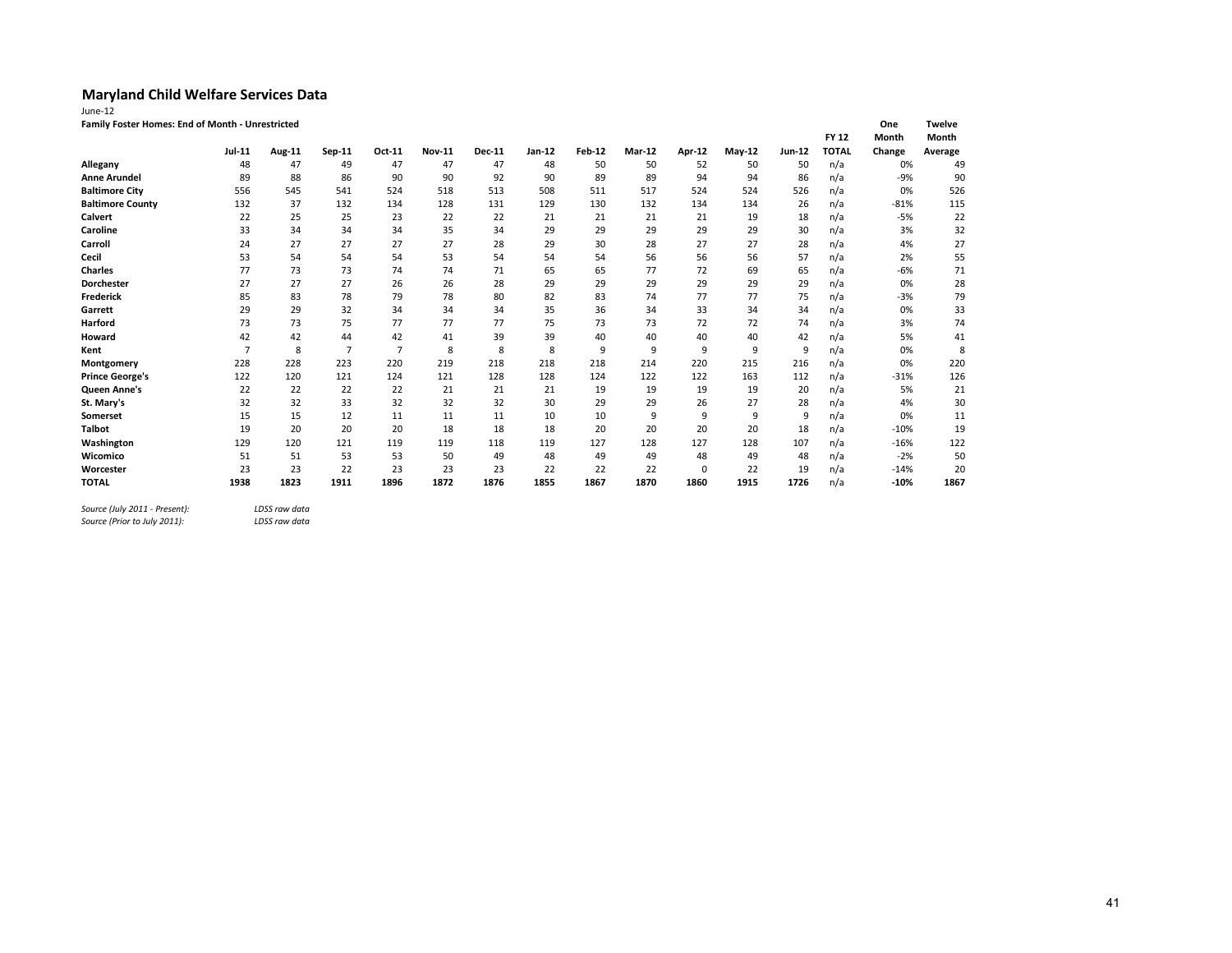| June-12                                          |                |        |                |                |               |        |        |        |               |        |               |        |              |        |               |
|--------------------------------------------------|----------------|--------|----------------|----------------|---------------|--------|--------|--------|---------------|--------|---------------|--------|--------------|--------|---------------|
| Family Foster Homes: End of Month - Unrestricted |                |        |                |                |               |        |        |        |               |        |               |        |              | One    | <b>Twelve</b> |
|                                                  |                |        |                |                |               |        |        |        |               |        |               |        | <b>FY 12</b> | Month  | Month         |
|                                                  | <b>Jul-11</b>  | Aug-11 | Sep-11         | Oct-11         | <b>Nov-11</b> | Dec-11 | Jan-12 | Feb-12 | <b>Mar-12</b> | Apr-12 | <b>May-12</b> | Jun-12 | <b>TOTAL</b> | Change | Average       |
| Allegany                                         | 48             | 47     | 49             | 47             | 47            | 47     | 48     | 50     | 50            | 52     | 50            | 50     | n/a          | 0%     | 49            |
| <b>Anne Arundel</b>                              | 89             | 88     | 86             | 90             | 90            | 92     | 90     | 89     | 89            | 94     | 94            | 86     | n/a          | $-9%$  | 90            |
| <b>Baltimore City</b>                            | 556            | 545    | 541            | 524            | 518           | 513    | 508    | 511    | 517           | 524    | 524           | 526    | n/a          | 0%     | 526           |
| <b>Baltimore County</b>                          | 132            | 37     | 132            | 134            | 128           | 131    | 129    | 130    | 132           | 134    | 134           | 26     | n/a          | $-81%$ | 115           |
| Calvert                                          | 22             | 25     | 25             | 23             | 22            | 22     | 21     | 21     | 21            | 21     | 19            | 18     | n/a          | $-5%$  | 22            |
| Caroline                                         | 33             | 34     | 34             | 34             | 35            | 34     | 29     | 29     | 29            | 29     | 29            | 30     | n/a          | 3%     | 32            |
| Carroll                                          | 24             | 27     | 27             | 27             | 27            | 28     | 29     | 30     | 28            | 27     | 27            | 28     | n/a          | 4%     | 27            |
| Cecil                                            | 53             | 54     | 54             | 54             | 53            | 54     | 54     | 54     | 56            | 56     | 56            | 57     | n/a          | 2%     | 55            |
| <b>Charles</b>                                   | 77             | 73     | 73             | 74             | 74            | 71     | 65     | 65     | 77            | 72     | 69            | 65     | n/a          | $-6%$  | 71            |
| Dorchester                                       | 27             | 27     | 27             | 26             | 26            | 28     | 29     | 29     | 29            | 29     | 29            | 29     | n/a          | 0%     | 28            |
| <b>Frederick</b>                                 | 85             | 83     | 78             | 79             | 78            | 80     | 82     | 83     | 74            | 77     | 77            | 75     | n/a          | $-3%$  | 79            |
| Garrett                                          | 29             | 29     | 32             | 34             | 34            | 34     | 35     | 36     | 34            | 33     | 34            | 34     | n/a          | 0%     | 33            |
| Harford                                          | 73             | 73     | 75             | 77             | 77            | 77     | 75     | 73     | 73            | 72     | 72            | 74     | n/a          | 3%     | 74            |
| Howard                                           | 42             | 42     | 44             | 42             | 41            | 39     | 39     | 40     | 40            | 40     | 40            | 42     | n/a          | 5%     | 41            |
| Kent                                             | $\overline{7}$ | 8      | $\overline{7}$ | $\overline{7}$ | 8             | 8      | 8      | 9      | 9             | 9      | 9             | 9      | n/a          | 0%     | 8             |
| Montgomery                                       | 228            | 228    | 223            | 220            | 219           | 218    | 218    | 218    | 214           | 220    | 215           | 216    | n/a          | 0%     | 220           |
| <b>Prince George's</b>                           | 122            | 120    | 121            | 124            | 121           | 128    | 128    | 124    | 122           | 122    | 163           | 112    | n/a          | $-31%$ | 126           |
| Queen Anne's                                     | 22             | 22     | 22             | 22             | 21            | 21     | 21     | 19     | 19            | 19     | 19            | 20     | n/a          | 5%     | 21            |
| St. Mary's                                       | 32             | 32     | 33             | 32             | 32            | 32     | 30     | 29     | 29            | 26     | 27            | 28     | n/a          | 4%     | 30            |
| Somerset                                         | 15             | 15     | 12             | 11             | 11            | 11     | 10     | 10     | 9             | 9      | 9             | 9      | n/a          | 0%     | 11            |
| <b>Talbot</b>                                    | 19             | 20     | 20             | 20             | 18            | 18     | 18     | 20     | 20            | 20     | 20            | 18     | n/a          | $-10%$ | 19            |
| Washington                                       | 129            | 120    | 121            | 119            | 119           | 118    | 119    | 127    | 128           | 127    | 128           | 107    | n/a          | $-16%$ | 122           |
| Wicomico                                         | 51             | 51     | 53             | 53             | 50            | 49     | 48     | 49     | 49            | 48     | 49            | 48     | n/a          | $-2%$  | 50            |
| Worcester                                        | 23             | 23     | 22             | 23             | 23            | 23     | 22     | 22     | 22            | 0      | 22            | 19     | n/a          | $-14%$ | 20            |
| <b>TOTAL</b>                                     | 1938           | 1823   | 1911           | 1896           | 1872          | 1876   | 1855   | 1867   | 1870          | 1860   | 1915          | 1726   | n/a          | $-10%$ | 1867          |

*Source (July 2011 - Present): LDSS raw data*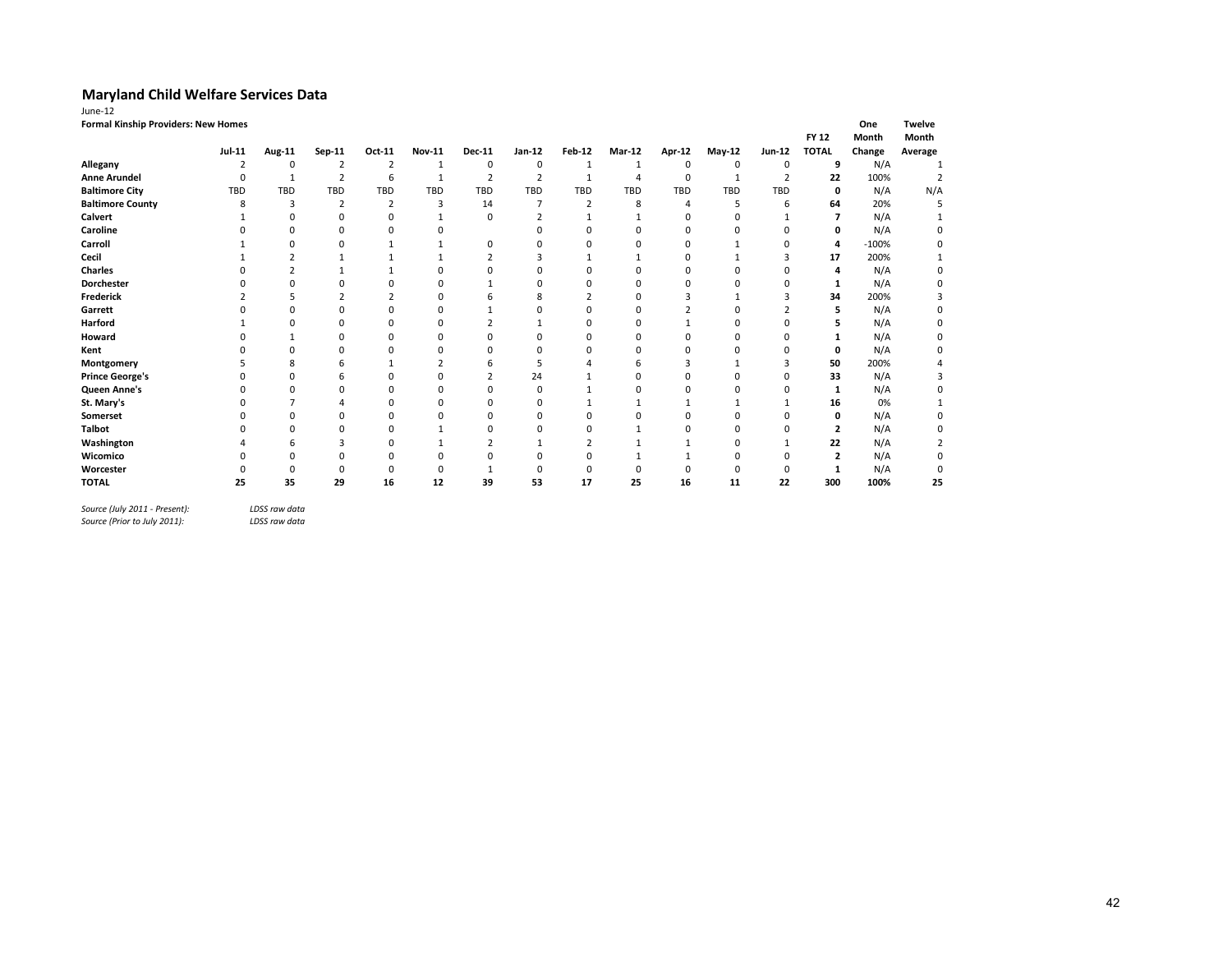| June-12                             |               |             |                |                |               |                |                |               |                |               |             |                |                |         |               |
|-------------------------------------|---------------|-------------|----------------|----------------|---------------|----------------|----------------|---------------|----------------|---------------|-------------|----------------|----------------|---------|---------------|
| Formal Kinship Providers: New Homes |               |             |                |                |               |                |                |               |                |               |             |                |                | One     | <b>Twelve</b> |
|                                     |               |             |                |                |               |                |                |               |                |               |             |                | <b>FY 12</b>   | Month   | Month         |
|                                     | <b>Jul-11</b> | Aug-11      | Sep-11         | Oct-11         | <b>Nov-11</b> | <b>Dec-11</b>  | $Jan-12$       | <b>Feb-12</b> | Mar-12         | <b>Apr-12</b> | $May-12$    | Jun-12         | <b>TOTAL</b>   | Change  | Average       |
| Allegany                            | 2             | $\mathbf 0$ | 2              | 2              | 1             | 0              | 0              | 1             | 1              | 0             | $\mathbf 0$ | 0              | 9              | N/A     |               |
| <b>Anne Arundel</b>                 | $\mathbf 0$   | 1           | $\overline{2}$ | 6              | 1             | $\overline{2}$ | $\overline{2}$ | 1             | $\overline{4}$ | $\mathbf 0$   | 1           | $\overline{2}$ | 22             | 100%    |               |
| <b>Baltimore City</b>               | TBD           | TBD         | <b>TBD</b>     | TBD            | <b>TBD</b>    | <b>TBD</b>     | <b>TBD</b>     | TBD           | TBD            | <b>TBD</b>    | <b>TBD</b>  | TBD            | 0              | N/A     | N/A           |
| <b>Baltimore County</b>             | 8             | 3           | $\overline{2}$ | $\overline{2}$ | 3             | 14             |                | 2             | 8              | 4             | 5           | 6              | 64             | 20%     |               |
| Calvert                             |               | 0           | 0              | 0              | -1            | 0              | $\overline{2}$ |               |                | 0             | $\Omega$    |                | 7              | N/A     |               |
| Caroline                            | $\Omega$      | $\Omega$    | 0              | 0              | $\Omega$      |                |                | ŋ             | $\Omega$       | 0             | $\Omega$    | $\Omega$       | 0              | N/A     | $\Omega$      |
| Carroll                             |               | O           | n              |                |               | 0              | n              | 0             | n              | $\Omega$      |             | ŋ              | 4              | $-100%$ | 0             |
| Cecil                               |               |             |                |                |               | $\overline{2}$ | 3              |               |                | ۵             |             |                | 17             | 200%    |               |
| <b>Charles</b>                      |               |             |                |                | n             | O              | ŋ              | 0             | n              | $\Omega$      | $\Omega$    |                | 4              | N/A     | 0             |
| <b>Dorchester</b>                   |               |             |                |                | በ             |                | ŋ              | 0             | n              | U             | n           |                | 1              | N/A     |               |
| Frederick                           |               |             |                |                | $\Omega$      | h              | 8              |               | n              |               |             |                | 34             | 200%    |               |
| Garrett                             |               |             | $\Omega$       | $\Omega$       | $\Omega$      |                | n              | 0             | $\Omega$       |               | $\Omega$    |                | 5              | N/A     | $\Omega$      |
| Harford                             |               |             | ŋ              | 0              |               |                |                | O             |                |               | $\Omega$    |                |                | N/A     |               |
| Howard                              |               |             | $\Omega$       | $\Omega$       | $\Omega$      | O              | ŋ              | 0             | n              |               | $\Omega$    |                |                | N/A     | $\Omega$      |
| Kent                                |               | $\Omega$    | 0              | 0              |               | $\Omega$       | 0              | Ω             | Ω              |               | $\Omega$    |                | 0              | N/A     |               |
| Montgomery                          |               | 8           |                |                |               | 6              | 5              |               | 6              |               |             |                | 50             | 200%    |               |
| <b>Prince George's</b>              |               |             | 6              | n              | n             | 2              | 24             |               | $\Omega$       | n             | n           |                | 33             | N/A     |               |
| Queen Anne's                        | O             | $\Omega$    | n              | n              | n             | <sup>0</sup>   | $\Omega$       |               | n              | n             | n           |                | 1              | N/A     | O             |
| St. Mary's                          | $\Omega$      |             | Δ              | U              | $\Omega$      | n              | n              |               |                |               |             |                | 16             | 0%      |               |
| Somerset                            |               | $\Omega$    | 0              | 0              |               | U              |                | 0             |                | C             |             |                | 0              | N/A     |               |
| <b>Talbot</b>                       |               | $\Omega$    | U              | U              |               | $\Omega$       | n              | 0             |                | n             | $\Omega$    | O              | $\overline{2}$ | N/A     |               |
| Washington                          |               | 6           | 3              | 0              |               | 2              |                |               |                |               | $\Omega$    |                | 22             | N/A     |               |
| Wicomico                            |               | $\Omega$    | $\Omega$       | ŋ              | n             | n              |                | 0             |                |               | $\Omega$    | ŋ              | $\overline{2}$ | N/A     | $\Omega$      |
| Worcester                           |               | O           |                |                |               |                | 0              | 0             | 0              | n             | n           | ŋ              | 1              | N/A     | 0             |
| <b>TOTAL</b>                        | 25            | 35          | 29             | 16             | 12            | 39             | 53             | 17            | 25             | 16            | 11          | 22             | 300            | 100%    | 25            |
|                                     |               |             |                |                |               |                |                |               |                |               |             |                |                |         |               |

*Source (July 2011 - Present): LDSS raw data*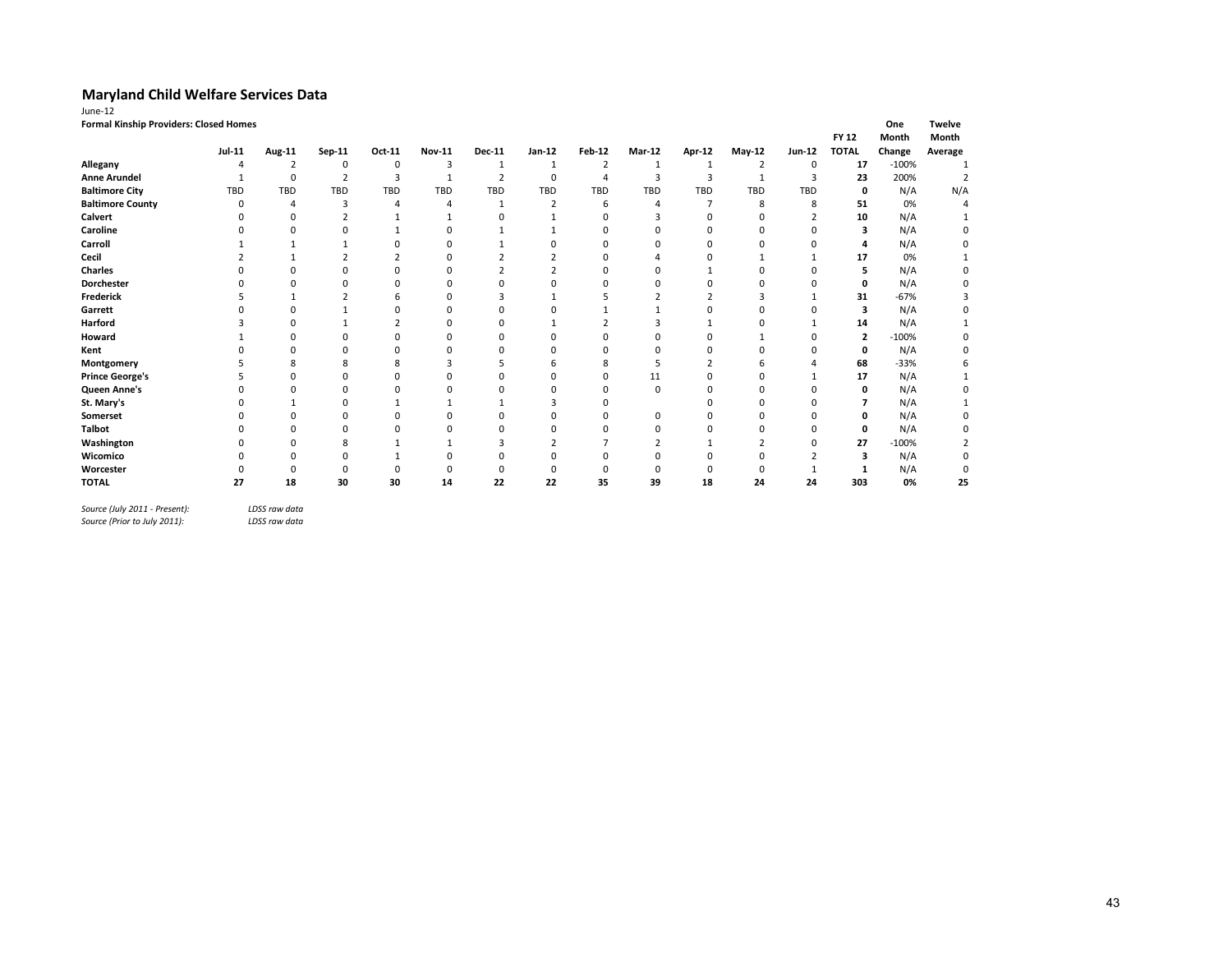| June-12                                |               |                |                |                |                |                |                         |                |                |                |                |               |              |         |               |
|----------------------------------------|---------------|----------------|----------------|----------------|----------------|----------------|-------------------------|----------------|----------------|----------------|----------------|---------------|--------------|---------|---------------|
| Formal Kinship Providers: Closed Homes |               |                |                |                |                |                |                         |                |                |                |                |               |              | One     | <b>Twelve</b> |
|                                        |               |                |                |                |                |                |                         |                |                |                |                |               | <b>FY 12</b> | Month   | Month         |
|                                        | <b>Jul-11</b> | Aug-11         | Sep-11         | Oct-11         | Nov-11         | Dec-11         | Jan-12                  | Feb-12         | <b>Mar-12</b>  | <b>Apr-12</b>  | $May-12$       | <b>Jun-12</b> | <b>TOTAL</b> | Change  | Average       |
| Allegany                               | 4             | $\overline{2}$ | 0              | 0              | 3              | 1              | 1                       | $\overline{2}$ | 1              | 1              | $\overline{2}$ | 0             | 17           | $-100%$ |               |
| <b>Anne Arundel</b>                    |               | $\mathbf 0$    | $\overline{2}$ | 3              | $\mathbf{1}$   | $\overline{2}$ | 0                       | $\overline{4}$ | 3              | 3              | 1              | 3             | 23           | 200%    | 2             |
| <b>Baltimore City</b>                  | <b>TBD</b>    | <b>TBD</b>     | TBD            | TBD            | TBD            | TBD            | TBD                     | TBD            | TBD            | <b>TBD</b>     | <b>TBD</b>     | TBD           | 0            | N/A     | N/A           |
| <b>Baltimore County</b>                | $\Omega$      | 4              | 3              | 4              | $\overline{4}$ | 1              | $\overline{2}$          | 6              | 4              | $\overline{7}$ | 8              | 8             | 51           | 0%      |               |
| Calvert                                | O             | $\Omega$       | ∠              |                |                | 0              |                         |                | 3              | $\Omega$       | n              |               | 10           | N/A     |               |
| Caroline                               |               | $\Omega$       |                |                |                |                |                         |                |                |                | $\Omega$       | O             | 3            | N/A     |               |
| Carroll                                |               |                |                |                |                |                | O                       |                |                |                | n              | O             | 4            | N/A     |               |
| Cecil                                  |               |                |                | $\overline{2}$ | $\Omega$       |                |                         | $\Omega$       |                |                |                |               | 17           | 0%      |               |
| <b>Charles</b>                         |               |                |                | 0              |                |                | $\mathbf{\overline{a}}$ |                |                |                |                | O             | 5            | N/A     |               |
| <b>Dorchester</b>                      |               |                |                | O              |                | O              | O                       |                |                |                | n              | O             | 0            | N/A     |               |
| <b>Frederick</b>                       |               |                |                | h              |                | э              |                         |                | $\overline{2}$ |                | 3              |               | 31           | $-67%$  |               |
| Garrett                                |               | $\Omega$       |                | ŋ              | n              | O              | O                       |                |                |                | n              | O             | 3            | N/A     |               |
| Harford                                |               | $\Omega$       |                |                | n              | n              |                         |                | ς              |                | 0              |               | 14           | N/A     |               |
| Howard                                 |               | $\Omega$       |                | 0              |                | O              | $\Omega$                |                |                |                |                | $\Omega$      | 2            | $-100%$ |               |
| Kent                                   |               | $\Omega$       |                | ŋ              | n              | O              | $\Omega$                |                | 0              |                | 0              | O             | 0            | N/A     |               |
| Montgomery                             |               | 8              | 8              | 8              | 3              |                | h                       | 8              | 5              |                | 6              |               | 68           | $-33%$  |               |
| <b>Prince George's</b>                 |               | n              |                | ŋ              |                | O              | $\Omega$                | 0              | 11             |                | $\Omega$       |               | 17           | N/A     |               |
| Queen Anne's                           |               | O              | ŋ              | ŋ              |                | n              | O                       | n              | 0              | n              | $\Omega$       | O             | 0            | N/A     |               |
| St. Mary's                             |               |                | O              |                |                |                |                         |                |                |                | n              | O             |              | N/A     |               |
| Somerset                               |               | O              |                | ŋ              |                |                | n                       |                | 0              |                | n              | O             | O            | N/A     |               |
| <b>Talbot</b>                          |               | $\Omega$       | 0              | $\Omega$       |                | 0              | $\Omega$                |                | 0              |                |                | $\Omega$      | 0            | N/A     |               |
| Washington                             |               | $\Omega$       | 8              |                |                |                |                         |                |                |                |                | O             | 27           | $-100%$ |               |
| Wicomico                               |               | O              | U              |                |                | n              | O                       |                |                |                | $\Omega$       |               |              | N/A     |               |
| Worcester                              |               | $\Omega$       | $\Omega$       | $\Omega$       |                | $\Omega$       | $\Omega$                |                | 0              |                | $\Omega$       |               |              | N/A     |               |
| <b>TOTAL</b>                           | 27            | 18             | 30             | 30             | 14             | 22             | 22                      | 35             | 39             | 18             | 24             | 24            | 303          | 0%      | 25            |

*Source (July 2011 - Present): LDSS raw data*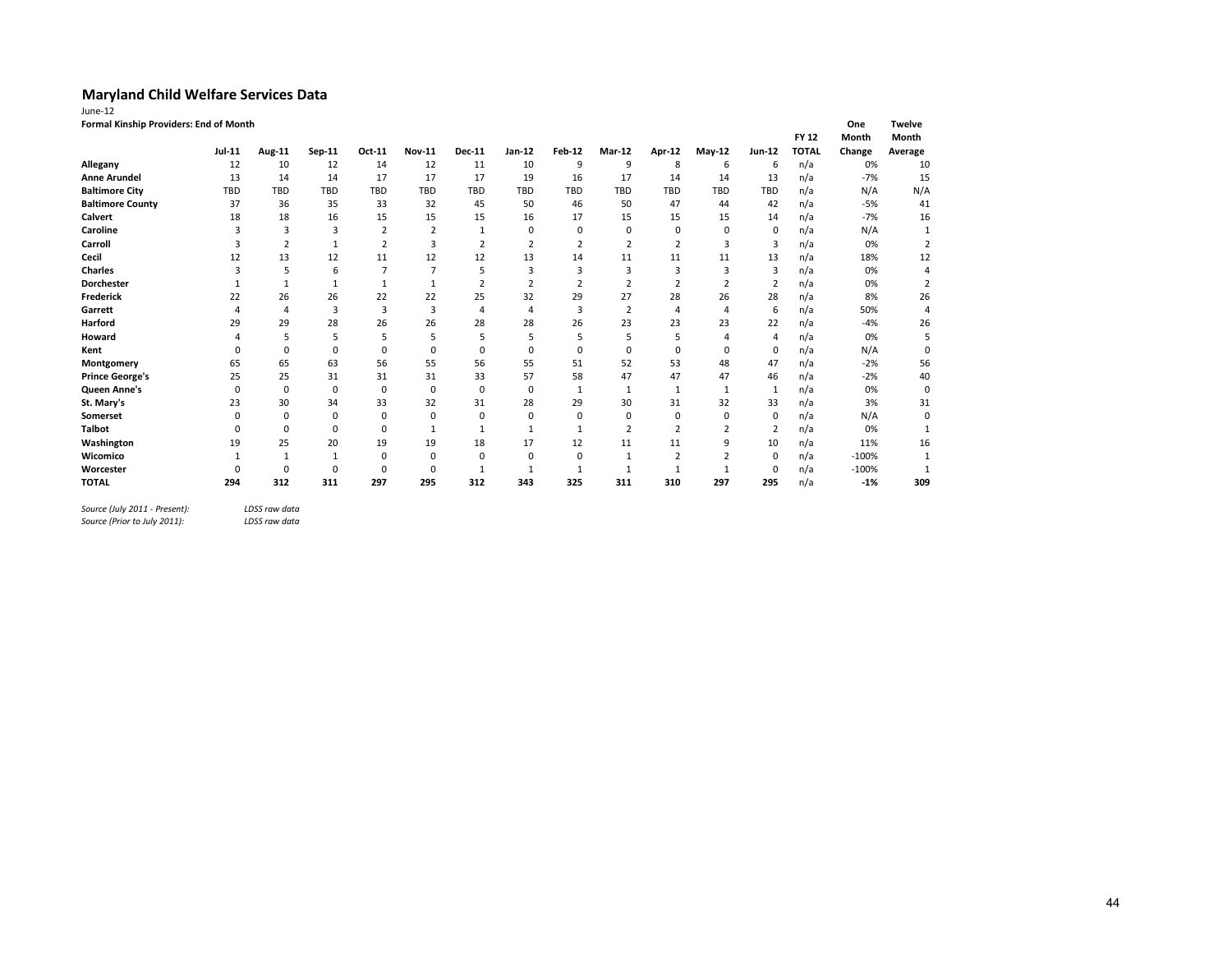| lune-1 |  |  |
|--------|--|--|
|        |  |  |

| June-12                                |  |
|----------------------------------------|--|
| Formal Kinship Providers: End of Month |  |

| Formal Kinship Providers: End of Month |          |                |             |                |                |               |                |               |                |                |                |                |              | One          | Twelve         |
|----------------------------------------|----------|----------------|-------------|----------------|----------------|---------------|----------------|---------------|----------------|----------------|----------------|----------------|--------------|--------------|----------------|
|                                        |          |                |             |                |                |               |                |               |                |                |                |                | <b>FY 12</b> | <b>Month</b> | Month          |
|                                        | Jul-11   | Aug-11         | Sep-11      | Oct-11         | <b>Nov-11</b>  | <b>Dec-11</b> | Jan-12         | <b>Feb-12</b> | Mar-12         | Apr-12         | $May-12$       | Jun-12         | <b>TOTAL</b> | Change       | Average        |
| Allegany                               | 12       | 10             | 12          | 14             | 12             | 11            | 10             | 9             | 9              | 8              | 6              | 6              | n/a          | 0%           | 10             |
| <b>Anne Arundel</b>                    | 13       | 14             | 14          | 17             | 17             | 17            | 19             | 16            | 17             | 14             | 14             | 13             | n/a          | $-7%$        | 15             |
| <b>Baltimore City</b>                  | TBD      | TBD            | <b>TBD</b>  | <b>TBD</b>     | <b>TBD</b>     | <b>TBD</b>    | <b>TBD</b>     | <b>TBD</b>    | <b>TBD</b>     | <b>TBD</b>     | <b>TBD</b>     | <b>TBD</b>     | n/a          | N/A          | N/A            |
| <b>Baltimore County</b>                | 37       | 36             | 35          | 33             | 32             | 45            | 50             | 46            | 50             | 47             | 44             | 42             | n/a          | $-5%$        | 41             |
| <b>Calvert</b>                         | 18       | 18             | 16          | 15             | 15             | 15            | 16             | 17            | 15             | 15             | 15             | 14             | n/a          | $-7%$        | 16             |
| Caroline                               |          | 3              | 3           | $\overline{2}$ | $\overline{2}$ | $\mathbf{1}$  | 0              | $\mathbf 0$   | 0              | $\mathbf 0$    | 0              | $\mathbf 0$    | n/a          | N/A          |                |
| Carroll                                |          | $\overline{2}$ |             | $\overline{2}$ | 3              |               | $\overline{2}$ |               | 2              | $\overline{2}$ | 3              | $\overline{3}$ | n/a          | 0%           | $\overline{2}$ |
| Cecil                                  | 12       | 13             | 12          | 11             | 12             | 12            | 13             | 14            | 11             | 11             | 11             | 13             | n/a          | 18%          | 12             |
| <b>Charles</b>                         | 3        | 5              | 6           | 7              | 7              | 5             | 3              | 3             | 3              | 3              | 3              | $\overline{3}$ | n/a          | 0%           |                |
| <b>Dorchester</b>                      |          |                |             | 1              |                |               |                |               | $\overline{2}$ |                |                | $\overline{2}$ | n/a          | 0%           | 2              |
| Frederick                              | 22       | 26             | 26          | 22             | 22             | 25            | 32             | 29            | 27             | 28             | 26             | 28             | n/a          | 8%           | 26             |
| Garrett                                | 4        | 4              | 3           | 3              | 3              | 4             | 4              | 3             | $\overline{2}$ | $\overline{4}$ | 4              | 6              | n/a          | 50%          |                |
| <b>Harford</b>                         | 29       | 29             | 28          | 26             | 26             | 28            | 28             | 26            | 23             | 23             | 23             | 22             | n/a          | $-4%$        | 26             |
| Howard                                 |          | 5              | 5           | 5              | 5              | 5             | 5              | 5             | 5              | 5              | $\Delta$       | $\overline{4}$ | n/a          | 0%           | 5              |
| Kent                                   |          | $\Omega$       | 0           | $\Omega$       | 0              | $\Omega$      | 0              | $\Omega$      | 0              | $\mathbf 0$    | 0              | $\mathbf 0$    | n/a          | N/A          | $\Omega$       |
| Montgomery                             | 65       | 65             | 63          | 56             | 55             | 56            | 55             | 51            | 52             | 53             | 48             | 47             | n/a          | $-2%$        | 56             |
| <b>Prince George's</b>                 | 25       | 25             | 31          | 31             | 31             | 33            | 57             | 58            | 47             | 47             | 47             | 46             | n/a          | $-2%$        | 40             |
| Queen Anne's                           | 0        | $\mathbf 0$    | $\mathbf 0$ | $\mathbf 0$    | 0              | $\mathbf 0$   | 0              | $\mathbf{1}$  | $\mathbf{1}$   | $\mathbf{1}$   | 1              | $\mathbf{1}$   | n/a          | 0%           | 0              |
| St. Mary's                             | 23       | 30             | 34          | 33             | 32             | 31            | 28             | 29            | 30             | 31             | 32             | 33             | n/a          | 3%           | 31             |
| <b>Somerset</b>                        | $\Omega$ | $\Omega$       | 0           | $\mathbf 0$    | 0              | $\Omega$      | $\Omega$       | $\Omega$      | 0              | $\mathbf 0$    | 0              | $\mathbf 0$    | n/a          | N/A          | $\Omega$       |
| <b>Talbot</b>                          |          | $\Omega$       | 0           | $\Omega$       |                |               |                |               | $\overline{2}$ | $\overline{2}$ | $\overline{2}$ | $\overline{2}$ | n/a          | 0%           |                |
| Washington                             | 19       | 25             | 20          | 19             | 19             | 18            | 17             | 12            | 11             | 11             | 9              | 10             | n/a          | 11%          | 16             |
| Wicomico                               |          | $\mathbf{1}$   | 1           | $\Omega$       | 0              | $\Omega$      | $\Omega$       | $\Omega$      | 1              | $\overline{2}$ | $\overline{2}$ | 0              | n/a          | $-100%$      |                |
| Worcester                              |          | 0              | $\Omega$    | $\Omega$       | 0              |               |                |               |                |                |                | $\mathbf 0$    | n/a          | $-100%$      |                |
| <b>TOTAL</b>                           | 294      | 312            | 311         | 297            | 295            | 312           | 343            | 325           | 311            | 310            | 297            | 295            | n/a          | $-1%$        | 309            |

*Source (July 2011 - Present): LDSS raw data*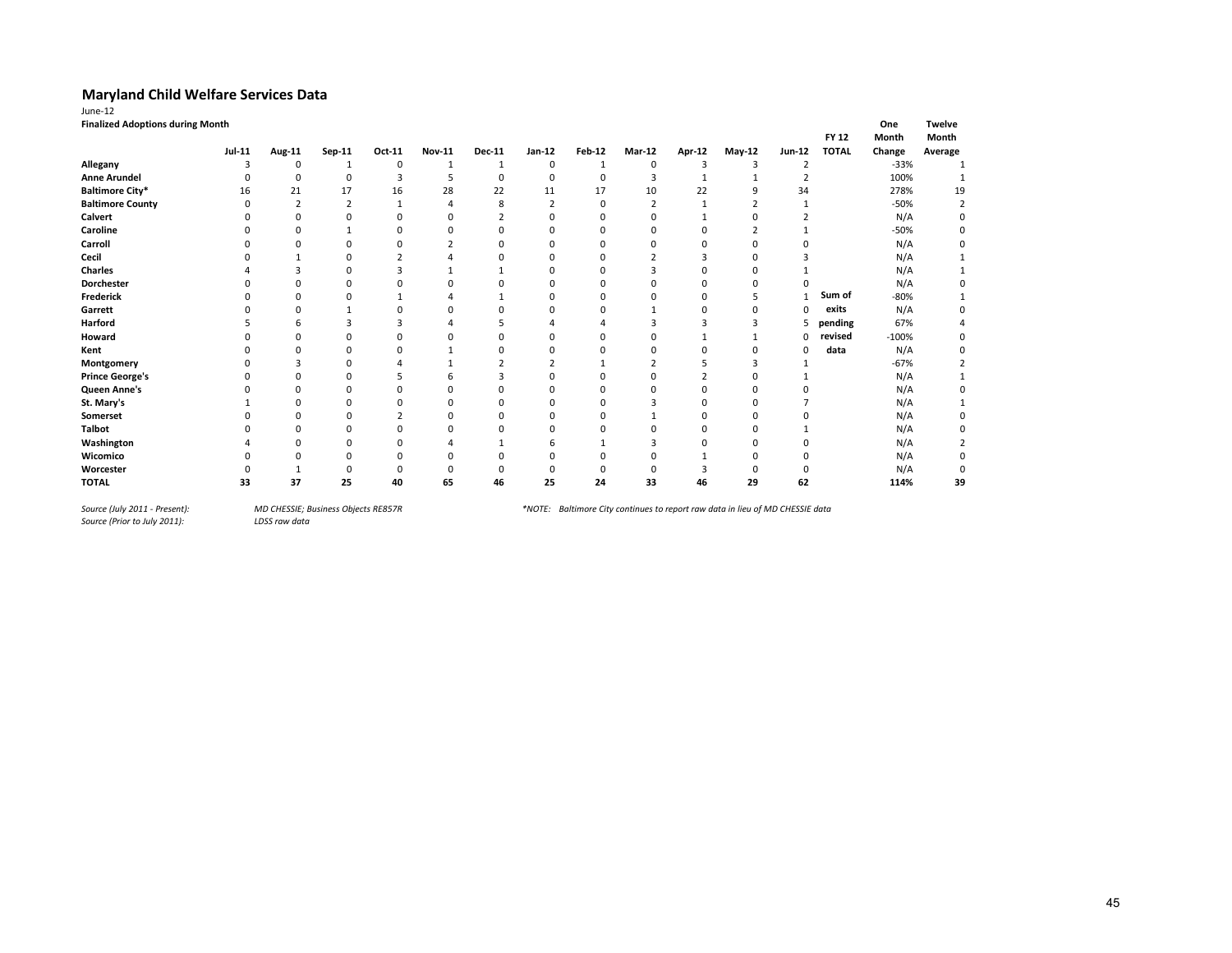|                         | <b>Finalized Adoptions during Month</b><br><b>FY 12</b> |                |                |        |               |               |                |          |                |        |               |                |              |         |         |
|-------------------------|---------------------------------------------------------|----------------|----------------|--------|---------------|---------------|----------------|----------|----------------|--------|---------------|----------------|--------------|---------|---------|
|                         | <b>Jul-11</b>                                           | Aug-11         | Sep-11         | Oct-11 | <b>Nov-11</b> | <b>Dec-11</b> | $Jan-12$       | Feb-12   | Mar-12         | Apr-12 | May-12        | Jun-12         | <b>TOTAL</b> | Change  | Average |
| Allegany                | 3                                                       | 0              | 1              | 0      | 1             | 1             | 0              |          | $\Omega$       | 3      | 3             | $\overline{2}$ |              | $-33%$  |         |
| <b>Anne Arundel</b>     |                                                         | 0              | $\Omega$       | 3      | 5             | 0             | 0              | 0        | 3              |        |               | 2              |              | 100%    |         |
| <b>Baltimore City*</b>  | 16                                                      | 21             | 17             | 16     | 28            | 22            | 11             | 17       | 10             | 22     | q             | 34             |              | 278%    | 19      |
| <b>Baltimore County</b> | $\Omega$                                                | $\overline{2}$ | $\overline{2}$ |        | л             | 8             | $\overline{2}$ | $\Omega$ | $\overline{2}$ |        | $\mathcal{I}$ |                |              | $-50%$  |         |
| Calvert                 |                                                         |                |                |        |               |               |                |          |                |        |               |                |              | N/A     |         |
| Caroline                |                                                         | ŋ              |                | n      |               | n             | ŋ              | n        |                | n      |               |                |              | -50%    |         |
| Carroll                 |                                                         |                |                |        |               |               |                |          |                |        |               |                |              | N/A     |         |
| Cecil                   |                                                         |                |                |        |               |               |                | n        |                |        |               |                |              | N/A     |         |
| <b>Charles</b>          |                                                         |                | U              | 3      |               |               | o              | ŋ        |                |        | O             |                |              | N/A     |         |
| <b>Dorchester</b>       |                                                         |                |                |        |               |               |                |          |                |        |               |                |              | N/A     |         |
| Frederick               |                                                         |                |                |        |               |               |                |          |                |        |               |                | Sum of       | -80%    |         |
| Garrett                 |                                                         |                |                |        | n             |               |                |          |                | n      |               | 0              | exits        | N/A     |         |
| Harford                 |                                                         |                |                | ٩      |               |               |                |          |                |        |               | 5              | pending      | 67%     |         |
| Howard                  |                                                         |                |                |        |               |               |                |          |                |        |               | 0              | revised      | $-100%$ |         |
| Kent                    |                                                         |                |                |        |               | n             | o              |          |                | n      | O             | 0              | data         | N/A     |         |
| Montgomery              |                                                         |                |                |        |               | 2             |                |          |                |        |               |                |              | $-67%$  |         |
| <b>Prince George's</b>  |                                                         |                |                |        |               | 3             |                |          |                |        |               |                |              | N/A     |         |
| Queen Anne's            |                                                         |                |                | n      | C             | n             | ŋ              | n        |                | n      | O             |                |              | N/A     |         |
| St. Mary's              |                                                         |                |                |        |               |               |                |          |                |        |               |                |              | N/A     |         |
| Somerset                |                                                         |                |                |        |               |               |                |          |                |        |               |                |              | N/A     |         |
| <b>Talbot</b>           |                                                         |                |                |        |               |               |                |          |                |        |               |                |              | N/A     |         |
| Washington              |                                                         |                |                |        |               |               |                |          |                |        |               |                |              | N/A     |         |
| Wicomico                |                                                         |                |                |        |               |               |                |          |                |        |               |                |              | N/A     |         |
| Worcester               |                                                         |                |                | 0      |               |               |                |          |                | 3      |               | 0              |              | N/A     |         |
| <b>TOTAL</b>            | 33                                                      | 37             | 25             | 40     | 65            | 46            | 25             | 24       | 33             | 46     | 29            | 62             |              | 114%    | 39      |

*Source (July 2011 - Present):<br>Source (Prior to July 2011):*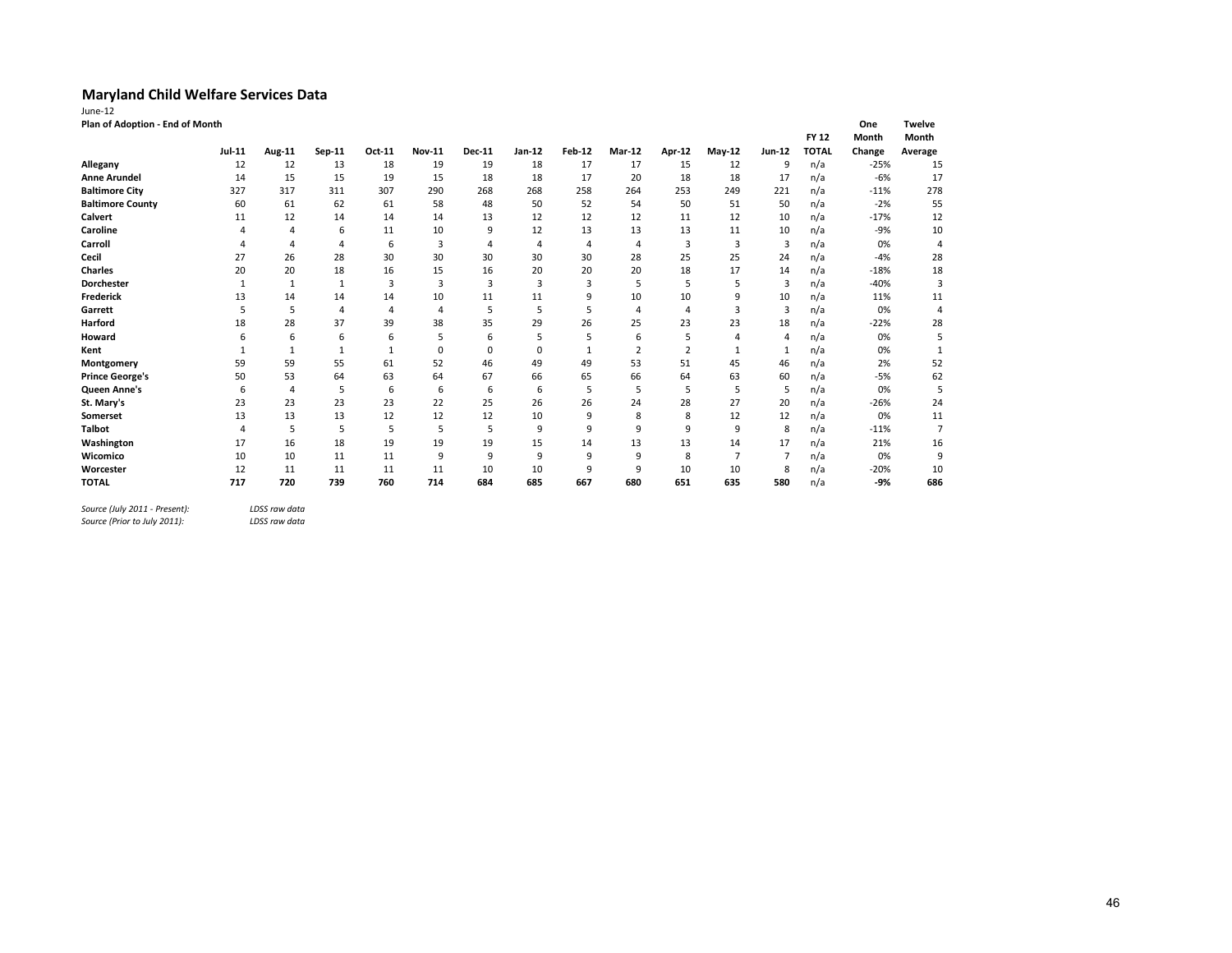| June-12                         |               |              |        |        |               |                |                |                |                |                |                |                |              |        |                |
|---------------------------------|---------------|--------------|--------|--------|---------------|----------------|----------------|----------------|----------------|----------------|----------------|----------------|--------------|--------|----------------|
| Plan of Adoption - End of Month |               |              |        |        |               |                |                |                |                |                |                |                |              | One    | <b>Twelve</b>  |
|                                 |               |              |        |        |               |                |                |                |                |                |                |                | <b>FY 12</b> | Month  | Month          |
|                                 | <b>Jul-11</b> | Aug-11       | Sep-11 | Oct-11 | <b>Nov-11</b> | <b>Dec-11</b>  | Jan-12         | <b>Feb-12</b>  | Mar-12         | <b>Apr-12</b>  | <b>May-12</b>  | Jun-12         | <b>TOTAL</b> | Change | Average        |
| Allegany                        | 12            | 12           | 13     | 18     | 19            | 19             | 18             | 17             | 17             | 15             | 12             | 9              | n/a          | $-25%$ | 15             |
| <b>Anne Arundel</b>             | 14            | 15           | 15     | 19     | 15            | 18             | 18             | 17             | 20             | 18             | 18             | 17             | n/a          | $-6%$  | 17             |
| <b>Baltimore City</b>           | 327           | 317          | 311    | 307    | 290           | 268            | 268            | 258            | 264            | 253            | 249            | 221            | n/a          | $-11%$ | 278            |
| <b>Baltimore County</b>         | 60            | 61           | 62     | 61     | 58            | 48             | 50             | 52             | 54             | 50             | 51             | 50             | n/a          | $-2%$  | 55             |
| Calvert                         | 11            | 12           | 14     | 14     | 14            | 13             | 12             | 12             | 12             | 11             | 12             | 10             | n/a          | $-17%$ | 12             |
| Caroline                        | Δ             | 4            | 6      | 11     | 10            | 9              | 12             | 13             | 13             | 13             | 11             | 10             | n/a          | $-9%$  | 10             |
| Carroll                         | 4             | 4            | 4      | 6      | 3             | $\Delta$       | $\overline{A}$ | $\overline{4}$ | $\overline{4}$ | 3              | $\overline{3}$ | 3              | n/a          | 0%     | 4              |
| Cecil                           | 27            | 26           | 28     | 30     | 30            | 30             | 30             | 30             | 28             | 25             | 25             | 24             | n/a          | $-4%$  | 28             |
| <b>Charles</b>                  | 20            | 20           | 18     | 16     | 15            | 16             | 20             | 20             | 20             | 18             | 17             | 14             | n/a          | $-18%$ | 18             |
| <b>Dorchester</b>               | $\mathbf{1}$  | $\mathbf{1}$ | 1      | 3      | 3             | $\overline{3}$ | $\overline{3}$ | 3              | 5              | 5              | 5              | $\overline{3}$ | n/a          | $-40%$ | 3              |
| Frederick                       | 13            | 14           | 14     | 14     | 10            | 11             | 11             | 9              | 10             | 10             | 9              | 10             | n/a          | 11%    | 11             |
| Garrett                         | 5             | 5            | 4      | 4      | 4             | 5              | 5              | 5              | $\overline{4}$ | $\overline{4}$ | $\overline{3}$ | 3              | n/a          | 0%     | 4              |
| Harford                         | 18            | 28           | 37     | 39     | 38            | 35             | 29             | 26             | 25             | 23             | 23             | 18             | n/a          | $-22%$ | 28             |
| Howard                          | 6             | 6            | 6      | 6      | 5             | 6              | 5              | 5              | 6              | 5              | $\overline{4}$ | 4              | n/a          | 0%     | 5              |
| Kent                            |               | 1            | 1      |        | $\mathbf 0$   | $\Omega$       | $\Omega$       | $\mathbf{1}$   | $\overline{2}$ | $\overline{2}$ | 1              | 1              | n/a          | 0%     | $\mathbf{1}$   |
| Montgomery                      | 59            | 59           | 55     | 61     | 52            | 46             | 49             | 49             | 53             | 51             | 45             | 46             | n/a          | 2%     | 52             |
| <b>Prince George's</b>          | 50            | 53           | 64     | 63     | 64            | 67             | 66             | 65             | 66             | 64             | 63             | 60             | n/a          | $-5%$  | 62             |
| Queen Anne's                    | 6             | 4            | 5      | 6      | 6             | 6              | 6              | 5              | 5              | 5              | 5              | 5              | n/a          | 0%     | 5              |
| St. Mary's                      | 23            | 23           | 23     | 23     | 22            | 25             | 26             | 26             | 24             | 28             | 27             | 20             | n/a          | $-26%$ | 24             |
| Somerset                        | 13            | 13           | 13     | 12     | 12            | 12             | 10             | 9              | 8              | 8              | 12             | 12             | n/a          | 0%     | 11             |
| <b>Talbot</b>                   | 4             | 5            | 5      | 5      | 5             | 5              | 9              | 9              | 9              | 9              | 9              | 8              | n/a          | $-11%$ | $\overline{7}$ |
| Washington                      | 17            | 16           | 18     | 19     | 19            | 19             | 15             | 14             | 13             | 13             | 14             | 17             | n/a          | 21%    | 16             |
| Wicomico                        | 10            | 10           | 11     | 11     | 9             | 9              | 9              | 9              | 9              | 8              | $\overline{7}$ | $\overline{7}$ | n/a          | 0%     | 9              |
| Worcester                       | 12            | 11           | 11     | 11     | 11            | 10             | 10             | 9              | 9              | 10             | 10             | 8              | n/a          | $-20%$ | 10             |
| <b>TOTAL</b>                    | 717           | 720          | 739    | 760    | 714           | 684            | 685            | 667            | 680            | 651            | 635            | 580            | n/a          | -9%    | 686            |

*Source (July 2011 - Present): LDSS raw data*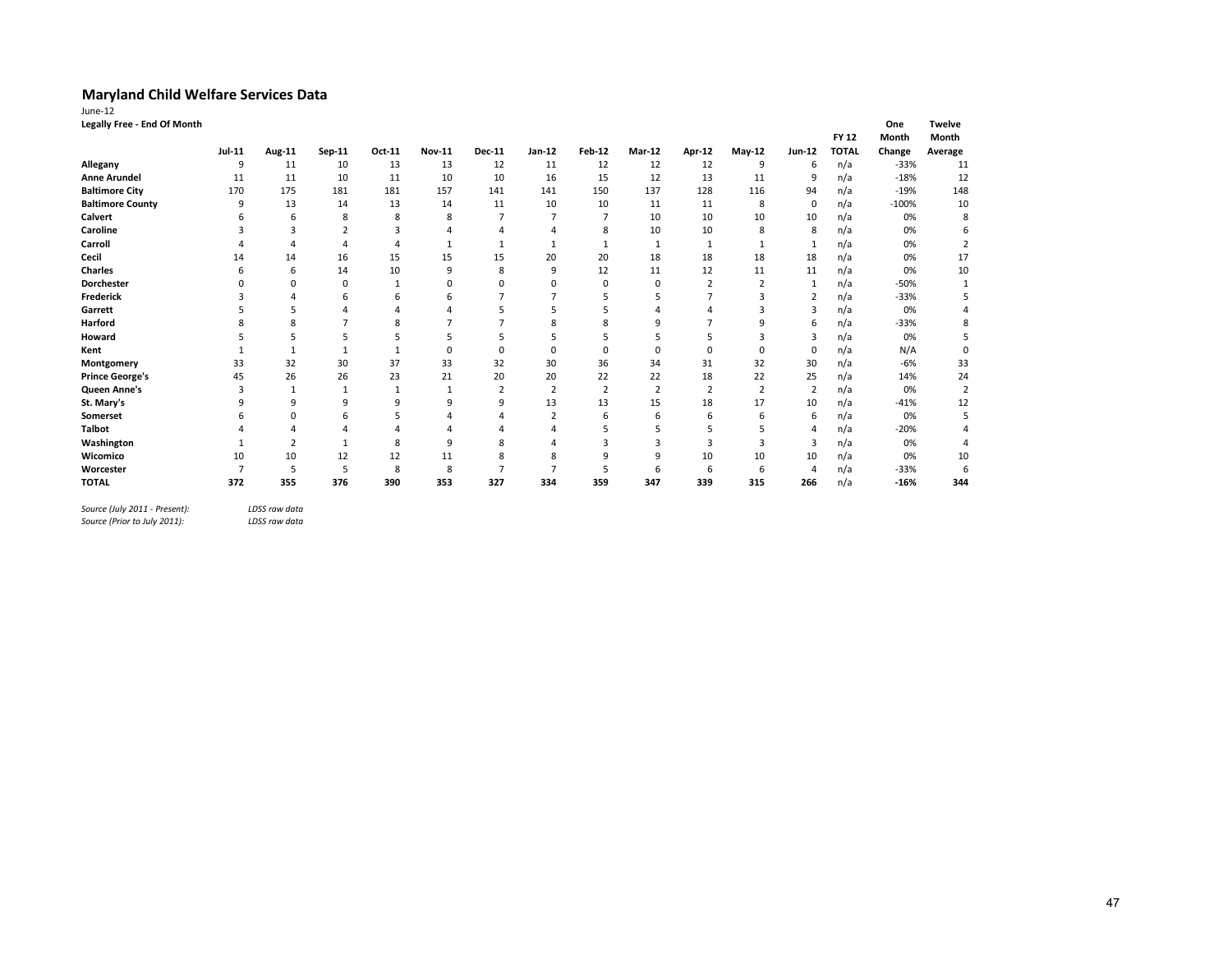| Legally Free - End Of Month<br>One<br><b>FY 12</b><br>Month<br>Jul-11<br>Jan-12<br><b>Feb-12</b><br>Mar-12<br>Apr-12<br><b>Jun-12</b><br><b>TOTAL</b><br>Change<br>Aug-11<br>Sep-11<br>Oct-11<br><b>Nov-11</b><br><b>Dec-11</b><br>May-12<br>Allegany<br>10<br>13<br>13<br>12<br>11<br>12<br>12<br>12<br>n/a<br>9<br>9<br>11<br>6<br>12<br>n/a<br><b>Anne Arundel</b><br>10<br>10<br>10<br>16<br>9<br>11<br>11<br>11<br>15<br>13<br>11<br><b>Baltimore City</b><br>181<br>137<br>128<br>94<br>n/a<br>170<br>175<br>181<br>157<br>150<br>116<br>141<br>141<br>13<br>13<br><b>Baltimore County</b><br>14<br>14<br>11<br>10<br>10<br>11<br>11<br>8<br>0<br>9<br>n/a<br>Calvert<br>8<br>10<br>10<br>10<br>8<br>8<br>10<br>n/a<br>6<br>Caroline<br>10<br>8<br>3<br>8<br>10<br>n/a<br>$\mathbf{r}$<br>3<br>8<br>Carroll<br>n/a<br>$\mathbf{1}$<br>4<br>1<br>1<br>18<br>Cecil<br>16<br>15<br>15<br>15<br>20<br>20<br>18<br>18<br>18<br>n/a<br>14<br>14<br>Charles<br>14<br>10<br>9<br>8<br>9<br>12<br>11<br>12<br>11<br>n/a<br>6<br>11<br>n/a<br>Dorchester<br>0<br>$\overline{2}$<br>0<br>0<br>0<br>$\Omega$<br>0<br>$\overline{\mathbf{c}}$<br>$\mathbf{1}$<br>n<br>Frederick<br>$\overline{2}$<br>n/a<br>6<br>6<br>6<br>Garrett<br>3<br>n/a<br>Δ<br>Harford<br>8<br>8<br>q<br>n/a<br>8<br>q<br>6<br>3<br>n/a<br>Howard<br>n/a<br>$\Omega$<br>$\Omega$<br>$\Omega$<br>$\Omega$<br>$\Omega$<br>0<br>Kent<br>$\mathbf{1}$<br>$\Omega$<br>$\Omega$<br>$\mathbf 1$<br>$\mathbf{1}$<br>32<br>30<br>37<br>33<br>32<br>30<br>36<br>31<br>30<br>33<br>34<br>32<br>Montgomery<br>n/a<br><b>Prince George's</b><br>26<br>22<br>26<br>23<br>21<br>20<br>20<br>22<br>18<br>22<br>25<br>n/a<br>45<br>$\overline{2}$<br>$\overline{2}$<br>Queen Anne's<br>$\overline{2}$<br>$\overline{2}$<br>$\overline{2}$<br>$\overline{2}$<br>n/a<br>3<br>$\mathbf{1}$<br>$\overline{2}$<br>1<br>St. Mary's<br>9<br>9<br>9<br>9<br>13<br>13<br>15<br>18<br>17<br>10<br>9<br>n/a<br>q<br>n/a<br>Somerset<br>$\Omega$<br>6<br>6<br>6<br>6<br>6<br>5<br>2<br>6<br>4<br><b>Talbot</b><br>n/a<br>5<br>5<br>5<br>4<br>Washington<br>n/a<br>9<br>3<br>3<br>$\overline{2}$<br>8<br>8<br>3<br>3<br>3<br>$\mathbf{1}$<br>10<br>12<br>10<br>10<br>Wicomico<br>12<br>8<br>9<br>9<br>10<br>10<br>11<br>n/a<br>5<br>Worcester<br>5<br>8<br>8<br>5<br>n/a<br>6<br>6<br>6<br>4<br>390<br>353<br>339<br>n/a<br><b>TOTAL</b><br>372<br>355<br>376<br>327<br>334<br>359<br>347<br>315<br>266 |                      |
|--------------------------------------------------------------------------------------------------------------------------------------------------------------------------------------------------------------------------------------------------------------------------------------------------------------------------------------------------------------------------------------------------------------------------------------------------------------------------------------------------------------------------------------------------------------------------------------------------------------------------------------------------------------------------------------------------------------------------------------------------------------------------------------------------------------------------------------------------------------------------------------------------------------------------------------------------------------------------------------------------------------------------------------------------------------------------------------------------------------------------------------------------------------------------------------------------------------------------------------------------------------------------------------------------------------------------------------------------------------------------------------------------------------------------------------------------------------------------------------------------------------------------------------------------------------------------------------------------------------------------------------------------------------------------------------------------------------------------------------------------------------------------------------------------------------------------------------------------------------------------------------------------------------------------------------------------------------------------------------------------------------------------------------------------------------------------------------------------------------------------------------------------------------------------------------------------------------------------------------------------------------------------------------------------------------------------------------------------------------------------------------------------------------------------------------------|----------------------|
|                                                                                                                                                                                                                                                                                                                                                                                                                                                                                                                                                                                                                                                                                                                                                                                                                                                                                                                                                                                                                                                                                                                                                                                                                                                                                                                                                                                                                                                                                                                                                                                                                                                                                                                                                                                                                                                                                                                                                                                                                                                                                                                                                                                                                                                                                                                                                                                                                                            | <b>Twelve</b>        |
|                                                                                                                                                                                                                                                                                                                                                                                                                                                                                                                                                                                                                                                                                                                                                                                                                                                                                                                                                                                                                                                                                                                                                                                                                                                                                                                                                                                                                                                                                                                                                                                                                                                                                                                                                                                                                                                                                                                                                                                                                                                                                                                                                                                                                                                                                                                                                                                                                                            | Month                |
|                                                                                                                                                                                                                                                                                                                                                                                                                                                                                                                                                                                                                                                                                                                                                                                                                                                                                                                                                                                                                                                                                                                                                                                                                                                                                                                                                                                                                                                                                                                                                                                                                                                                                                                                                                                                                                                                                                                                                                                                                                                                                                                                                                                                                                                                                                                                                                                                                                            | Average              |
|                                                                                                                                                                                                                                                                                                                                                                                                                                                                                                                                                                                                                                                                                                                                                                                                                                                                                                                                                                                                                                                                                                                                                                                                                                                                                                                                                                                                                                                                                                                                                                                                                                                                                                                                                                                                                                                                                                                                                                                                                                                                                                                                                                                                                                                                                                                                                                                                                                            | $-33%$<br>11         |
|                                                                                                                                                                                                                                                                                                                                                                                                                                                                                                                                                                                                                                                                                                                                                                                                                                                                                                                                                                                                                                                                                                                                                                                                                                                                                                                                                                                                                                                                                                                                                                                                                                                                                                                                                                                                                                                                                                                                                                                                                                                                                                                                                                                                                                                                                                                                                                                                                                            | 12<br>$-18%$         |
|                                                                                                                                                                                                                                                                                                                                                                                                                                                                                                                                                                                                                                                                                                                                                                                                                                                                                                                                                                                                                                                                                                                                                                                                                                                                                                                                                                                                                                                                                                                                                                                                                                                                                                                                                                                                                                                                                                                                                                                                                                                                                                                                                                                                                                                                                                                                                                                                                                            | 148<br>$-19%$        |
|                                                                                                                                                                                                                                                                                                                                                                                                                                                                                                                                                                                                                                                                                                                                                                                                                                                                                                                                                                                                                                                                                                                                                                                                                                                                                                                                                                                                                                                                                                                                                                                                                                                                                                                                                                                                                                                                                                                                                                                                                                                                                                                                                                                                                                                                                                                                                                                                                                            | $-100%$<br>10        |
|                                                                                                                                                                                                                                                                                                                                                                                                                                                                                                                                                                                                                                                                                                                                                                                                                                                                                                                                                                                                                                                                                                                                                                                                                                                                                                                                                                                                                                                                                                                                                                                                                                                                                                                                                                                                                                                                                                                                                                                                                                                                                                                                                                                                                                                                                                                                                                                                                                            | 0%<br>8              |
|                                                                                                                                                                                                                                                                                                                                                                                                                                                                                                                                                                                                                                                                                                                                                                                                                                                                                                                                                                                                                                                                                                                                                                                                                                                                                                                                                                                                                                                                                                                                                                                                                                                                                                                                                                                                                                                                                                                                                                                                                                                                                                                                                                                                                                                                                                                                                                                                                                            | 0%<br>6              |
|                                                                                                                                                                                                                                                                                                                                                                                                                                                                                                                                                                                                                                                                                                                                                                                                                                                                                                                                                                                                                                                                                                                                                                                                                                                                                                                                                                                                                                                                                                                                                                                                                                                                                                                                                                                                                                                                                                                                                                                                                                                                                                                                                                                                                                                                                                                                                                                                                                            | 0%<br>2              |
|                                                                                                                                                                                                                                                                                                                                                                                                                                                                                                                                                                                                                                                                                                                                                                                                                                                                                                                                                                                                                                                                                                                                                                                                                                                                                                                                                                                                                                                                                                                                                                                                                                                                                                                                                                                                                                                                                                                                                                                                                                                                                                                                                                                                                                                                                                                                                                                                                                            | 17<br>0%             |
|                                                                                                                                                                                                                                                                                                                                                                                                                                                                                                                                                                                                                                                                                                                                                                                                                                                                                                                                                                                                                                                                                                                                                                                                                                                                                                                                                                                                                                                                                                                                                                                                                                                                                                                                                                                                                                                                                                                                                                                                                                                                                                                                                                                                                                                                                                                                                                                                                                            | 10<br>0%             |
|                                                                                                                                                                                                                                                                                                                                                                                                                                                                                                                                                                                                                                                                                                                                                                                                                                                                                                                                                                                                                                                                                                                                                                                                                                                                                                                                                                                                                                                                                                                                                                                                                                                                                                                                                                                                                                                                                                                                                                                                                                                                                                                                                                                                                                                                                                                                                                                                                                            | $-50%$<br>1          |
|                                                                                                                                                                                                                                                                                                                                                                                                                                                                                                                                                                                                                                                                                                                                                                                                                                                                                                                                                                                                                                                                                                                                                                                                                                                                                                                                                                                                                                                                                                                                                                                                                                                                                                                                                                                                                                                                                                                                                                                                                                                                                                                                                                                                                                                                                                                                                                                                                                            | $-33%$               |
|                                                                                                                                                                                                                                                                                                                                                                                                                                                                                                                                                                                                                                                                                                                                                                                                                                                                                                                                                                                                                                                                                                                                                                                                                                                                                                                                                                                                                                                                                                                                                                                                                                                                                                                                                                                                                                                                                                                                                                                                                                                                                                                                                                                                                                                                                                                                                                                                                                            | 0%<br>4              |
|                                                                                                                                                                                                                                                                                                                                                                                                                                                                                                                                                                                                                                                                                                                                                                                                                                                                                                                                                                                                                                                                                                                                                                                                                                                                                                                                                                                                                                                                                                                                                                                                                                                                                                                                                                                                                                                                                                                                                                                                                                                                                                                                                                                                                                                                                                                                                                                                                                            | $-33%$<br>8          |
|                                                                                                                                                                                                                                                                                                                                                                                                                                                                                                                                                                                                                                                                                                                                                                                                                                                                                                                                                                                                                                                                                                                                                                                                                                                                                                                                                                                                                                                                                                                                                                                                                                                                                                                                                                                                                                                                                                                                                                                                                                                                                                                                                                                                                                                                                                                                                                                                                                            | 0%<br>5              |
|                                                                                                                                                                                                                                                                                                                                                                                                                                                                                                                                                                                                                                                                                                                                                                                                                                                                                                                                                                                                                                                                                                                                                                                                                                                                                                                                                                                                                                                                                                                                                                                                                                                                                                                                                                                                                                                                                                                                                                                                                                                                                                                                                                                                                                                                                                                                                                                                                                            | N/A<br>0             |
|                                                                                                                                                                                                                                                                                                                                                                                                                                                                                                                                                                                                                                                                                                                                                                                                                                                                                                                                                                                                                                                                                                                                                                                                                                                                                                                                                                                                                                                                                                                                                                                                                                                                                                                                                                                                                                                                                                                                                                                                                                                                                                                                                                                                                                                                                                                                                                                                                                            | 33<br>$-6%$          |
|                                                                                                                                                                                                                                                                                                                                                                                                                                                                                                                                                                                                                                                                                                                                                                                                                                                                                                                                                                                                                                                                                                                                                                                                                                                                                                                                                                                                                                                                                                                                                                                                                                                                                                                                                                                                                                                                                                                                                                                                                                                                                                                                                                                                                                                                                                                                                                                                                                            | 14%<br>24            |
|                                                                                                                                                                                                                                                                                                                                                                                                                                                                                                                                                                                                                                                                                                                                                                                                                                                                                                                                                                                                                                                                                                                                                                                                                                                                                                                                                                                                                                                                                                                                                                                                                                                                                                                                                                                                                                                                                                                                                                                                                                                                                                                                                                                                                                                                                                                                                                                                                                            | 0%<br>$\overline{2}$ |
|                                                                                                                                                                                                                                                                                                                                                                                                                                                                                                                                                                                                                                                                                                                                                                                                                                                                                                                                                                                                                                                                                                                                                                                                                                                                                                                                                                                                                                                                                                                                                                                                                                                                                                                                                                                                                                                                                                                                                                                                                                                                                                                                                                                                                                                                                                                                                                                                                                            | $-41%$<br>12         |
|                                                                                                                                                                                                                                                                                                                                                                                                                                                                                                                                                                                                                                                                                                                                                                                                                                                                                                                                                                                                                                                                                                                                                                                                                                                                                                                                                                                                                                                                                                                                                                                                                                                                                                                                                                                                                                                                                                                                                                                                                                                                                                                                                                                                                                                                                                                                                                                                                                            | 0%<br>5              |
|                                                                                                                                                                                                                                                                                                                                                                                                                                                                                                                                                                                                                                                                                                                                                                                                                                                                                                                                                                                                                                                                                                                                                                                                                                                                                                                                                                                                                                                                                                                                                                                                                                                                                                                                                                                                                                                                                                                                                                                                                                                                                                                                                                                                                                                                                                                                                                                                                                            | $-20%$<br>4          |
|                                                                                                                                                                                                                                                                                                                                                                                                                                                                                                                                                                                                                                                                                                                                                                                                                                                                                                                                                                                                                                                                                                                                                                                                                                                                                                                                                                                                                                                                                                                                                                                                                                                                                                                                                                                                                                                                                                                                                                                                                                                                                                                                                                                                                                                                                                                                                                                                                                            | 0%<br>4              |
|                                                                                                                                                                                                                                                                                                                                                                                                                                                                                                                                                                                                                                                                                                                                                                                                                                                                                                                                                                                                                                                                                                                                                                                                                                                                                                                                                                                                                                                                                                                                                                                                                                                                                                                                                                                                                                                                                                                                                                                                                                                                                                                                                                                                                                                                                                                                                                                                                                            | 10<br>0%             |
|                                                                                                                                                                                                                                                                                                                                                                                                                                                                                                                                                                                                                                                                                                                                                                                                                                                                                                                                                                                                                                                                                                                                                                                                                                                                                                                                                                                                                                                                                                                                                                                                                                                                                                                                                                                                                                                                                                                                                                                                                                                                                                                                                                                                                                                                                                                                                                                                                                            | $-33%$<br>6          |
|                                                                                                                                                                                                                                                                                                                                                                                                                                                                                                                                                                                                                                                                                                                                                                                                                                                                                                                                                                                                                                                                                                                                                                                                                                                                                                                                                                                                                                                                                                                                                                                                                                                                                                                                                                                                                                                                                                                                                                                                                                                                                                                                                                                                                                                                                                                                                                                                                                            | $-16%$<br>344        |

*Source (July 2011 - Present): LDSS raw data*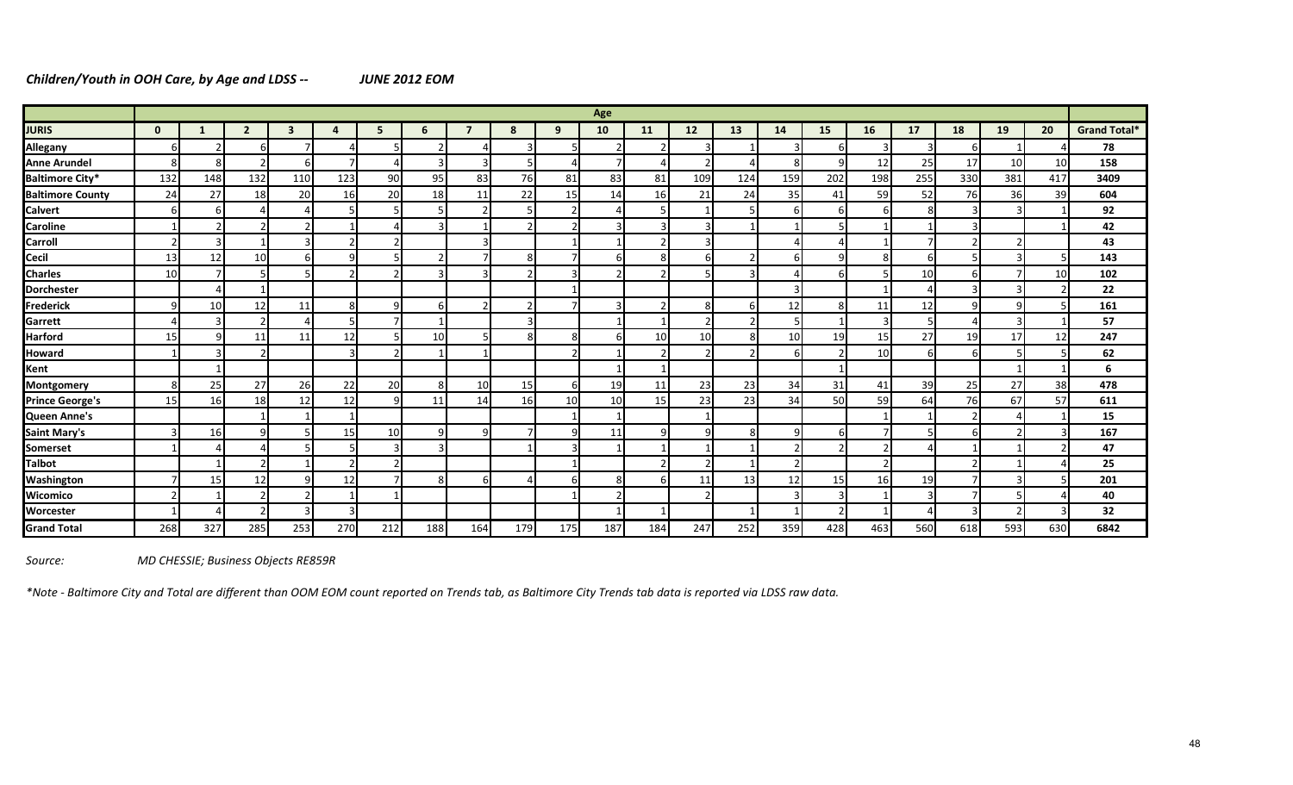# *Children/Youth in OOH Care, by Age and LDSS -- JUNE 2012 EOM*

|                         |                 |     |                |     |     |     |     |                          |     |                 | Age |                |     |     |     |                |     |     |     |                 |                 |                     |
|-------------------------|-----------------|-----|----------------|-----|-----|-----|-----|--------------------------|-----|-----------------|-----|----------------|-----|-----|-----|----------------|-----|-----|-----|-----------------|-----------------|---------------------|
| <b>JURIS</b>            | $\mathbf{0}$    |     |                | ર   |     |     | 6   |                          | 8   | 9               | 10  | 11             | 12  | 13  | 14  | 15             | 16  | 17  | 18  | 19              | 20              | <b>Grand Total*</b> |
| Allegany                | 6               |     |                |     |     |     |     |                          |     | 5               |     |                |     |     |     |                | 3   | 3   | h   |                 |                 | 78                  |
| <b>Anne Arundel</b>     | 8               | 8   |                |     |     |     |     | 3                        |     | $\Delta$        |     |                |     |     |     | q              | 12  | 25  | 17  | 10 <sup>1</sup> | 10              | 158                 |
| <b>Baltimore City*</b>  | 132             | 148 | 132            | 110 | 123 | 90  | 95  | 83                       | 76  | 81              | 83  | 81             | 109 | 124 | 159 | 202            | 198 | 255 | 330 | 381             | 417             | 3409                |
| <b>Baltimore County</b> | 24              | 27  | 18             | 20  | 16  | 20  | 18  | 11                       | 22  | 15              | 14  | 16             | 21  | 24  | 35  | 41             | 59  | 52  | 76  | 36              | 39              | 604                 |
| <b>Calvert</b>          | 6               | 6   |                |     |     |     |     | $\overline{\phantom{a}}$ |     | $\overline{2}$  |     | 5              |     |     | b   | -6             | 6   | 8   |     | $\vert$ 3       |                 | 92                  |
| <b>Caroline</b>         |                 |     |                |     |     |     | з   |                          |     | $\overline{2}$  |     | 3              |     |     |     |                |     |     | з   |                 |                 | 42                  |
| <b>Carroll</b>          |                 | 3   |                |     |     |     |     | $\overline{3}$           |     |                 |     | $\overline{2}$ |     |     |     |                |     |     |     | 2               |                 | 43                  |
| <b>Cecil</b>            | 13              | 12  | 10             |     |     |     |     |                          | 8   | $\overline{7}$  | 6   | 8              |     |     | h   | q              | 8   | 6   |     | $\vert$ 3       |                 | 143                 |
| <b>Charles</b>          | 10 <sup>1</sup> |     |                |     |     |     |     |                          |     | 3               |     | $\overline{2}$ |     |     |     |                |     | 10  |     |                 | 10 <sup>1</sup> | 102                 |
| <b>Dorchester</b>       |                 |     |                |     |     |     |     |                          |     |                 |     |                |     |     |     |                |     | 4   | з   | $\vert$ 3       |                 | 22                  |
| Frederick               | 9               | 10  | 12             | 11  |     | q   | 6   | $\overline{2}$           |     | $\overline{7}$  |     | $\overline{2}$ | 8   |     | 12  | 8 <sup>°</sup> | 11  | 12  | a   | $\overline{9}$  |                 | 161                 |
| Garrett                 |                 |     | $\mathfrak{p}$ |     |     |     |     |                          |     |                 |     |                |     |     |     |                | 3   | 5   |     | 3               |                 | 57                  |
| <b>Harford</b>          | 15 <sup>1</sup> | a   | 11             | 11  | 12  |     | 10  |                          | 8   | 8               |     | 10             | 10  |     | 10  | 19             | 15  | 27  | 19  | 17 <sup>1</sup> | 12              | 247                 |
| <b>Howard</b>           |                 |     | C.             |     | ς   |     |     |                          |     | $\overline{2}$  |     | 2              | h   |     |     |                | 10  | 6   | 6   |                 |                 | 62                  |
| Kent                    |                 |     |                |     |     |     |     |                          |     |                 |     |                |     |     |     |                |     |     |     |                 |                 | 6                   |
| <b>Montgomery</b>       | 8               | 25  | 27             | 26  | 22  | 20  | 8   | 10                       | 15  | $6 \mid$        | 19  | 11             | 23  | 23  | 34  | 31             | 41  | 39  | 25  | 27              | 38              | 478                 |
| <b>Prince George's</b>  | 15 <sub>l</sub> | 16  | 18             | 12  | 12  |     | 11  | 14                       | 16  | 10 <sup>1</sup> | 10  | 15             | 23  | 23  | 34  | 50             | 59  | 64  | 76  | 67              | 57              | 611                 |
| Queen Anne's            |                 |     |                |     |     |     |     |                          |     |                 |     |                |     |     |     |                |     |     |     | 4               |                 | 15                  |
| <b>Saint Mary's</b>     |                 | 16  | 9              |     | 15  | 10  | q   | q                        |     | $\vert 9 \vert$ | 11  | 9              |     | 8   |     |                |     | 5   |     | $\mathcal{P}$   |                 | 167                 |
| Somerset                |                 |     |                |     |     |     |     |                          |     | $\overline{3}$  |     |                |     |     |     |                |     |     |     |                 |                 | 47                  |
| <b>Talbot</b>           |                 |     |                |     |     |     |     |                          |     |                 |     | $\overline{2}$ |     |     |     |                |     |     |     |                 |                 | 25                  |
| <b>Washington</b>       |                 | 15  | 12             |     | 12  |     | 8   | 6                        |     | 6               | 8   | 6              | 11  | 13  | 12  | 15             | 16  | 19  |     | $\vert$ 3       |                 | 201                 |
| Wicomico                |                 |     |                |     |     |     |     |                          |     |                 |     |                |     |     |     |                |     | 3   |     |                 |                 | 40                  |
| Worcester               |                 |     |                |     |     |     |     |                          |     |                 |     |                |     |     |     |                |     |     |     | $\mathcal{P}$   |                 | 32                  |
| <b>Grand Total</b>      | 268             | 327 | 285            | 253 | 270 | 212 | 188 | 164                      | 179 | 175             | 187 | 184            | 247 | 252 | 359 | 428            | 463 | 560 | 618 | 593             | 630             | 6842                |

*Source: MD CHESSIE; Business Objects RE859R*

*\*Note - Baltimore City and Total are different than OOM EOM count reported on Trends tab, as Baltimore City Trends tab data is reported via LDSS raw data.*